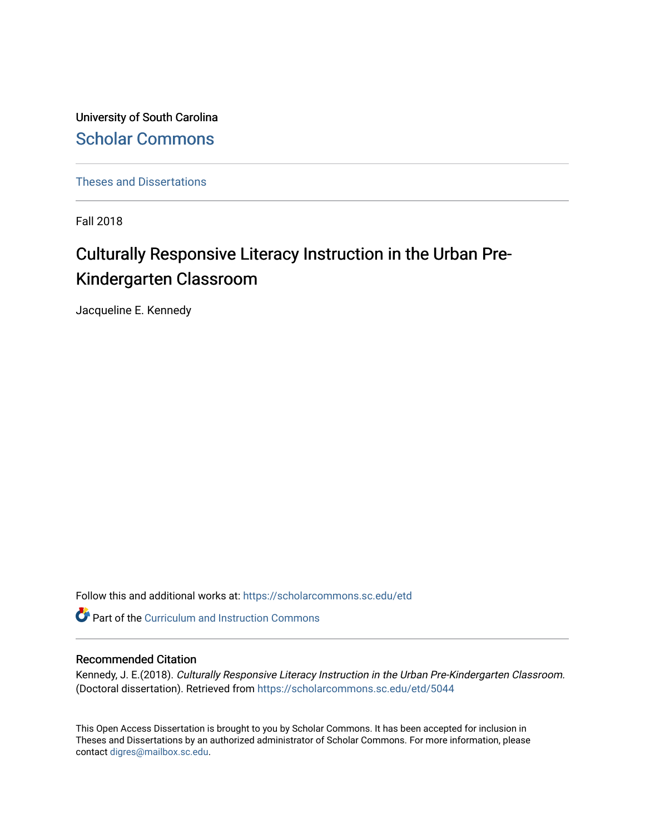University of South Carolina [Scholar Commons](https://scholarcommons.sc.edu/) 

[Theses and Dissertations](https://scholarcommons.sc.edu/etd)

Fall 2018

# Culturally Responsive Literacy Instruction in the Urban Pre-Kindergarten Classroom

Jacqueline E. Kennedy

Follow this and additional works at: [https://scholarcommons.sc.edu/etd](https://scholarcommons.sc.edu/etd?utm_source=scholarcommons.sc.edu%2Fetd%2F5044&utm_medium=PDF&utm_campaign=PDFCoverPages)

**Part of the Curriculum and Instruction Commons** 

### Recommended Citation

Kennedy, J. E.(2018). Culturally Responsive Literacy Instruction in the Urban Pre-Kindergarten Classroom. (Doctoral dissertation). Retrieved from [https://scholarcommons.sc.edu/etd/5044](https://scholarcommons.sc.edu/etd/5044?utm_source=scholarcommons.sc.edu%2Fetd%2F5044&utm_medium=PDF&utm_campaign=PDFCoverPages)

This Open Access Dissertation is brought to you by Scholar Commons. It has been accepted for inclusion in Theses and Dissertations by an authorized administrator of Scholar Commons. For more information, please contact [digres@mailbox.sc.edu.](mailto:digres@mailbox.sc.edu)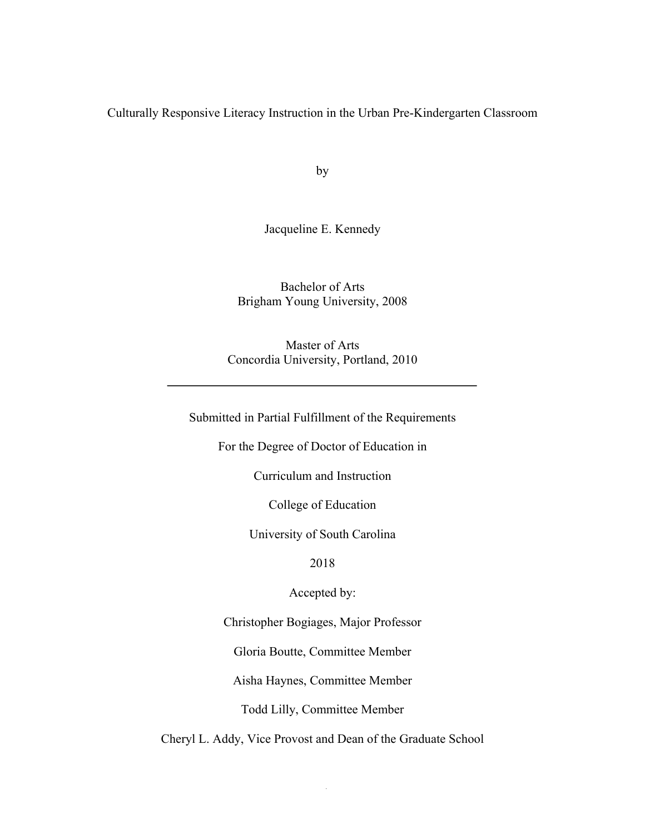Culturally Responsive Literacy Instruction in the Urban Pre-Kindergarten Classroom

by

Jacqueline E. Kennedy

Bachelor of Arts Brigham Young University, 2008

Master of Arts Concordia University, Portland, 2010

Submitted in Partial Fulfillment of the Requirements

For the Degree of Doctor of Education in

Curriculum and Instruction

College of Education

University of South Carolina

2018

Accepted by:

Christopher Bogiages, Major Professor

Gloria Boutte, Committee Member

Aisha Haynes, Committee Member

Todd Lilly, Committee Member

Cheryl L. Addy, Vice Provost and Dean of the Graduate School

i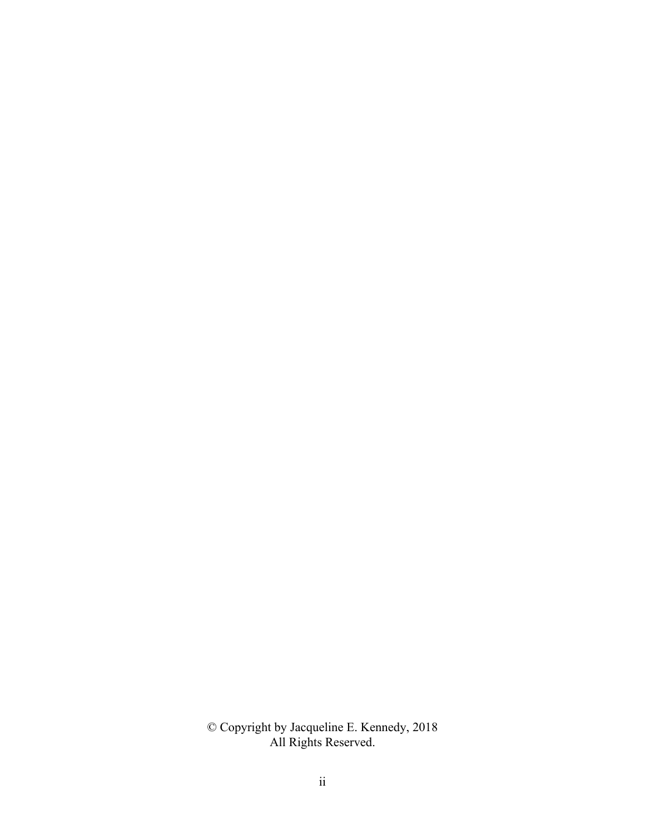© Copyright by Jacqueline E. Kennedy, 2018 All Rights Reserved.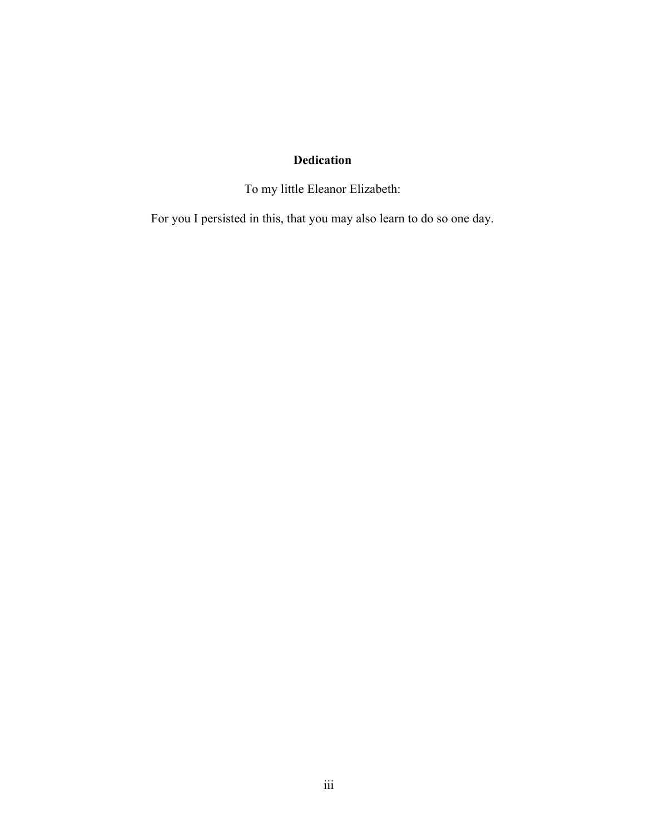# **Dedication**

To my little Eleanor Elizabeth:

For you I persisted in this, that you may also learn to do so one day.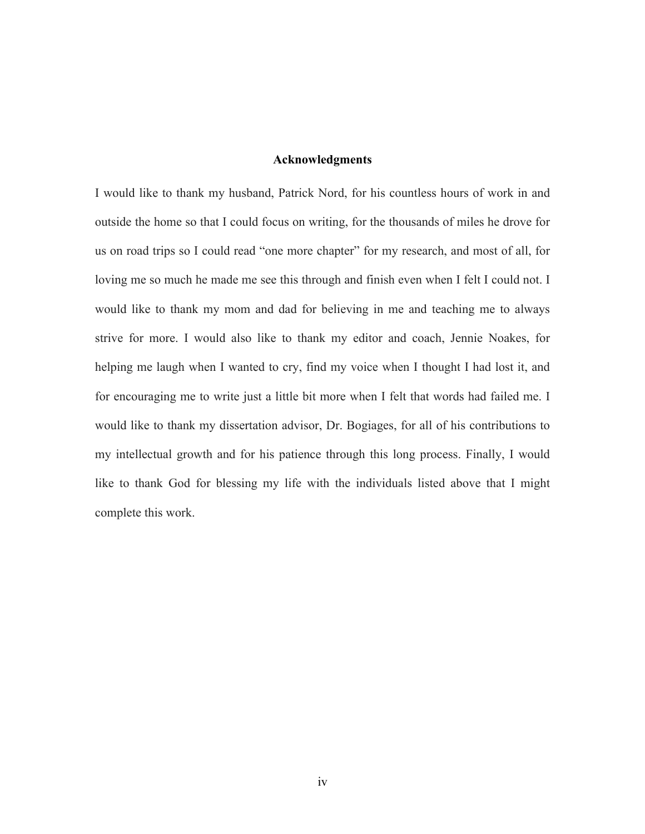# **Acknowledgments**

I would like to thank my husband, Patrick Nord, for his countless hours of work in and outside the home so that I could focus on writing, for the thousands of miles he drove for us on road trips so I could read "one more chapter" for my research, and most of all, for loving me so much he made me see this through and finish even when I felt I could not. I would like to thank my mom and dad for believing in me and teaching me to always strive for more. I would also like to thank my editor and coach, Jennie Noakes, for helping me laugh when I wanted to cry, find my voice when I thought I had lost it, and for encouraging me to write just a little bit more when I felt that words had failed me. I would like to thank my dissertation advisor, Dr. Bogiages, for all of his contributions to my intellectual growth and for his patience through this long process. Finally, I would like to thank God for blessing my life with the individuals listed above that I might complete this work.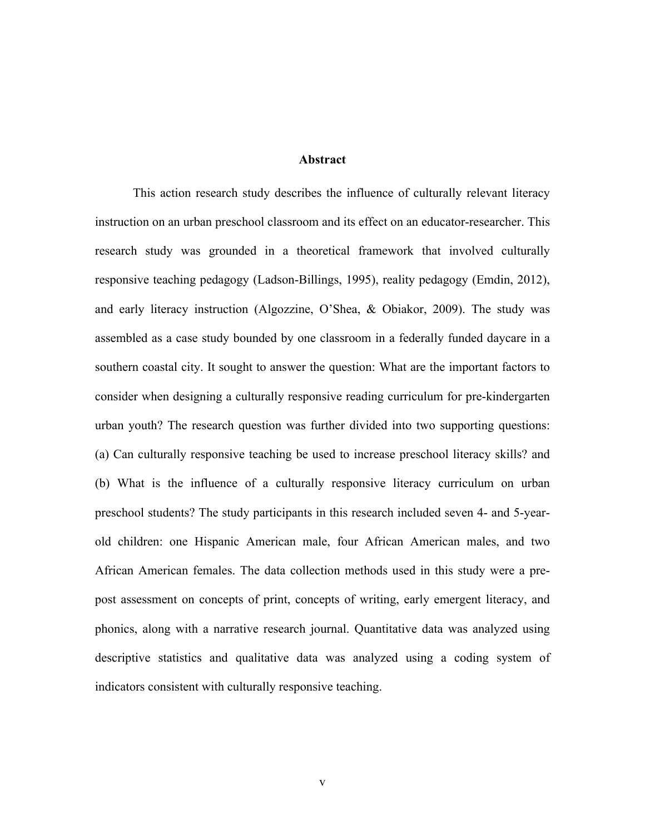**Abstract**

This action research study describes the influence of culturally relevant literacy instruction on an urban preschool classroom and its effect on an educator-researcher. This research study was grounded in a theoretical framework that involved culturally responsive teaching pedagogy (Ladson-Billings, 1995), reality pedagogy (Emdin, 2012), and early literacy instruction (Algozzine, O'Shea, & Obiakor, 2009). The study was assembled as a case study bounded by one classroom in a federally funded daycare in a southern coastal city. It sought to answer the question: What are the important factors to consider when designing a culturally responsive reading curriculum for pre-kindergarten urban youth? The research question was further divided into two supporting questions: (a) Can culturally responsive teaching be used to increase preschool literacy skills? and (b) What is the influence of a culturally responsive literacy curriculum on urban preschool students? The study participants in this research included seven 4- and 5-yearold children: one Hispanic American male, four African American males, and two African American females. The data collection methods used in this study were a prepost assessment on concepts of print, concepts of writing, early emergent literacy, and phonics, along with a narrative research journal. Quantitative data was analyzed using descriptive statistics and qualitative data was analyzed using a coding system of indicators consistent with culturally responsive teaching.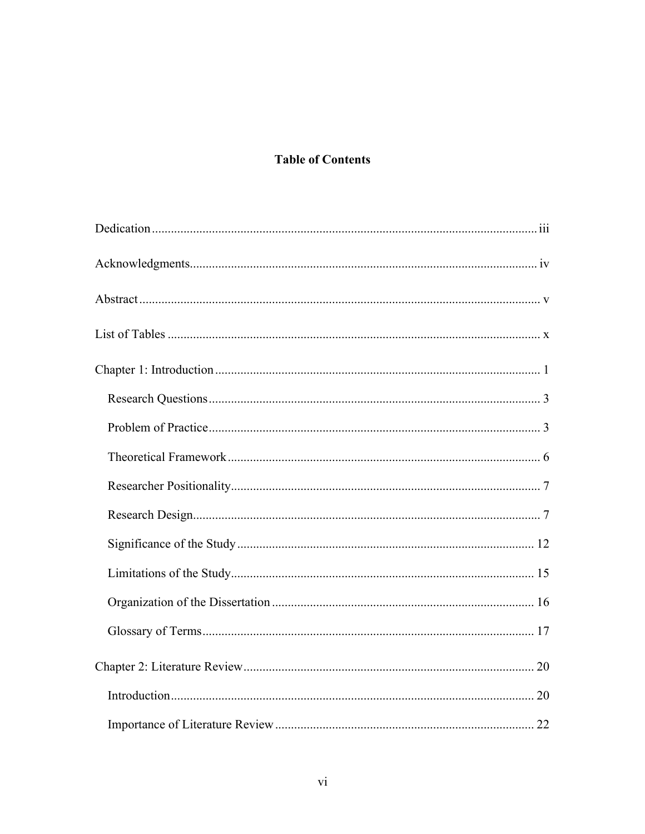# **Table of Contents**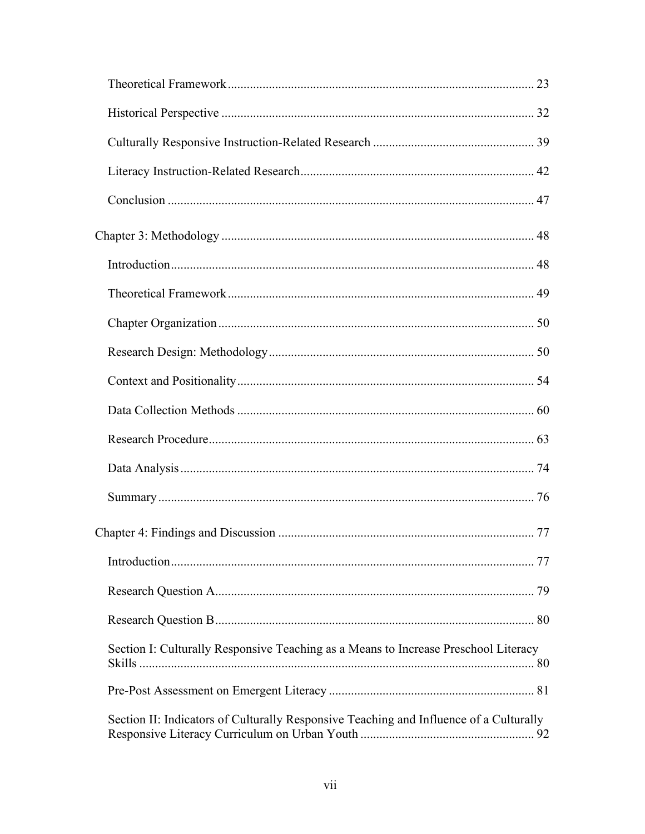| Section I: Culturally Responsive Teaching as a Means to Increase Preschool Literacy    |  |
|----------------------------------------------------------------------------------------|--|
|                                                                                        |  |
| Section II: Indicators of Culturally Responsive Teaching and Influence of a Culturally |  |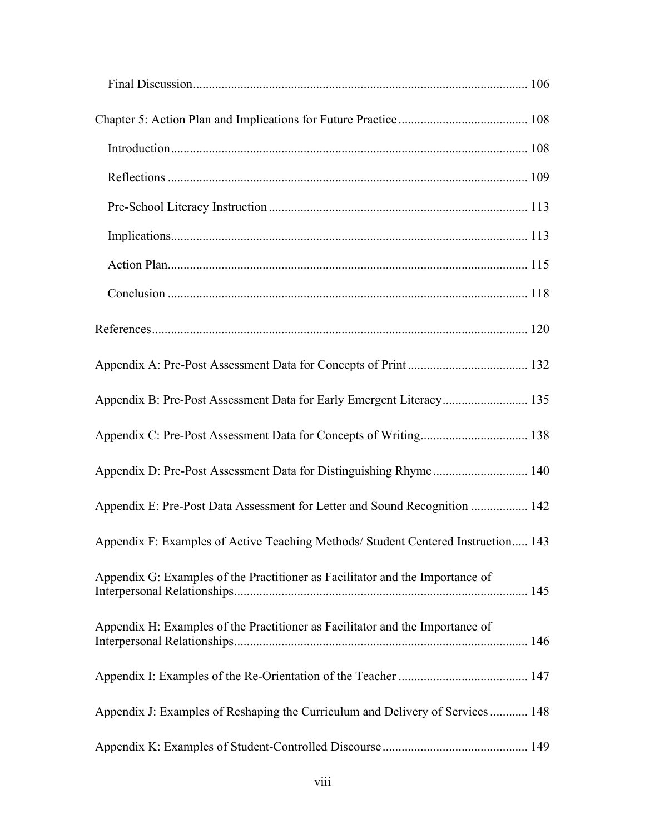| Appendix B: Pre-Post Assessment Data for Early Emergent Literacy 135              |  |
|-----------------------------------------------------------------------------------|--|
|                                                                                   |  |
| Appendix D: Pre-Post Assessment Data for Distinguishing Rhyme 140                 |  |
| Appendix E: Pre-Post Data Assessment for Letter and Sound Recognition  142        |  |
| Appendix F: Examples of Active Teaching Methods/ Student Centered Instruction 143 |  |
| Appendix G: Examples of the Practitioner as Facilitator and the Importance of     |  |
| Appendix H: Examples of the Practitioner as Facilitator and the Importance of     |  |
|                                                                                   |  |
| Appendix J: Examples of Reshaping the Curriculum and Delivery of Services  148    |  |
|                                                                                   |  |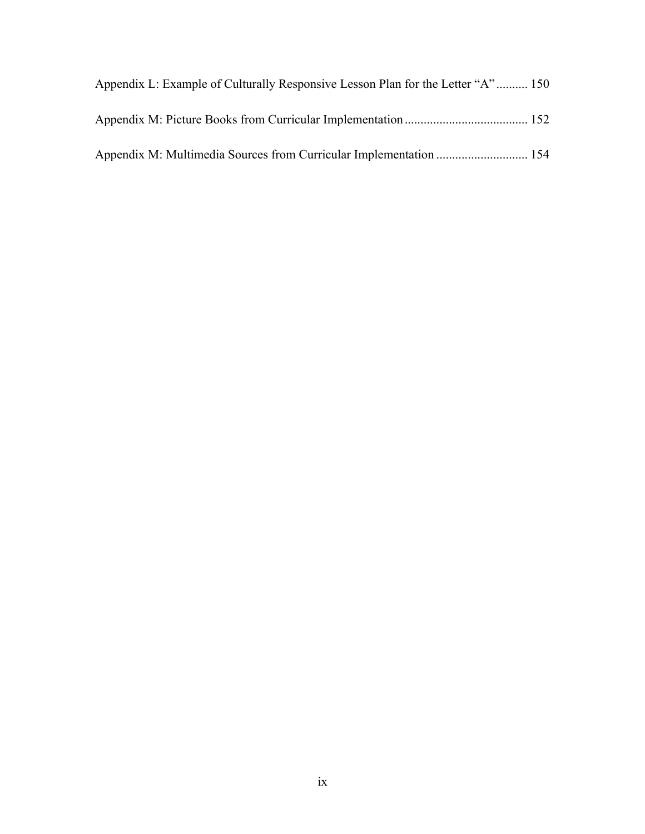| Appendix L: Example of Culturally Responsive Lesson Plan for the Letter "A" 150 |  |
|---------------------------------------------------------------------------------|--|
|                                                                                 |  |
| Appendix M: Multimedia Sources from Curricular Implementation  154              |  |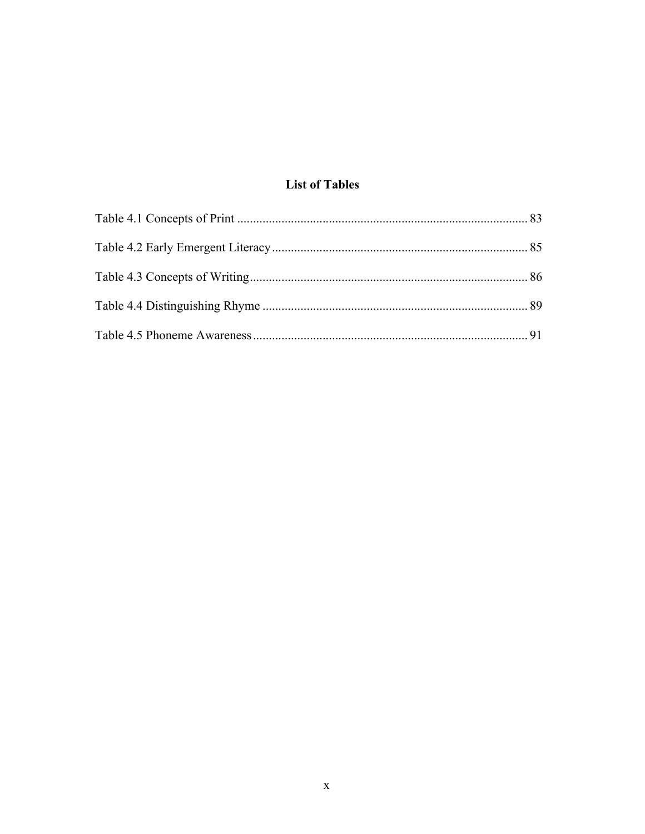# **List of Tables**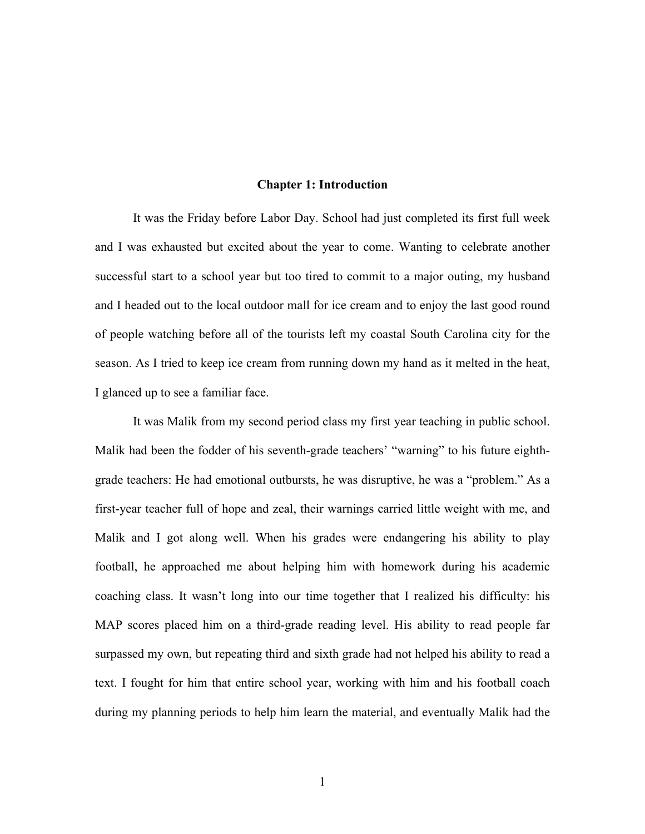#### **Chapter 1: Introduction**

It was the Friday before Labor Day. School had just completed its first full week and I was exhausted but excited about the year to come. Wanting to celebrate another successful start to a school year but too tired to commit to a major outing, my husband and I headed out to the local outdoor mall for ice cream and to enjoy the last good round of people watching before all of the tourists left my coastal South Carolina city for the season. As I tried to keep ice cream from running down my hand as it melted in the heat, I glanced up to see a familiar face.

It was Malik from my second period class my first year teaching in public school. Malik had been the fodder of his seventh-grade teachers' "warning" to his future eighthgrade teachers: He had emotional outbursts, he was disruptive, he was a "problem." As a first-year teacher full of hope and zeal, their warnings carried little weight with me, and Malik and I got along well. When his grades were endangering his ability to play football, he approached me about helping him with homework during his academic coaching class. It wasn't long into our time together that I realized his difficulty: his MAP scores placed him on a third-grade reading level. His ability to read people far surpassed my own, but repeating third and sixth grade had not helped his ability to read a text. I fought for him that entire school year, working with him and his football coach during my planning periods to help him learn the material, and eventually Malik had the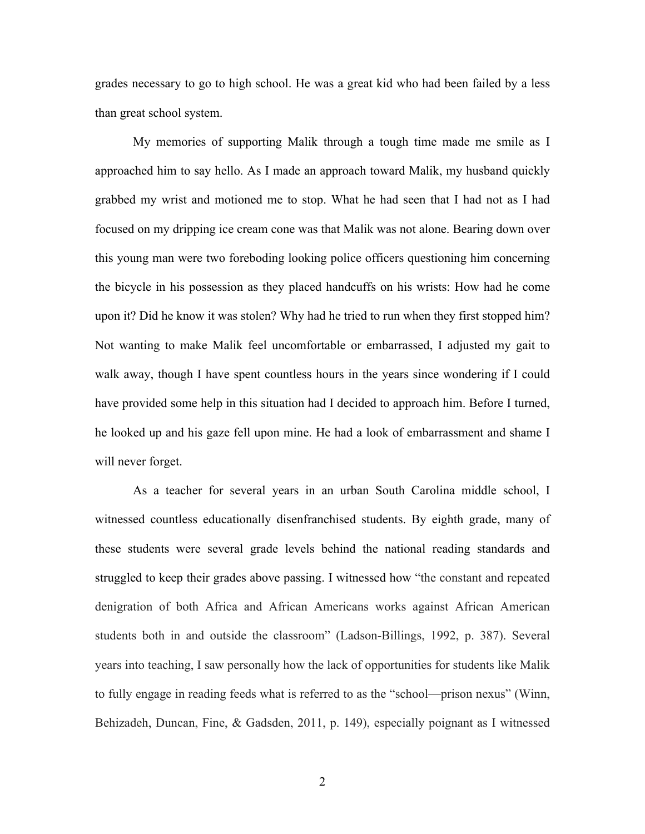grades necessary to go to high school. He was a great kid who had been failed by a less than great school system.

My memories of supporting Malik through a tough time made me smile as I approached him to say hello. As I made an approach toward Malik, my husband quickly grabbed my wrist and motioned me to stop. What he had seen that I had not as I had focused on my dripping ice cream cone was that Malik was not alone. Bearing down over this young man were two foreboding looking police officers questioning him concerning the bicycle in his possession as they placed handcuffs on his wrists: How had he come upon it? Did he know it was stolen? Why had he tried to run when they first stopped him? Not wanting to make Malik feel uncomfortable or embarrassed, I adjusted my gait to walk away, though I have spent countless hours in the years since wondering if I could have provided some help in this situation had I decided to approach him. Before I turned, he looked up and his gaze fell upon mine. He had a look of embarrassment and shame I will never forget.

As a teacher for several years in an urban South Carolina middle school, I witnessed countless educationally disenfranchised students. By eighth grade, many of these students were several grade levels behind the national reading standards and struggled to keep their grades above passing. I witnessed how "the constant and repeated denigration of both Africa and African Americans works against African American students both in and outside the classroom" (Ladson-Billings, 1992, p. 387). Several years into teaching, I saw personally how the lack of opportunities for students like Malik to fully engage in reading feeds what is referred to as the "school—prison nexus" (Winn, Behizadeh, Duncan, Fine, & Gadsden, 2011, p. 149), especially poignant as I witnessed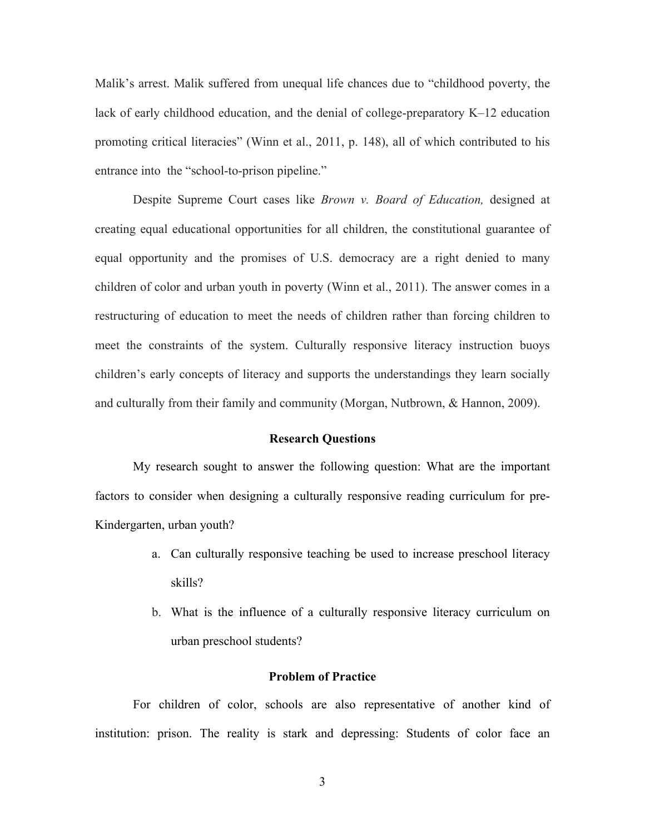Malik's arrest. Malik suffered from unequal life chances due to "childhood poverty, the lack of early childhood education, and the denial of college-preparatory K–12 education promoting critical literacies" (Winn et al., 2011, p. 148), all of which contributed to his entrance into the "school-to-prison pipeline."

Despite Supreme Court cases like *Brown v. Board of Education,* designed at creating equal educational opportunities for all children, the constitutional guarantee of equal opportunity and the promises of U.S. democracy are a right denied to many children of color and urban youth in poverty (Winn et al., 2011). The answer comes in a restructuring of education to meet the needs of children rather than forcing children to meet the constraints of the system. Culturally responsive literacy instruction buoys children's early concepts of literacy and supports the understandings they learn socially and culturally from their family and community (Morgan, Nutbrown, & Hannon, 2009).

#### **Research Questions**

My research sought to answer the following question: What are the important factors to consider when designing a culturally responsive reading curriculum for pre-Kindergarten, urban youth?

- a. Can culturally responsive teaching be used to increase preschool literacy skills?
- b. What is the influence of a culturally responsive literacy curriculum on urban preschool students?

#### **Problem of Practice**

For children of color, schools are also representative of another kind of institution: prison. The reality is stark and depressing: Students of color face an

3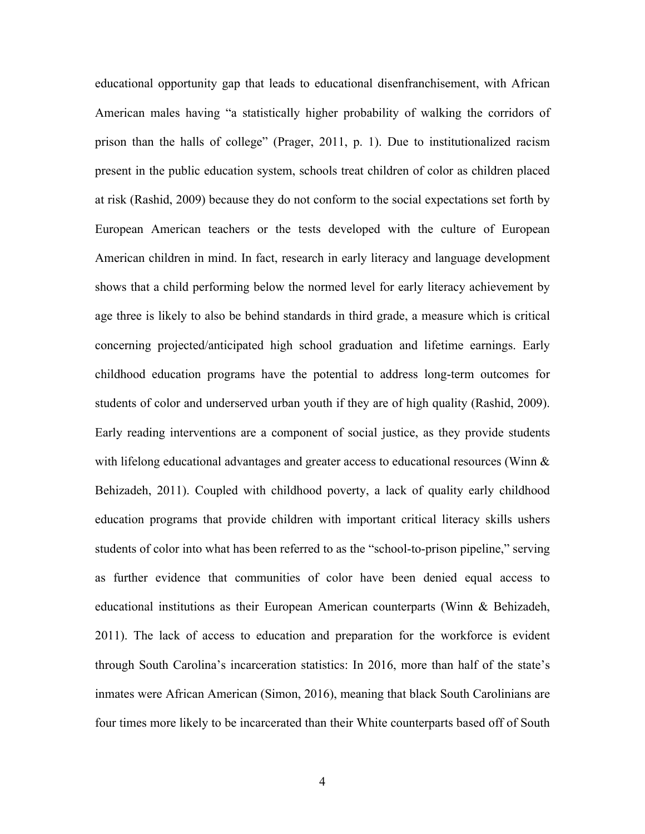educational opportunity gap that leads to educational disenfranchisement, with African American males having "a statistically higher probability of walking the corridors of prison than the halls of college" (Prager, 2011, p. 1). Due to institutionalized racism present in the public education system, schools treat children of color as children placed at risk (Rashid, 2009) because they do not conform to the social expectations set forth by European American teachers or the tests developed with the culture of European American children in mind. In fact, research in early literacy and language development shows that a child performing below the normed level for early literacy achievement by age three is likely to also be behind standards in third grade, a measure which is critical concerning projected/anticipated high school graduation and lifetime earnings. Early childhood education programs have the potential to address long-term outcomes for students of color and underserved urban youth if they are of high quality (Rashid, 2009). Early reading interventions are a component of social justice, as they provide students with lifelong educational advantages and greater access to educational resources (Winn  $\&$ Behizadeh, 2011). Coupled with childhood poverty, a lack of quality early childhood education programs that provide children with important critical literacy skills ushers students of color into what has been referred to as the "school-to-prison pipeline," serving as further evidence that communities of color have been denied equal access to educational institutions as their European American counterparts (Winn & Behizadeh, 2011). The lack of access to education and preparation for the workforce is evident through South Carolina's incarceration statistics: In 2016, more than half of the state's inmates were African American (Simon, 2016), meaning that black South Carolinians are four times more likely to be incarcerated than their White counterparts based off of South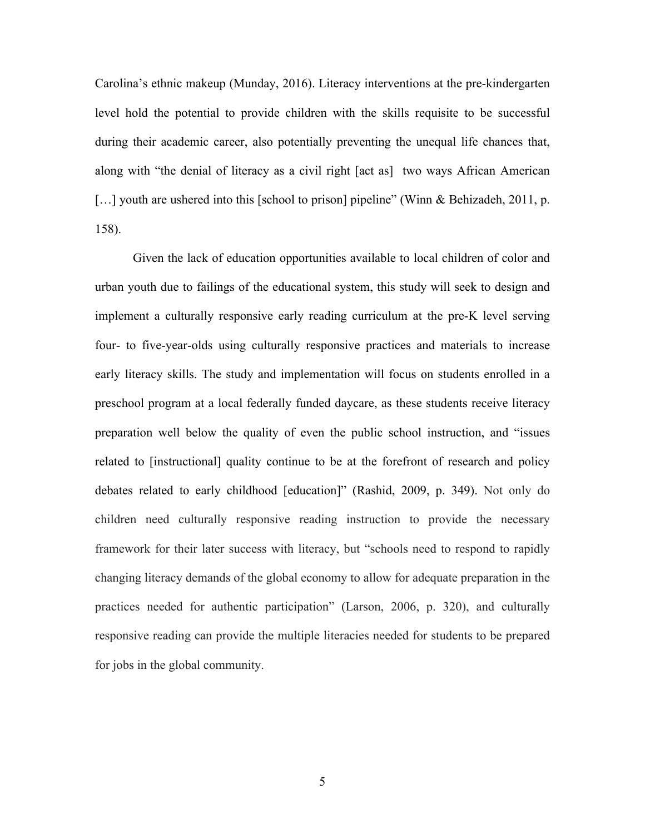Carolina's ethnic makeup (Munday, 2016). Literacy interventions at the pre-kindergarten level hold the potential to provide children with the skills requisite to be successful during their academic career, also potentially preventing the unequal life chances that, along with "the denial of literacy as a civil right [act as] two ways African American [...] youth are ushered into this [school to prison] pipeline" (Winn & Behizadeh, 2011, p. 158).

Given the lack of education opportunities available to local children of color and urban youth due to failings of the educational system, this study will seek to design and implement a culturally responsive early reading curriculum at the pre-K level serving four- to five-year-olds using culturally responsive practices and materials to increase early literacy skills. The study and implementation will focus on students enrolled in a preschool program at a local federally funded daycare, as these students receive literacy preparation well below the quality of even the public school instruction, and "issues related to [instructional] quality continue to be at the forefront of research and policy debates related to early childhood [education]" (Rashid, 2009, p. 349). Not only do children need culturally responsive reading instruction to provide the necessary framework for their later success with literacy, but "schools need to respond to rapidly changing literacy demands of the global economy to allow for adequate preparation in the practices needed for authentic participation" (Larson, 2006, p. 320), and culturally responsive reading can provide the multiple literacies needed for students to be prepared for jobs in the global community.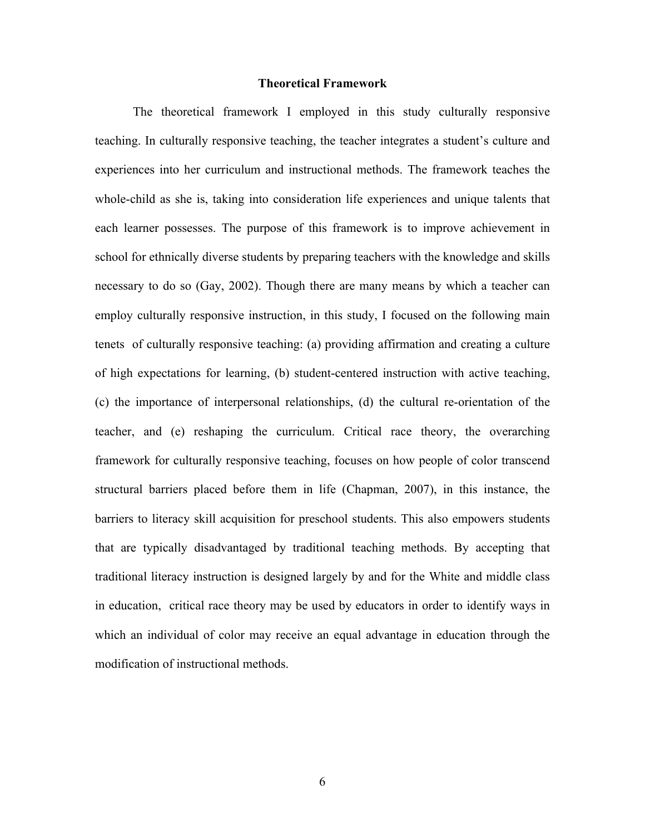#### **Theoretical Framework**

The theoretical framework I employed in this study culturally responsive teaching. In culturally responsive teaching, the teacher integrates a student's culture and experiences into her curriculum and instructional methods. The framework teaches the whole-child as she is, taking into consideration life experiences and unique talents that each learner possesses. The purpose of this framework is to improve achievement in school for ethnically diverse students by preparing teachers with the knowledge and skills necessary to do so (Gay, 2002). Though there are many means by which a teacher can employ culturally responsive instruction, in this study, I focused on the following main tenets of culturally responsive teaching: (a) providing affirmation and creating a culture of high expectations for learning, (b) student-centered instruction with active teaching, (c) the importance of interpersonal relationships, (d) the cultural re-orientation of the teacher, and (e) reshaping the curriculum. Critical race theory, the overarching framework for culturally responsive teaching, focuses on how people of color transcend structural barriers placed before them in life (Chapman, 2007), in this instance, the barriers to literacy skill acquisition for preschool students. This also empowers students that are typically disadvantaged by traditional teaching methods. By accepting that traditional literacy instruction is designed largely by and for the White and middle class in education, critical race theory may be used by educators in order to identify ways in which an individual of color may receive an equal advantage in education through the modification of instructional methods.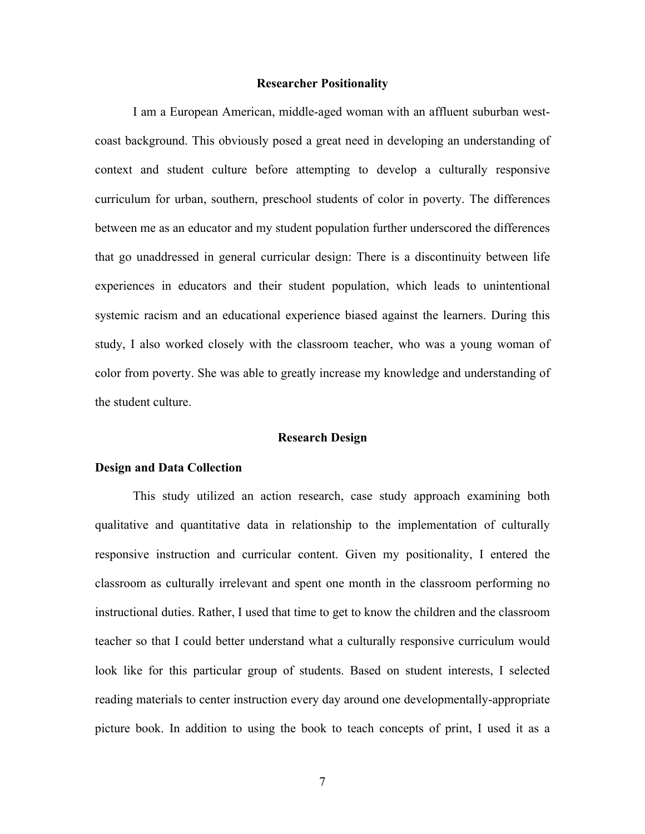#### **Researcher Positionality**

I am a European American, middle-aged woman with an affluent suburban westcoast background. This obviously posed a great need in developing an understanding of context and student culture before attempting to develop a culturally responsive curriculum for urban, southern, preschool students of color in poverty. The differences between me as an educator and my student population further underscored the differences that go unaddressed in general curricular design: There is a discontinuity between life experiences in educators and their student population, which leads to unintentional systemic racism and an educational experience biased against the learners. During this study, I also worked closely with the classroom teacher, who was a young woman of color from poverty. She was able to greatly increase my knowledge and understanding of the student culture.

#### **Research Design**

#### **Design and Data Collection**

This study utilized an action research, case study approach examining both qualitative and quantitative data in relationship to the implementation of culturally responsive instruction and curricular content. Given my positionality, I entered the classroom as culturally irrelevant and spent one month in the classroom performing no instructional duties. Rather, I used that time to get to know the children and the classroom teacher so that I could better understand what a culturally responsive curriculum would look like for this particular group of students. Based on student interests, I selected reading materials to center instruction every day around one developmentally-appropriate picture book. In addition to using the book to teach concepts of print, I used it as a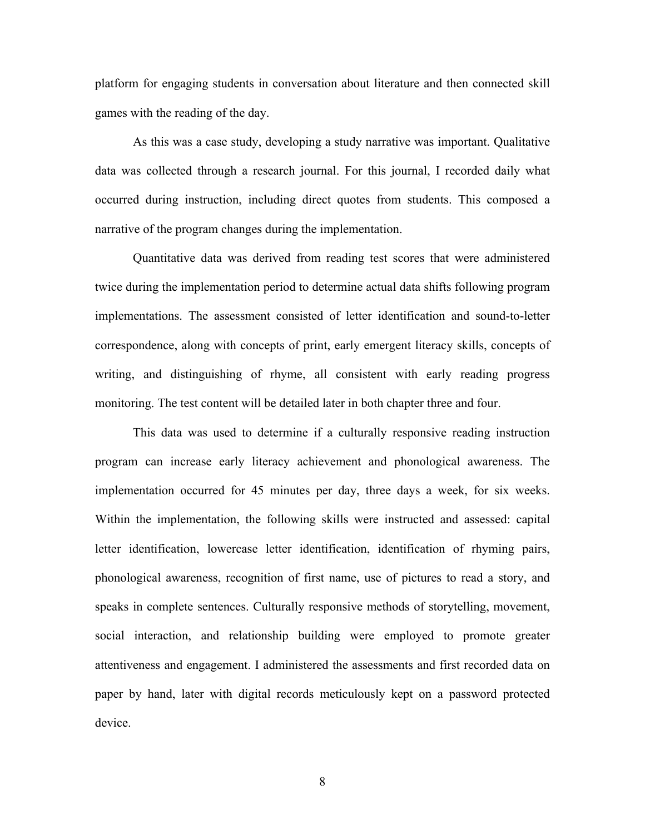platform for engaging students in conversation about literature and then connected skill games with the reading of the day.

As this was a case study, developing a study narrative was important. Qualitative data was collected through a research journal. For this journal, I recorded daily what occurred during instruction, including direct quotes from students. This composed a narrative of the program changes during the implementation.

Quantitative data was derived from reading test scores that were administered twice during the implementation period to determine actual data shifts following program implementations. The assessment consisted of letter identification and sound-to-letter correspondence, along with concepts of print, early emergent literacy skills, concepts of writing, and distinguishing of rhyme, all consistent with early reading progress monitoring. The test content will be detailed later in both chapter three and four.

This data was used to determine if a culturally responsive reading instruction program can increase early literacy achievement and phonological awareness. The implementation occurred for 45 minutes per day, three days a week, for six weeks. Within the implementation, the following skills were instructed and assessed: capital letter identification, lowercase letter identification, identification of rhyming pairs, phonological awareness, recognition of first name, use of pictures to read a story, and speaks in complete sentences. Culturally responsive methods of storytelling, movement, social interaction, and relationship building were employed to promote greater attentiveness and engagement. I administered the assessments and first recorded data on paper by hand, later with digital records meticulously kept on a password protected device.

8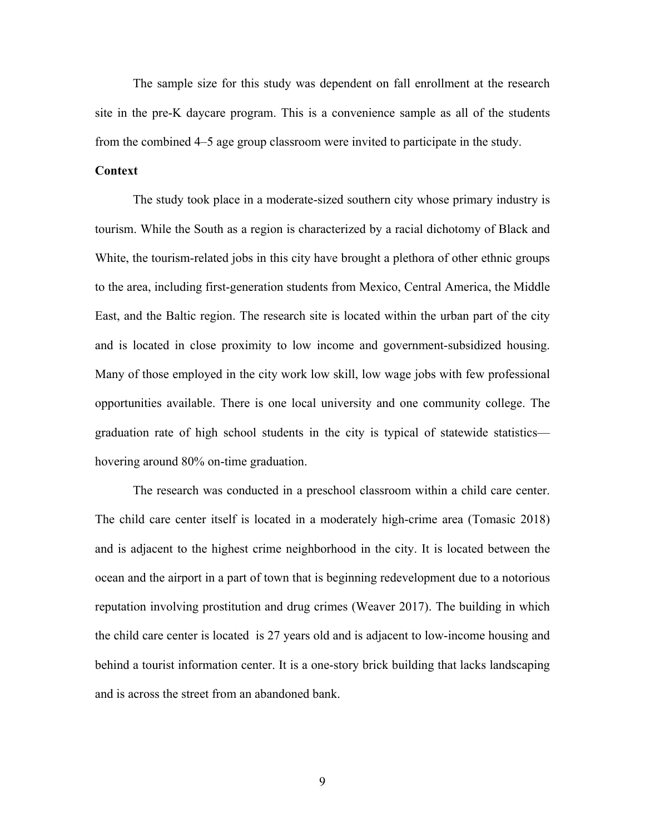The sample size for this study was dependent on fall enrollment at the research site in the pre-K daycare program. This is a convenience sample as all of the students from the combined 4–5 age group classroom were invited to participate in the study.

# **Context**

The study took place in a moderate-sized southern city whose primary industry is tourism. While the South as a region is characterized by a racial dichotomy of Black and White, the tourism-related jobs in this city have brought a plethora of other ethnic groups to the area, including first-generation students from Mexico, Central America, the Middle East, and the Baltic region. The research site is located within the urban part of the city and is located in close proximity to low income and government-subsidized housing. Many of those employed in the city work low skill, low wage jobs with few professional opportunities available. There is one local university and one community college. The graduation rate of high school students in the city is typical of statewide statistics hovering around 80% on-time graduation.

The research was conducted in a preschool classroom within a child care center. The child care center itself is located in a moderately high-crime area (Tomasic 2018) and is adjacent to the highest crime neighborhood in the city. It is located between the ocean and the airport in a part of town that is beginning redevelopment due to a notorious reputation involving prostitution and drug crimes (Weaver 2017). The building in which the child care center is located is 27 years old and is adjacent to low-income housing and behind a tourist information center. It is a one-story brick building that lacks landscaping and is across the street from an abandoned bank.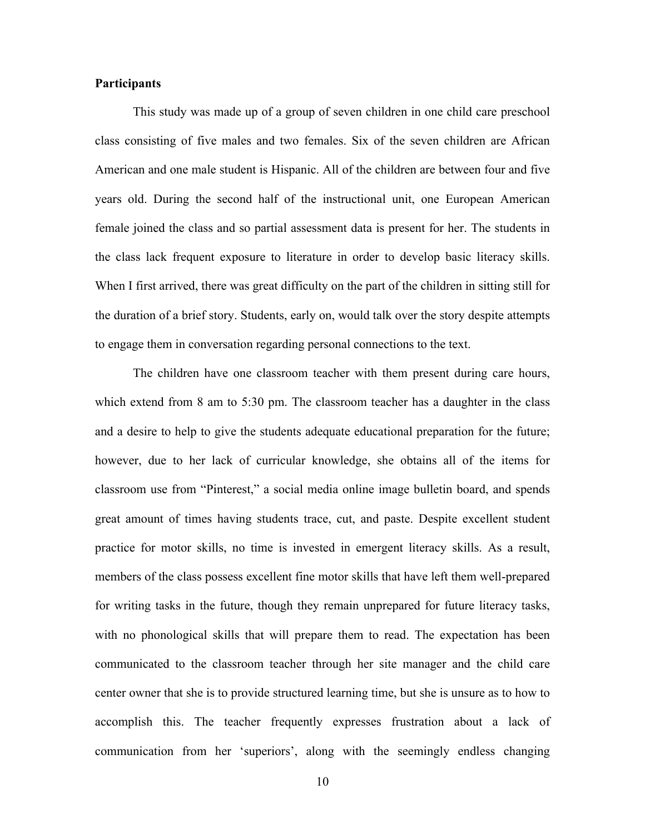# **Participants**

This study was made up of a group of seven children in one child care preschool class consisting of five males and two females. Six of the seven children are African American and one male student is Hispanic. All of the children are between four and five years old. During the second half of the instructional unit, one European American female joined the class and so partial assessment data is present for her. The students in the class lack frequent exposure to literature in order to develop basic literacy skills. When I first arrived, there was great difficulty on the part of the children in sitting still for the duration of a brief story. Students, early on, would talk over the story despite attempts to engage them in conversation regarding personal connections to the text.

The children have one classroom teacher with them present during care hours, which extend from 8 am to 5:30 pm. The classroom teacher has a daughter in the class and a desire to help to give the students adequate educational preparation for the future; however, due to her lack of curricular knowledge, she obtains all of the items for classroom use from "Pinterest," a social media online image bulletin board, and spends great amount of times having students trace, cut, and paste. Despite excellent student practice for motor skills, no time is invested in emergent literacy skills. As a result, members of the class possess excellent fine motor skills that have left them well-prepared for writing tasks in the future, though they remain unprepared for future literacy tasks, with no phonological skills that will prepare them to read. The expectation has been communicated to the classroom teacher through her site manager and the child care center owner that she is to provide structured learning time, but she is unsure as to how to accomplish this. The teacher frequently expresses frustration about a lack of communication from her 'superiors', along with the seemingly endless changing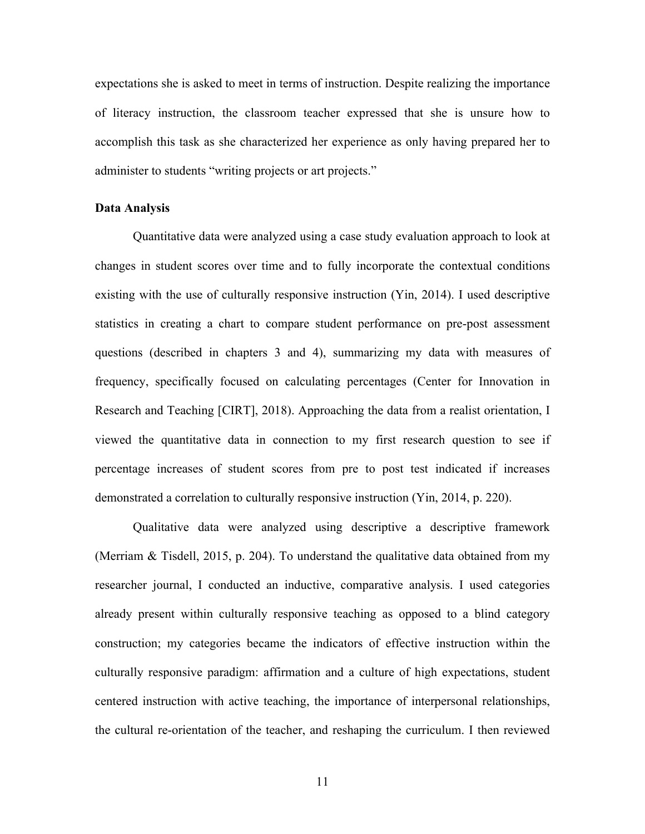expectations she is asked to meet in terms of instruction. Despite realizing the importance of literacy instruction, the classroom teacher expressed that she is unsure how to accomplish this task as she characterized her experience as only having prepared her to administer to students "writing projects or art projects."

# **Data Analysis**

Quantitative data were analyzed using a case study evaluation approach to look at changes in student scores over time and to fully incorporate the contextual conditions existing with the use of culturally responsive instruction (Yin, 2014). I used descriptive statistics in creating a chart to compare student performance on pre-post assessment questions (described in chapters 3 and 4), summarizing my data with measures of frequency, specifically focused on calculating percentages (Center for Innovation in Research and Teaching [CIRT], 2018). Approaching the data from a realist orientation, I viewed the quantitative data in connection to my first research question to see if percentage increases of student scores from pre to post test indicated if increases demonstrated a correlation to culturally responsive instruction (Yin, 2014, p. 220).

Qualitative data were analyzed using descriptive a descriptive framework (Merriam & Tisdell, 2015, p. 204). To understand the qualitative data obtained from my researcher journal, I conducted an inductive, comparative analysis. I used categories already present within culturally responsive teaching as opposed to a blind category construction; my categories became the indicators of effective instruction within the culturally responsive paradigm: affirmation and a culture of high expectations, student centered instruction with active teaching, the importance of interpersonal relationships, the cultural re-orientation of the teacher, and reshaping the curriculum. I then reviewed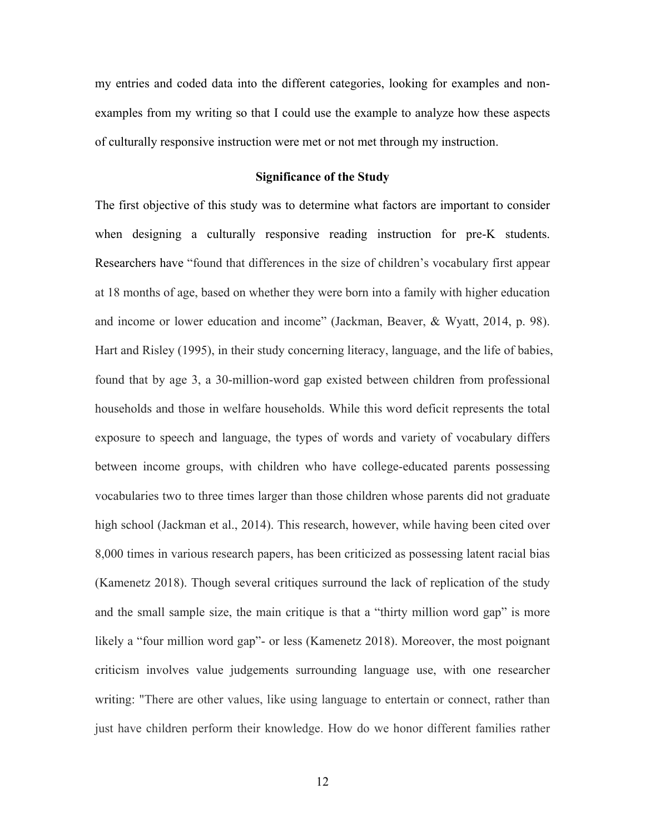my entries and coded data into the different categories, looking for examples and nonexamples from my writing so that I could use the example to analyze how these aspects of culturally responsive instruction were met or not met through my instruction.

#### **Significance of the Study**

The first objective of this study was to determine what factors are important to consider when designing a culturally responsive reading instruction for pre-K students. Researchers have "found that differences in the size of children's vocabulary first appear at 18 months of age, based on whether they were born into a family with higher education and income or lower education and income" (Jackman, Beaver, & Wyatt, 2014, p. 98). Hart and Risley (1995), in their study concerning literacy, language, and the life of babies, found that by age 3, a 30-million-word gap existed between children from professional households and those in welfare households. While this word deficit represents the total exposure to speech and language, the types of words and variety of vocabulary differs between income groups, with children who have college-educated parents possessing vocabularies two to three times larger than those children whose parents did not graduate high school (Jackman et al., 2014). This research, however, while having been cited over 8,000 times in various research papers, has been criticized as possessing latent racial bias (Kamenetz 2018). Though several critiques surround the lack of replication of the study and the small sample size, the main critique is that a "thirty million word gap" is more likely a "four million word gap"- or less (Kamenetz 2018). Moreover, the most poignant criticism involves value judgements surrounding language use, with one researcher writing: "There are other values, like using language to entertain or connect, rather than just have children perform their knowledge. How do we honor different families rather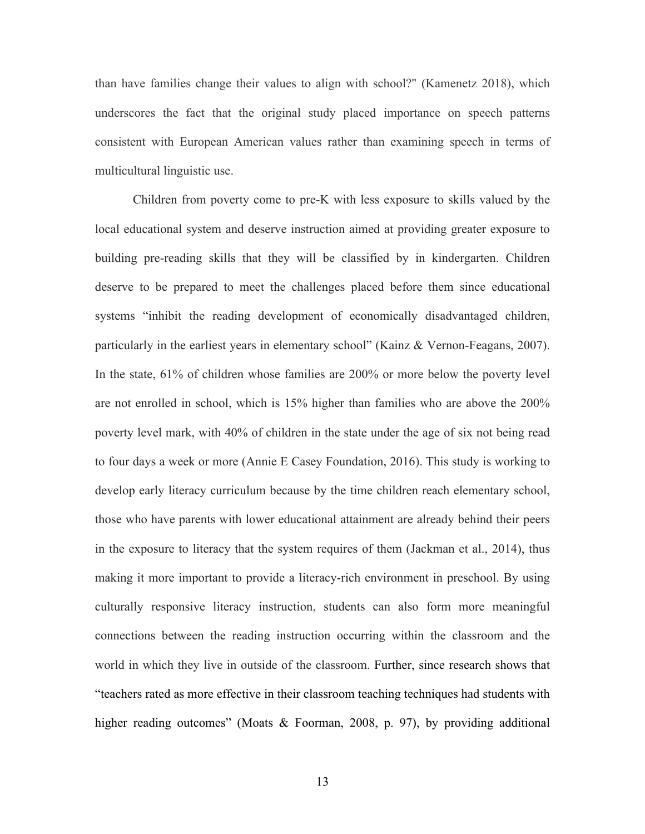than have families change their values to align with school?" (Kamenetz 2018), which underscores the fact that the original study placed importance on speech patterns consistent with European American values rather than examining speech in terms of multicultural linguistic use.

Children from poverty come to pre-K with less exposure to skills valued by the local educational system and deserve instruction aimed at providing greater exposure to building pre-reading skills that they will be classified by in kindergarten. Children deserve to be prepared to meet the challenges placed before them since educational systems "inhibit the reading development of economically disadvantaged children, particularly in the earliest years in elementary school" (Kainz & Vernon-Feagans, 2007). In the state, 61% of children whose families are 200% or more below the poverty level are not enrolled in school, which is 15% higher than families who are above the 200% poverty level mark, with 40% of children in the state under the age of six not being read to four days a week or more (Annie E Casey Foundation, 2016). This study is working to develop early literacy curriculum because by the time children reach elementary school, those who have parents with lower educational attainment are already behind their peers in the exposure to literacy that the system requires of them (Jackman et al., 2014), thus making it more important to provide a literacy-rich environment in preschool. By using culturally responsive literacy instruction, students can also form more meaningful connections between the reading instruction occurring within the classroom and the world in which they live in outside of the classroom. Further, since research shows that "teachers rated as more effective in their classroom teaching techniques had students with higher reading outcomes" (Moats & Foorman, 2008, p. 97), by providing additional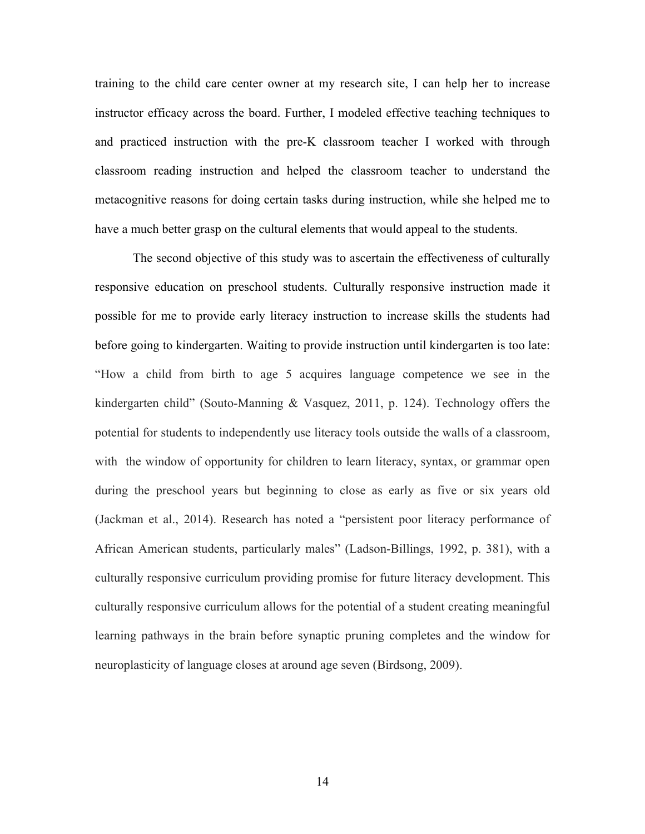training to the child care center owner at my research site, I can help her to increase instructor efficacy across the board. Further, I modeled effective teaching techniques to and practiced instruction with the pre-K classroom teacher I worked with through classroom reading instruction and helped the classroom teacher to understand the metacognitive reasons for doing certain tasks during instruction, while she helped me to have a much better grasp on the cultural elements that would appeal to the students.

The second objective of this study was to ascertain the effectiveness of culturally responsive education on preschool students. Culturally responsive instruction made it possible for me to provide early literacy instruction to increase skills the students had before going to kindergarten. Waiting to provide instruction until kindergarten is too late: "How a child from birth to age 5 acquires language competence we see in the kindergarten child" (Souto-Manning & Vasquez, 2011, p. 124). Technology offers the potential for students to independently use literacy tools outside the walls of a classroom, with the window of opportunity for children to learn literacy, syntax, or grammar open during the preschool years but beginning to close as early as five or six years old (Jackman et al., 2014). Research has noted a "persistent poor literacy performance of African American students, particularly males" (Ladson-Billings, 1992, p. 381), with a culturally responsive curriculum providing promise for future literacy development. This culturally responsive curriculum allows for the potential of a student creating meaningful learning pathways in the brain before synaptic pruning completes and the window for neuroplasticity of language closes at around age seven (Birdsong, 2009).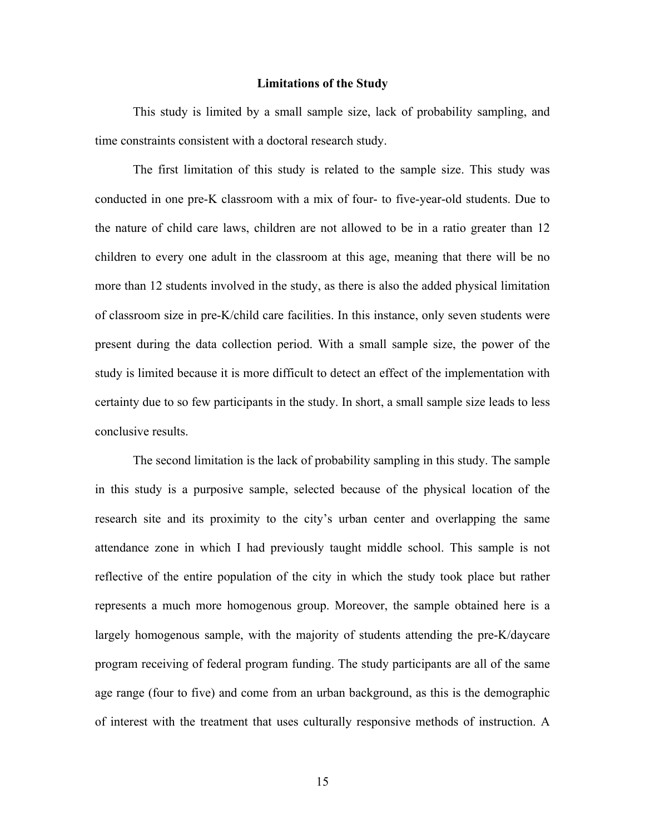#### **Limitations of the Study**

This study is limited by a small sample size, lack of probability sampling, and time constraints consistent with a doctoral research study.

The first limitation of this study is related to the sample size. This study was conducted in one pre-K classroom with a mix of four- to five-year-old students. Due to the nature of child care laws, children are not allowed to be in a ratio greater than 12 children to every one adult in the classroom at this age, meaning that there will be no more than 12 students involved in the study, as there is also the added physical limitation of classroom size in pre-K/child care facilities. In this instance, only seven students were present during the data collection period. With a small sample size, the power of the study is limited because it is more difficult to detect an effect of the implementation with certainty due to so few participants in the study. In short, a small sample size leads to less conclusive results.

The second limitation is the lack of probability sampling in this study. The sample in this study is a purposive sample, selected because of the physical location of the research site and its proximity to the city's urban center and overlapping the same attendance zone in which I had previously taught middle school. This sample is not reflective of the entire population of the city in which the study took place but rather represents a much more homogenous group. Moreover, the sample obtained here is a largely homogenous sample, with the majority of students attending the pre-K/daycare program receiving of federal program funding. The study participants are all of the same age range (four to five) and come from an urban background, as this is the demographic of interest with the treatment that uses culturally responsive methods of instruction. A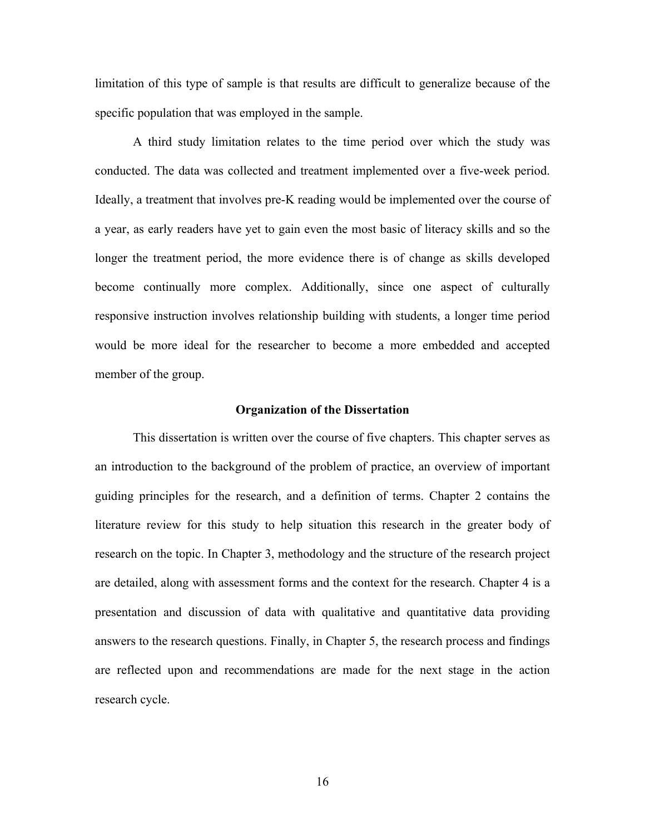limitation of this type of sample is that results are difficult to generalize because of the specific population that was employed in the sample.

A third study limitation relates to the time period over which the study was conducted. The data was collected and treatment implemented over a five-week period. Ideally, a treatment that involves pre-K reading would be implemented over the course of a year, as early readers have yet to gain even the most basic of literacy skills and so the longer the treatment period, the more evidence there is of change as skills developed become continually more complex. Additionally, since one aspect of culturally responsive instruction involves relationship building with students, a longer time period would be more ideal for the researcher to become a more embedded and accepted member of the group.

#### **Organization of the Dissertation**

This dissertation is written over the course of five chapters. This chapter serves as an introduction to the background of the problem of practice, an overview of important guiding principles for the research, and a definition of terms. Chapter 2 contains the literature review for this study to help situation this research in the greater body of research on the topic. In Chapter 3, methodology and the structure of the research project are detailed, along with assessment forms and the context for the research. Chapter 4 is a presentation and discussion of data with qualitative and quantitative data providing answers to the research questions. Finally, in Chapter 5, the research process and findings are reflected upon and recommendations are made for the next stage in the action research cycle.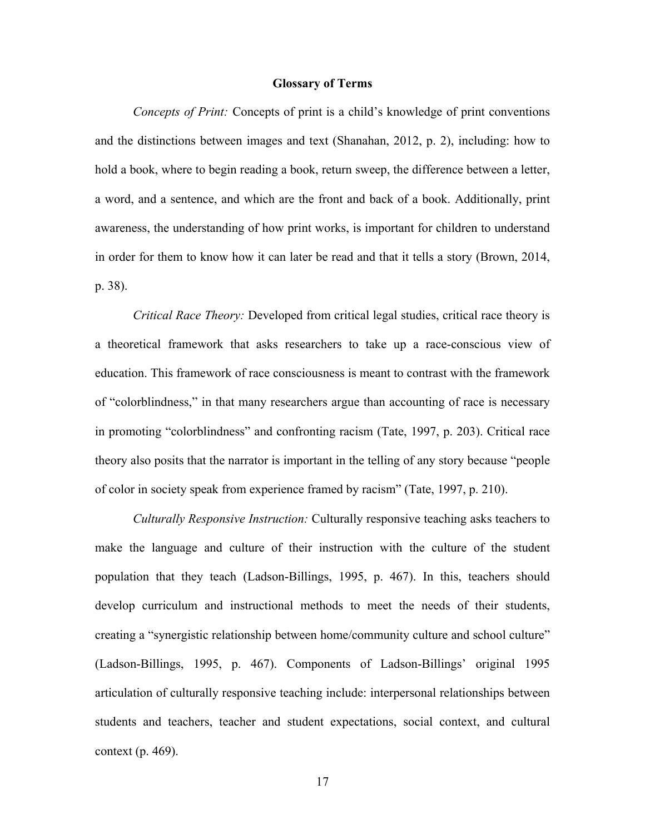#### **Glossary of Terms**

*Concepts of Print:* Concepts of print is a child's knowledge of print conventions and the distinctions between images and text (Shanahan, 2012, p. 2), including: how to hold a book, where to begin reading a book, return sweep, the difference between a letter, a word, and a sentence, and which are the front and back of a book. Additionally, print awareness, the understanding of how print works, is important for children to understand in order for them to know how it can later be read and that it tells a story (Brown, 2014, p. 38).

*Critical Race Theory:* Developed from critical legal studies, critical race theory is a theoretical framework that asks researchers to take up a race-conscious view of education. This framework of race consciousness is meant to contrast with the framework of "colorblindness," in that many researchers argue than accounting of race is necessary in promoting "colorblindness" and confronting racism (Tate, 1997, p. 203). Critical race theory also posits that the narrator is important in the telling of any story because "people of color in society speak from experience framed by racism" (Tate, 1997, p. 210).

*Culturally Responsive Instruction:* Culturally responsive teaching asks teachers to make the language and culture of their instruction with the culture of the student population that they teach (Ladson-Billings, 1995, p. 467). In this, teachers should develop curriculum and instructional methods to meet the needs of their students, creating a "synergistic relationship between home/community culture and school culture" (Ladson-Billings, 1995, p. 467). Components of Ladson-Billings' original 1995 articulation of culturally responsive teaching include: interpersonal relationships between students and teachers, teacher and student expectations, social context, and cultural context (p. 469).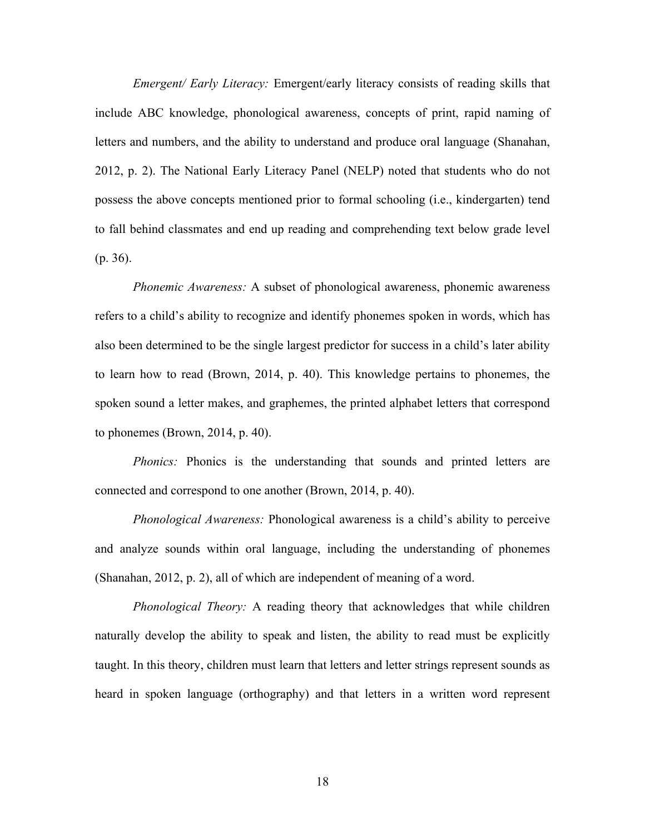*Emergent/ Early Literacy:* Emergent/early literacy consists of reading skills that include ABC knowledge, phonological awareness, concepts of print, rapid naming of letters and numbers, and the ability to understand and produce oral language (Shanahan, 2012, p. 2). The National Early Literacy Panel (NELP) noted that students who do not possess the above concepts mentioned prior to formal schooling (i.e., kindergarten) tend to fall behind classmates and end up reading and comprehending text below grade level (p. 36).

*Phonemic Awareness:* A subset of phonological awareness, phonemic awareness refers to a child's ability to recognize and identify phonemes spoken in words, which has also been determined to be the single largest predictor for success in a child's later ability to learn how to read (Brown, 2014, p. 40). This knowledge pertains to phonemes, the spoken sound a letter makes, and graphemes, the printed alphabet letters that correspond to phonemes (Brown, 2014, p. 40).

*Phonics:* Phonics is the understanding that sounds and printed letters are connected and correspond to one another (Brown, 2014, p. 40).

*Phonological Awareness:* Phonological awareness is a child's ability to perceive and analyze sounds within oral language, including the understanding of phonemes (Shanahan, 2012, p. 2), all of which are independent of meaning of a word.

*Phonological Theory:* A reading theory that acknowledges that while children naturally develop the ability to speak and listen, the ability to read must be explicitly taught. In this theory, children must learn that letters and letter strings represent sounds as heard in spoken language (orthography) and that letters in a written word represent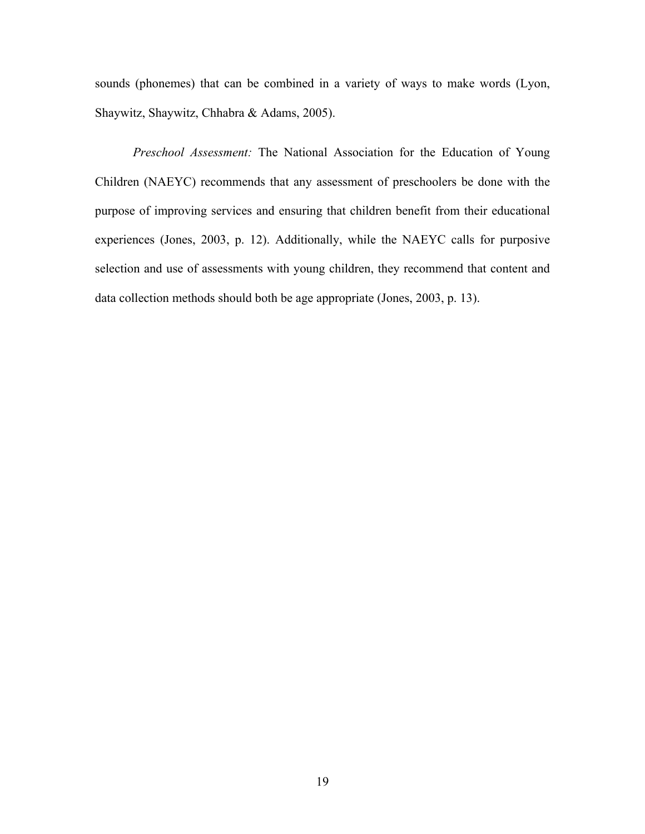sounds (phonemes) that can be combined in a variety of ways to make words (Lyon, Shaywitz, Shaywitz, Chhabra & Adams, 2005).

*Preschool Assessment:* The National Association for the Education of Young Children (NAEYC) recommends that any assessment of preschoolers be done with the purpose of improving services and ensuring that children benefit from their educational experiences (Jones, 2003, p. 12). Additionally, while the NAEYC calls for purposive selection and use of assessments with young children, they recommend that content and data collection methods should both be age appropriate (Jones, 2003, p. 13).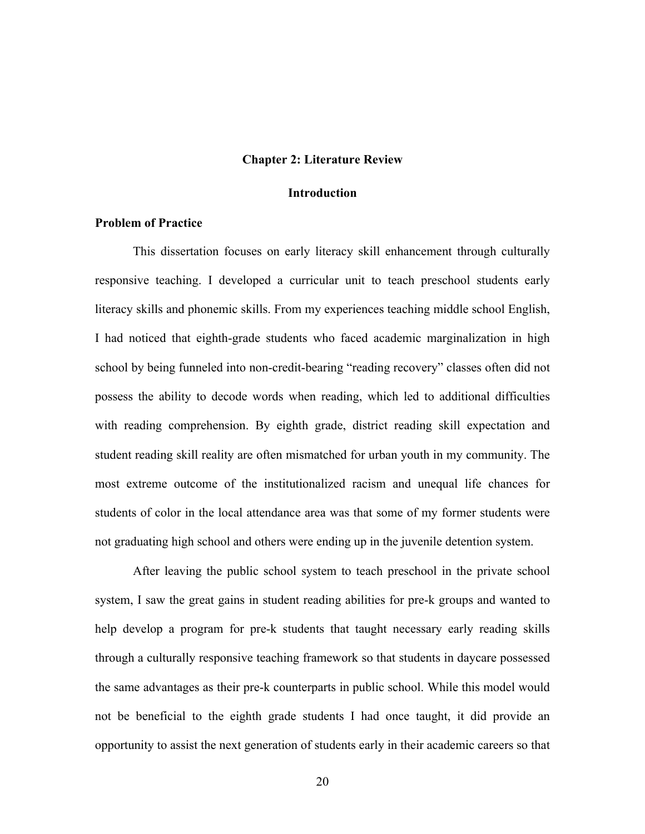#### **Chapter 2: Literature Review**

#### **Introduction**

#### **Problem of Practice**

This dissertation focuses on early literacy skill enhancement through culturally responsive teaching. I developed a curricular unit to teach preschool students early literacy skills and phonemic skills. From my experiences teaching middle school English, I had noticed that eighth-grade students who faced academic marginalization in high school by being funneled into non-credit-bearing "reading recovery" classes often did not possess the ability to decode words when reading, which led to additional difficulties with reading comprehension. By eighth grade, district reading skill expectation and student reading skill reality are often mismatched for urban youth in my community. The most extreme outcome of the institutionalized racism and unequal life chances for students of color in the local attendance area was that some of my former students were not graduating high school and others were ending up in the juvenile detention system.

After leaving the public school system to teach preschool in the private school system, I saw the great gains in student reading abilities for pre-k groups and wanted to help develop a program for pre-k students that taught necessary early reading skills through a culturally responsive teaching framework so that students in daycare possessed the same advantages as their pre-k counterparts in public school. While this model would not be beneficial to the eighth grade students I had once taught, it did provide an opportunity to assist the next generation of students early in their academic careers so that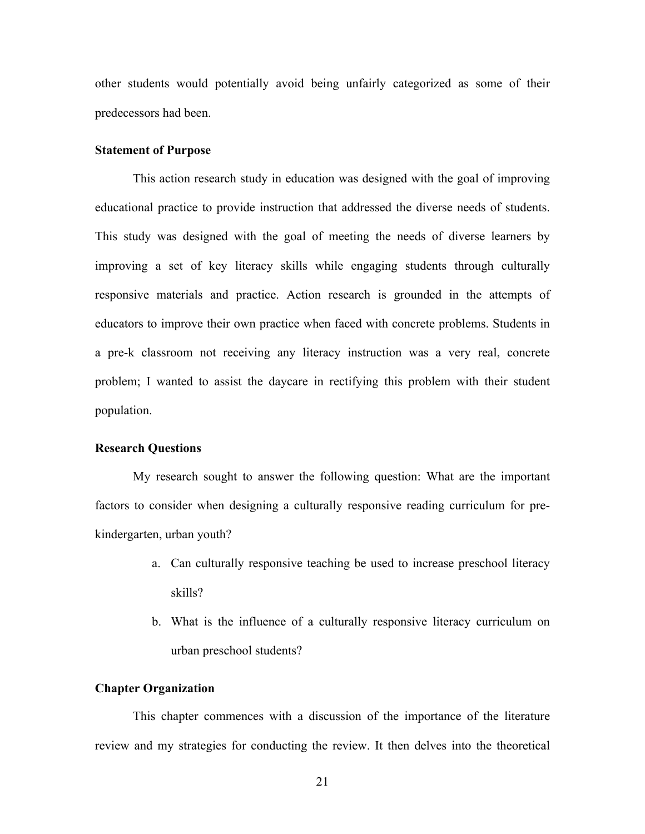other students would potentially avoid being unfairly categorized as some of their predecessors had been.

# **Statement of Purpose**

This action research study in education was designed with the goal of improving educational practice to provide instruction that addressed the diverse needs of students. This study was designed with the goal of meeting the needs of diverse learners by improving a set of key literacy skills while engaging students through culturally responsive materials and practice. Action research is grounded in the attempts of educators to improve their own practice when faced with concrete problems. Students in a pre-k classroom not receiving any literacy instruction was a very real, concrete problem; I wanted to assist the daycare in rectifying this problem with their student population.

#### **Research Questions**

My research sought to answer the following question: What are the important factors to consider when designing a culturally responsive reading curriculum for prekindergarten, urban youth?

- a. Can culturally responsive teaching be used to increase preschool literacy skills?
- b. What is the influence of a culturally responsive literacy curriculum on urban preschool students?

#### **Chapter Organization**

This chapter commences with a discussion of the importance of the literature review and my strategies for conducting the review. It then delves into the theoretical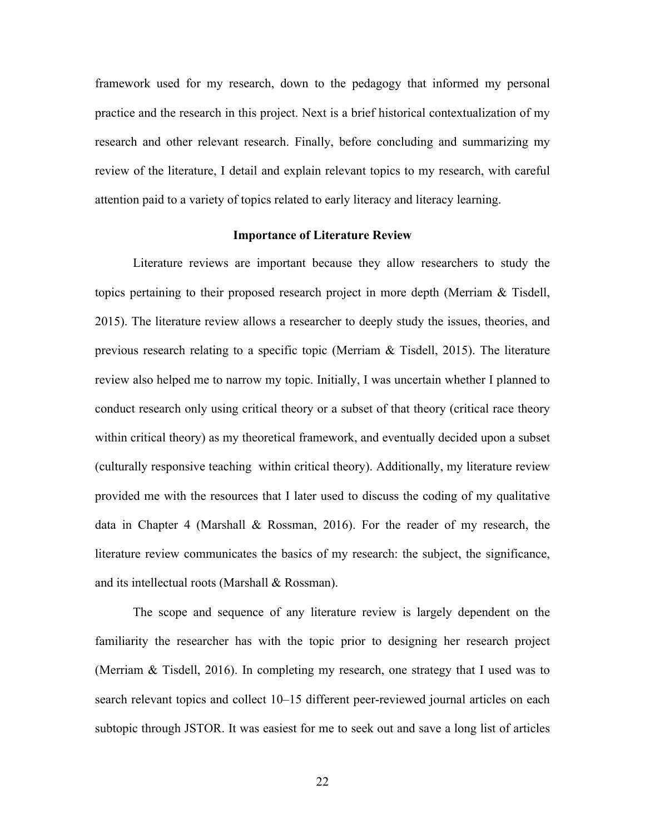framework used for my research, down to the pedagogy that informed my personal practice and the research in this project. Next is a brief historical contextualization of my research and other relevant research. Finally, before concluding and summarizing my review of the literature, I detail and explain relevant topics to my research, with careful attention paid to a variety of topics related to early literacy and literacy learning.

#### **Importance of Literature Review**

Literature reviews are important because they allow researchers to study the topics pertaining to their proposed research project in more depth (Merriam & Tisdell, 2015). The literature review allows a researcher to deeply study the issues, theories, and previous research relating to a specific topic (Merriam & Tisdell, 2015). The literature review also helped me to narrow my topic. Initially, I was uncertain whether I planned to conduct research only using critical theory or a subset of that theory (critical race theory within critical theory) as my theoretical framework, and eventually decided upon a subset (culturally responsive teaching within critical theory). Additionally, my literature review provided me with the resources that I later used to discuss the coding of my qualitative data in Chapter 4 (Marshall & Rossman, 2016). For the reader of my research, the literature review communicates the basics of my research: the subject, the significance, and its intellectual roots (Marshall & Rossman).

The scope and sequence of any literature review is largely dependent on the familiarity the researcher has with the topic prior to designing her research project (Merriam & Tisdell, 2016). In completing my research, one strategy that I used was to search relevant topics and collect 10–15 different peer-reviewed journal articles on each subtopic through JSTOR. It was easiest for me to seek out and save a long list of articles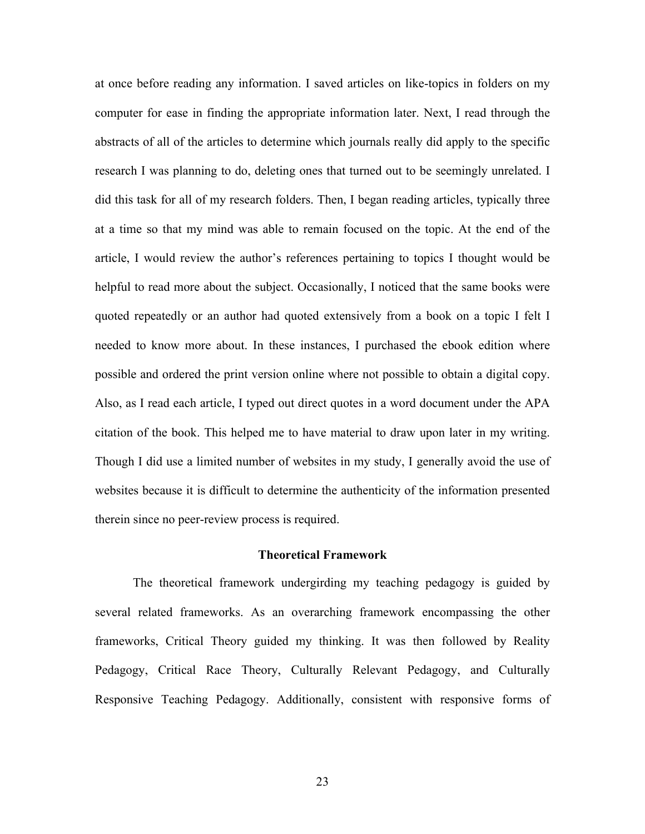at once before reading any information. I saved articles on like-topics in folders on my computer for ease in finding the appropriate information later. Next, I read through the abstracts of all of the articles to determine which journals really did apply to the specific research I was planning to do, deleting ones that turned out to be seemingly unrelated. I did this task for all of my research folders. Then, I began reading articles, typically three at a time so that my mind was able to remain focused on the topic. At the end of the article, I would review the author's references pertaining to topics I thought would be helpful to read more about the subject. Occasionally, I noticed that the same books were quoted repeatedly or an author had quoted extensively from a book on a topic I felt I needed to know more about. In these instances, I purchased the ebook edition where possible and ordered the print version online where not possible to obtain a digital copy. Also, as I read each article, I typed out direct quotes in a word document under the APA citation of the book. This helped me to have material to draw upon later in my writing. Though I did use a limited number of websites in my study, I generally avoid the use of websites because it is difficult to determine the authenticity of the information presented therein since no peer-review process is required.

#### **Theoretical Framework**

The theoretical framework undergirding my teaching pedagogy is guided by several related frameworks. As an overarching framework encompassing the other frameworks, Critical Theory guided my thinking. It was then followed by Reality Pedagogy, Critical Race Theory, Culturally Relevant Pedagogy, and Culturally Responsive Teaching Pedagogy. Additionally, consistent with responsive forms of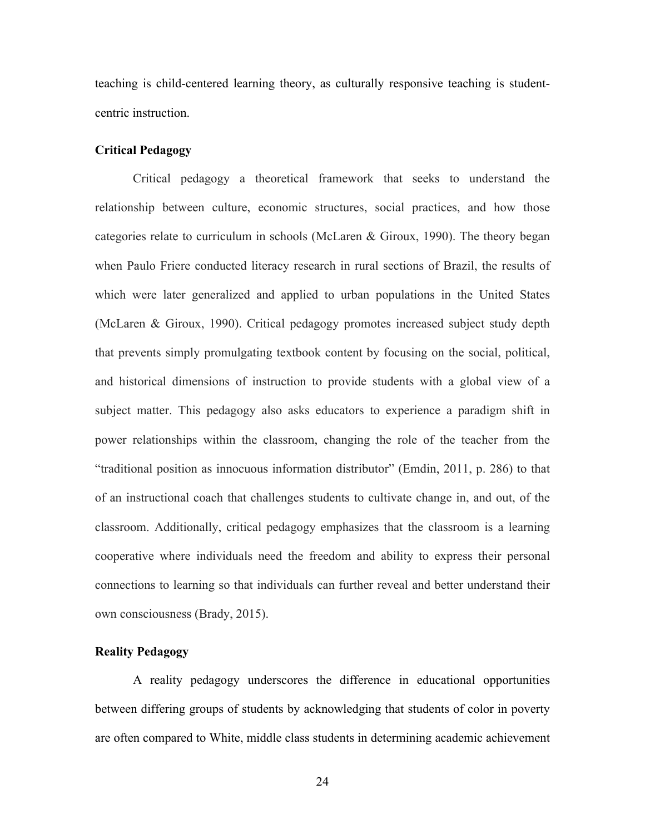teaching is child-centered learning theory, as culturally responsive teaching is studentcentric instruction.

# **Critical Pedagogy**

Critical pedagogy a theoretical framework that seeks to understand the relationship between culture, economic structures, social practices, and how those categories relate to curriculum in schools (McLaren & Giroux, 1990). The theory began when Paulo Friere conducted literacy research in rural sections of Brazil, the results of which were later generalized and applied to urban populations in the United States (McLaren & Giroux, 1990). Critical pedagogy promotes increased subject study depth that prevents simply promulgating textbook content by focusing on the social, political, and historical dimensions of instruction to provide students with a global view of a subject matter. This pedagogy also asks educators to experience a paradigm shift in power relationships within the classroom, changing the role of the teacher from the "traditional position as innocuous information distributor" (Emdin, 2011, p. 286) to that of an instructional coach that challenges students to cultivate change in, and out, of the classroom. Additionally, critical pedagogy emphasizes that the classroom is a learning cooperative where individuals need the freedom and ability to express their personal connections to learning so that individuals can further reveal and better understand their own consciousness (Brady, 2015).

# **Reality Pedagogy**

A reality pedagogy underscores the difference in educational opportunities between differing groups of students by acknowledging that students of color in poverty are often compared to White, middle class students in determining academic achievement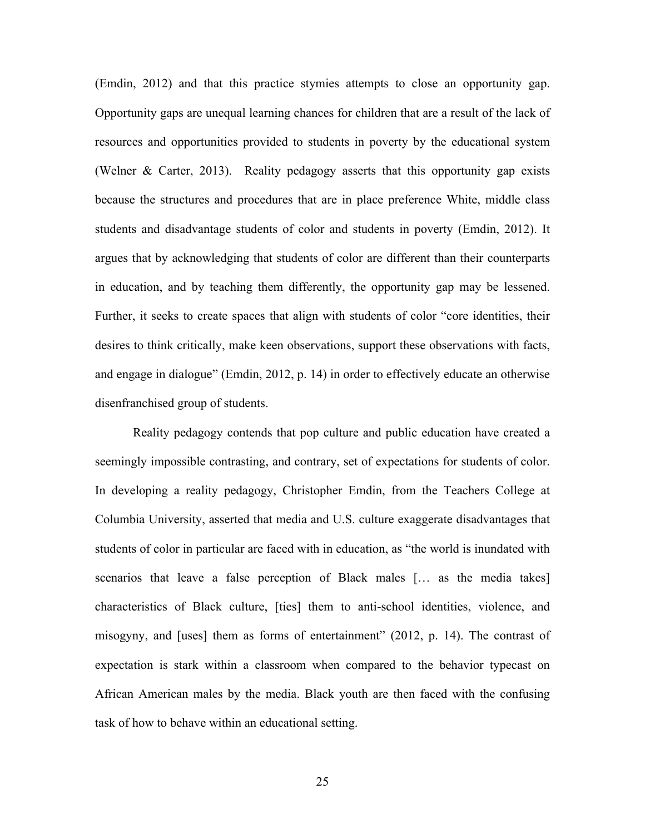(Emdin, 2012) and that this practice stymies attempts to close an opportunity gap. Opportunity gaps are unequal learning chances for children that are a result of the lack of resources and opportunities provided to students in poverty by the educational system (Welner & Carter, 2013). Reality pedagogy asserts that this opportunity gap exists because the structures and procedures that are in place preference White, middle class students and disadvantage students of color and students in poverty (Emdin, 2012). It argues that by acknowledging that students of color are different than their counterparts in education, and by teaching them differently, the opportunity gap may be lessened. Further, it seeks to create spaces that align with students of color "core identities, their desires to think critically, make keen observations, support these observations with facts, and engage in dialogue" (Emdin, 2012, p. 14) in order to effectively educate an otherwise disenfranchised group of students.

Reality pedagogy contends that pop culture and public education have created a seemingly impossible contrasting, and contrary, set of expectations for students of color. In developing a reality pedagogy, Christopher Emdin, from the Teachers College at Columbia University, asserted that media and U.S. culture exaggerate disadvantages that students of color in particular are faced with in education, as "the world is inundated with scenarios that leave a false perception of Black males [… as the media takes] characteristics of Black culture, [ties] them to anti-school identities, violence, and misogyny, and [uses] them as forms of entertainment" (2012, p. 14). The contrast of expectation is stark within a classroom when compared to the behavior typecast on African American males by the media. Black youth are then faced with the confusing task of how to behave within an educational setting.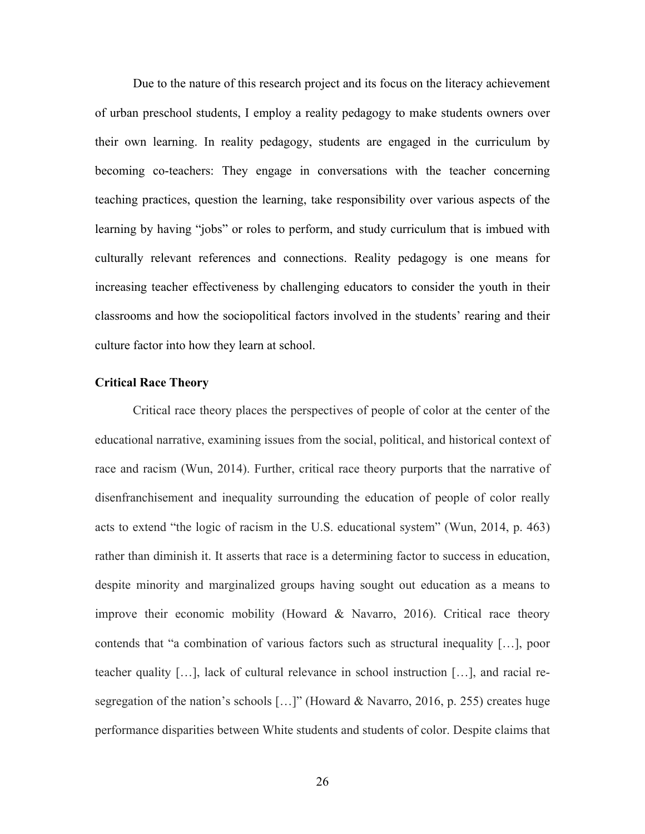Due to the nature of this research project and its focus on the literacy achievement of urban preschool students, I employ a reality pedagogy to make students owners over their own learning. In reality pedagogy, students are engaged in the curriculum by becoming co-teachers: They engage in conversations with the teacher concerning teaching practices, question the learning, take responsibility over various aspects of the learning by having "jobs" or roles to perform, and study curriculum that is imbued with culturally relevant references and connections. Reality pedagogy is one means for increasing teacher effectiveness by challenging educators to consider the youth in their classrooms and how the sociopolitical factors involved in the students' rearing and their culture factor into how they learn at school.

# **Critical Race Theory**

Critical race theory places the perspectives of people of color at the center of the educational narrative, examining issues from the social, political, and historical context of race and racism (Wun, 2014). Further, critical race theory purports that the narrative of disenfranchisement and inequality surrounding the education of people of color really acts to extend "the logic of racism in the U.S. educational system" (Wun, 2014, p. 463) rather than diminish it. It asserts that race is a determining factor to success in education, despite minority and marginalized groups having sought out education as a means to improve their economic mobility (Howard & Navarro, 2016). Critical race theory contends that "a combination of various factors such as structural inequality […], poor teacher quality […], lack of cultural relevance in school instruction […], and racial resegregation of the nation's schools […]" (Howard & Navarro, 2016, p. 255) creates huge performance disparities between White students and students of color. Despite claims that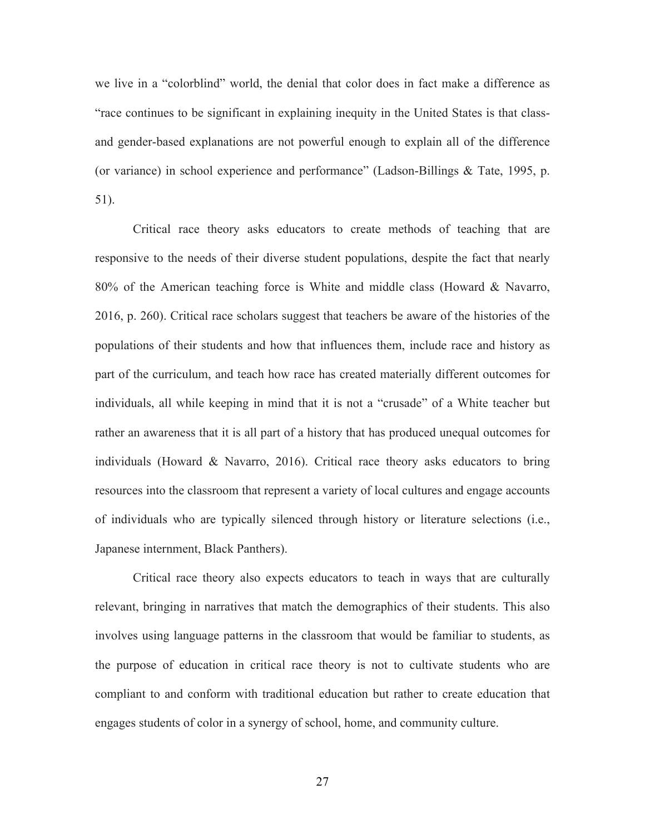we live in a "colorblind" world, the denial that color does in fact make a difference as "race continues to be significant in explaining inequity in the United States is that classand gender-based explanations are not powerful enough to explain all of the difference (or variance) in school experience and performance" (Ladson-Billings & Tate, 1995, p. 51).

Critical race theory asks educators to create methods of teaching that are responsive to the needs of their diverse student populations, despite the fact that nearly 80% of the American teaching force is White and middle class (Howard & Navarro, 2016, p. 260). Critical race scholars suggest that teachers be aware of the histories of the populations of their students and how that influences them, include race and history as part of the curriculum, and teach how race has created materially different outcomes for individuals, all while keeping in mind that it is not a "crusade" of a White teacher but rather an awareness that it is all part of a history that has produced unequal outcomes for individuals (Howard & Navarro, 2016). Critical race theory asks educators to bring resources into the classroom that represent a variety of local cultures and engage accounts of individuals who are typically silenced through history or literature selections (i.e., Japanese internment, Black Panthers).

Critical race theory also expects educators to teach in ways that are culturally relevant, bringing in narratives that match the demographics of their students. This also involves using language patterns in the classroom that would be familiar to students, as the purpose of education in critical race theory is not to cultivate students who are compliant to and conform with traditional education but rather to create education that engages students of color in a synergy of school, home, and community culture.

27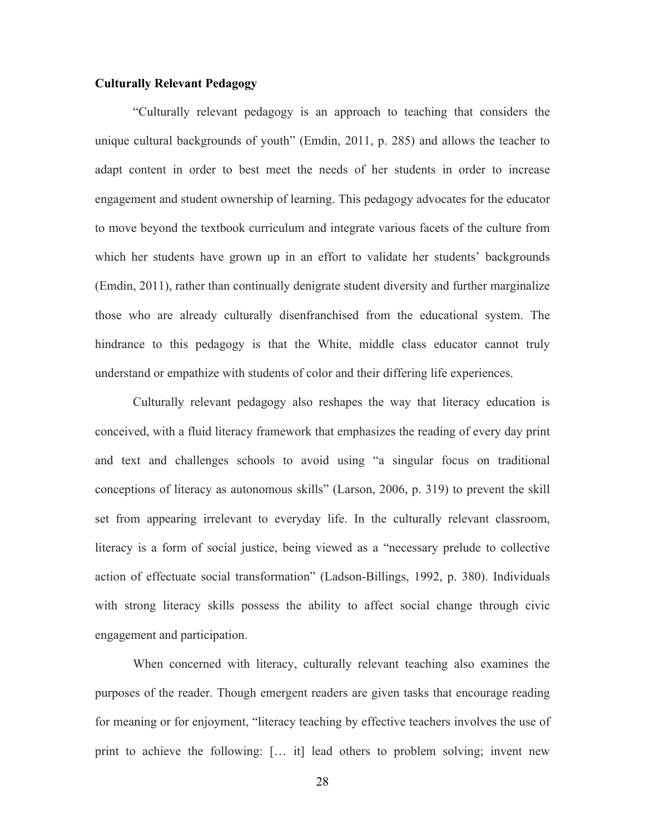# **Culturally Relevant Pedagogy**

"Culturally relevant pedagogy is an approach to teaching that considers the unique cultural backgrounds of youth" (Emdin, 2011, p. 285) and allows the teacher to adapt content in order to best meet the needs of her students in order to increase engagement and student ownership of learning. This pedagogy advocates for the educator to move beyond the textbook curriculum and integrate various facets of the culture from which her students have grown up in an effort to validate her students' backgrounds (Emdin, 2011), rather than continually denigrate student diversity and further marginalize those who are already culturally disenfranchised from the educational system. The hindrance to this pedagogy is that the White, middle class educator cannot truly understand or empathize with students of color and their differing life experiences.

Culturally relevant pedagogy also reshapes the way that literacy education is conceived, with a fluid literacy framework that emphasizes the reading of every day print and text and challenges schools to avoid using "a singular focus on traditional conceptions of literacy as autonomous skills" (Larson, 2006, p. 319) to prevent the skill set from appearing irrelevant to everyday life. In the culturally relevant classroom, literacy is a form of social justice, being viewed as a "necessary prelude to collective action of effectuate social transformation" (Ladson-Billings, 1992, p. 380). Individuals with strong literacy skills possess the ability to affect social change through civic engagement and participation.

When concerned with literacy, culturally relevant teaching also examines the purposes of the reader. Though emergent readers are given tasks that encourage reading for meaning or for enjoyment, "literacy teaching by effective teachers involves the use of print to achieve the following: [… it] lead others to problem solving; invent new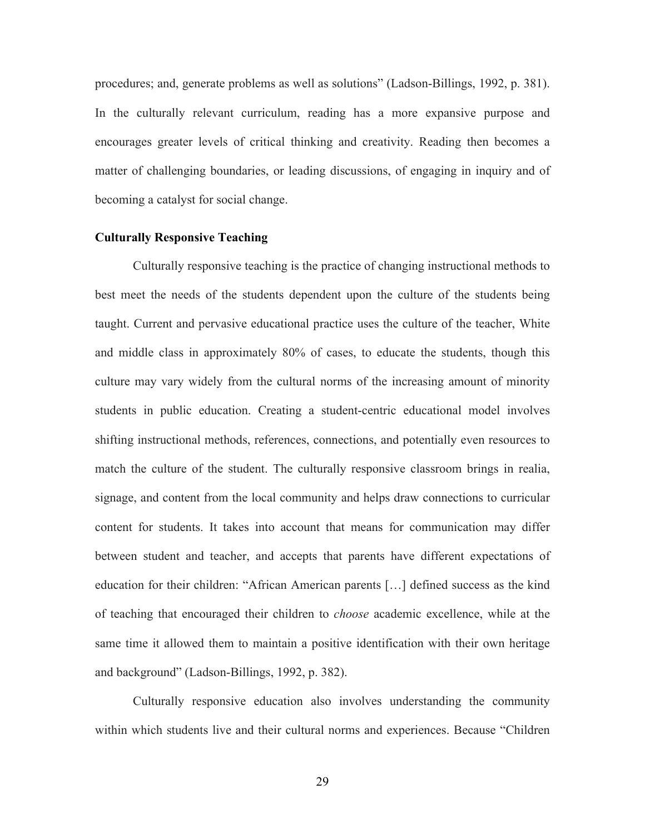procedures; and, generate problems as well as solutions" (Ladson-Billings, 1992, p. 381). In the culturally relevant curriculum, reading has a more expansive purpose and encourages greater levels of critical thinking and creativity. Reading then becomes a matter of challenging boundaries, or leading discussions, of engaging in inquiry and of becoming a catalyst for social change.

# **Culturally Responsive Teaching**

Culturally responsive teaching is the practice of changing instructional methods to best meet the needs of the students dependent upon the culture of the students being taught. Current and pervasive educational practice uses the culture of the teacher, White and middle class in approximately 80% of cases, to educate the students, though this culture may vary widely from the cultural norms of the increasing amount of minority students in public education. Creating a student-centric educational model involves shifting instructional methods, references, connections, and potentially even resources to match the culture of the student. The culturally responsive classroom brings in realia, signage, and content from the local community and helps draw connections to curricular content for students. It takes into account that means for communication may differ between student and teacher, and accepts that parents have different expectations of education for their children: "African American parents […] defined success as the kind of teaching that encouraged their children to *choose* academic excellence, while at the same time it allowed them to maintain a positive identification with their own heritage and background" (Ladson-Billings, 1992, p. 382).

Culturally responsive education also involves understanding the community within which students live and their cultural norms and experiences. Because "Children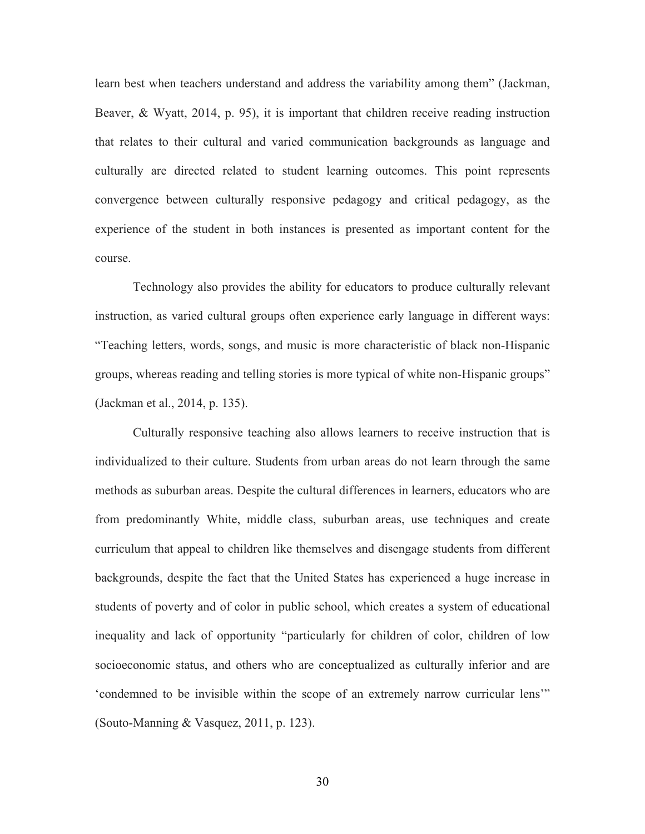learn best when teachers understand and address the variability among them" (Jackman, Beaver, & Wyatt, 2014, p. 95), it is important that children receive reading instruction that relates to their cultural and varied communication backgrounds as language and culturally are directed related to student learning outcomes. This point represents convergence between culturally responsive pedagogy and critical pedagogy, as the experience of the student in both instances is presented as important content for the course.

Technology also provides the ability for educators to produce culturally relevant instruction, as varied cultural groups often experience early language in different ways: "Teaching letters, words, songs, and music is more characteristic of black non-Hispanic groups, whereas reading and telling stories is more typical of white non-Hispanic groups" (Jackman et al., 2014, p. 135).

Culturally responsive teaching also allows learners to receive instruction that is individualized to their culture. Students from urban areas do not learn through the same methods as suburban areas. Despite the cultural differences in learners, educators who are from predominantly White, middle class, suburban areas, use techniques and create curriculum that appeal to children like themselves and disengage students from different backgrounds, despite the fact that the United States has experienced a huge increase in students of poverty and of color in public school, which creates a system of educational inequality and lack of opportunity "particularly for children of color, children of low socioeconomic status, and others who are conceptualized as culturally inferior and are 'condemned to be invisible within the scope of an extremely narrow curricular lens'" (Souto-Manning & Vasquez, 2011, p. 123).

30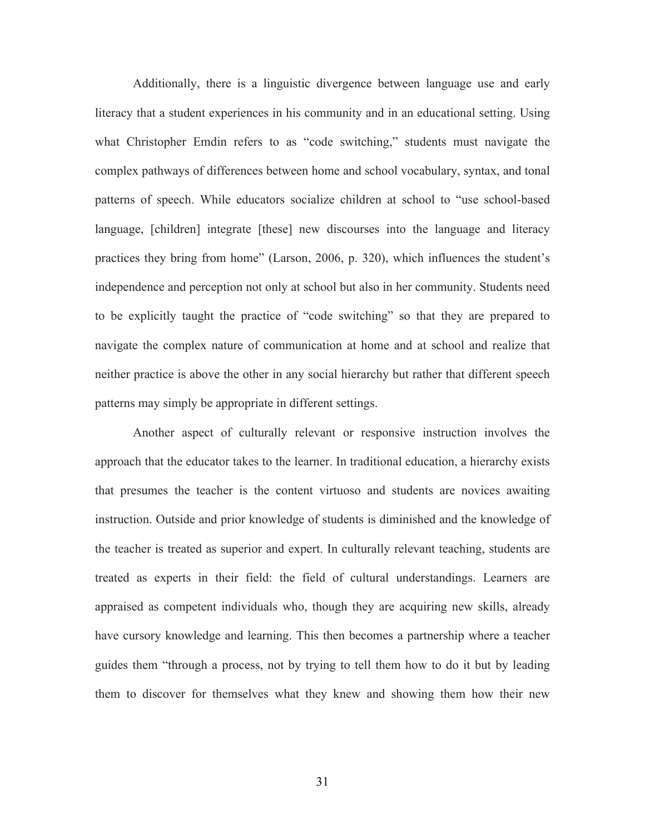Additionally, there is a linguistic divergence between language use and early literacy that a student experiences in his community and in an educational setting. Using what Christopher Emdin refers to as "code switching," students must navigate the complex pathways of differences between home and school vocabulary, syntax, and tonal patterns of speech. While educators socialize children at school to "use school-based language, [children] integrate [these] new discourses into the language and literacy practices they bring from home" (Larson, 2006, p. 320), which influences the student's independence and perception not only at school but also in her community. Students need to be explicitly taught the practice of "code switching" so that they are prepared to navigate the complex nature of communication at home and at school and realize that neither practice is above the other in any social hierarchy but rather that different speech patterns may simply be appropriate in different settings.

Another aspect of culturally relevant or responsive instruction involves the approach that the educator takes to the learner. In traditional education, a hierarchy exists that presumes the teacher is the content virtuoso and students are novices awaiting instruction. Outside and prior knowledge of students is diminished and the knowledge of the teacher is treated as superior and expert. In culturally relevant teaching, students are treated as experts in their field: the field of cultural understandings. Learners are appraised as competent individuals who, though they are acquiring new skills, already have cursory knowledge and learning. This then becomes a partnership where a teacher guides them "through a process, not by trying to tell them how to do it but by leading them to discover for themselves what they knew and showing them how their new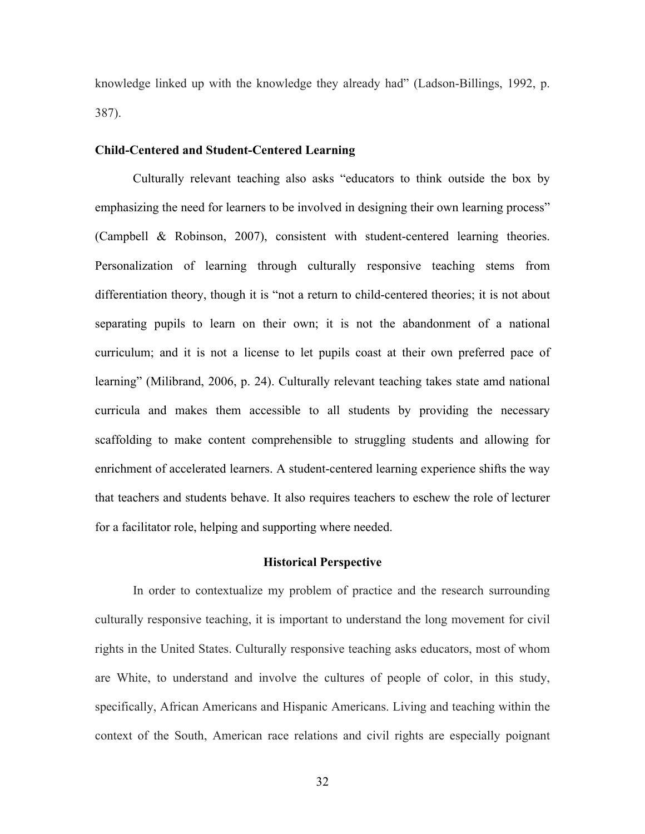knowledge linked up with the knowledge they already had" (Ladson-Billings, 1992, p. 387).

## **Child-Centered and Student-Centered Learning**

Culturally relevant teaching also asks "educators to think outside the box by emphasizing the need for learners to be involved in designing their own learning process" (Campbell & Robinson, 2007), consistent with student-centered learning theories. Personalization of learning through culturally responsive teaching stems from differentiation theory, though it is "not a return to child-centered theories; it is not about separating pupils to learn on their own; it is not the abandonment of a national curriculum; and it is not a license to let pupils coast at their own preferred pace of learning" (Milibrand, 2006, p. 24). Culturally relevant teaching takes state amd national curricula and makes them accessible to all students by providing the necessary scaffolding to make content comprehensible to struggling students and allowing for enrichment of accelerated learners. A student-centered learning experience shifts the way that teachers and students behave. It also requires teachers to eschew the role of lecturer for a facilitator role, helping and supporting where needed.

#### **Historical Perspective**

In order to contextualize my problem of practice and the research surrounding culturally responsive teaching, it is important to understand the long movement for civil rights in the United States. Culturally responsive teaching asks educators, most of whom are White, to understand and involve the cultures of people of color, in this study, specifically, African Americans and Hispanic Americans. Living and teaching within the context of the South, American race relations and civil rights are especially poignant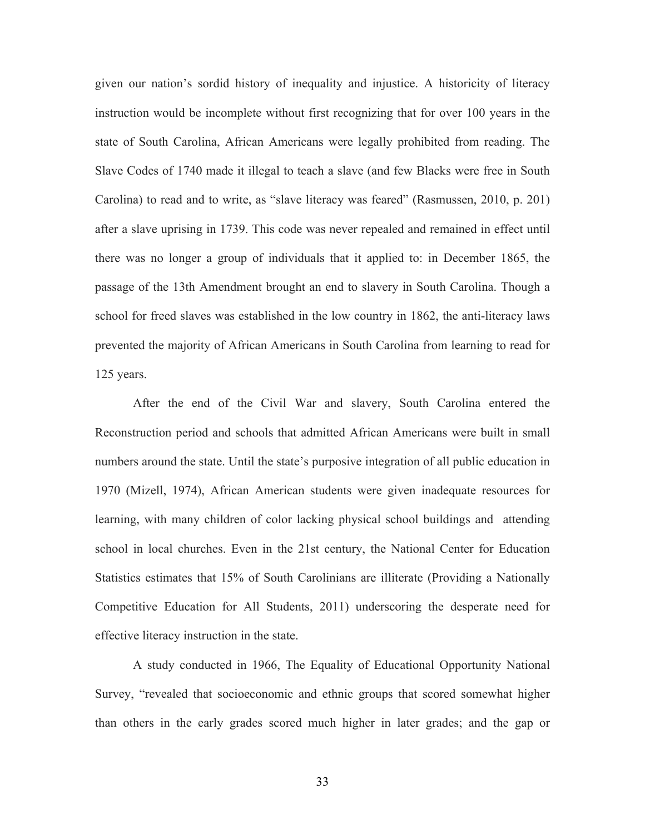given our nation's sordid history of inequality and injustice. A historicity of literacy instruction would be incomplete without first recognizing that for over 100 years in the state of South Carolina, African Americans were legally prohibited from reading. The Slave Codes of 1740 made it illegal to teach a slave (and few Blacks were free in South Carolina) to read and to write, as "slave literacy was feared" (Rasmussen, 2010, p. 201) after a slave uprising in 1739. This code was never repealed and remained in effect until there was no longer a group of individuals that it applied to: in December 1865, the passage of the 13th Amendment brought an end to slavery in South Carolina. Though a school for freed slaves was established in the low country in 1862, the anti-literacy laws prevented the majority of African Americans in South Carolina from learning to read for 125 years.

After the end of the Civil War and slavery, South Carolina entered the Reconstruction period and schools that admitted African Americans were built in small numbers around the state. Until the state's purposive integration of all public education in 1970 (Mizell, 1974), African American students were given inadequate resources for learning, with many children of color lacking physical school buildings and attending school in local churches. Even in the 21st century, the National Center for Education Statistics estimates that 15% of South Carolinians are illiterate (Providing a Nationally Competitive Education for All Students, 2011) underscoring the desperate need for effective literacy instruction in the state.

A study conducted in 1966, The Equality of Educational Opportunity National Survey, "revealed that socioeconomic and ethnic groups that scored somewhat higher than others in the early grades scored much higher in later grades; and the gap or

33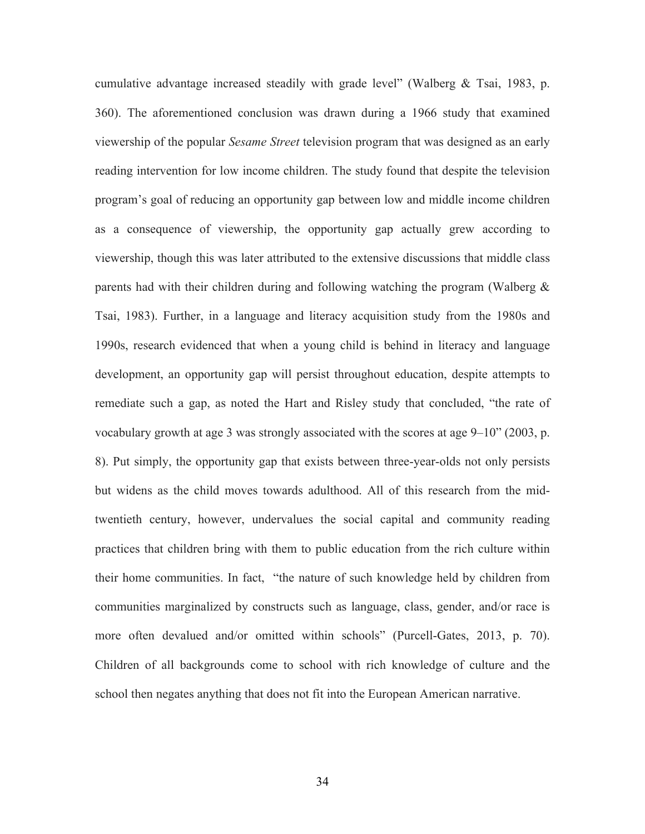cumulative advantage increased steadily with grade level" (Walberg & Tsai, 1983, p. 360). The aforementioned conclusion was drawn during a 1966 study that examined viewership of the popular *Sesame Street* television program that was designed as an early reading intervention for low income children. The study found that despite the television program's goal of reducing an opportunity gap between low and middle income children as a consequence of viewership, the opportunity gap actually grew according to viewership, though this was later attributed to the extensive discussions that middle class parents had with their children during and following watching the program (Walberg & Tsai, 1983). Further, in a language and literacy acquisition study from the 1980s and 1990s, research evidenced that when a young child is behind in literacy and language development, an opportunity gap will persist throughout education, despite attempts to remediate such a gap, as noted the Hart and Risley study that concluded, "the rate of vocabulary growth at age 3 was strongly associated with the scores at age 9–10" (2003, p. 8). Put simply, the opportunity gap that exists between three-year-olds not only persists but widens as the child moves towards adulthood. All of this research from the midtwentieth century, however, undervalues the social capital and community reading practices that children bring with them to public education from the rich culture within their home communities. In fact, "the nature of such knowledge held by children from communities marginalized by constructs such as language, class, gender, and/or race is more often devalued and/or omitted within schools" (Purcell-Gates, 2013, p. 70). Children of all backgrounds come to school with rich knowledge of culture and the school then negates anything that does not fit into the European American narrative.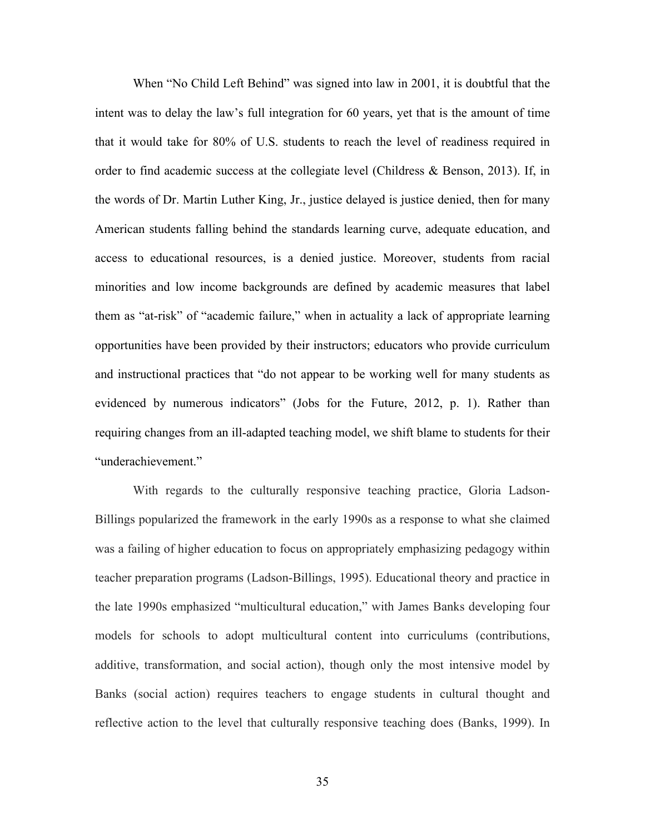When "No Child Left Behind" was signed into law in 2001, it is doubtful that the intent was to delay the law's full integration for 60 years, yet that is the amount of time that it would take for 80% of U.S. students to reach the level of readiness required in order to find academic success at the collegiate level (Childress & Benson, 2013). If, in the words of Dr. Martin Luther King, Jr., justice delayed is justice denied, then for many American students falling behind the standards learning curve, adequate education, and access to educational resources, is a denied justice. Moreover, students from racial minorities and low income backgrounds are defined by academic measures that label them as "at-risk" of "academic failure," when in actuality a lack of appropriate learning opportunities have been provided by their instructors; educators who provide curriculum and instructional practices that "do not appear to be working well for many students as evidenced by numerous indicators" (Jobs for the Future, 2012, p. 1). Rather than requiring changes from an ill-adapted teaching model, we shift blame to students for their "underachievement."

With regards to the culturally responsive teaching practice, Gloria Ladson-Billings popularized the framework in the early 1990s as a response to what she claimed was a failing of higher education to focus on appropriately emphasizing pedagogy within teacher preparation programs (Ladson-Billings, 1995). Educational theory and practice in the late 1990s emphasized "multicultural education," with James Banks developing four models for schools to adopt multicultural content into curriculums (contributions, additive, transformation, and social action), though only the most intensive model by Banks (social action) requires teachers to engage students in cultural thought and reflective action to the level that culturally responsive teaching does (Banks, 1999). In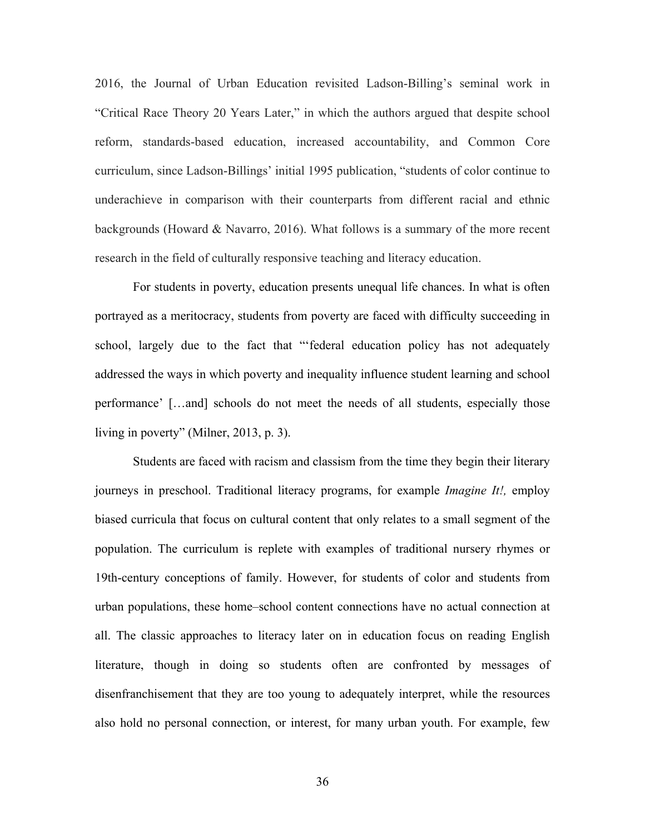2016, the Journal of Urban Education revisited Ladson-Billing's seminal work in "Critical Race Theory 20 Years Later," in which the authors argued that despite school reform, standards-based education, increased accountability, and Common Core curriculum, since Ladson-Billings' initial 1995 publication, "students of color continue to underachieve in comparison with their counterparts from different racial and ethnic backgrounds (Howard & Navarro, 2016). What follows is a summary of the more recent research in the field of culturally responsive teaching and literacy education.

For students in poverty, education presents unequal life chances. In what is often portrayed as a meritocracy, students from poverty are faced with difficulty succeeding in school, largely due to the fact that "'federal education policy has not adequately addressed the ways in which poverty and inequality influence student learning and school performance' […and] schools do not meet the needs of all students, especially those living in poverty" (Milner, 2013, p. 3).

Students are faced with racism and classism from the time they begin their literary journeys in preschool. Traditional literacy programs, for example *Imagine It!,* employ biased curricula that focus on cultural content that only relates to a small segment of the population. The curriculum is replete with examples of traditional nursery rhymes or 19th-century conceptions of family. However, for students of color and students from urban populations, these home–school content connections have no actual connection at all. The classic approaches to literacy later on in education focus on reading English literature, though in doing so students often are confronted by messages of disenfranchisement that they are too young to adequately interpret, while the resources also hold no personal connection, or interest, for many urban youth. For example, few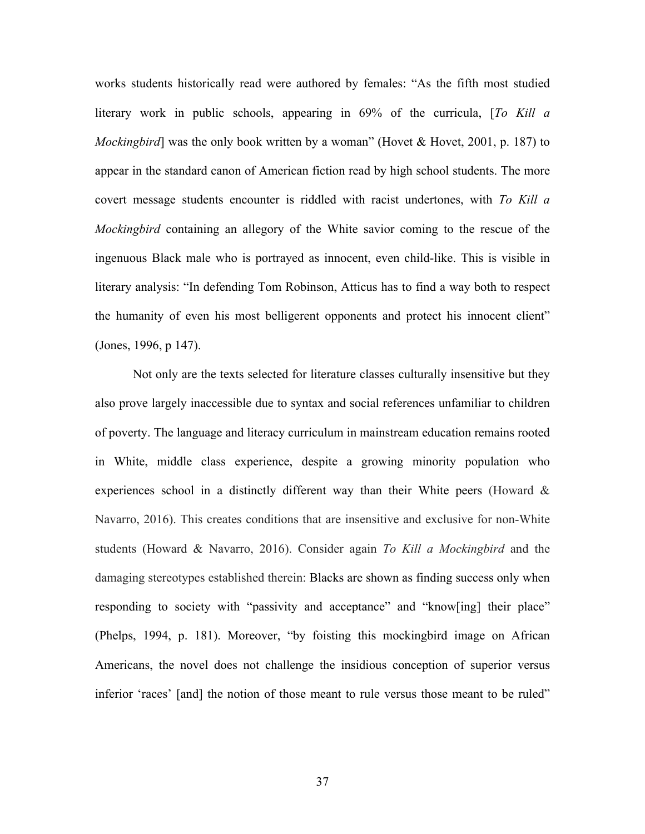works students historically read were authored by females: "As the fifth most studied literary work in public schools, appearing in 69% of the curricula, [*To Kill a Mockingbird*] was the only book written by a woman" (Hovet & Hovet, 2001, p. 187) to appear in the standard canon of American fiction read by high school students. The more covert message students encounter is riddled with racist undertones, with *To Kill a Mockingbird* containing an allegory of the White savior coming to the rescue of the ingenuous Black male who is portrayed as innocent, even child-like. This is visible in literary analysis: "In defending Tom Robinson, Atticus has to find a way both to respect the humanity of even his most belligerent opponents and protect his innocent client" (Jones, 1996, p 147).

Not only are the texts selected for literature classes culturally insensitive but they also prove largely inaccessible due to syntax and social references unfamiliar to children of poverty. The language and literacy curriculum in mainstream education remains rooted in White, middle class experience, despite a growing minority population who experiences school in a distinctly different way than their White peers (Howard & Navarro, 2016). This creates conditions that are insensitive and exclusive for non-White students (Howard & Navarro, 2016). Consider again *To Kill a Mockingbird* and the damaging stereotypes established therein: Blacks are shown as finding success only when responding to society with "passivity and acceptance" and "know[ing] their place" (Phelps, 1994, p. 181). Moreover, "by foisting this mockingbird image on African Americans, the novel does not challenge the insidious conception of superior versus inferior 'races' [and] the notion of those meant to rule versus those meant to be ruled"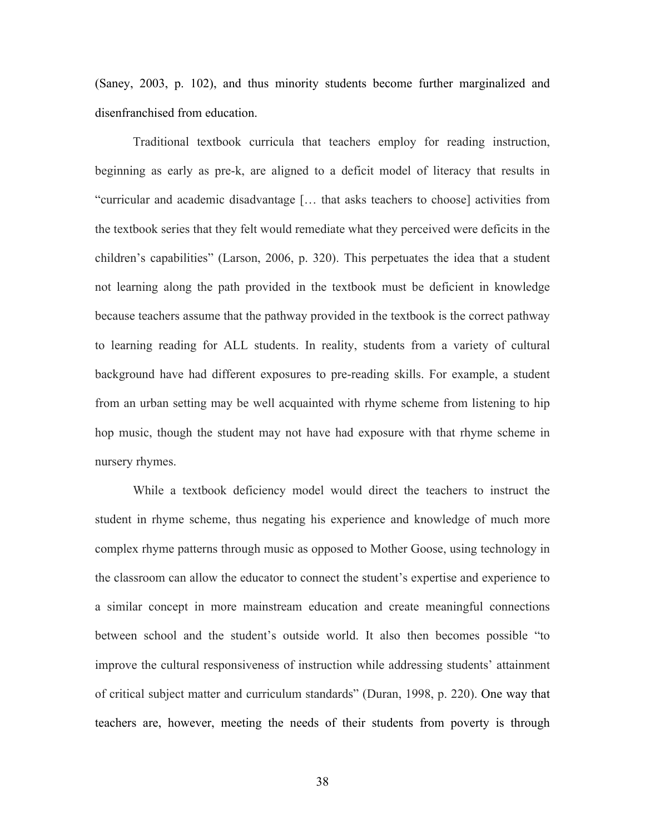(Saney, 2003, p. 102), and thus minority students become further marginalized and disenfranchised from education.

Traditional textbook curricula that teachers employ for reading instruction, beginning as early as pre-k, are aligned to a deficit model of literacy that results in "curricular and academic disadvantage [… that asks teachers to choose] activities from the textbook series that they felt would remediate what they perceived were deficits in the children's capabilities" (Larson, 2006, p. 320). This perpetuates the idea that a student not learning along the path provided in the textbook must be deficient in knowledge because teachers assume that the pathway provided in the textbook is the correct pathway to learning reading for ALL students. In reality, students from a variety of cultural background have had different exposures to pre-reading skills. For example, a student from an urban setting may be well acquainted with rhyme scheme from listening to hip hop music, though the student may not have had exposure with that rhyme scheme in nursery rhymes.

While a textbook deficiency model would direct the teachers to instruct the student in rhyme scheme, thus negating his experience and knowledge of much more complex rhyme patterns through music as opposed to Mother Goose, using technology in the classroom can allow the educator to connect the student's expertise and experience to a similar concept in more mainstream education and create meaningful connections between school and the student's outside world. It also then becomes possible "to improve the cultural responsiveness of instruction while addressing students' attainment of critical subject matter and curriculum standards" (Duran, 1998, p. 220). One way that teachers are, however, meeting the needs of their students from poverty is through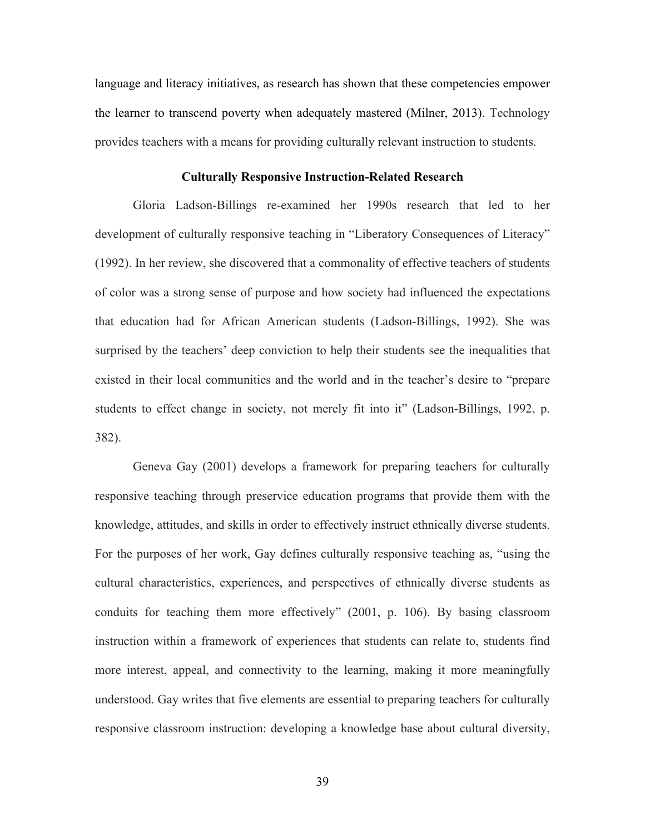language and literacy initiatives, as research has shown that these competencies empower the learner to transcend poverty when adequately mastered (Milner, 2013). Technology provides teachers with a means for providing culturally relevant instruction to students.

### **Culturally Responsive Instruction-Related Research**

Gloria Ladson-Billings re-examined her 1990s research that led to her development of culturally responsive teaching in "Liberatory Consequences of Literacy" (1992). In her review, she discovered that a commonality of effective teachers of students of color was a strong sense of purpose and how society had influenced the expectations that education had for African American students (Ladson-Billings, 1992). She was surprised by the teachers' deep conviction to help their students see the inequalities that existed in their local communities and the world and in the teacher's desire to "prepare students to effect change in society, not merely fit into it" (Ladson-Billings, 1992, p. 382).

Geneva Gay (2001) develops a framework for preparing teachers for culturally responsive teaching through preservice education programs that provide them with the knowledge, attitudes, and skills in order to effectively instruct ethnically diverse students. For the purposes of her work, Gay defines culturally responsive teaching as, "using the cultural characteristics, experiences, and perspectives of ethnically diverse students as conduits for teaching them more effectively" (2001, p. 106). By basing classroom instruction within a framework of experiences that students can relate to, students find more interest, appeal, and connectivity to the learning, making it more meaningfully understood. Gay writes that five elements are essential to preparing teachers for culturally responsive classroom instruction: developing a knowledge base about cultural diversity,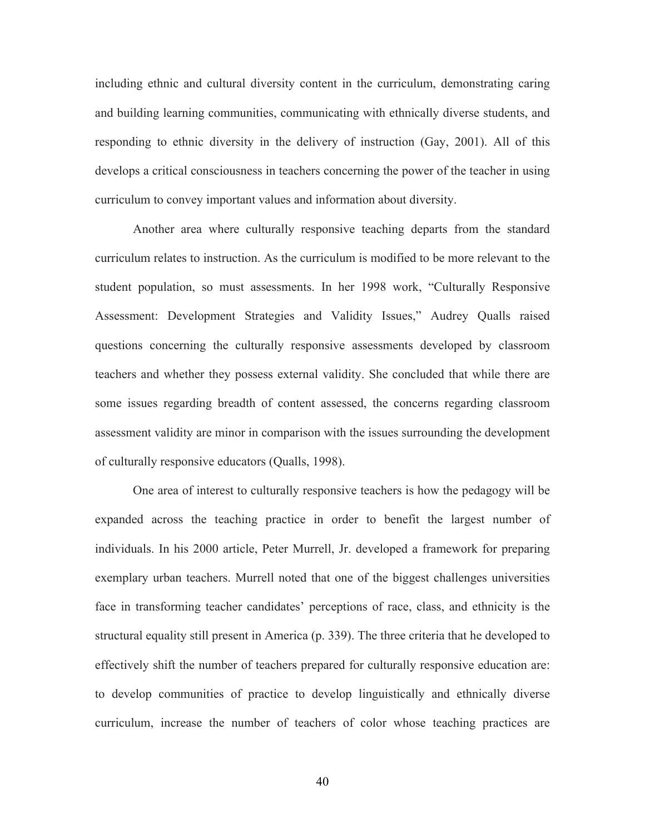including ethnic and cultural diversity content in the curriculum, demonstrating caring and building learning communities, communicating with ethnically diverse students, and responding to ethnic diversity in the delivery of instruction (Gay, 2001). All of this develops a critical consciousness in teachers concerning the power of the teacher in using curriculum to convey important values and information about diversity.

Another area where culturally responsive teaching departs from the standard curriculum relates to instruction. As the curriculum is modified to be more relevant to the student population, so must assessments. In her 1998 work, "Culturally Responsive Assessment: Development Strategies and Validity Issues," Audrey Qualls raised questions concerning the culturally responsive assessments developed by classroom teachers and whether they possess external validity. She concluded that while there are some issues regarding breadth of content assessed, the concerns regarding classroom assessment validity are minor in comparison with the issues surrounding the development of culturally responsive educators (Qualls, 1998).

One area of interest to culturally responsive teachers is how the pedagogy will be expanded across the teaching practice in order to benefit the largest number of individuals. In his 2000 article, Peter Murrell, Jr. developed a framework for preparing exemplary urban teachers. Murrell noted that one of the biggest challenges universities face in transforming teacher candidates' perceptions of race, class, and ethnicity is the structural equality still present in America (p. 339). The three criteria that he developed to effectively shift the number of teachers prepared for culturally responsive education are: to develop communities of practice to develop linguistically and ethnically diverse curriculum, increase the number of teachers of color whose teaching practices are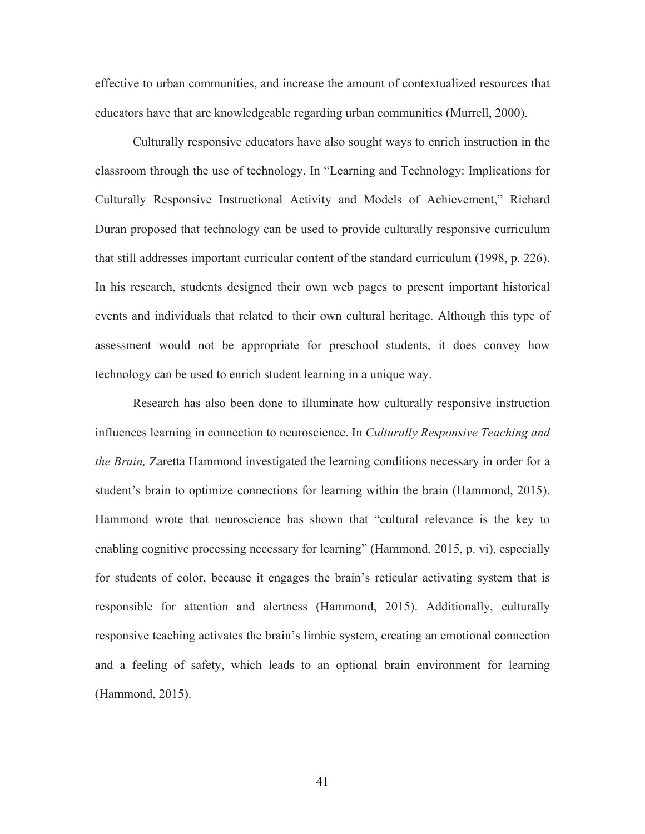effective to urban communities, and increase the amount of contextualized resources that educators have that are knowledgeable regarding urban communities (Murrell, 2000).

Culturally responsive educators have also sought ways to enrich instruction in the classroom through the use of technology. In "Learning and Technology: Implications for Culturally Responsive Instructional Activity and Models of Achievement," Richard Duran proposed that technology can be used to provide culturally responsive curriculum that still addresses important curricular content of the standard curriculum (1998, p. 226). In his research, students designed their own web pages to present important historical events and individuals that related to their own cultural heritage. Although this type of assessment would not be appropriate for preschool students, it does convey how technology can be used to enrich student learning in a unique way.

Research has also been done to illuminate how culturally responsive instruction influences learning in connection to neuroscience. In *Culturally Responsive Teaching and the Brain,* Zaretta Hammond investigated the learning conditions necessary in order for a student's brain to optimize connections for learning within the brain (Hammond, 2015). Hammond wrote that neuroscience has shown that "cultural relevance is the key to enabling cognitive processing necessary for learning" (Hammond, 2015, p. vi), especially for students of color, because it engages the brain's reticular activating system that is responsible for attention and alertness (Hammond, 2015). Additionally, culturally responsive teaching activates the brain's limbic system, creating an emotional connection and a feeling of safety, which leads to an optional brain environment for learning (Hammond, 2015).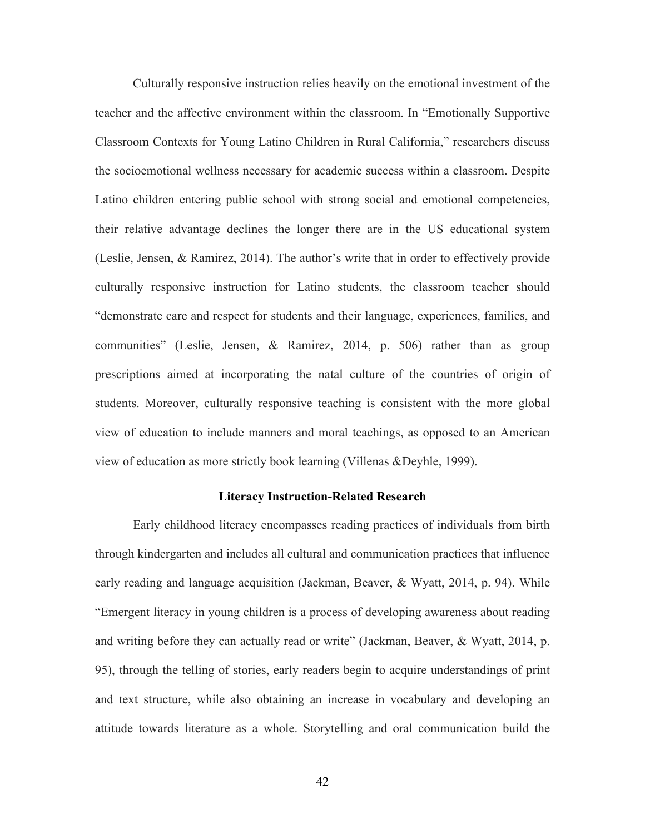Culturally responsive instruction relies heavily on the emotional investment of the teacher and the affective environment within the classroom. In "Emotionally Supportive Classroom Contexts for Young Latino Children in Rural California," researchers discuss the socioemotional wellness necessary for academic success within a classroom. Despite Latino children entering public school with strong social and emotional competencies, their relative advantage declines the longer there are in the US educational system (Leslie, Jensen, & Ramirez, 2014). The author's write that in order to effectively provide culturally responsive instruction for Latino students, the classroom teacher should "demonstrate care and respect for students and their language, experiences, families, and communities" (Leslie, Jensen, & Ramirez, 2014, p. 506) rather than as group prescriptions aimed at incorporating the natal culture of the countries of origin of students. Moreover, culturally responsive teaching is consistent with the more global view of education to include manners and moral teachings, as opposed to an American view of education as more strictly book learning (Villenas &Deyhle, 1999).

#### **Literacy Instruction-Related Research**

Early childhood literacy encompasses reading practices of individuals from birth through kindergarten and includes all cultural and communication practices that influence early reading and language acquisition (Jackman, Beaver, & Wyatt, 2014, p. 94). While "Emergent literacy in young children is a process of developing awareness about reading and writing before they can actually read or write" (Jackman, Beaver, & Wyatt, 2014, p. 95), through the telling of stories, early readers begin to acquire understandings of print and text structure, while also obtaining an increase in vocabulary and developing an attitude towards literature as a whole. Storytelling and oral communication build the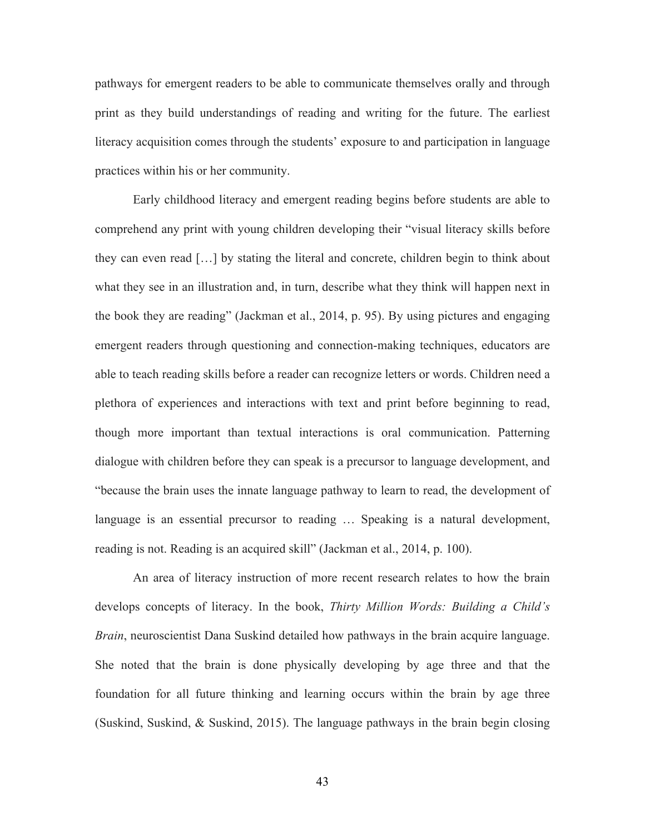pathways for emergent readers to be able to communicate themselves orally and through print as they build understandings of reading and writing for the future. The earliest literacy acquisition comes through the students' exposure to and participation in language practices within his or her community.

Early childhood literacy and emergent reading begins before students are able to comprehend any print with young children developing their "visual literacy skills before they can even read […] by stating the literal and concrete, children begin to think about what they see in an illustration and, in turn, describe what they think will happen next in the book they are reading" (Jackman et al., 2014, p. 95). By using pictures and engaging emergent readers through questioning and connection-making techniques, educators are able to teach reading skills before a reader can recognize letters or words. Children need a plethora of experiences and interactions with text and print before beginning to read, though more important than textual interactions is oral communication. Patterning dialogue with children before they can speak is a precursor to language development, and "because the brain uses the innate language pathway to learn to read, the development of language is an essential precursor to reading … Speaking is a natural development, reading is not. Reading is an acquired skill" (Jackman et al., 2014, p. 100).

An area of literacy instruction of more recent research relates to how the brain develops concepts of literacy. In the book, *Thirty Million Words: Building a Child's Brain*, neuroscientist Dana Suskind detailed how pathways in the brain acquire language. She noted that the brain is done physically developing by age three and that the foundation for all future thinking and learning occurs within the brain by age three (Suskind, Suskind, & Suskind, 2015). The language pathways in the brain begin closing

43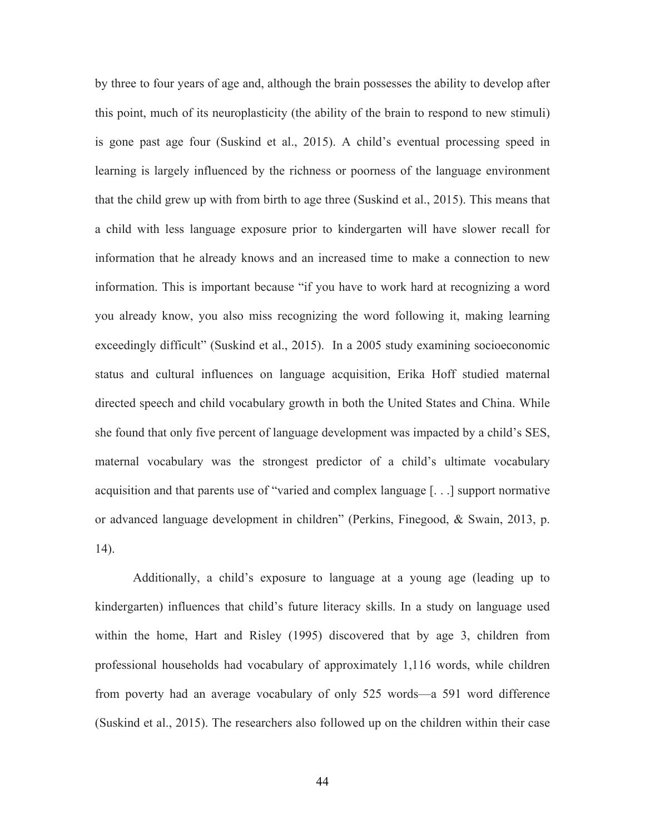by three to four years of age and, although the brain possesses the ability to develop after this point, much of its neuroplasticity (the ability of the brain to respond to new stimuli) is gone past age four (Suskind et al., 2015). A child's eventual processing speed in learning is largely influenced by the richness or poorness of the language environment that the child grew up with from birth to age three (Suskind et al., 2015). This means that a child with less language exposure prior to kindergarten will have slower recall for information that he already knows and an increased time to make a connection to new information. This is important because "if you have to work hard at recognizing a word you already know, you also miss recognizing the word following it, making learning exceedingly difficult" (Suskind et al., 2015). In a 2005 study examining socioeconomic status and cultural influences on language acquisition, Erika Hoff studied maternal directed speech and child vocabulary growth in both the United States and China. While she found that only five percent of language development was impacted by a child's SES, maternal vocabulary was the strongest predictor of a child's ultimate vocabulary acquisition and that parents use of "varied and complex language [. . .] support normative or advanced language development in children" (Perkins, Finegood, & Swain, 2013, p. 14).

Additionally, a child's exposure to language at a young age (leading up to kindergarten) influences that child's future literacy skills. In a study on language used within the home, Hart and Risley (1995) discovered that by age 3, children from professional households had vocabulary of approximately 1,116 words, while children from poverty had an average vocabulary of only 525 words—a 591 word difference (Suskind et al., 2015). The researchers also followed up on the children within their case

44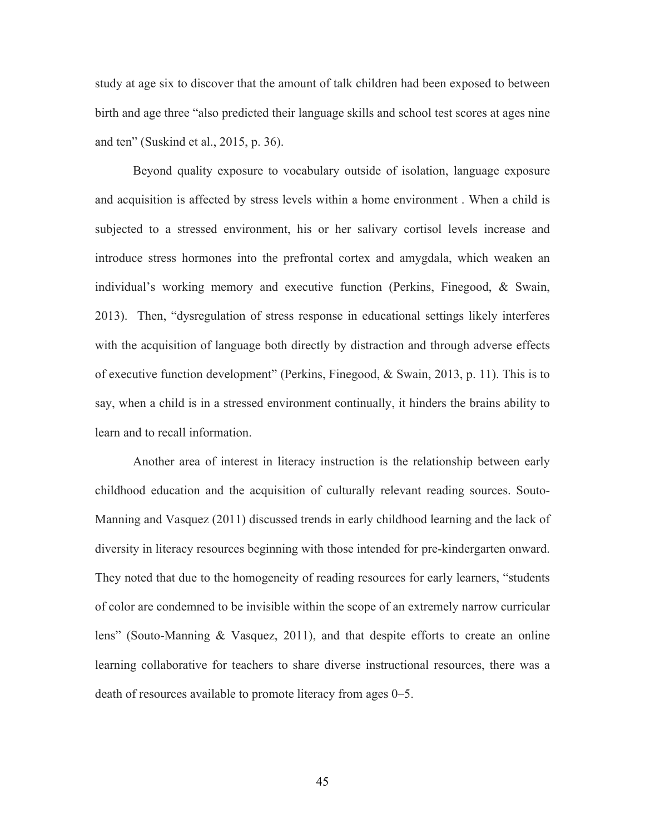study at age six to discover that the amount of talk children had been exposed to between birth and age three "also predicted their language skills and school test scores at ages nine and ten" (Suskind et al., 2015, p. 36).

Beyond quality exposure to vocabulary outside of isolation, language exposure and acquisition is affected by stress levels within a home environment . When a child is subjected to a stressed environment, his or her salivary cortisol levels increase and introduce stress hormones into the prefrontal cortex and amygdala, which weaken an individual's working memory and executive function (Perkins, Finegood, & Swain, 2013). Then, "dysregulation of stress response in educational settings likely interferes with the acquisition of language both directly by distraction and through adverse effects of executive function development" (Perkins, Finegood, & Swain, 2013, p. 11). This is to say, when a child is in a stressed environment continually, it hinders the brains ability to learn and to recall information.

Another area of interest in literacy instruction is the relationship between early childhood education and the acquisition of culturally relevant reading sources. Souto-Manning and Vasquez (2011) discussed trends in early childhood learning and the lack of diversity in literacy resources beginning with those intended for pre-kindergarten onward. They noted that due to the homogeneity of reading resources for early learners, "students of color are condemned to be invisible within the scope of an extremely narrow curricular lens" (Souto-Manning & Vasquez, 2011), and that despite efforts to create an online learning collaborative for teachers to share diverse instructional resources, there was a death of resources available to promote literacy from ages 0–5.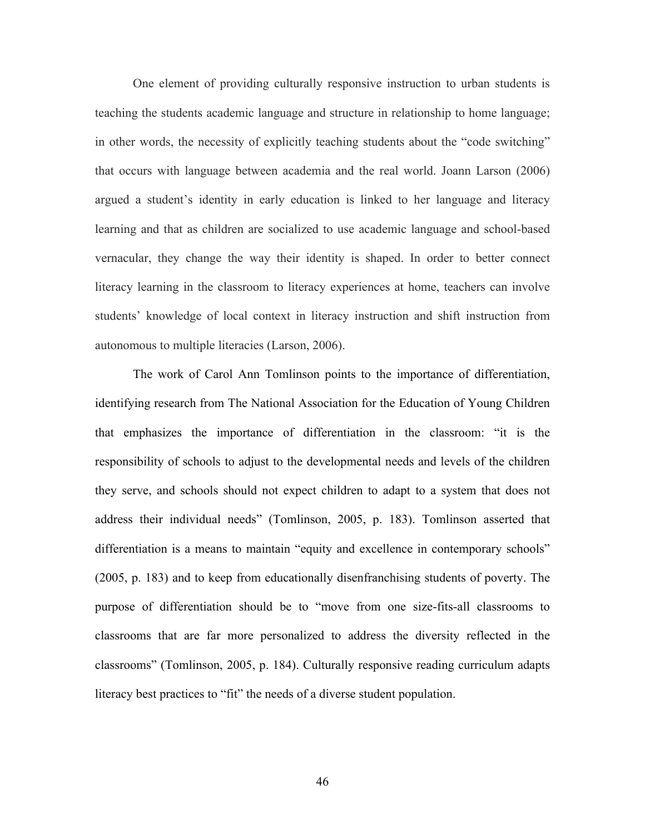One element of providing culturally responsive instruction to urban students is teaching the students academic language and structure in relationship to home language; in other words, the necessity of explicitly teaching students about the "code switching" that occurs with language between academia and the real world. Joann Larson (2006) argued a student's identity in early education is linked to her language and literacy learning and that as children are socialized to use academic language and school-based vernacular, they change the way their identity is shaped. In order to better connect literacy learning in the classroom to literacy experiences at home, teachers can involve students' knowledge of local context in literacy instruction and shift instruction from autonomous to multiple literacies (Larson, 2006).

The work of Carol Ann Tomlinson points to the importance of differentiation, identifying research from The National Association for the Education of Young Children that emphasizes the importance of differentiation in the classroom: "it is the responsibility of schools to adjust to the developmental needs and levels of the children they serve, and schools should not expect children to adapt to a system that does not address their individual needs" (Tomlinson, 2005, p. 183). Tomlinson asserted that differentiation is a means to maintain "equity and excellence in contemporary schools" (2005, p. 183) and to keep from educationally disenfranchising students of poverty. The purpose of differentiation should be to "move from one size-fits-all classrooms to classrooms that are far more personalized to address the diversity reflected in the classrooms" (Tomlinson, 2005, p. 184). Culturally responsive reading curriculum adapts literacy best practices to "fit" the needs of a diverse student population.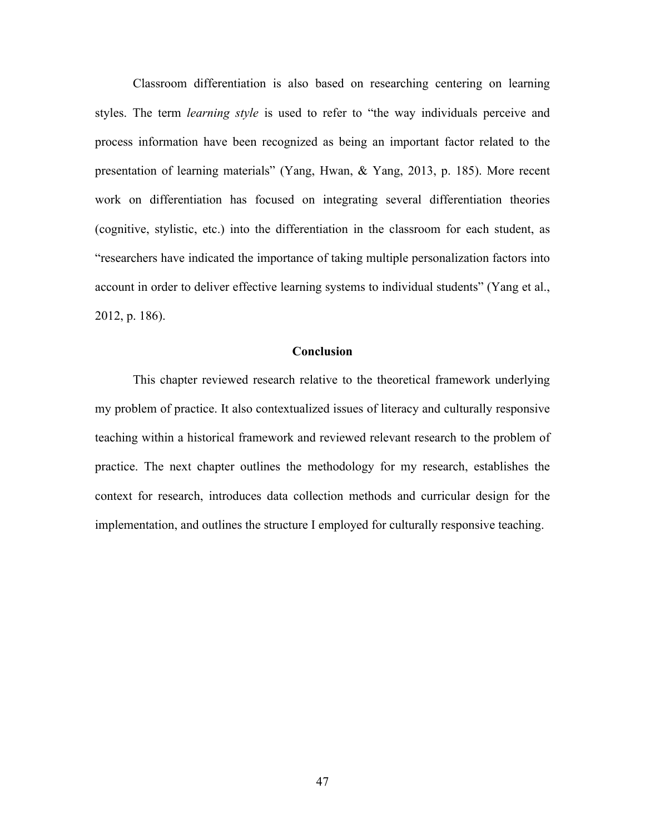Classroom differentiation is also based on researching centering on learning styles. The term *learning style* is used to refer to "the way individuals perceive and process information have been recognized as being an important factor related to the presentation of learning materials" (Yang, Hwan, & Yang, 2013, p. 185). More recent work on differentiation has focused on integrating several differentiation theories (cognitive, stylistic, etc.) into the differentiation in the classroom for each student, as "researchers have indicated the importance of taking multiple personalization factors into account in order to deliver effective learning systems to individual students" (Yang et al., 2012, p. 186).

#### **Conclusion**

This chapter reviewed research relative to the theoretical framework underlying my problem of practice. It also contextualized issues of literacy and culturally responsive teaching within a historical framework and reviewed relevant research to the problem of practice. The next chapter outlines the methodology for my research, establishes the context for research, introduces data collection methods and curricular design for the implementation, and outlines the structure I employed for culturally responsive teaching.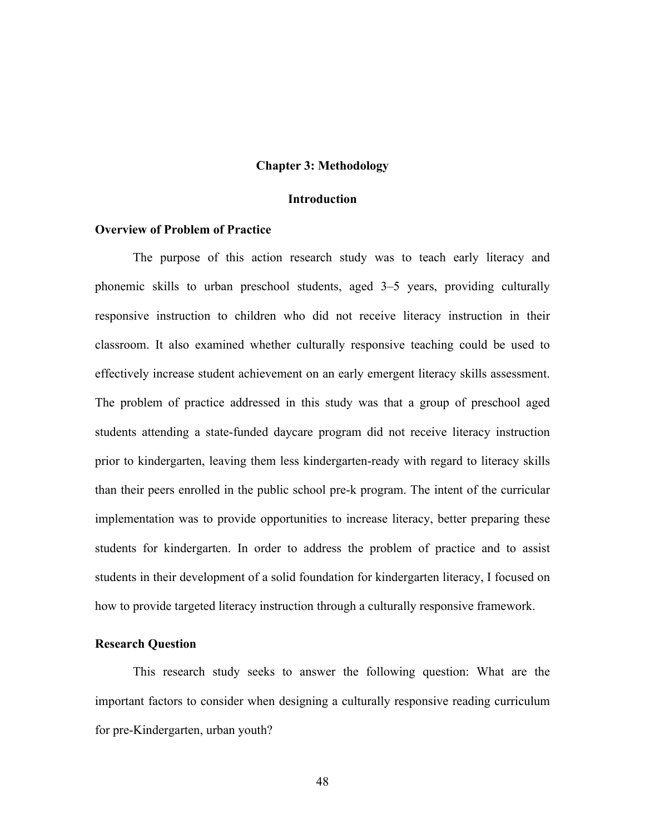### **Chapter 3: Methodology**

### **Introduction**

## **Overview of Problem of Practice**

The purpose of this action research study was to teach early literacy and phonemic skills to urban preschool students, aged 3–5 years, providing culturally responsive instruction to children who did not receive literacy instruction in their classroom. It also examined whether culturally responsive teaching could be used to effectively increase student achievement on an early emergent literacy skills assessment. The problem of practice addressed in this study was that a group of preschool aged students attending a state-funded daycare program did not receive literacy instruction prior to kindergarten, leaving them less kindergarten-ready with regard to literacy skills than their peers enrolled in the public school pre-k program. The intent of the curricular implementation was to provide opportunities to increase literacy, better preparing these students for kindergarten. In order to address the problem of practice and to assist students in their development of a solid foundation for kindergarten literacy, I focused on how to provide targeted literacy instruction through a culturally responsive framework.

### **Research Question**

This research study seeks to answer the following question: What are the important factors to consider when designing a culturally responsive reading curriculum for pre-Kindergarten, urban youth?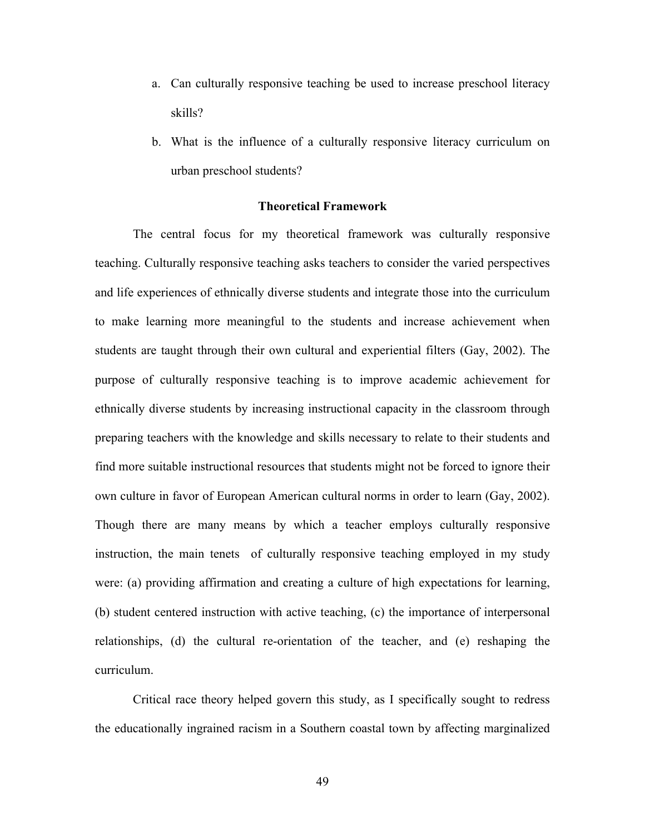- a. Can culturally responsive teaching be used to increase preschool literacy skills?
- b. What is the influence of a culturally responsive literacy curriculum on urban preschool students?

### **Theoretical Framework**

The central focus for my theoretical framework was culturally responsive teaching. Culturally responsive teaching asks teachers to consider the varied perspectives and life experiences of ethnically diverse students and integrate those into the curriculum to make learning more meaningful to the students and increase achievement when students are taught through their own cultural and experiential filters (Gay, 2002). The purpose of culturally responsive teaching is to improve academic achievement for ethnically diverse students by increasing instructional capacity in the classroom through preparing teachers with the knowledge and skills necessary to relate to their students and find more suitable instructional resources that students might not be forced to ignore their own culture in favor of European American cultural norms in order to learn (Gay, 2002). Though there are many means by which a teacher employs culturally responsive instruction, the main tenets of culturally responsive teaching employed in my study were: (a) providing affirmation and creating a culture of high expectations for learning, (b) student centered instruction with active teaching, (c) the importance of interpersonal relationships, (d) the cultural re-orientation of the teacher, and (e) reshaping the curriculum.

Critical race theory helped govern this study, as I specifically sought to redress the educationally ingrained racism in a Southern coastal town by affecting marginalized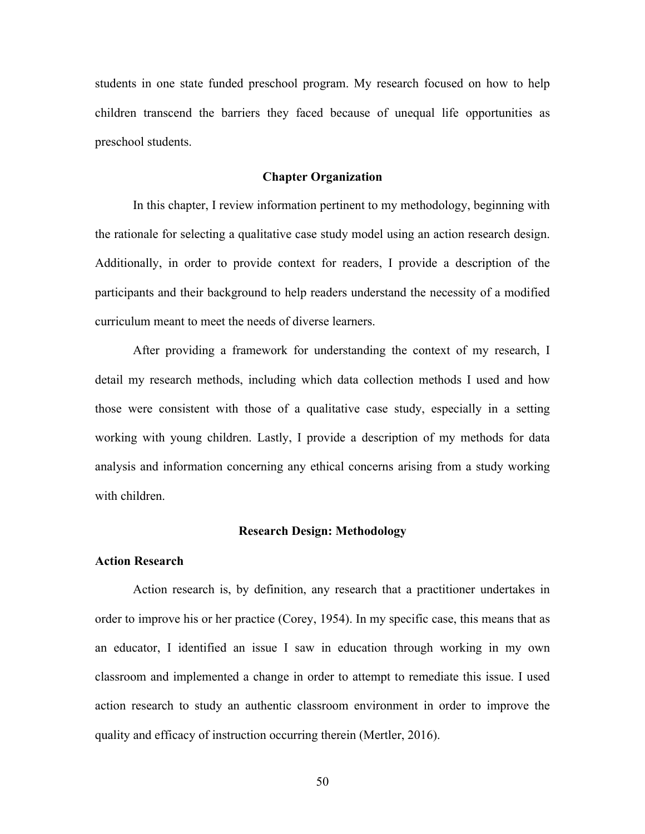students in one state funded preschool program. My research focused on how to help children transcend the barriers they faced because of unequal life opportunities as preschool students.

### **Chapter Organization**

In this chapter, I review information pertinent to my methodology, beginning with the rationale for selecting a qualitative case study model using an action research design. Additionally, in order to provide context for readers, I provide a description of the participants and their background to help readers understand the necessity of a modified curriculum meant to meet the needs of diverse learners.

After providing a framework for understanding the context of my research, I detail my research methods, including which data collection methods I used and how those were consistent with those of a qualitative case study, especially in a setting working with young children. Lastly, I provide a description of my methods for data analysis and information concerning any ethical concerns arising from a study working with children.

#### **Research Design: Methodology**

#### **Action Research**

Action research is, by definition, any research that a practitioner undertakes in order to improve his or her practice (Corey, 1954). In my specific case, this means that as an educator, I identified an issue I saw in education through working in my own classroom and implemented a change in order to attempt to remediate this issue. I used action research to study an authentic classroom environment in order to improve the quality and efficacy of instruction occurring therein (Mertler, 2016).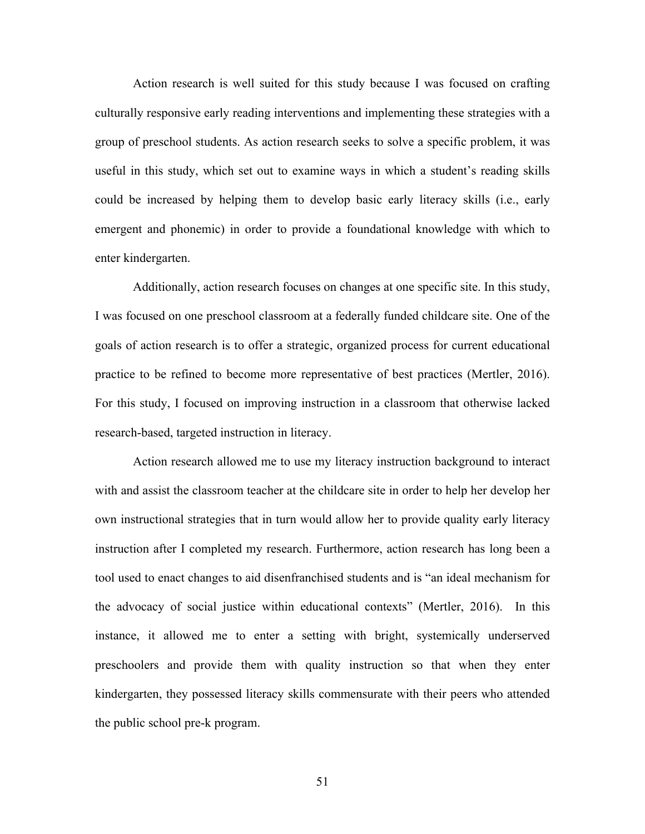Action research is well suited for this study because I was focused on crafting culturally responsive early reading interventions and implementing these strategies with a group of preschool students. As action research seeks to solve a specific problem, it was useful in this study, which set out to examine ways in which a student's reading skills could be increased by helping them to develop basic early literacy skills (i.e., early emergent and phonemic) in order to provide a foundational knowledge with which to enter kindergarten.

Additionally, action research focuses on changes at one specific site. In this study, I was focused on one preschool classroom at a federally funded childcare site. One of the goals of action research is to offer a strategic, organized process for current educational practice to be refined to become more representative of best practices (Mertler, 2016). For this study, I focused on improving instruction in a classroom that otherwise lacked research-based, targeted instruction in literacy.

Action research allowed me to use my literacy instruction background to interact with and assist the classroom teacher at the childcare site in order to help her develop her own instructional strategies that in turn would allow her to provide quality early literacy instruction after I completed my research. Furthermore, action research has long been a tool used to enact changes to aid disenfranchised students and is "an ideal mechanism for the advocacy of social justice within educational contexts" (Mertler, 2016). In this instance, it allowed me to enter a setting with bright, systemically underserved preschoolers and provide them with quality instruction so that when they enter kindergarten, they possessed literacy skills commensurate with their peers who attended the public school pre-k program.

51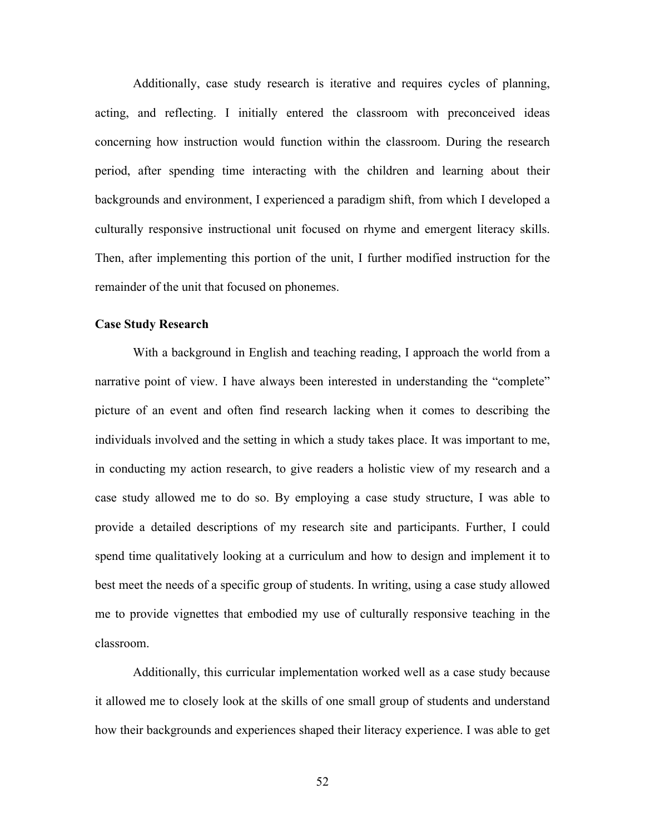Additionally, case study research is iterative and requires cycles of planning, acting, and reflecting. I initially entered the classroom with preconceived ideas concerning how instruction would function within the classroom. During the research period, after spending time interacting with the children and learning about their backgrounds and environment, I experienced a paradigm shift, from which I developed a culturally responsive instructional unit focused on rhyme and emergent literacy skills. Then, after implementing this portion of the unit, I further modified instruction for the remainder of the unit that focused on phonemes.

# **Case Study Research**

With a background in English and teaching reading, I approach the world from a narrative point of view. I have always been interested in understanding the "complete" picture of an event and often find research lacking when it comes to describing the individuals involved and the setting in which a study takes place. It was important to me, in conducting my action research, to give readers a holistic view of my research and a case study allowed me to do so. By employing a case study structure, I was able to provide a detailed descriptions of my research site and participants. Further, I could spend time qualitatively looking at a curriculum and how to design and implement it to best meet the needs of a specific group of students. In writing, using a case study allowed me to provide vignettes that embodied my use of culturally responsive teaching in the classroom.

Additionally, this curricular implementation worked well as a case study because it allowed me to closely look at the skills of one small group of students and understand how their backgrounds and experiences shaped their literacy experience. I was able to get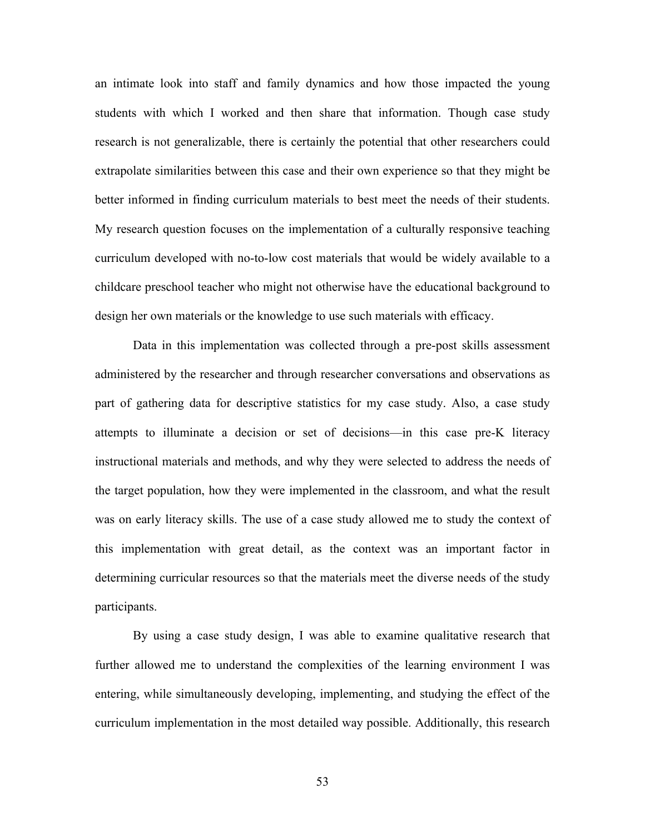an intimate look into staff and family dynamics and how those impacted the young students with which I worked and then share that information. Though case study research is not generalizable, there is certainly the potential that other researchers could extrapolate similarities between this case and their own experience so that they might be better informed in finding curriculum materials to best meet the needs of their students. My research question focuses on the implementation of a culturally responsive teaching curriculum developed with no-to-low cost materials that would be widely available to a childcare preschool teacher who might not otherwise have the educational background to design her own materials or the knowledge to use such materials with efficacy.

Data in this implementation was collected through a pre-post skills assessment administered by the researcher and through researcher conversations and observations as part of gathering data for descriptive statistics for my case study. Also, a case study attempts to illuminate a decision or set of decisions—in this case pre-K literacy instructional materials and methods, and why they were selected to address the needs of the target population, how they were implemented in the classroom, and what the result was on early literacy skills. The use of a case study allowed me to study the context of this implementation with great detail, as the context was an important factor in determining curricular resources so that the materials meet the diverse needs of the study participants.

By using a case study design, I was able to examine qualitative research that further allowed me to understand the complexities of the learning environment I was entering, while simultaneously developing, implementing, and studying the effect of the curriculum implementation in the most detailed way possible. Additionally, this research

53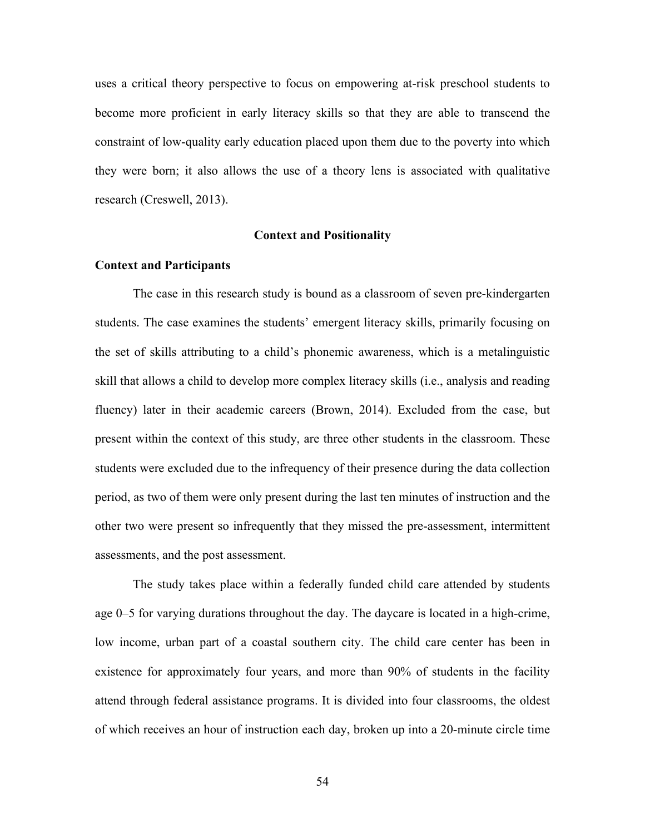uses a critical theory perspective to focus on empowering at-risk preschool students to become more proficient in early literacy skills so that they are able to transcend the constraint of low-quality early education placed upon them due to the poverty into which they were born; it also allows the use of a theory lens is associated with qualitative research (Creswell, 2013).

### **Context and Positionality**

### **Context and Participants**

The case in this research study is bound as a classroom of seven pre-kindergarten students. The case examines the students' emergent literacy skills, primarily focusing on the set of skills attributing to a child's phonemic awareness, which is a metalinguistic skill that allows a child to develop more complex literacy skills (i.e., analysis and reading fluency) later in their academic careers (Brown, 2014). Excluded from the case, but present within the context of this study, are three other students in the classroom. These students were excluded due to the infrequency of their presence during the data collection period, as two of them were only present during the last ten minutes of instruction and the other two were present so infrequently that they missed the pre-assessment, intermittent assessments, and the post assessment.

The study takes place within a federally funded child care attended by students age 0–5 for varying durations throughout the day. The daycare is located in a high-crime, low income, urban part of a coastal southern city. The child care center has been in existence for approximately four years, and more than 90% of students in the facility attend through federal assistance programs. It is divided into four classrooms, the oldest of which receives an hour of instruction each day, broken up into a 20-minute circle time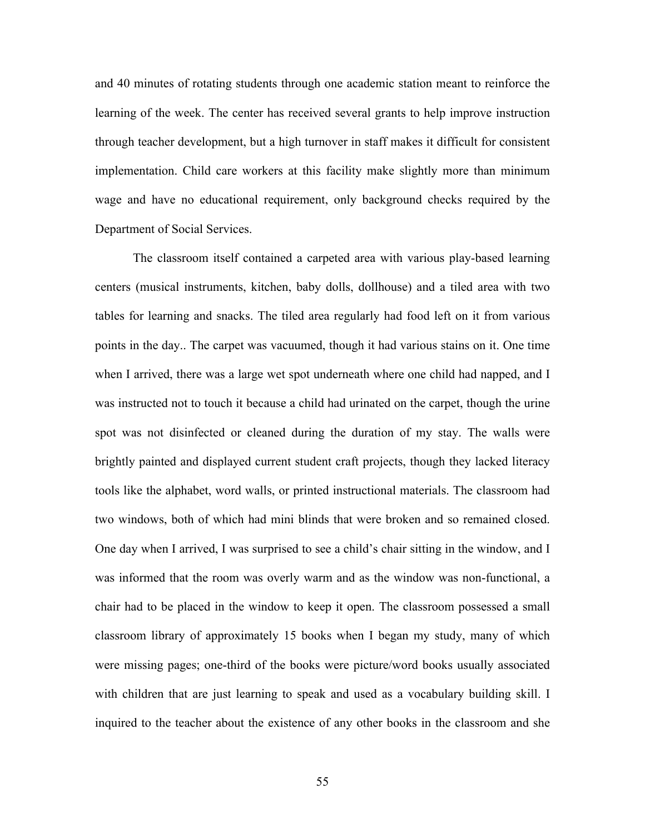and 40 minutes of rotating students through one academic station meant to reinforce the learning of the week. The center has received several grants to help improve instruction through teacher development, but a high turnover in staff makes it difficult for consistent implementation. Child care workers at this facility make slightly more than minimum wage and have no educational requirement, only background checks required by the Department of Social Services.

The classroom itself contained a carpeted area with various play-based learning centers (musical instruments, kitchen, baby dolls, dollhouse) and a tiled area with two tables for learning and snacks. The tiled area regularly had food left on it from various points in the day.. The carpet was vacuumed, though it had various stains on it. One time when I arrived, there was a large wet spot underneath where one child had napped, and I was instructed not to touch it because a child had urinated on the carpet, though the urine spot was not disinfected or cleaned during the duration of my stay. The walls were brightly painted and displayed current student craft projects, though they lacked literacy tools like the alphabet, word walls, or printed instructional materials. The classroom had two windows, both of which had mini blinds that were broken and so remained closed. One day when I arrived, I was surprised to see a child's chair sitting in the window, and I was informed that the room was overly warm and as the window was non-functional, a chair had to be placed in the window to keep it open. The classroom possessed a small classroom library of approximately 15 books when I began my study, many of which were missing pages; one-third of the books were picture/word books usually associated with children that are just learning to speak and used as a vocabulary building skill. I inquired to the teacher about the existence of any other books in the classroom and she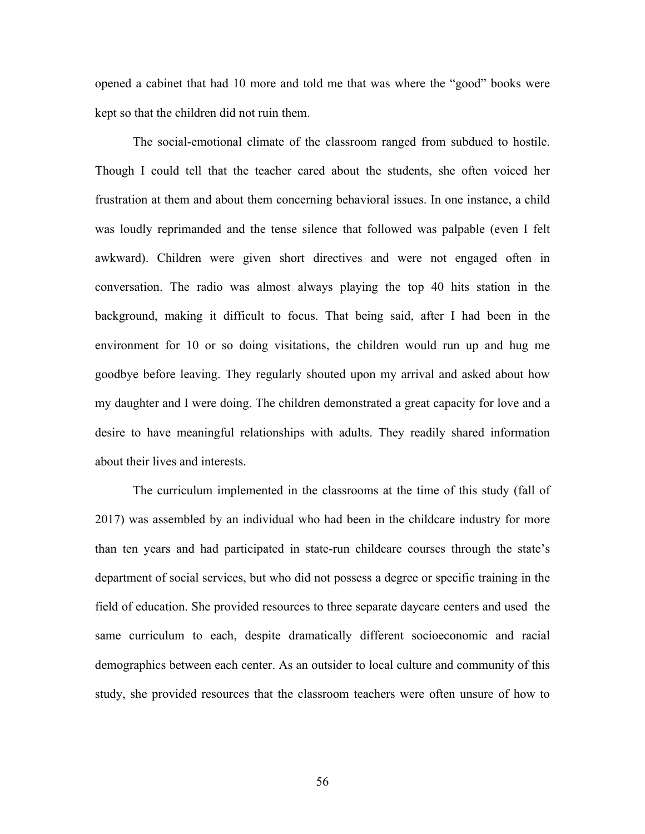opened a cabinet that had 10 more and told me that was where the "good" books were kept so that the children did not ruin them.

The social-emotional climate of the classroom ranged from subdued to hostile. Though I could tell that the teacher cared about the students, she often voiced her frustration at them and about them concerning behavioral issues. In one instance, a child was loudly reprimanded and the tense silence that followed was palpable (even I felt awkward). Children were given short directives and were not engaged often in conversation. The radio was almost always playing the top 40 hits station in the background, making it difficult to focus. That being said, after I had been in the environment for 10 or so doing visitations, the children would run up and hug me goodbye before leaving. They regularly shouted upon my arrival and asked about how my daughter and I were doing. The children demonstrated a great capacity for love and a desire to have meaningful relationships with adults. They readily shared information about their lives and interests.

The curriculum implemented in the classrooms at the time of this study (fall of 2017) was assembled by an individual who had been in the childcare industry for more than ten years and had participated in state-run childcare courses through the state's department of social services, but who did not possess a degree or specific training in the field of education. She provided resources to three separate daycare centers and used the same curriculum to each, despite dramatically different socioeconomic and racial demographics between each center. As an outsider to local culture and community of this study, she provided resources that the classroom teachers were often unsure of how to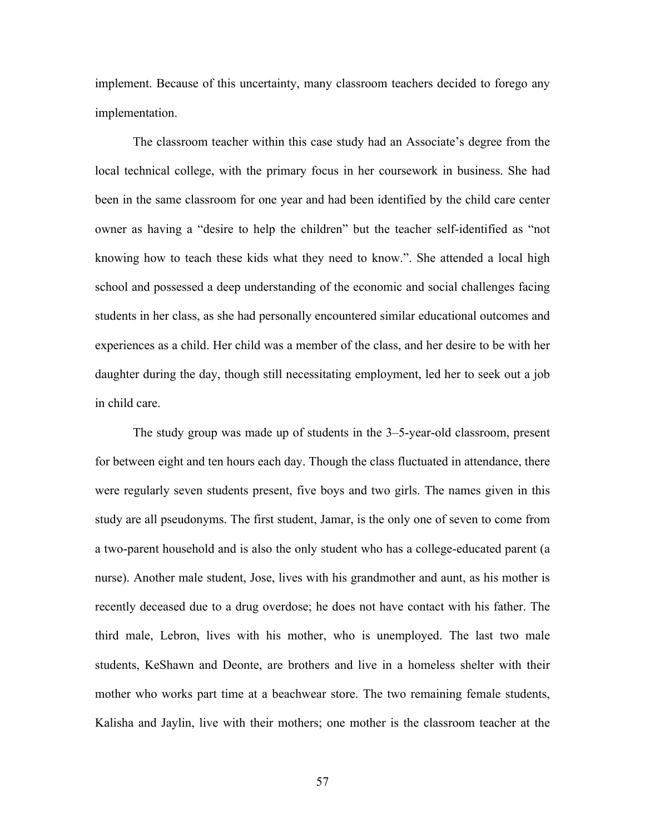implement. Because of this uncertainty, many classroom teachers decided to forego any implementation.

The classroom teacher within this case study had an Associate's degree from the local technical college, with the primary focus in her coursework in business. She had been in the same classroom for one year and had been identified by the child care center owner as having a "desire to help the children" but the teacher self-identified as "not knowing how to teach these kids what they need to know.". She attended a local high school and possessed a deep understanding of the economic and social challenges facing students in her class, as she had personally encountered similar educational outcomes and experiences as a child. Her child was a member of the class, and her desire to be with her daughter during the day, though still necessitating employment, led her to seek out a job in child care.

The study group was made up of students in the 3–5-year-old classroom, present for between eight and ten hours each day. Though the class fluctuated in attendance, there were regularly seven students present, five boys and two girls. The names given in this study are all pseudonyms. The first student, Jamar, is the only one of seven to come from a two-parent household and is also the only student who has a college-educated parent (a nurse). Another male student, Jose, lives with his grandmother and aunt, as his mother is recently deceased due to a drug overdose; he does not have contact with his father. The third male, Lebron, lives with his mother, who is unemployed. The last two male students, KeShawn and Deonte, are brothers and live in a homeless shelter with their mother who works part time at a beachwear store. The two remaining female students, Kalisha and Jaylin, live with their mothers; one mother is the classroom teacher at the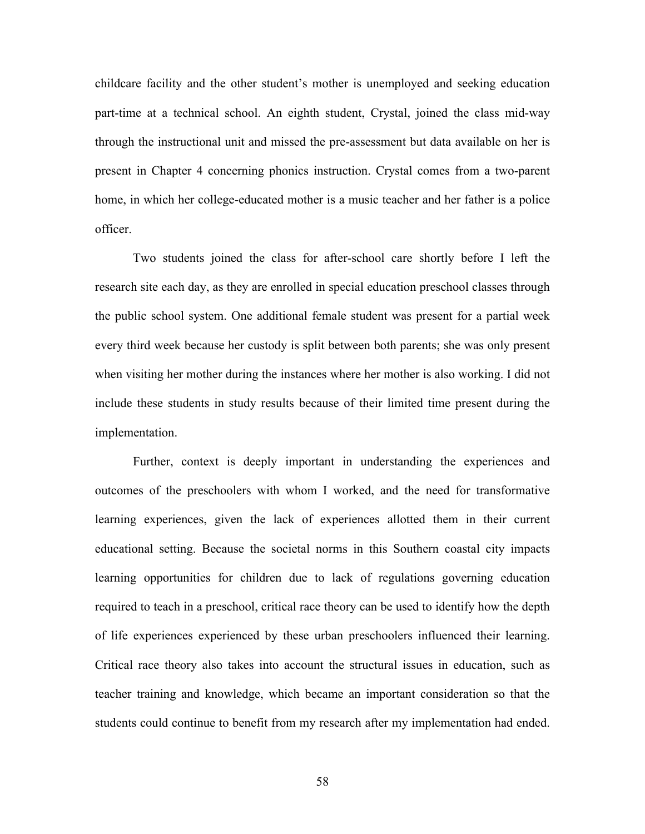childcare facility and the other student's mother is unemployed and seeking education part-time at a technical school. An eighth student, Crystal, joined the class mid-way through the instructional unit and missed the pre-assessment but data available on her is present in Chapter 4 concerning phonics instruction. Crystal comes from a two-parent home, in which her college-educated mother is a music teacher and her father is a police officer.

Two students joined the class for after-school care shortly before I left the research site each day, as they are enrolled in special education preschool classes through the public school system. One additional female student was present for a partial week every third week because her custody is split between both parents; she was only present when visiting her mother during the instances where her mother is also working. I did not include these students in study results because of their limited time present during the implementation.

Further, context is deeply important in understanding the experiences and outcomes of the preschoolers with whom I worked, and the need for transformative learning experiences, given the lack of experiences allotted them in their current educational setting. Because the societal norms in this Southern coastal city impacts learning opportunities for children due to lack of regulations governing education required to teach in a preschool, critical race theory can be used to identify how the depth of life experiences experienced by these urban preschoolers influenced their learning. Critical race theory also takes into account the structural issues in education, such as teacher training and knowledge, which became an important consideration so that the students could continue to benefit from my research after my implementation had ended.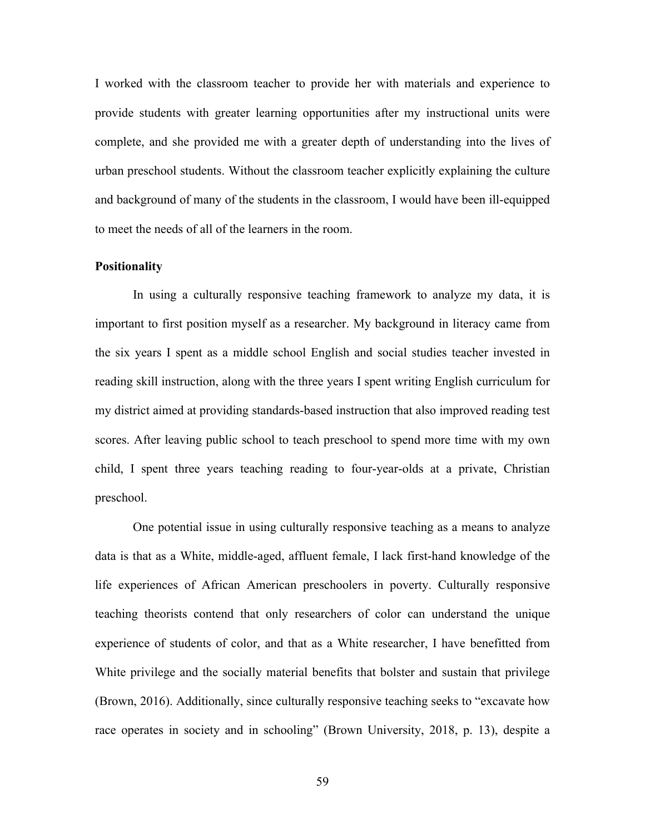I worked with the classroom teacher to provide her with materials and experience to provide students with greater learning opportunities after my instructional units were complete, and she provided me with a greater depth of understanding into the lives of urban preschool students. Without the classroom teacher explicitly explaining the culture and background of many of the students in the classroom, I would have been ill-equipped to meet the needs of all of the learners in the room.

### **Positionality**

In using a culturally responsive teaching framework to analyze my data, it is important to first position myself as a researcher. My background in literacy came from the six years I spent as a middle school English and social studies teacher invested in reading skill instruction, along with the three years I spent writing English curriculum for my district aimed at providing standards-based instruction that also improved reading test scores. After leaving public school to teach preschool to spend more time with my own child, I spent three years teaching reading to four-year-olds at a private, Christian preschool.

One potential issue in using culturally responsive teaching as a means to analyze data is that as a White, middle-aged, affluent female, I lack first-hand knowledge of the life experiences of African American preschoolers in poverty. Culturally responsive teaching theorists contend that only researchers of color can understand the unique experience of students of color, and that as a White researcher, I have benefitted from White privilege and the socially material benefits that bolster and sustain that privilege (Brown, 2016). Additionally, since culturally responsive teaching seeks to "excavate how race operates in society and in schooling" (Brown University, 2018, p. 13), despite a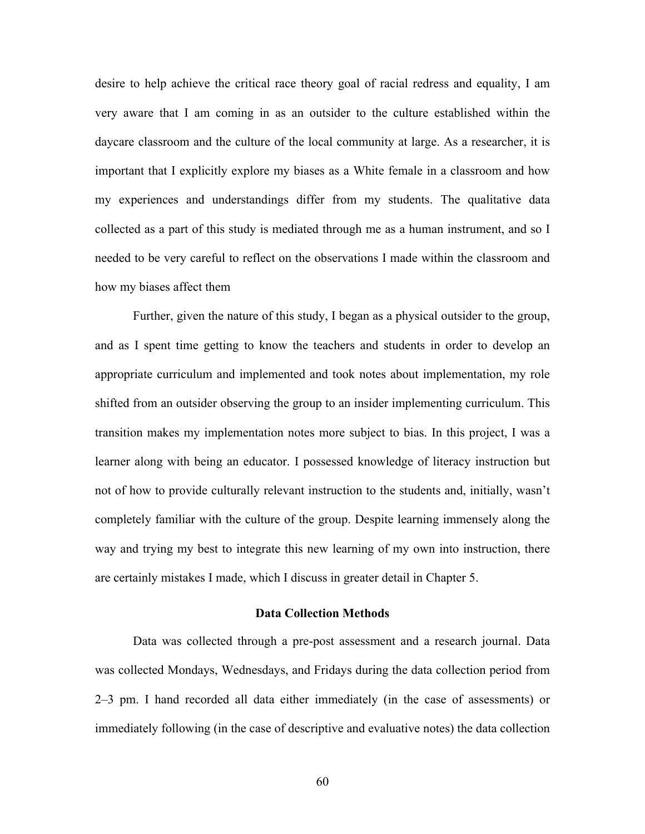desire to help achieve the critical race theory goal of racial redress and equality, I am very aware that I am coming in as an outsider to the culture established within the daycare classroom and the culture of the local community at large. As a researcher, it is important that I explicitly explore my biases as a White female in a classroom and how my experiences and understandings differ from my students. The qualitative data collected as a part of this study is mediated through me as a human instrument, and so I needed to be very careful to reflect on the observations I made within the classroom and how my biases affect them

Further, given the nature of this study, I began as a physical outsider to the group, and as I spent time getting to know the teachers and students in order to develop an appropriate curriculum and implemented and took notes about implementation, my role shifted from an outsider observing the group to an insider implementing curriculum. This transition makes my implementation notes more subject to bias. In this project, I was a learner along with being an educator. I possessed knowledge of literacy instruction but not of how to provide culturally relevant instruction to the students and, initially, wasn't completely familiar with the culture of the group. Despite learning immensely along the way and trying my best to integrate this new learning of my own into instruction, there are certainly mistakes I made, which I discuss in greater detail in Chapter 5.

#### **Data Collection Methods**

Data was collected through a pre-post assessment and a research journal. Data was collected Mondays, Wednesdays, and Fridays during the data collection period from 2–3 pm. I hand recorded all data either immediately (in the case of assessments) or immediately following (in the case of descriptive and evaluative notes) the data collection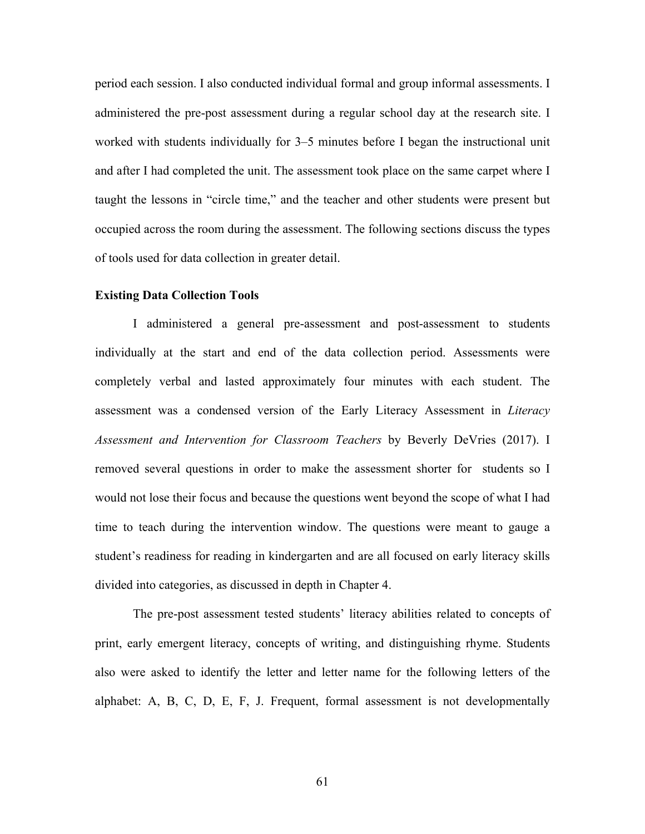period each session. I also conducted individual formal and group informal assessments. I administered the pre-post assessment during a regular school day at the research site. I worked with students individually for 3–5 minutes before I began the instructional unit and after I had completed the unit. The assessment took place on the same carpet where I taught the lessons in "circle time," and the teacher and other students were present but occupied across the room during the assessment. The following sections discuss the types of tools used for data collection in greater detail.

# **Existing Data Collection Tools**

I administered a general pre-assessment and post-assessment to students individually at the start and end of the data collection period. Assessments were completely verbal and lasted approximately four minutes with each student. The assessment was a condensed version of the Early Literacy Assessment in *Literacy Assessment and Intervention for Classroom Teachers* by Beverly DeVries (2017). I removed several questions in order to make the assessment shorter for students so I would not lose their focus and because the questions went beyond the scope of what I had time to teach during the intervention window. The questions were meant to gauge a student's readiness for reading in kindergarten and are all focused on early literacy skills divided into categories, as discussed in depth in Chapter 4.

The pre-post assessment tested students' literacy abilities related to concepts of print, early emergent literacy, concepts of writing, and distinguishing rhyme. Students also were asked to identify the letter and letter name for the following letters of the alphabet: A, B, C, D, E, F, J. Frequent, formal assessment is not developmentally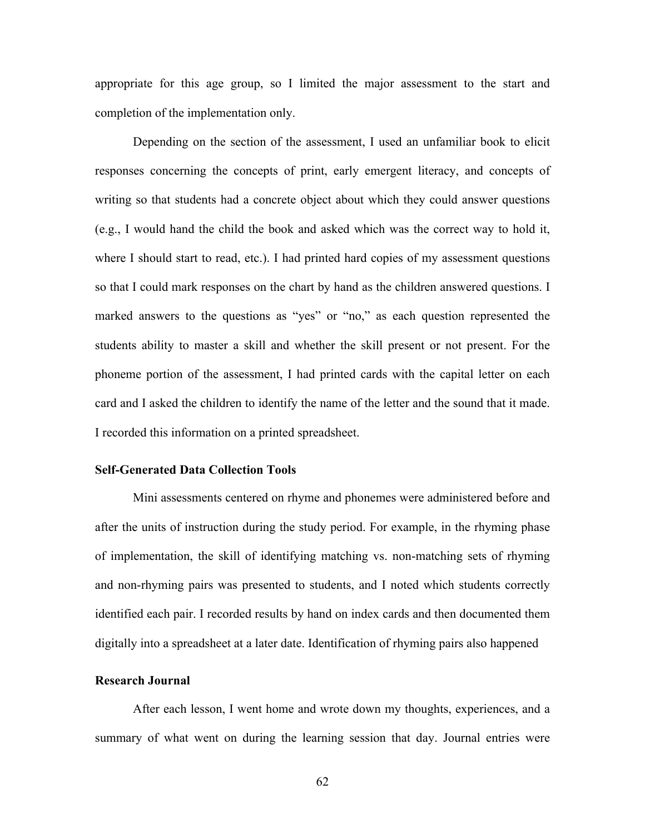appropriate for this age group, so I limited the major assessment to the start and completion of the implementation only.

Depending on the section of the assessment, I used an unfamiliar book to elicit responses concerning the concepts of print, early emergent literacy, and concepts of writing so that students had a concrete object about which they could answer questions (e.g., I would hand the child the book and asked which was the correct way to hold it, where I should start to read, etc.). I had printed hard copies of my assessment questions so that I could mark responses on the chart by hand as the children answered questions. I marked answers to the questions as "yes" or "no," as each question represented the students ability to master a skill and whether the skill present or not present. For the phoneme portion of the assessment, I had printed cards with the capital letter on each card and I asked the children to identify the name of the letter and the sound that it made. I recorded this information on a printed spreadsheet.

### **Self-Generated Data Collection Tools**

Mini assessments centered on rhyme and phonemes were administered before and after the units of instruction during the study period. For example, in the rhyming phase of implementation, the skill of identifying matching vs. non-matching sets of rhyming and non-rhyming pairs was presented to students, and I noted which students correctly identified each pair. I recorded results by hand on index cards and then documented them digitally into a spreadsheet at a later date. Identification of rhyming pairs also happened

### **Research Journal**

After each lesson, I went home and wrote down my thoughts, experiences, and a summary of what went on during the learning session that day. Journal entries were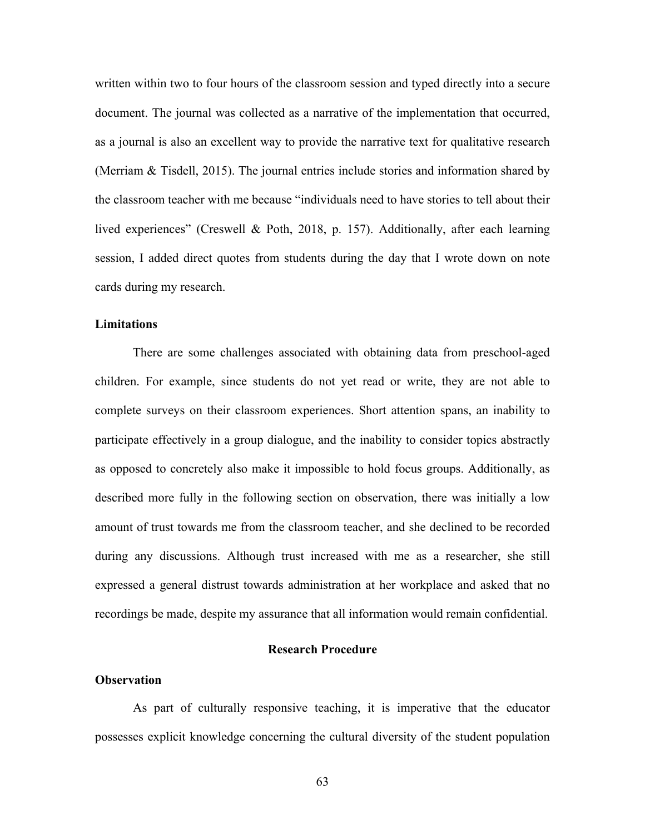written within two to four hours of the classroom session and typed directly into a secure document. The journal was collected as a narrative of the implementation that occurred, as a journal is also an excellent way to provide the narrative text for qualitative research (Merriam & Tisdell, 2015). The journal entries include stories and information shared by the classroom teacher with me because "individuals need to have stories to tell about their lived experiences" (Creswell & Poth, 2018, p. 157). Additionally, after each learning session, I added direct quotes from students during the day that I wrote down on note cards during my research.

# **Limitations**

There are some challenges associated with obtaining data from preschool-aged children. For example, since students do not yet read or write, they are not able to complete surveys on their classroom experiences. Short attention spans, an inability to participate effectively in a group dialogue, and the inability to consider topics abstractly as opposed to concretely also make it impossible to hold focus groups. Additionally, as described more fully in the following section on observation, there was initially a low amount of trust towards me from the classroom teacher, and she declined to be recorded during any discussions. Although trust increased with me as a researcher, she still expressed a general distrust towards administration at her workplace and asked that no recordings be made, despite my assurance that all information would remain confidential.

# **Research Procedure**

### **Observation**

As part of culturally responsive teaching, it is imperative that the educator possesses explicit knowledge concerning the cultural diversity of the student population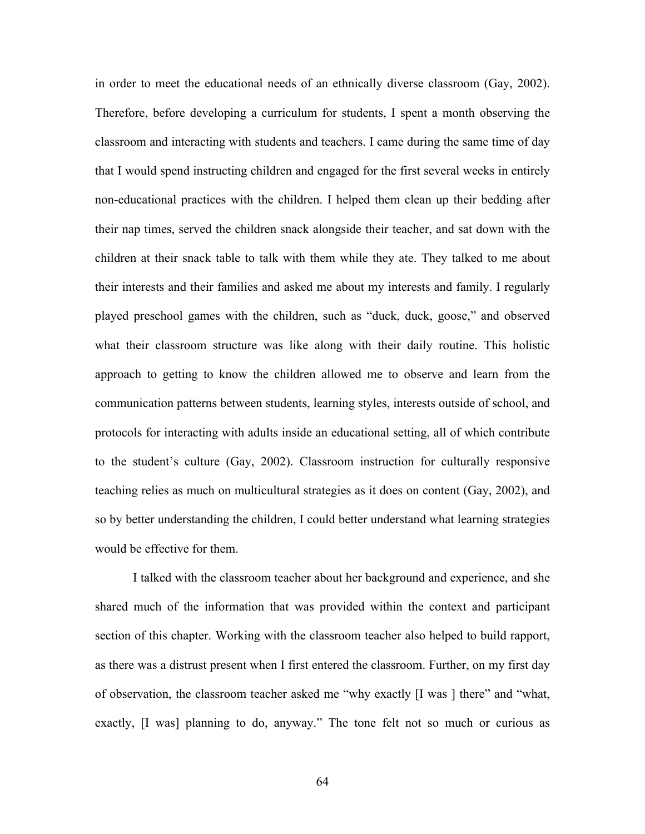in order to meet the educational needs of an ethnically diverse classroom (Gay, 2002). Therefore, before developing a curriculum for students, I spent a month observing the classroom and interacting with students and teachers. I came during the same time of day that I would spend instructing children and engaged for the first several weeks in entirely non-educational practices with the children. I helped them clean up their bedding after their nap times, served the children snack alongside their teacher, and sat down with the children at their snack table to talk with them while they ate. They talked to me about their interests and their families and asked me about my interests and family. I regularly played preschool games with the children, such as "duck, duck, goose," and observed what their classroom structure was like along with their daily routine. This holistic approach to getting to know the children allowed me to observe and learn from the communication patterns between students, learning styles, interests outside of school, and protocols for interacting with adults inside an educational setting, all of which contribute to the student's culture (Gay, 2002). Classroom instruction for culturally responsive teaching relies as much on multicultural strategies as it does on content (Gay, 2002), and so by better understanding the children, I could better understand what learning strategies would be effective for them.

I talked with the classroom teacher about her background and experience, and she shared much of the information that was provided within the context and participant section of this chapter. Working with the classroom teacher also helped to build rapport, as there was a distrust present when I first entered the classroom. Further, on my first day of observation, the classroom teacher asked me "why exactly [I was ] there" and "what, exactly, [I was] planning to do, anyway." The tone felt not so much or curious as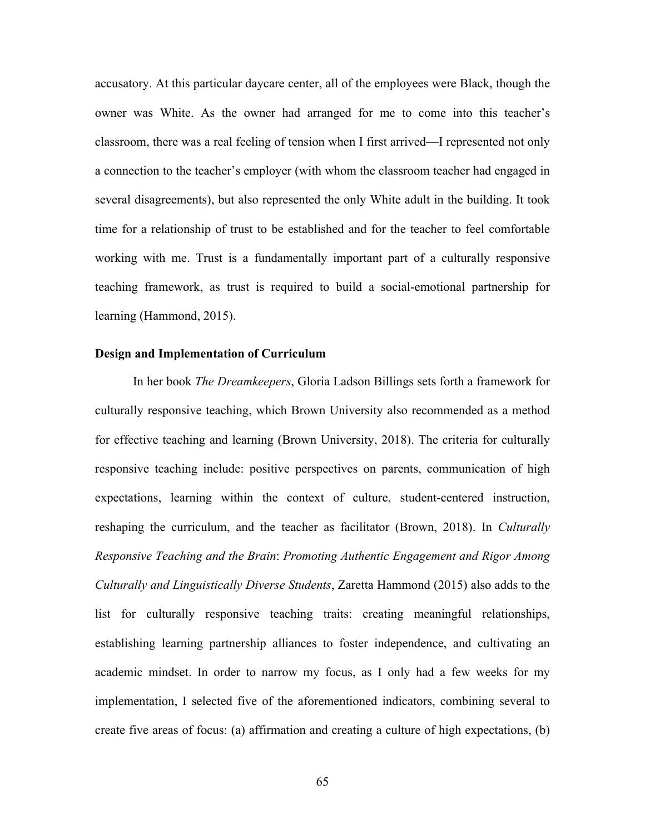accusatory. At this particular daycare center, all of the employees were Black, though the owner was White. As the owner had arranged for me to come into this teacher's classroom, there was a real feeling of tension when I first arrived—I represented not only a connection to the teacher's employer (with whom the classroom teacher had engaged in several disagreements), but also represented the only White adult in the building. It took time for a relationship of trust to be established and for the teacher to feel comfortable working with me. Trust is a fundamentally important part of a culturally responsive teaching framework, as trust is required to build a social-emotional partnership for learning (Hammond, 2015).

# **Design and Implementation of Curriculum**

In her book *The Dreamkeepers*, Gloria Ladson Billings sets forth a framework for culturally responsive teaching, which Brown University also recommended as a method for effective teaching and learning (Brown University, 2018). The criteria for culturally responsive teaching include: positive perspectives on parents, communication of high expectations, learning within the context of culture, student-centered instruction, reshaping the curriculum, and the teacher as facilitator (Brown, 2018). In *Culturally Responsive Teaching and the Brain*: *Promoting Authentic Engagement and Rigor Among Culturally and Linguistically Diverse Students*, Zaretta Hammond (2015) also adds to the list for culturally responsive teaching traits: creating meaningful relationships, establishing learning partnership alliances to foster independence, and cultivating an academic mindset. In order to narrow my focus, as I only had a few weeks for my implementation, I selected five of the aforementioned indicators, combining several to create five areas of focus: (a) affirmation and creating a culture of high expectations, (b)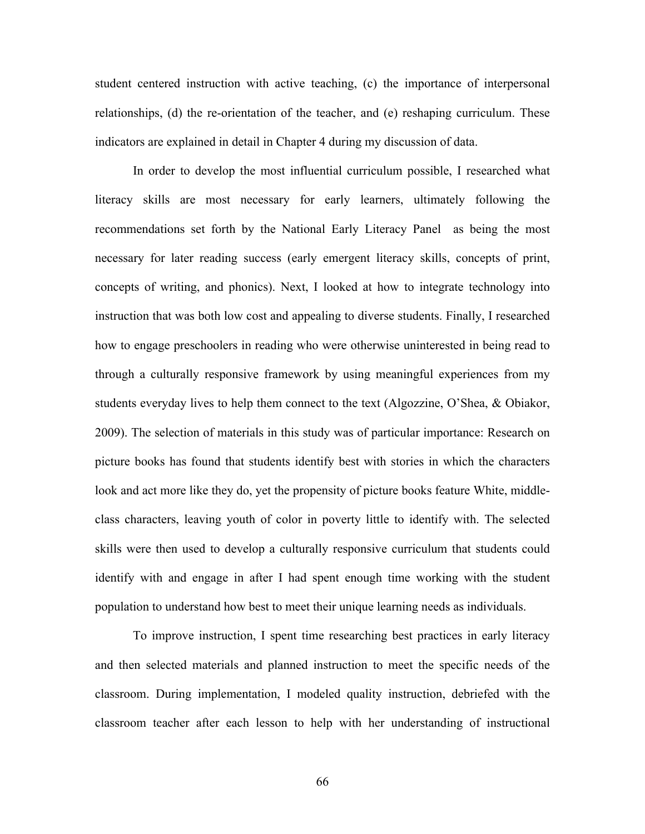student centered instruction with active teaching, (c) the importance of interpersonal relationships, (d) the re-orientation of the teacher, and (e) reshaping curriculum. These indicators are explained in detail in Chapter 4 during my discussion of data.

In order to develop the most influential curriculum possible, I researched what literacy skills are most necessary for early learners, ultimately following the recommendations set forth by the National Early Literacy Panel as being the most necessary for later reading success (early emergent literacy skills, concepts of print, concepts of writing, and phonics). Next, I looked at how to integrate technology into instruction that was both low cost and appealing to diverse students. Finally, I researched how to engage preschoolers in reading who were otherwise uninterested in being read to through a culturally responsive framework by using meaningful experiences from my students everyday lives to help them connect to the text (Algozzine, O'Shea, & Obiakor, 2009). The selection of materials in this study was of particular importance: Research on picture books has found that students identify best with stories in which the characters look and act more like they do, yet the propensity of picture books feature White, middleclass characters, leaving youth of color in poverty little to identify with. The selected skills were then used to develop a culturally responsive curriculum that students could identify with and engage in after I had spent enough time working with the student population to understand how best to meet their unique learning needs as individuals.

To improve instruction, I spent time researching best practices in early literacy and then selected materials and planned instruction to meet the specific needs of the classroom. During implementation, I modeled quality instruction, debriefed with the classroom teacher after each lesson to help with her understanding of instructional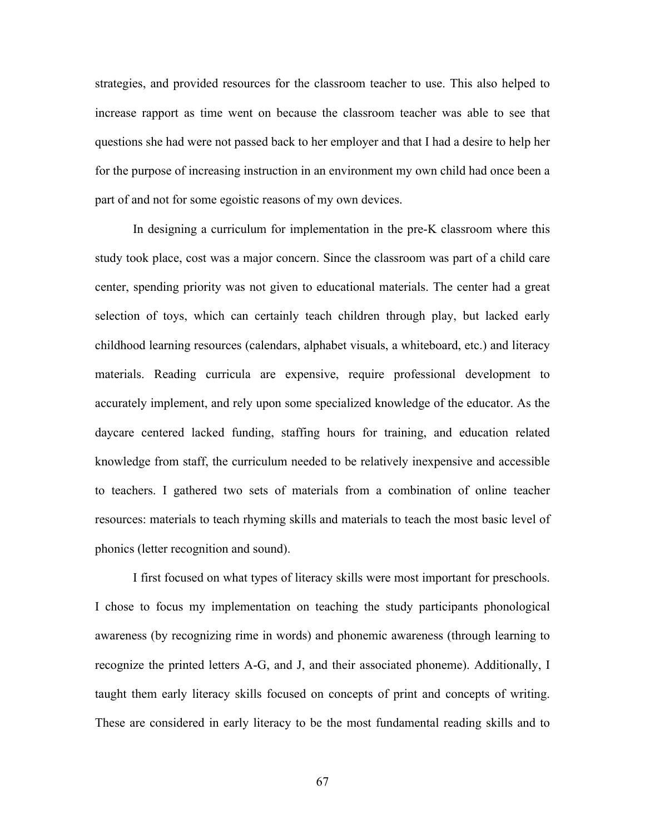strategies, and provided resources for the classroom teacher to use. This also helped to increase rapport as time went on because the classroom teacher was able to see that questions she had were not passed back to her employer and that I had a desire to help her for the purpose of increasing instruction in an environment my own child had once been a part of and not for some egoistic reasons of my own devices.

In designing a curriculum for implementation in the pre-K classroom where this study took place, cost was a major concern. Since the classroom was part of a child care center, spending priority was not given to educational materials. The center had a great selection of toys, which can certainly teach children through play, but lacked early childhood learning resources (calendars, alphabet visuals, a whiteboard, etc.) and literacy materials. Reading curricula are expensive, require professional development to accurately implement, and rely upon some specialized knowledge of the educator. As the daycare centered lacked funding, staffing hours for training, and education related knowledge from staff, the curriculum needed to be relatively inexpensive and accessible to teachers. I gathered two sets of materials from a combination of online teacher resources: materials to teach rhyming skills and materials to teach the most basic level of phonics (letter recognition and sound).

I first focused on what types of literacy skills were most important for preschools. I chose to focus my implementation on teaching the study participants phonological awareness (by recognizing rime in words) and phonemic awareness (through learning to recognize the printed letters A-G, and J, and their associated phoneme). Additionally, I taught them early literacy skills focused on concepts of print and concepts of writing. These are considered in early literacy to be the most fundamental reading skills and to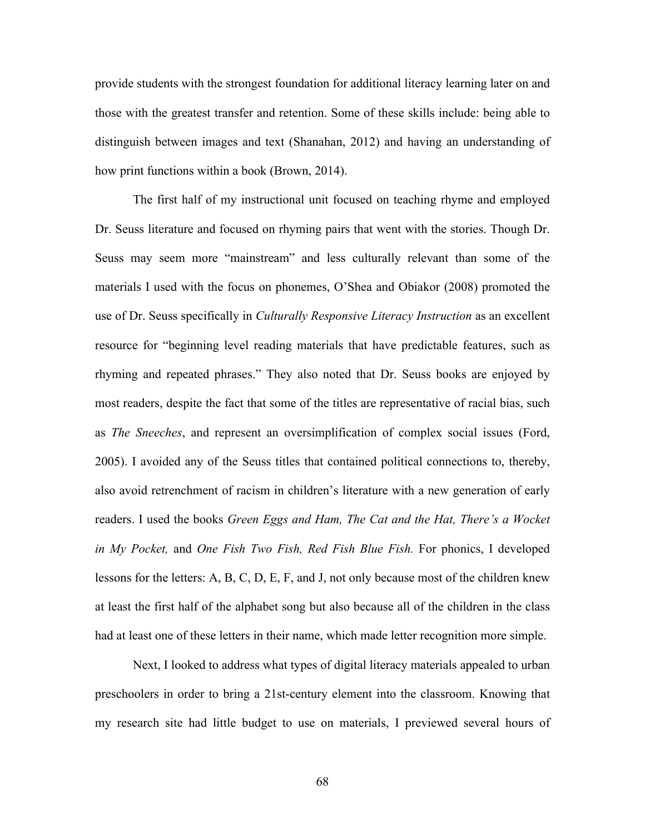provide students with the strongest foundation for additional literacy learning later on and those with the greatest transfer and retention. Some of these skills include: being able to distinguish between images and text (Shanahan, 2012) and having an understanding of how print functions within a book (Brown, 2014).

The first half of my instructional unit focused on teaching rhyme and employed Dr. Seuss literature and focused on rhyming pairs that went with the stories. Though Dr. Seuss may seem more "mainstream" and less culturally relevant than some of the materials I used with the focus on phonemes, O'Shea and Obiakor (2008) promoted the use of Dr. Seuss specifically in *Culturally Responsive Literacy Instruction* as an excellent resource for "beginning level reading materials that have predictable features, such as rhyming and repeated phrases." They also noted that Dr. Seuss books are enjoyed by most readers, despite the fact that some of the titles are representative of racial bias, such as *The Sneeches*, and represent an oversimplification of complex social issues (Ford, 2005). I avoided any of the Seuss titles that contained political connections to, thereby, also avoid retrenchment of racism in children's literature with a new generation of early readers. I used the books *Green Eggs and Ham, The Cat and the Hat, There's a Wocket in My Pocket,* and *One Fish Two Fish, Red Fish Blue Fish.* For phonics, I developed lessons for the letters: A, B, C, D, E, F, and J, not only because most of the children knew at least the first half of the alphabet song but also because all of the children in the class had at least one of these letters in their name, which made letter recognition more simple.

Next, I looked to address what types of digital literacy materials appealed to urban preschoolers in order to bring a 21st-century element into the classroom. Knowing that my research site had little budget to use on materials, I previewed several hours of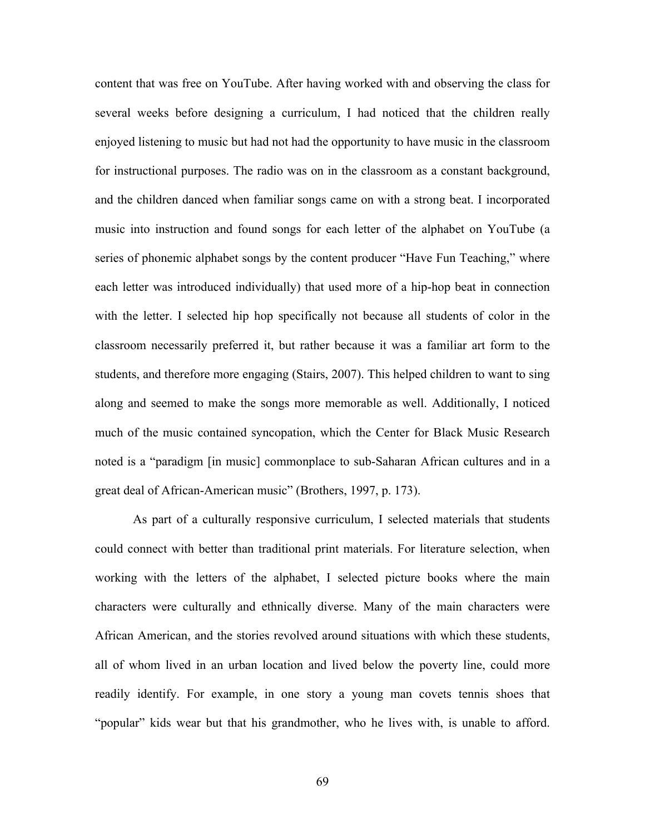content that was free on YouTube. After having worked with and observing the class for several weeks before designing a curriculum, I had noticed that the children really enjoyed listening to music but had not had the opportunity to have music in the classroom for instructional purposes. The radio was on in the classroom as a constant background, and the children danced when familiar songs came on with a strong beat. I incorporated music into instruction and found songs for each letter of the alphabet on YouTube (a series of phonemic alphabet songs by the content producer "Have Fun Teaching," where each letter was introduced individually) that used more of a hip-hop beat in connection with the letter. I selected hip hop specifically not because all students of color in the classroom necessarily preferred it, but rather because it was a familiar art form to the students, and therefore more engaging (Stairs, 2007). This helped children to want to sing along and seemed to make the songs more memorable as well. Additionally, I noticed much of the music contained syncopation, which the Center for Black Music Research noted is a "paradigm [in music] commonplace to sub-Saharan African cultures and in a great deal of African-American music" (Brothers, 1997, p. 173).

As part of a culturally responsive curriculum, I selected materials that students could connect with better than traditional print materials. For literature selection, when working with the letters of the alphabet, I selected picture books where the main characters were culturally and ethnically diverse. Many of the main characters were African American, and the stories revolved around situations with which these students, all of whom lived in an urban location and lived below the poverty line, could more readily identify. For example, in one story a young man covets tennis shoes that "popular" kids wear but that his grandmother, who he lives with, is unable to afford.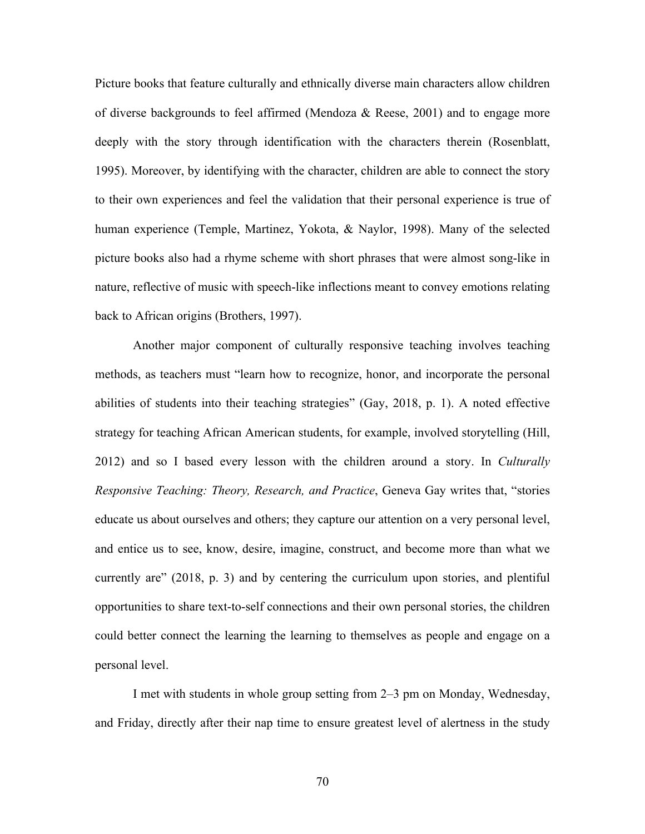Picture books that feature culturally and ethnically diverse main characters allow children of diverse backgrounds to feel affirmed (Mendoza & Reese, 2001) and to engage more deeply with the story through identification with the characters therein (Rosenblatt, 1995). Moreover, by identifying with the character, children are able to connect the story to their own experiences and feel the validation that their personal experience is true of human experience (Temple, Martinez, Yokota, & Naylor, 1998). Many of the selected picture books also had a rhyme scheme with short phrases that were almost song-like in nature, reflective of music with speech-like inflections meant to convey emotions relating back to African origins (Brothers, 1997).

Another major component of culturally responsive teaching involves teaching methods, as teachers must "learn how to recognize, honor, and incorporate the personal abilities of students into their teaching strategies" (Gay, 2018, p. 1). A noted effective strategy for teaching African American students, for example, involved storytelling (Hill, 2012) and so I based every lesson with the children around a story. In *Culturally Responsive Teaching: Theory, Research, and Practice*, Geneva Gay writes that, "stories educate us about ourselves and others; they capture our attention on a very personal level, and entice us to see, know, desire, imagine, construct, and become more than what we currently are" (2018, p. 3) and by centering the curriculum upon stories, and plentiful opportunities to share text-to-self connections and their own personal stories, the children could better connect the learning the learning to themselves as people and engage on a personal level.

I met with students in whole group setting from 2–3 pm on Monday, Wednesday, and Friday, directly after their nap time to ensure greatest level of alertness in the study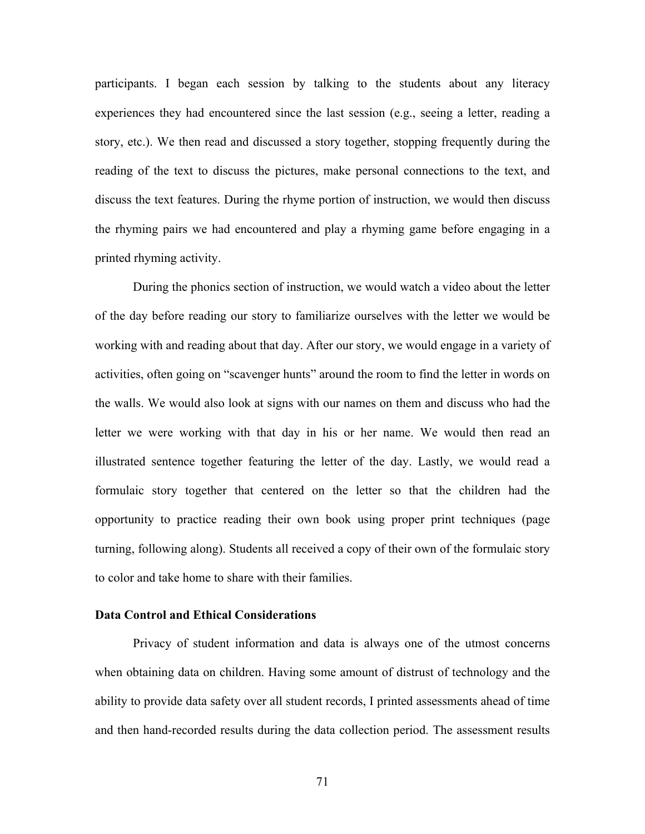participants. I began each session by talking to the students about any literacy experiences they had encountered since the last session (e.g., seeing a letter, reading a story, etc.). We then read and discussed a story together, stopping frequently during the reading of the text to discuss the pictures, make personal connections to the text, and discuss the text features. During the rhyme portion of instruction, we would then discuss the rhyming pairs we had encountered and play a rhyming game before engaging in a printed rhyming activity.

During the phonics section of instruction, we would watch a video about the letter of the day before reading our story to familiarize ourselves with the letter we would be working with and reading about that day. After our story, we would engage in a variety of activities, often going on "scavenger hunts" around the room to find the letter in words on the walls. We would also look at signs with our names on them and discuss who had the letter we were working with that day in his or her name. We would then read an illustrated sentence together featuring the letter of the day. Lastly, we would read a formulaic story together that centered on the letter so that the children had the opportunity to practice reading their own book using proper print techniques (page turning, following along). Students all received a copy of their own of the formulaic story to color and take home to share with their families.

### **Data Control and Ethical Considerations**

Privacy of student information and data is always one of the utmost concerns when obtaining data on children. Having some amount of distrust of technology and the ability to provide data safety over all student records, I printed assessments ahead of time and then hand-recorded results during the data collection period. The assessment results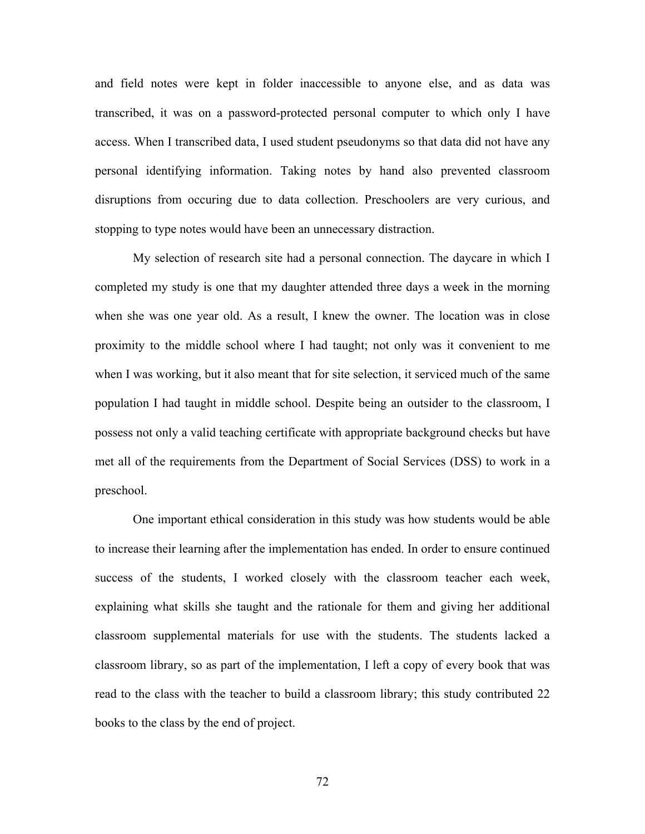and field notes were kept in folder inaccessible to anyone else, and as data was transcribed, it was on a password-protected personal computer to which only I have access. When I transcribed data, I used student pseudonyms so that data did not have any personal identifying information. Taking notes by hand also prevented classroom disruptions from occuring due to data collection. Preschoolers are very curious, and stopping to type notes would have been an unnecessary distraction.

My selection of research site had a personal connection. The daycare in which I completed my study is one that my daughter attended three days a week in the morning when she was one year old. As a result, I knew the owner. The location was in close proximity to the middle school where I had taught; not only was it convenient to me when I was working, but it also meant that for site selection, it serviced much of the same population I had taught in middle school. Despite being an outsider to the classroom, I possess not only a valid teaching certificate with appropriate background checks but have met all of the requirements from the Department of Social Services (DSS) to work in a preschool.

One important ethical consideration in this study was how students would be able to increase their learning after the implementation has ended. In order to ensure continued success of the students, I worked closely with the classroom teacher each week, explaining what skills she taught and the rationale for them and giving her additional classroom supplemental materials for use with the students. The students lacked a classroom library, so as part of the implementation, I left a copy of every book that was read to the class with the teacher to build a classroom library; this study contributed 22 books to the class by the end of project.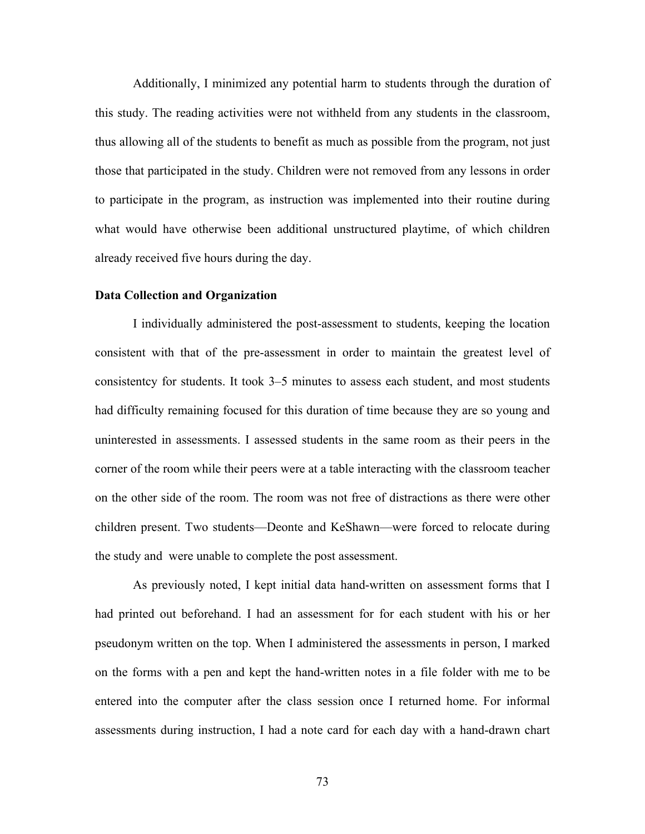Additionally, I minimized any potential harm to students through the duration of this study. The reading activities were not withheld from any students in the classroom, thus allowing all of the students to benefit as much as possible from the program, not just those that participated in the study. Children were not removed from any lessons in order to participate in the program, as instruction was implemented into their routine during what would have otherwise been additional unstructured playtime, of which children already received five hours during the day.

# **Data Collection and Organization**

I individually administered the post-assessment to students, keeping the location consistent with that of the pre-assessment in order to maintain the greatest level of consistentcy for students. It took 3–5 minutes to assess each student, and most students had difficulty remaining focused for this duration of time because they are so young and uninterested in assessments. I assessed students in the same room as their peers in the corner of the room while their peers were at a table interacting with the classroom teacher on the other side of the room. The room was not free of distractions as there were other children present. Two students—Deonte and KeShawn—were forced to relocate during the study and were unable to complete the post assessment.

As previously noted, I kept initial data hand-written on assessment forms that I had printed out beforehand. I had an assessment for for each student with his or her pseudonym written on the top. When I administered the assessments in person, I marked on the forms with a pen and kept the hand-written notes in a file folder with me to be entered into the computer after the class session once I returned home. For informal assessments during instruction, I had a note card for each day with a hand-drawn chart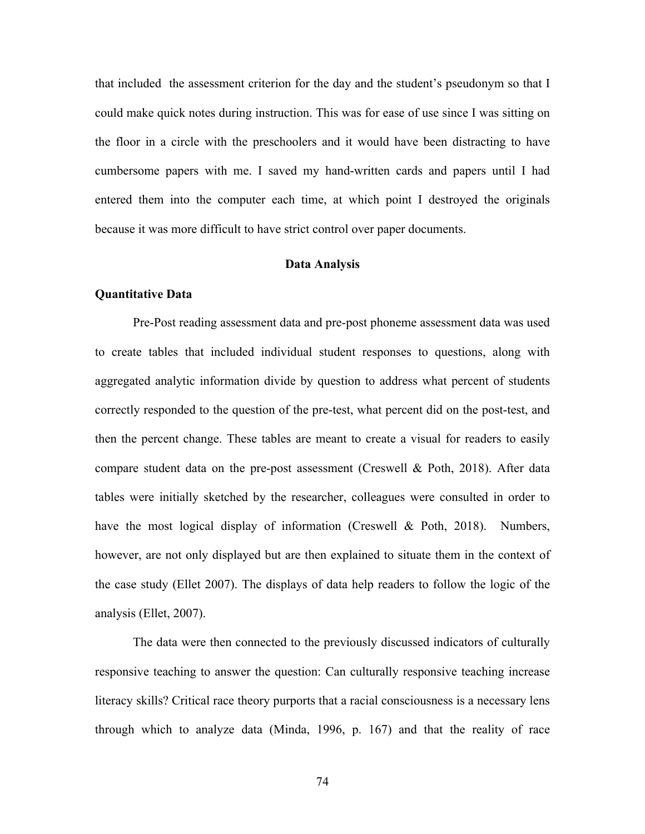that included the assessment criterion for the day and the student's pseudonym so that I could make quick notes during instruction. This was for ease of use since I was sitting on the floor in a circle with the preschoolers and it would have been distracting to have cumbersome papers with me. I saved my hand-written cards and papers until I had entered them into the computer each time, at which point I destroyed the originals because it was more difficult to have strict control over paper documents.

#### **Data Analysis**

### **Quantitative Data**

Pre-Post reading assessment data and pre-post phoneme assessment data was used to create tables that included individual student responses to questions, along with aggregated analytic information divide by question to address what percent of students correctly responded to the question of the pre-test, what percent did on the post-test, and then the percent change. These tables are meant to create a visual for readers to easily compare student data on the pre-post assessment (Creswell & Poth, 2018). After data tables were initially sketched by the researcher, colleagues were consulted in order to have the most logical display of information (Creswell & Poth, 2018). Numbers, however, are not only displayed but are then explained to situate them in the context of the case study (Ellet 2007). The displays of data help readers to follow the logic of the analysis (Ellet, 2007).

The data were then connected to the previously discussed indicators of culturally responsive teaching to answer the question: Can culturally responsive teaching increase literacy skills? Critical race theory purports that a racial consciousness is a necessary lens through which to analyze data (Minda, 1996, p. 167) and that the reality of race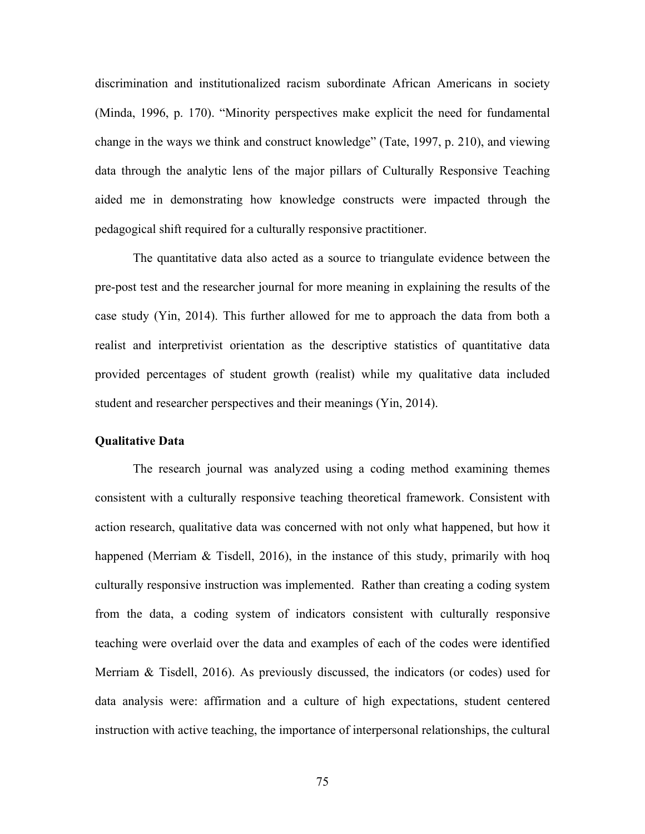discrimination and institutionalized racism subordinate African Americans in society (Minda, 1996, p. 170). "Minority perspectives make explicit the need for fundamental change in the ways we think and construct knowledge" (Tate, 1997, p. 210), and viewing data through the analytic lens of the major pillars of Culturally Responsive Teaching aided me in demonstrating how knowledge constructs were impacted through the pedagogical shift required for a culturally responsive practitioner.

The quantitative data also acted as a source to triangulate evidence between the pre-post test and the researcher journal for more meaning in explaining the results of the case study (Yin, 2014). This further allowed for me to approach the data from both a realist and interpretivist orientation as the descriptive statistics of quantitative data provided percentages of student growth (realist) while my qualitative data included student and researcher perspectives and their meanings (Yin, 2014).

# **Qualitative Data**

The research journal was analyzed using a coding method examining themes consistent with a culturally responsive teaching theoretical framework. Consistent with action research, qualitative data was concerned with not only what happened, but how it happened (Merriam & Tisdell, 2016), in the instance of this study, primarily with hoq culturally responsive instruction was implemented. Rather than creating a coding system from the data, a coding system of indicators consistent with culturally responsive teaching were overlaid over the data and examples of each of the codes were identified Merriam & Tisdell, 2016). As previously discussed, the indicators (or codes) used for data analysis were: affirmation and a culture of high expectations, student centered instruction with active teaching, the importance of interpersonal relationships, the cultural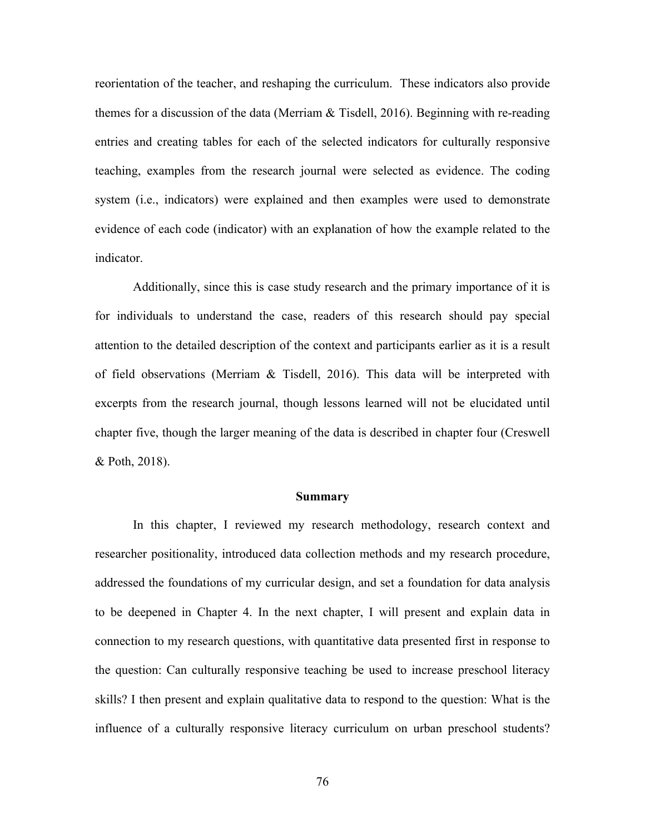reorientation of the teacher, and reshaping the curriculum. These indicators also provide themes for a discussion of the data (Merriam & Tisdell, 2016). Beginning with re-reading entries and creating tables for each of the selected indicators for culturally responsive teaching, examples from the research journal were selected as evidence. The coding system (i.e., indicators) were explained and then examples were used to demonstrate evidence of each code (indicator) with an explanation of how the example related to the indicator.

Additionally, since this is case study research and the primary importance of it is for individuals to understand the case, readers of this research should pay special attention to the detailed description of the context and participants earlier as it is a result of field observations (Merriam & Tisdell, 2016). This data will be interpreted with excerpts from the research journal, though lessons learned will not be elucidated until chapter five, though the larger meaning of the data is described in chapter four (Creswell & Poth, 2018).

#### **Summary**

In this chapter, I reviewed my research methodology, research context and researcher positionality, introduced data collection methods and my research procedure, addressed the foundations of my curricular design, and set a foundation for data analysis to be deepened in Chapter 4. In the next chapter, I will present and explain data in connection to my research questions, with quantitative data presented first in response to the question: Can culturally responsive teaching be used to increase preschool literacy skills? I then present and explain qualitative data to respond to the question: What is the influence of a culturally responsive literacy curriculum on urban preschool students?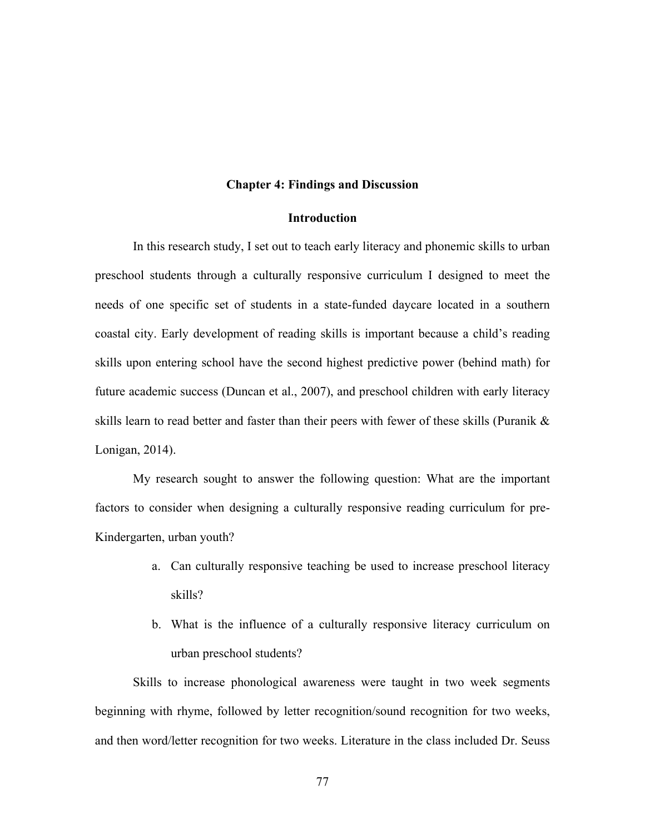### **Chapter 4: Findings and Discussion**

# **Introduction**

In this research study, I set out to teach early literacy and phonemic skills to urban preschool students through a culturally responsive curriculum I designed to meet the needs of one specific set of students in a state-funded daycare located in a southern coastal city. Early development of reading skills is important because a child's reading skills upon entering school have the second highest predictive power (behind math) for future academic success (Duncan et al., 2007), and preschool children with early literacy skills learn to read better and faster than their peers with fewer of these skills (Puranik & Lonigan, 2014).

My research sought to answer the following question: What are the important factors to consider when designing a culturally responsive reading curriculum for pre-Kindergarten, urban youth?

- a. Can culturally responsive teaching be used to increase preschool literacy skills?
- b. What is the influence of a culturally responsive literacy curriculum on urban preschool students?

Skills to increase phonological awareness were taught in two week segments beginning with rhyme, followed by letter recognition/sound recognition for two weeks, and then word/letter recognition for two weeks. Literature in the class included Dr. Seuss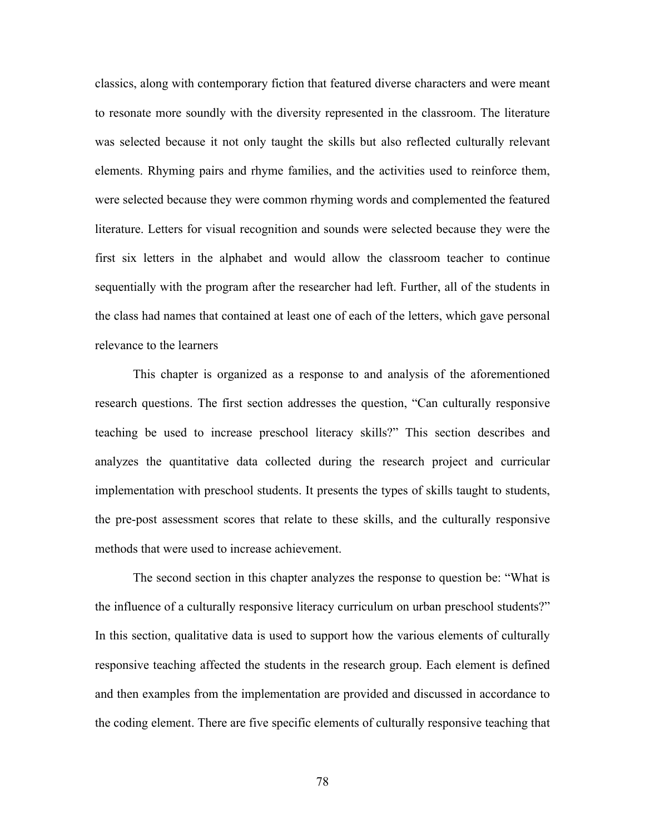classics, along with contemporary fiction that featured diverse characters and were meant to resonate more soundly with the diversity represented in the classroom. The literature was selected because it not only taught the skills but also reflected culturally relevant elements. Rhyming pairs and rhyme families, and the activities used to reinforce them, were selected because they were common rhyming words and complemented the featured literature. Letters for visual recognition and sounds were selected because they were the first six letters in the alphabet and would allow the classroom teacher to continue sequentially with the program after the researcher had left. Further, all of the students in the class had names that contained at least one of each of the letters, which gave personal relevance to the learners

This chapter is organized as a response to and analysis of the aforementioned research questions. The first section addresses the question, "Can culturally responsive teaching be used to increase preschool literacy skills?" This section describes and analyzes the quantitative data collected during the research project and curricular implementation with preschool students. It presents the types of skills taught to students, the pre-post assessment scores that relate to these skills, and the culturally responsive methods that were used to increase achievement.

The second section in this chapter analyzes the response to question be: "What is the influence of a culturally responsive literacy curriculum on urban preschool students?" In this section, qualitative data is used to support how the various elements of culturally responsive teaching affected the students in the research group. Each element is defined and then examples from the implementation are provided and discussed in accordance to the coding element. There are five specific elements of culturally responsive teaching that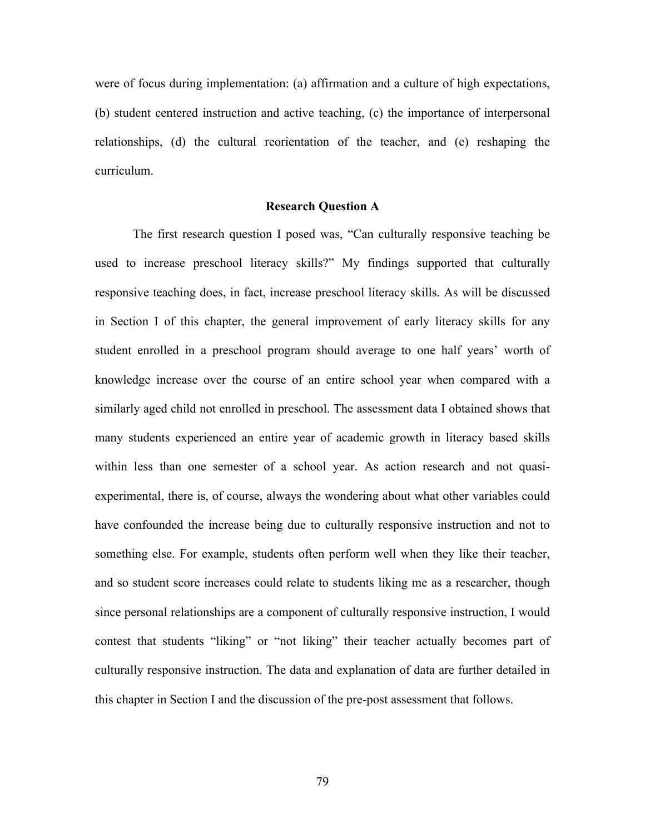were of focus during implementation: (a) affirmation and a culture of high expectations, (b) student centered instruction and active teaching, (c) the importance of interpersonal relationships, (d) the cultural reorientation of the teacher, and (e) reshaping the curriculum.

### **Research Question A**

The first research question I posed was, "Can culturally responsive teaching be used to increase preschool literacy skills?" My findings supported that culturally responsive teaching does, in fact, increase preschool literacy skills. As will be discussed in Section I of this chapter, the general improvement of early literacy skills for any student enrolled in a preschool program should average to one half years' worth of knowledge increase over the course of an entire school year when compared with a similarly aged child not enrolled in preschool. The assessment data I obtained shows that many students experienced an entire year of academic growth in literacy based skills within less than one semester of a school year. As action research and not quasiexperimental, there is, of course, always the wondering about what other variables could have confounded the increase being due to culturally responsive instruction and not to something else. For example, students often perform well when they like their teacher, and so student score increases could relate to students liking me as a researcher, though since personal relationships are a component of culturally responsive instruction, I would contest that students "liking" or "not liking" their teacher actually becomes part of culturally responsive instruction. The data and explanation of data are further detailed in this chapter in Section I and the discussion of the pre-post assessment that follows.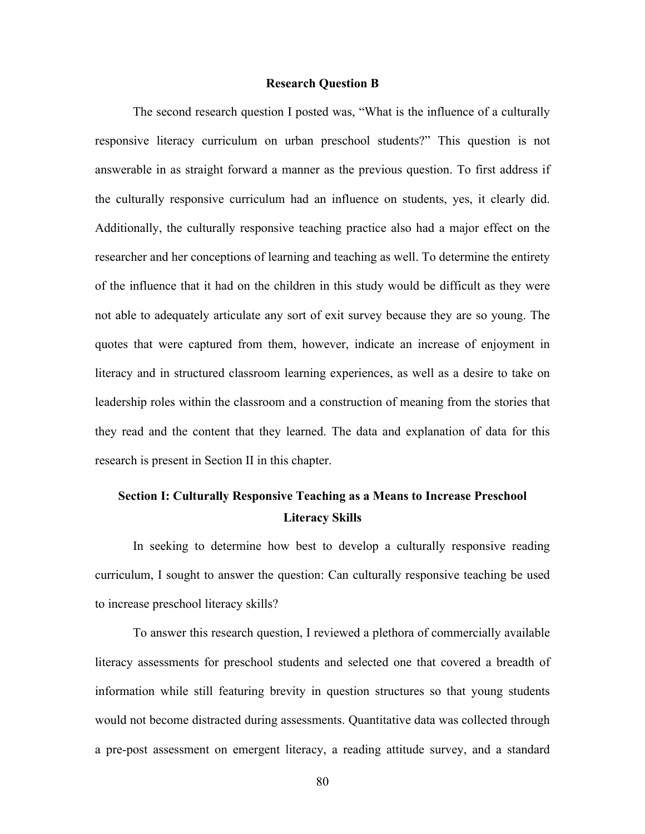### **Research Question B**

The second research question I posted was, "What is the influence of a culturally responsive literacy curriculum on urban preschool students?" This question is not answerable in as straight forward a manner as the previous question. To first address if the culturally responsive curriculum had an influence on students, yes, it clearly did. Additionally, the culturally responsive teaching practice also had a major effect on the researcher and her conceptions of learning and teaching as well. To determine the entirety of the influence that it had on the children in this study would be difficult as they were not able to adequately articulate any sort of exit survey because they are so young. The quotes that were captured from them, however, indicate an increase of enjoyment in literacy and in structured classroom learning experiences, as well as a desire to take on leadership roles within the classroom and a construction of meaning from the stories that they read and the content that they learned. The data and explanation of data for this research is present in Section II in this chapter.

# **Section I: Culturally Responsive Teaching as a Means to Increase Preschool Literacy Skills**

In seeking to determine how best to develop a culturally responsive reading curriculum, I sought to answer the question: Can culturally responsive teaching be used to increase preschool literacy skills?

To answer this research question, I reviewed a plethora of commercially available literacy assessments for preschool students and selected one that covered a breadth of information while still featuring brevity in question structures so that young students would not become distracted during assessments. Quantitative data was collected through a pre-post assessment on emergent literacy, a reading attitude survey, and a standard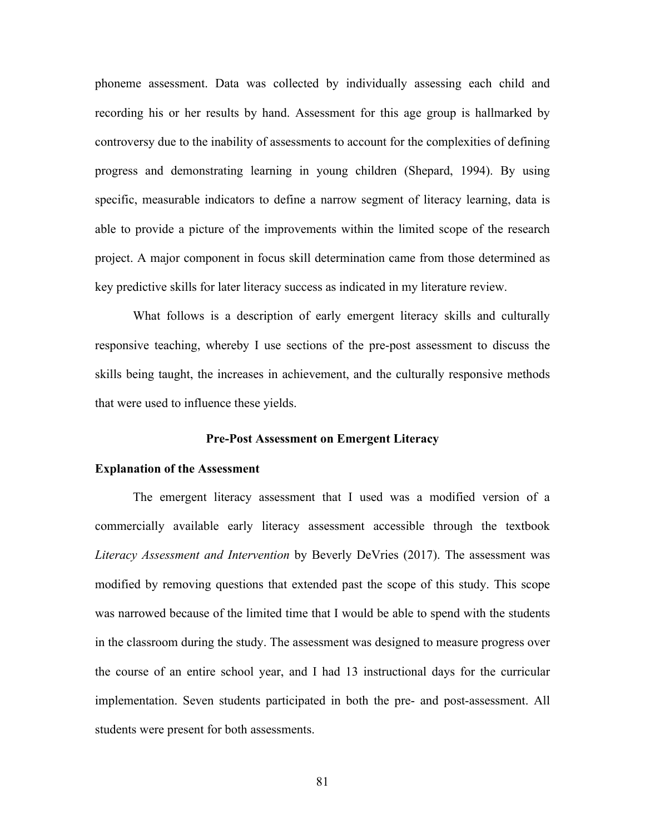phoneme assessment. Data was collected by individually assessing each child and recording his or her results by hand. Assessment for this age group is hallmarked by controversy due to the inability of assessments to account for the complexities of defining progress and demonstrating learning in young children (Shepard, 1994). By using specific, measurable indicators to define a narrow segment of literacy learning, data is able to provide a picture of the improvements within the limited scope of the research project. A major component in focus skill determination came from those determined as key predictive skills for later literacy success as indicated in my literature review.

What follows is a description of early emergent literacy skills and culturally responsive teaching, whereby I use sections of the pre-post assessment to discuss the skills being taught, the increases in achievement, and the culturally responsive methods that were used to influence these yields.

### **Pre-Post Assessment on Emergent Literacy**

### **Explanation of the Assessment**

The emergent literacy assessment that I used was a modified version of a commercially available early literacy assessment accessible through the textbook *Literacy Assessment and Intervention* by Beverly DeVries (2017). The assessment was modified by removing questions that extended past the scope of this study. This scope was narrowed because of the limited time that I would be able to spend with the students in the classroom during the study. The assessment was designed to measure progress over the course of an entire school year, and I had 13 instructional days for the curricular implementation. Seven students participated in both the pre- and post-assessment. All students were present for both assessments.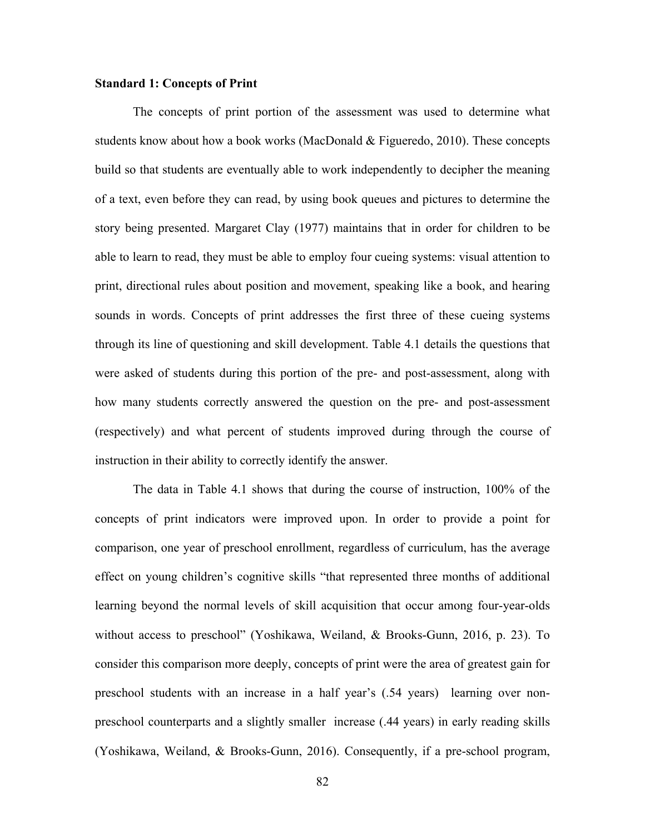### **Standard 1: Concepts of Print**

The concepts of print portion of the assessment was used to determine what students know about how a book works (MacDonald & Figueredo, 2010). These concepts build so that students are eventually able to work independently to decipher the meaning of a text, even before they can read, by using book queues and pictures to determine the story being presented. Margaret Clay (1977) maintains that in order for children to be able to learn to read, they must be able to employ four cueing systems: visual attention to print, directional rules about position and movement, speaking like a book, and hearing sounds in words. Concepts of print addresses the first three of these cueing systems through its line of questioning and skill development. Table 4.1 details the questions that were asked of students during this portion of the pre- and post-assessment, along with how many students correctly answered the question on the pre- and post-assessment (respectively) and what percent of students improved during through the course of instruction in their ability to correctly identify the answer.

The data in Table 4.1 shows that during the course of instruction, 100% of the concepts of print indicators were improved upon. In order to provide a point for comparison, one year of preschool enrollment, regardless of curriculum, has the average effect on young children's cognitive skills "that represented three months of additional learning beyond the normal levels of skill acquisition that occur among four-year-olds without access to preschool" (Yoshikawa, Weiland, & Brooks-Gunn, 2016, p. 23). To consider this comparison more deeply, concepts of print were the area of greatest gain for preschool students with an increase in a half year's (.54 years) learning over nonpreschool counterparts and a slightly smaller increase (.44 years) in early reading skills (Yoshikawa, Weiland, & Brooks-Gunn, 2016). Consequently, if a pre-school program,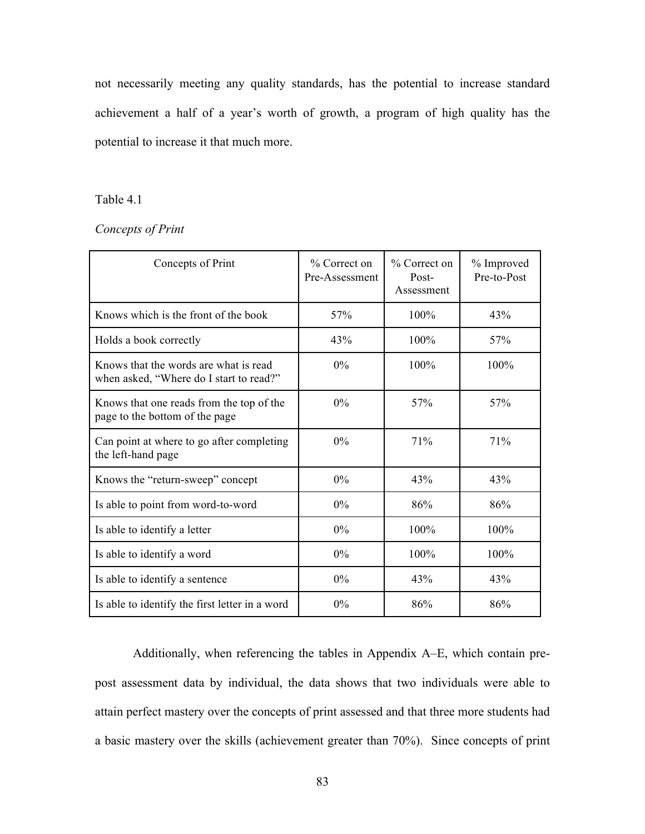not necessarily meeting any quality standards, has the potential to increase standard achievement a half of a year's worth of growth, a program of high quality has the potential to increase it that much more.

# Table 4.1

# *Concepts of Print*

| Concepts of Print                                                                | % Correct on<br>Pre-Assessment | % Correct on<br>Post-<br>Assessment | % Improved<br>Pre-to-Post |
|----------------------------------------------------------------------------------|--------------------------------|-------------------------------------|---------------------------|
| Knows which is the front of the book                                             | 57%                            | 100%                                | 43%                       |
| Holds a book correctly                                                           | 43%                            | 100%                                | 57%                       |
| Knows that the words are what is read<br>when asked, "Where do I start to read?" | 0%                             | 100%                                | 100%                      |
| Knows that one reads from the top of the<br>page to the bottom of the page       | 0%                             | 57%                                 | 57%                       |
| Can point at where to go after completing<br>the left-hand page                  | 0%                             | 71%                                 | 71%                       |
| Knows the "return-sweep" concept                                                 | 0%                             | 43%                                 | 43%                       |
| Is able to point from word-to-word                                               | 0%                             | 86%                                 | 86%                       |
| Is able to identify a letter                                                     | 0%                             | $100\%$                             | 100%                      |
| Is able to identify a word                                                       | $0\%$                          | 100%                                | 100%                      |
| Is able to identify a sentence                                                   | 0%                             | 43%                                 | 43%                       |
| Is able to identify the first letter in a word                                   | 0%                             | 86%                                 | 86%                       |

Additionally, when referencing the tables in Appendix A–E, which contain prepost assessment data by individual, the data shows that two individuals were able to attain perfect mastery over the concepts of print assessed and that three more students had a basic mastery over the skills (achievement greater than 70%). Since concepts of print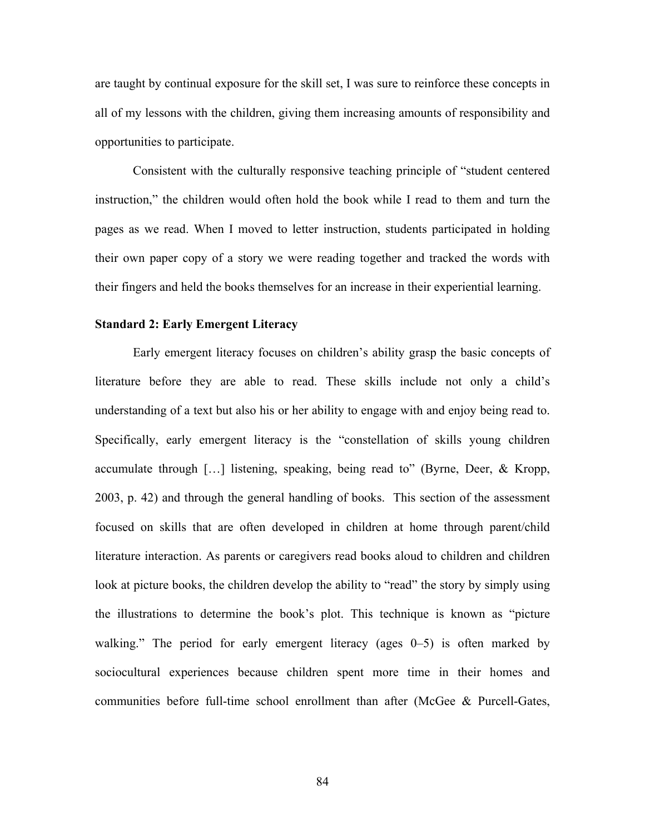are taught by continual exposure for the skill set, I was sure to reinforce these concepts in all of my lessons with the children, giving them increasing amounts of responsibility and opportunities to participate.

Consistent with the culturally responsive teaching principle of "student centered instruction," the children would often hold the book while I read to them and turn the pages as we read. When I moved to letter instruction, students participated in holding their own paper copy of a story we were reading together and tracked the words with their fingers and held the books themselves for an increase in their experiential learning.

# **Standard 2: Early Emergent Literacy**

Early emergent literacy focuses on children's ability grasp the basic concepts of literature before they are able to read. These skills include not only a child's understanding of a text but also his or her ability to engage with and enjoy being read to. Specifically, early emergent literacy is the "constellation of skills young children accumulate through […] listening, speaking, being read to" (Byrne, Deer, & Kropp, 2003, p. 42) and through the general handling of books. This section of the assessment focused on skills that are often developed in children at home through parent/child literature interaction. As parents or caregivers read books aloud to children and children look at picture books, the children develop the ability to "read" the story by simply using the illustrations to determine the book's plot. This technique is known as "picture walking." The period for early emergent literacy (ages 0–5) is often marked by sociocultural experiences because children spent more time in their homes and communities before full-time school enrollment than after (McGee & Purcell-Gates,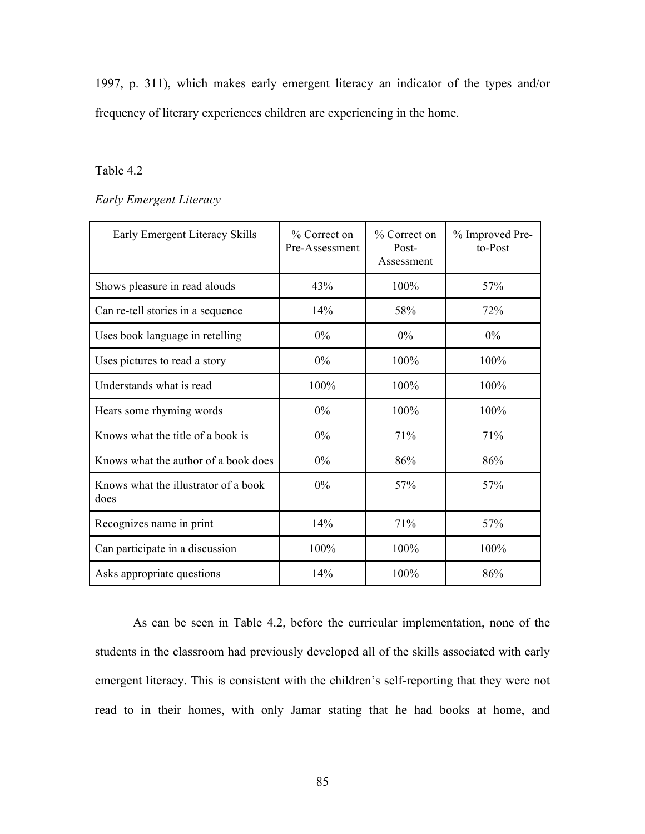1997, p. 311), which makes early emergent literacy an indicator of the types and/or frequency of literary experiences children are experiencing in the home.

# Table 4.2

# *Early Emergent Literacy*

| Early Emergent Literacy Skills               | % Correct on<br>Pre-Assessment | % Correct on<br>Post-<br>Assessment | % Improved Pre-<br>to-Post |
|----------------------------------------------|--------------------------------|-------------------------------------|----------------------------|
| Shows pleasure in read alouds                | 43%                            | 100%                                | 57%                        |
| Can re-tell stories in a sequence            | 14%                            | 58%                                 | 72%                        |
| Uses book language in retelling              | 0%                             | 0%                                  | $0\%$                      |
| Uses pictures to read a story                | 0%                             | 100%                                | 100%                       |
| Understands what is read                     | 100%                           | 100%                                | 100%                       |
| Hears some rhyming words                     | 0%                             | 100%                                | 100%                       |
| Knows what the title of a book is            | 0%                             | 71%                                 | 71%                        |
| Knows what the author of a book does         | 0%                             | 86%                                 | 86%                        |
| Knows what the illustrator of a book<br>does | 0%                             | 57%                                 | 57%                        |
| Recognizes name in print                     | 14%                            | 71%                                 | 57%                        |
| Can participate in a discussion              | 100%                           | 100%                                | 100%                       |
| Asks appropriate questions                   | 14%                            | 100%                                | 86%                        |

As can be seen in Table 4.2, before the curricular implementation, none of the students in the classroom had previously developed all of the skills associated with early emergent literacy. This is consistent with the children's self-reporting that they were not read to in their homes, with only Jamar stating that he had books at home, and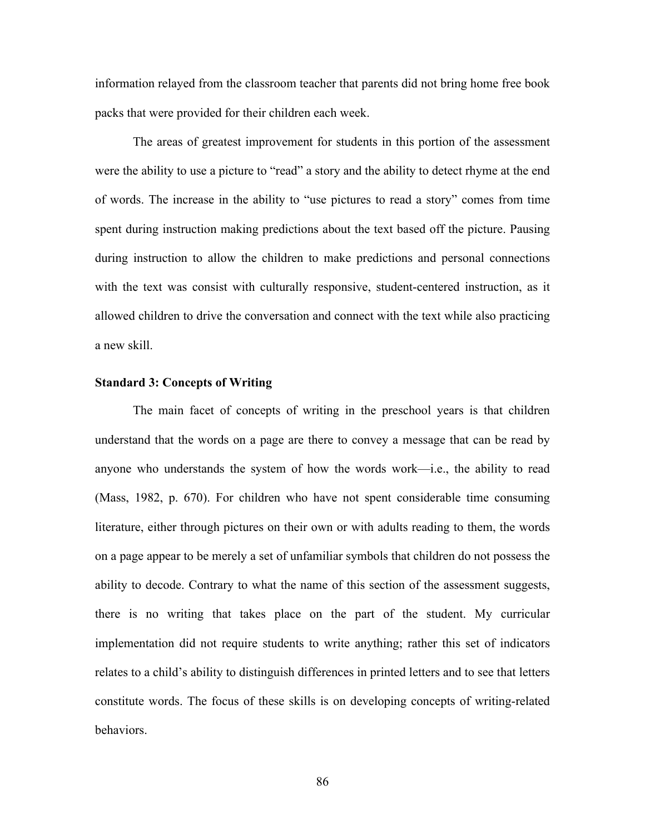information relayed from the classroom teacher that parents did not bring home free book packs that were provided for their children each week.

The areas of greatest improvement for students in this portion of the assessment were the ability to use a picture to "read" a story and the ability to detect rhyme at the end of words. The increase in the ability to "use pictures to read a story" comes from time spent during instruction making predictions about the text based off the picture. Pausing during instruction to allow the children to make predictions and personal connections with the text was consist with culturally responsive, student-centered instruction, as it allowed children to drive the conversation and connect with the text while also practicing a new skill.

### **Standard 3: Concepts of Writing**

The main facet of concepts of writing in the preschool years is that children understand that the words on a page are there to convey a message that can be read by anyone who understands the system of how the words work—i.e., the ability to read (Mass, 1982, p. 670). For children who have not spent considerable time consuming literature, either through pictures on their own or with adults reading to them, the words on a page appear to be merely a set of unfamiliar symbols that children do not possess the ability to decode. Contrary to what the name of this section of the assessment suggests, there is no writing that takes place on the part of the student. My curricular implementation did not require students to write anything; rather this set of indicators relates to a child's ability to distinguish differences in printed letters and to see that letters constitute words. The focus of these skills is on developing concepts of writing-related behaviors.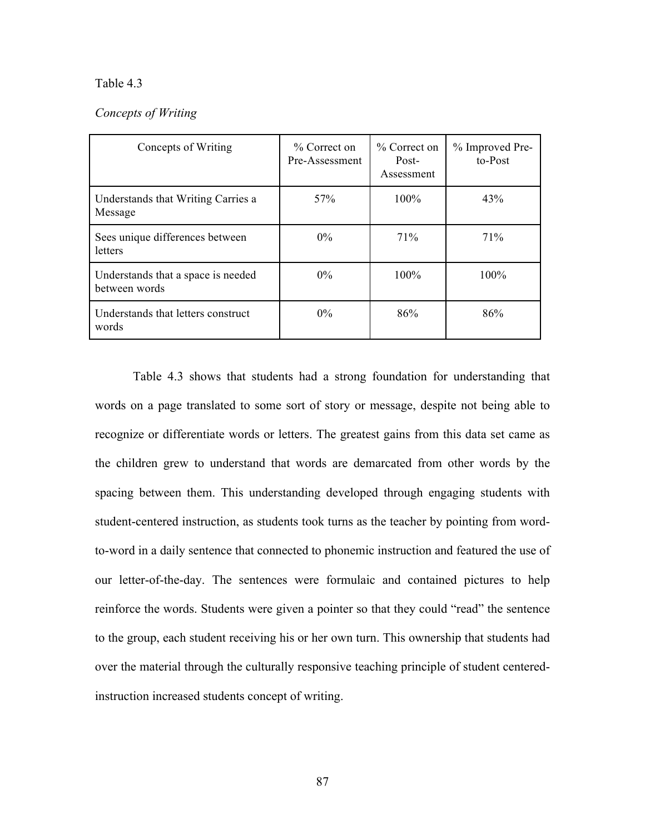### Table 4.3

# *Concepts of Writing*

| Concepts of Writing                                 | $\%$ Correct on<br>Pre-Assessment | $\%$ Correct on<br>Post-<br>Assessment | % Improved Pre-<br>to-Post |
|-----------------------------------------------------|-----------------------------------|----------------------------------------|----------------------------|
| Understands that Writing Carries a<br>Message       | 57 <sub>%</sub>                   | $100\%$                                | 43%                        |
| Sees unique differences between<br>letters          | $0\%$                             | 71%                                    | 71%                        |
| Understands that a space is needed<br>between words | $0\%$                             | $100\%$                                | 100%                       |
| Understands that letters construct<br>words         | $0\%$                             | 86%                                    | 86%                        |

Table 4.3 shows that students had a strong foundation for understanding that words on a page translated to some sort of story or message, despite not being able to recognize or differentiate words or letters. The greatest gains from this data set came as the children grew to understand that words are demarcated from other words by the spacing between them. This understanding developed through engaging students with student-centered instruction, as students took turns as the teacher by pointing from wordto-word in a daily sentence that connected to phonemic instruction and featured the use of our letter-of-the-day. The sentences were formulaic and contained pictures to help reinforce the words. Students were given a pointer so that they could "read" the sentence to the group, each student receiving his or her own turn. This ownership that students had over the material through the culturally responsive teaching principle of student centeredinstruction increased students concept of writing.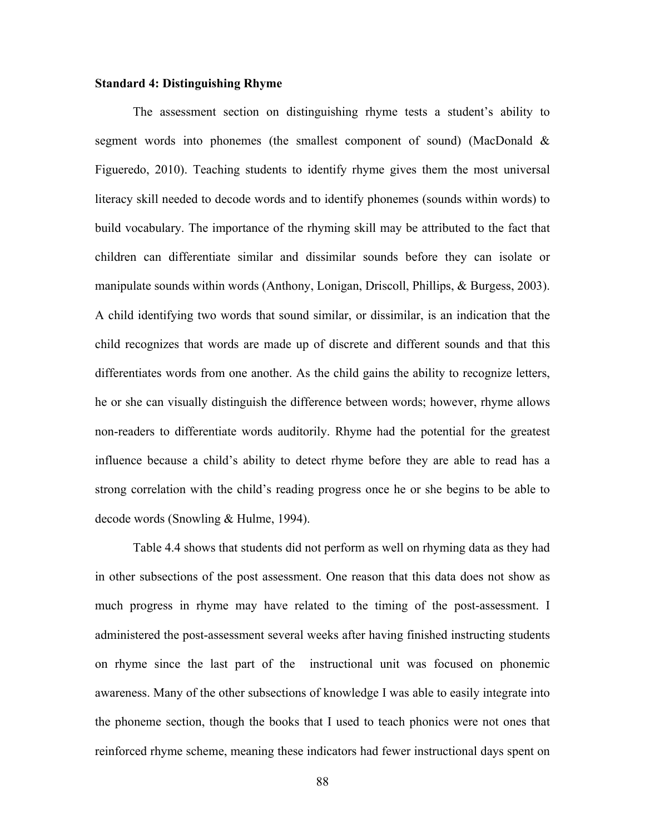### **Standard 4: Distinguishing Rhyme**

The assessment section on distinguishing rhyme tests a student's ability to segment words into phonemes (the smallest component of sound) (MacDonald & Figueredo, 2010). Teaching students to identify rhyme gives them the most universal literacy skill needed to decode words and to identify phonemes (sounds within words) to build vocabulary. The importance of the rhyming skill may be attributed to the fact that children can differentiate similar and dissimilar sounds before they can isolate or manipulate sounds within words (Anthony, Lonigan, Driscoll, Phillips, & Burgess, 2003). A child identifying two words that sound similar, or dissimilar, is an indication that the child recognizes that words are made up of discrete and different sounds and that this differentiates words from one another. As the child gains the ability to recognize letters, he or she can visually distinguish the difference between words; however, rhyme allows non-readers to differentiate words auditorily. Rhyme had the potential for the greatest influence because a child's ability to detect rhyme before they are able to read has a strong correlation with the child's reading progress once he or she begins to be able to decode words (Snowling & Hulme, 1994).

Table 4.4 shows that students did not perform as well on rhyming data as they had in other subsections of the post assessment. One reason that this data does not show as much progress in rhyme may have related to the timing of the post-assessment. I administered the post-assessment several weeks after having finished instructing students on rhyme since the last part of the instructional unit was focused on phonemic awareness. Many of the other subsections of knowledge I was able to easily integrate into the phoneme section, though the books that I used to teach phonics were not ones that reinforced rhyme scheme, meaning these indicators had fewer instructional days spent on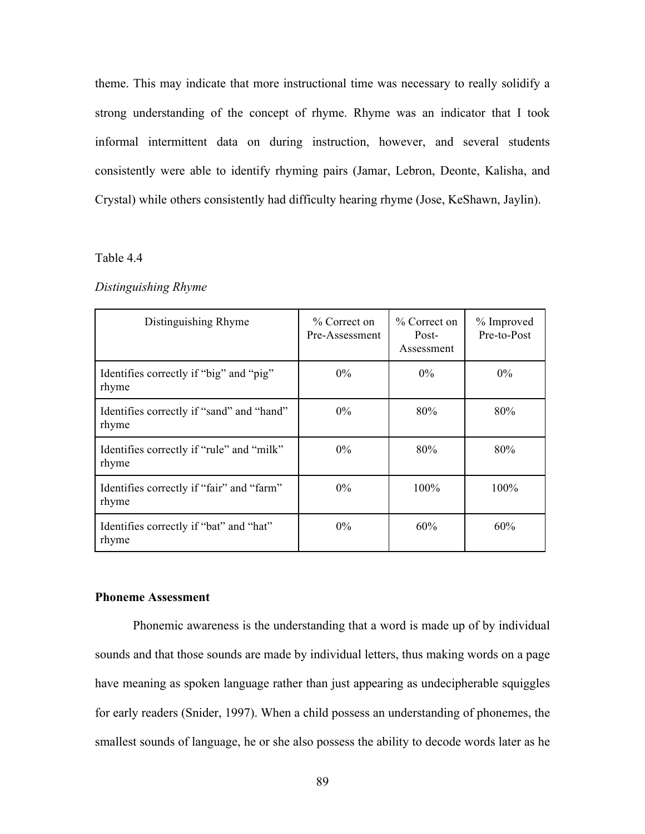theme. This may indicate that more instructional time was necessary to really solidify a strong understanding of the concept of rhyme. Rhyme was an indicator that I took informal intermittent data on during instruction, however, and several students consistently were able to identify rhyming pairs (Jamar, Lebron, Deonte, Kalisha, and Crystal) while others consistently had difficulty hearing rhyme (Jose, KeShawn, Jaylin).

### Table 4.4

#### *Distinguishing Rhyme*

| Distinguishing Rhyme                               | % Correct on<br>Pre-Assessment | % Correct on<br>Post-<br>Assessment | % Improved<br>Pre-to-Post |
|----------------------------------------------------|--------------------------------|-------------------------------------|---------------------------|
| Identifies correctly if "big" and "pig"<br>rhyme   | $0\%$                          | $0\%$                               | $0\%$                     |
| Identifies correctly if "sand" and "hand"<br>rhyme | $0\%$                          | 80%                                 | 80%                       |
| Identifies correctly if "rule" and "milk"<br>rhyme | $0\%$                          | 80%                                 | 80%                       |
| Identifies correctly if "fair" and "farm"<br>rhyme | $0\%$                          | 100%                                | 100%                      |
| Identifies correctly if "bat" and "hat"<br>rhyme   | $0\%$                          | 60%                                 | 60%                       |

# **Phoneme Assessment**

Phonemic awareness is the understanding that a word is made up of by individual sounds and that those sounds are made by individual letters, thus making words on a page have meaning as spoken language rather than just appearing as undecipherable squiggles for early readers (Snider, 1997). When a child possess an understanding of phonemes, the smallest sounds of language, he or she also possess the ability to decode words later as he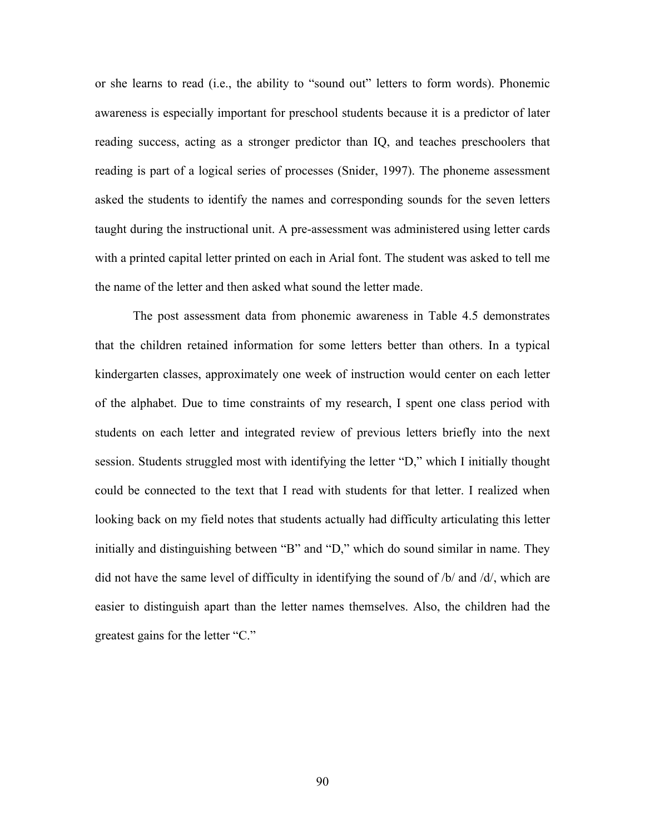or she learns to read (i.e., the ability to "sound out" letters to form words). Phonemic awareness is especially important for preschool students because it is a predictor of later reading success, acting as a stronger predictor than IQ, and teaches preschoolers that reading is part of a logical series of processes (Snider, 1997). The phoneme assessment asked the students to identify the names and corresponding sounds for the seven letters taught during the instructional unit. A pre-assessment was administered using letter cards with a printed capital letter printed on each in Arial font. The student was asked to tell me the name of the letter and then asked what sound the letter made.

The post assessment data from phonemic awareness in Table 4.5 demonstrates that the children retained information for some letters better than others. In a typical kindergarten classes, approximately one week of instruction would center on each letter of the alphabet. Due to time constraints of my research, I spent one class period with students on each letter and integrated review of previous letters briefly into the next session. Students struggled most with identifying the letter "D," which I initially thought could be connected to the text that I read with students for that letter. I realized when looking back on my field notes that students actually had difficulty articulating this letter initially and distinguishing between "B" and "D," which do sound similar in name. They did not have the same level of difficulty in identifying the sound of /b/ and /d/, which are easier to distinguish apart than the letter names themselves. Also, the children had the greatest gains for the letter "C."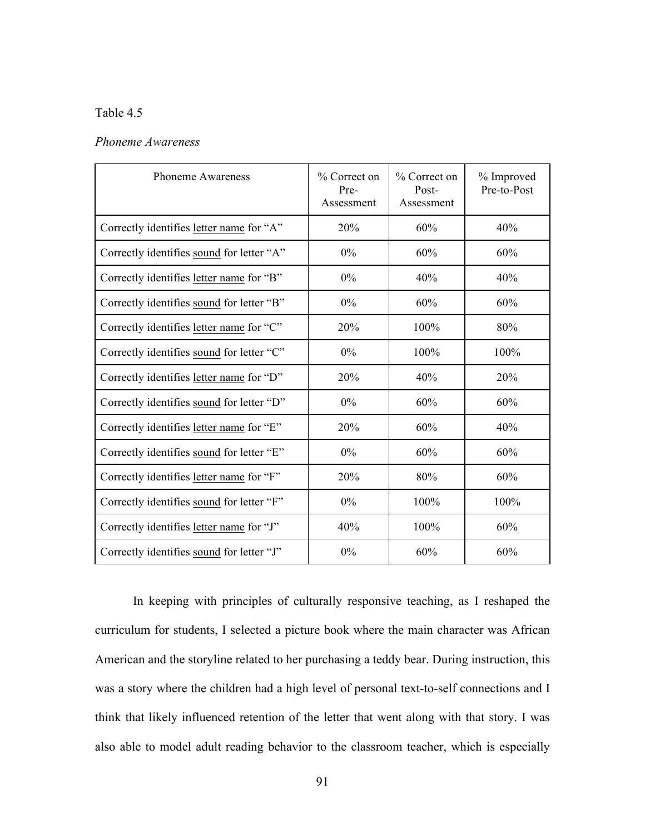# Table 4.5

| <b>Phoneme Awareness</b>                  | % Correct on<br>Pre-<br>Assessment | % Correct on<br>Post-<br>Assessment | % Improved<br>Pre-to-Post |
|-------------------------------------------|------------------------------------|-------------------------------------|---------------------------|
| Correctly identifies letter name for "A"  | 20%                                | 60%                                 | 40%                       |
| Correctly identifies sound for letter "A" | $0\%$                              | 60%                                 | 60%                       |
| Correctly identifies letter name for "B"  | 0%                                 | 40%                                 | 40%                       |
| Correctly identifies sound for letter "B" | 0%                                 | 60%                                 | 60%                       |
| Correctly identifies letter name for "C"  | 20%                                | 100%                                | 80%                       |
| Correctly identifies sound for letter "C" | $0\%$                              | 100%                                | 100%                      |
| Correctly identifies letter name for "D"  | 20%                                | 40%                                 | 20%                       |
| Correctly identifies sound for letter "D" | 0%                                 | 60%                                 | 60%                       |
| Correctly identifies letter name for "E"  | 20%                                | 60%                                 | 40%                       |
| Correctly identifies sound for letter "E" | 0%                                 | 60%                                 | 60%                       |
| Correctly identifies letter name for "F"  | 20%                                | 80%                                 | 60%                       |
| Correctly identifies sound for letter "F" | 0%                                 | 100%                                | 100%                      |
| Correctly identifies letter name for "J"  | 40%                                | 100%                                | 60%                       |
| Correctly identifies sound for letter "J" | 0%                                 | 60%                                 | 60%                       |

In keeping with principles of culturally responsive teaching, as I reshaped the curriculum for students, I selected a picture book where the main character was African American and the storyline related to her purchasing a teddy bear. During instruction, this was a story where the children had a high level of personal text-to-self connections and I think that likely influenced retention of the letter that went along with that story. I was also able to model adult reading behavior to the classroom teacher, which is especially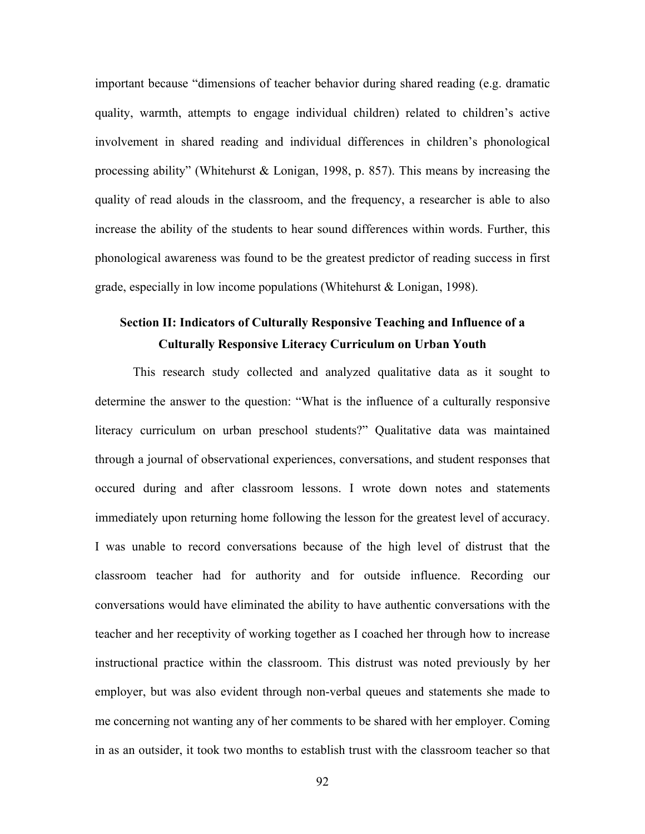important because "dimensions of teacher behavior during shared reading (e.g. dramatic quality, warmth, attempts to engage individual children) related to children's active involvement in shared reading and individual differences in children's phonological processing ability" (Whitehurst & Lonigan, 1998, p. 857). This means by increasing the quality of read alouds in the classroom, and the frequency, a researcher is able to also increase the ability of the students to hear sound differences within words. Further, this phonological awareness was found to be the greatest predictor of reading success in first grade, especially in low income populations (Whitehurst & Lonigan, 1998).

# **Section II: Indicators of Culturally Responsive Teaching and Influence of a Culturally Responsive Literacy Curriculum on Urban Youth**

This research study collected and analyzed qualitative data as it sought to determine the answer to the question: "What is the influence of a culturally responsive literacy curriculum on urban preschool students?" Qualitative data was maintained through a journal of observational experiences, conversations, and student responses that occured during and after classroom lessons. I wrote down notes and statements immediately upon returning home following the lesson for the greatest level of accuracy. I was unable to record conversations because of the high level of distrust that the classroom teacher had for authority and for outside influence. Recording our conversations would have eliminated the ability to have authentic conversations with the teacher and her receptivity of working together as I coached her through how to increase instructional practice within the classroom. This distrust was noted previously by her employer, but was also evident through non-verbal queues and statements she made to me concerning not wanting any of her comments to be shared with her employer. Coming in as an outsider, it took two months to establish trust with the classroom teacher so that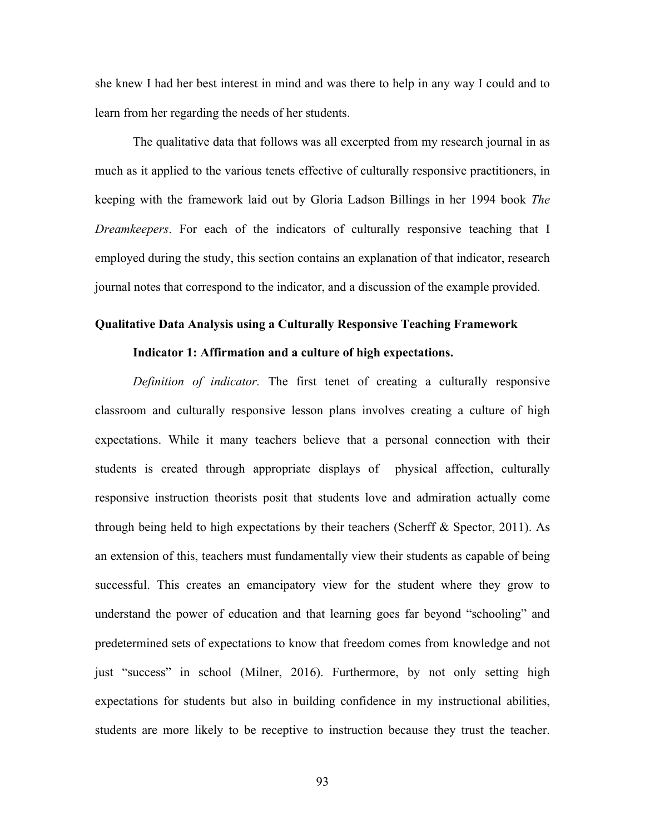she knew I had her best interest in mind and was there to help in any way I could and to learn from her regarding the needs of her students.

The qualitative data that follows was all excerpted from my research journal in as much as it applied to the various tenets effective of culturally responsive practitioners, in keeping with the framework laid out by Gloria Ladson Billings in her 1994 book *The Dreamkeepers*. For each of the indicators of culturally responsive teaching that I employed during the study, this section contains an explanation of that indicator, research journal notes that correspond to the indicator, and a discussion of the example provided.

# **Qualitative Data Analysis using a Culturally Responsive Teaching Framework**

### **Indicator 1: Affirmation and a culture of high expectations.**

*Definition of indicator.* The first tenet of creating a culturally responsive classroom and culturally responsive lesson plans involves creating a culture of high expectations. While it many teachers believe that a personal connection with their students is created through appropriate displays of physical affection, culturally responsive instruction theorists posit that students love and admiration actually come through being held to high expectations by their teachers (Scherff  $\&$  Spector, 2011). As an extension of this, teachers must fundamentally view their students as capable of being successful. This creates an emancipatory view for the student where they grow to understand the power of education and that learning goes far beyond "schooling" and predetermined sets of expectations to know that freedom comes from knowledge and not just "success" in school (Milner, 2016). Furthermore, by not only setting high expectations for students but also in building confidence in my instructional abilities, students are more likely to be receptive to instruction because they trust the teacher.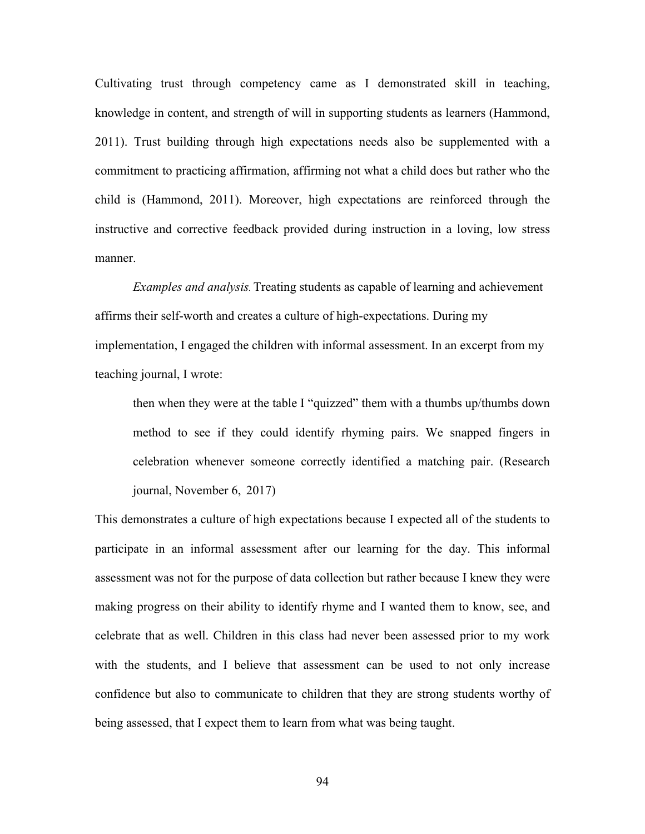Cultivating trust through competency came as I demonstrated skill in teaching, knowledge in content, and strength of will in supporting students as learners (Hammond, 2011). Trust building through high expectations needs also be supplemented with a commitment to practicing affirmation, affirming not what a child does but rather who the child is (Hammond, 2011). Moreover, high expectations are reinforced through the instructive and corrective feedback provided during instruction in a loving, low stress manner.

*Examples and analysis.* Treating students as capable of learning and achievement affirms their self-worth and creates a culture of high-expectations. During my implementation, I engaged the children with informal assessment. In an excerpt from my teaching journal, I wrote:

then when they were at the table I "quizzed" them with a thumbs up/thumbs down method to see if they could identify rhyming pairs. We snapped fingers in celebration whenever someone correctly identified a matching pair. (Research journal, November 6, 2017)

This demonstrates a culture of high expectations because I expected all of the students to participate in an informal assessment after our learning for the day. This informal assessment was not for the purpose of data collection but rather because I knew they were making progress on their ability to identify rhyme and I wanted them to know, see, and celebrate that as well. Children in this class had never been assessed prior to my work with the students, and I believe that assessment can be used to not only increase confidence but also to communicate to children that they are strong students worthy of being assessed, that I expect them to learn from what was being taught.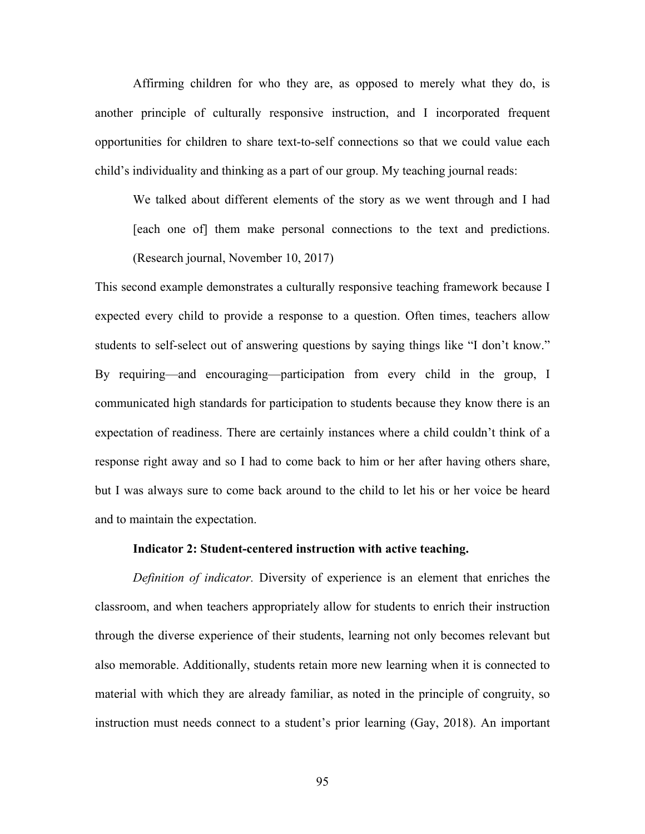Affirming children for who they are, as opposed to merely what they do, is another principle of culturally responsive instruction, and I incorporated frequent opportunities for children to share text-to-self connections so that we could value each child's individuality and thinking as a part of our group. My teaching journal reads:

We talked about different elements of the story as we went through and I had [each one of] them make personal connections to the text and predictions. (Research journal, November 10, 2017)

This second example demonstrates a culturally responsive teaching framework because I expected every child to provide a response to a question. Often times, teachers allow students to self-select out of answering questions by saying things like "I don't know." By requiring—and encouraging—participation from every child in the group, I communicated high standards for participation to students because they know there is an expectation of readiness. There are certainly instances where a child couldn't think of a response right away and so I had to come back to him or her after having others share, but I was always sure to come back around to the child to let his or her voice be heard and to maintain the expectation.

### **Indicator 2: Student-centered instruction with active teaching.**

*Definition of indicator.* Diversity of experience is an element that enriches the classroom, and when teachers appropriately allow for students to enrich their instruction through the diverse experience of their students, learning not only becomes relevant but also memorable. Additionally, students retain more new learning when it is connected to material with which they are already familiar, as noted in the principle of congruity, so instruction must needs connect to a student's prior learning (Gay, 2018). An important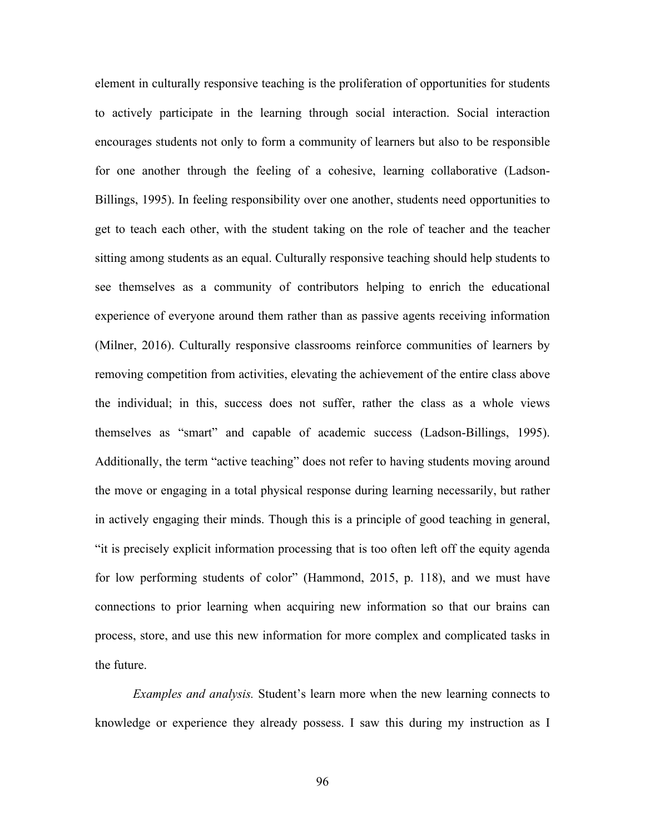element in culturally responsive teaching is the proliferation of opportunities for students to actively participate in the learning through social interaction. Social interaction encourages students not only to form a community of learners but also to be responsible for one another through the feeling of a cohesive, learning collaborative (Ladson-Billings, 1995). In feeling responsibility over one another, students need opportunities to get to teach each other, with the student taking on the role of teacher and the teacher sitting among students as an equal. Culturally responsive teaching should help students to see themselves as a community of contributors helping to enrich the educational experience of everyone around them rather than as passive agents receiving information (Milner, 2016). Culturally responsive classrooms reinforce communities of learners by removing competition from activities, elevating the achievement of the entire class above the individual; in this, success does not suffer, rather the class as a whole views themselves as "smart" and capable of academic success (Ladson-Billings, 1995). Additionally, the term "active teaching" does not refer to having students moving around the move or engaging in a total physical response during learning necessarily, but rather in actively engaging their minds. Though this is a principle of good teaching in general, "it is precisely explicit information processing that is too often left off the equity agenda for low performing students of color" (Hammond, 2015, p. 118), and we must have connections to prior learning when acquiring new information so that our brains can process, store, and use this new information for more complex and complicated tasks in the future.

*Examples and analysis.* Student's learn more when the new learning connects to knowledge or experience they already possess. I saw this during my instruction as I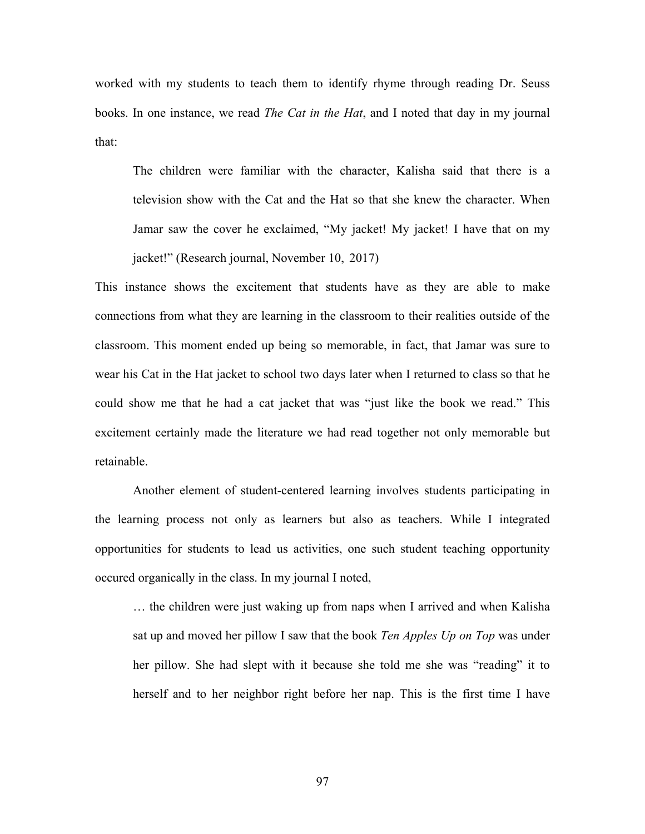worked with my students to teach them to identify rhyme through reading Dr. Seuss books. In one instance, we read *The Cat in the Hat*, and I noted that day in my journal that:

The children were familiar with the character, Kalisha said that there is a television show with the Cat and the Hat so that she knew the character. When Jamar saw the cover he exclaimed, "My jacket! My jacket! I have that on my jacket!" (Research journal, November 10, 2017)

This instance shows the excitement that students have as they are able to make connections from what they are learning in the classroom to their realities outside of the classroom. This moment ended up being so memorable, in fact, that Jamar was sure to wear his Cat in the Hat jacket to school two days later when I returned to class so that he could show me that he had a cat jacket that was "just like the book we read." This excitement certainly made the literature we had read together not only memorable but retainable.

Another element of student-centered learning involves students participating in the learning process not only as learners but also as teachers. While I integrated opportunities for students to lead us activities, one such student teaching opportunity occured organically in the class. In my journal I noted,

… the children were just waking up from naps when I arrived and when Kalisha sat up and moved her pillow I saw that the book *Ten Apples Up on Top* was under her pillow. She had slept with it because she told me she was "reading" it to herself and to her neighbor right before her nap. This is the first time I have

97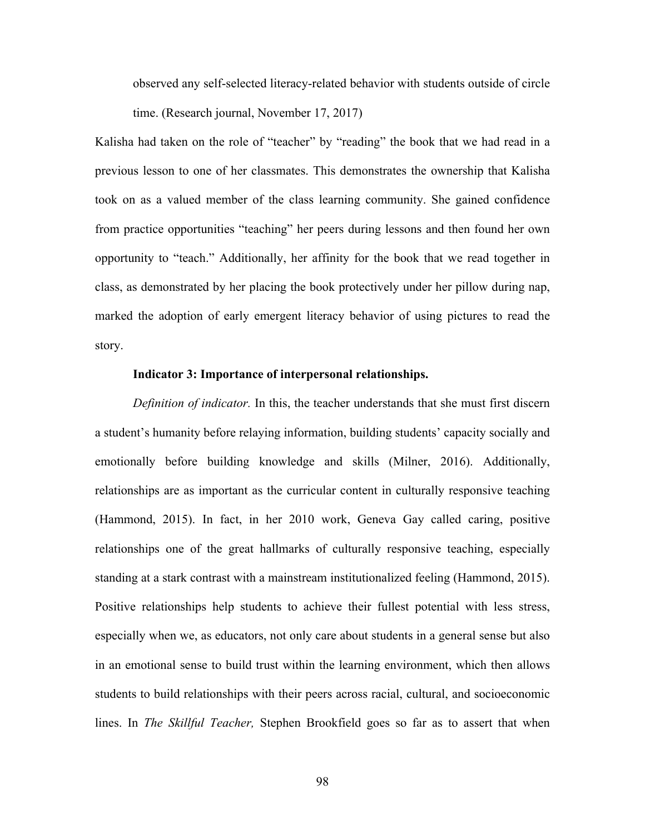observed any self-selected literacy-related behavior with students outside of circle time. (Research journal, November 17, 2017)

Kalisha had taken on the role of "teacher" by "reading" the book that we had read in a previous lesson to one of her classmates. This demonstrates the ownership that Kalisha took on as a valued member of the class learning community. She gained confidence from practice opportunities "teaching" her peers during lessons and then found her own opportunity to "teach." Additionally, her affinity for the book that we read together in class, as demonstrated by her placing the book protectively under her pillow during nap, marked the adoption of early emergent literacy behavior of using pictures to read the story.

## **Indicator 3: Importance of interpersonal relationships.**

*Definition of indicator.* In this, the teacher understands that she must first discern a student's humanity before relaying information, building students' capacity socially and emotionally before building knowledge and skills (Milner, 2016). Additionally, relationships are as important as the curricular content in culturally responsive teaching (Hammond, 2015). In fact, in her 2010 work, Geneva Gay called caring, positive relationships one of the great hallmarks of culturally responsive teaching, especially standing at a stark contrast with a mainstream institutionalized feeling (Hammond, 2015). Positive relationships help students to achieve their fullest potential with less stress, especially when we, as educators, not only care about students in a general sense but also in an emotional sense to build trust within the learning environment, which then allows students to build relationships with their peers across racial, cultural, and socioeconomic lines. In *The Skillful Teacher,* Stephen Brookfield goes so far as to assert that when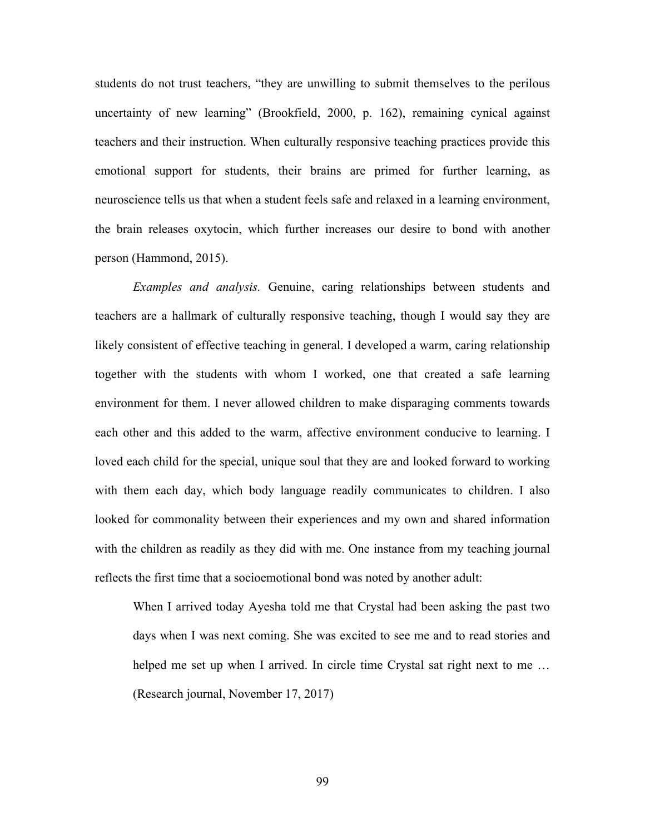students do not trust teachers, "they are unwilling to submit themselves to the perilous uncertainty of new learning" (Brookfield, 2000, p. 162), remaining cynical against teachers and their instruction. When culturally responsive teaching practices provide this emotional support for students, their brains are primed for further learning, as neuroscience tells us that when a student feels safe and relaxed in a learning environment, the brain releases oxytocin, which further increases our desire to bond with another person (Hammond, 2015).

*Examples and analysis.* Genuine, caring relationships between students and teachers are a hallmark of culturally responsive teaching, though I would say they are likely consistent of effective teaching in general. I developed a warm, caring relationship together with the students with whom I worked, one that created a safe learning environment for them. I never allowed children to make disparaging comments towards each other and this added to the warm, affective environment conducive to learning. I loved each child for the special, unique soul that they are and looked forward to working with them each day, which body language readily communicates to children. I also looked for commonality between their experiences and my own and shared information with the children as readily as they did with me. One instance from my teaching journal reflects the first time that a socioemotional bond was noted by another adult:

When I arrived today Ayesha told me that Crystal had been asking the past two days when I was next coming. She was excited to see me and to read stories and helped me set up when I arrived. In circle time Crystal sat right next to me ... (Research journal, November 17, 2017)

99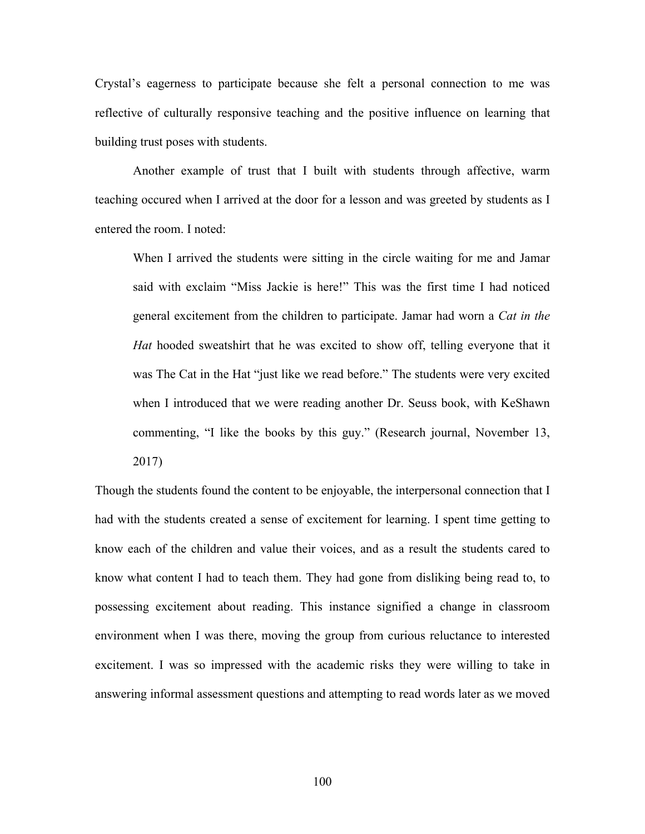Crystal's eagerness to participate because she felt a personal connection to me was reflective of culturally responsive teaching and the positive influence on learning that building trust poses with students.

Another example of trust that I built with students through affective, warm teaching occured when I arrived at the door for a lesson and was greeted by students as I entered the room. I noted:

When I arrived the students were sitting in the circle waiting for me and Jamar said with exclaim "Miss Jackie is here!" This was the first time I had noticed general excitement from the children to participate. Jamar had worn a *Cat in the Hat* hooded sweatshirt that he was excited to show off, telling everyone that it was The Cat in the Hat "just like we read before." The students were very excited when I introduced that we were reading another Dr. Seuss book, with KeShawn commenting, "I like the books by this guy." (Research journal, November 13, 2017)

Though the students found the content to be enjoyable, the interpersonal connection that I had with the students created a sense of excitement for learning. I spent time getting to know each of the children and value their voices, and as a result the students cared to know what content I had to teach them. They had gone from disliking being read to, to possessing excitement about reading. This instance signified a change in classroom environment when I was there, moving the group from curious reluctance to interested excitement. I was so impressed with the academic risks they were willing to take in answering informal assessment questions and attempting to read words later as we moved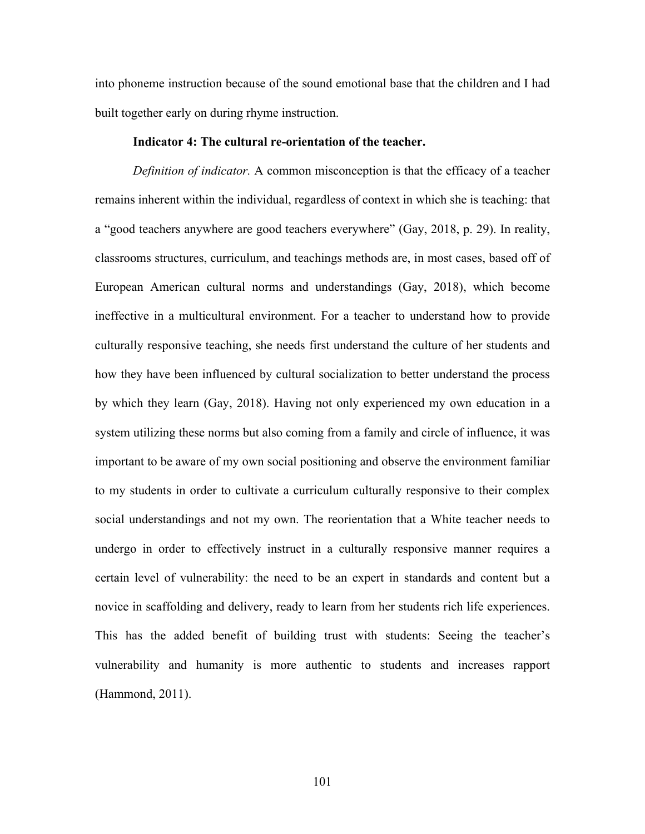into phoneme instruction because of the sound emotional base that the children and I had built together early on during rhyme instruction.

#### **Indicator 4: The cultural re-orientation of the teacher.**

*Definition of indicator.* A common misconception is that the efficacy of a teacher remains inherent within the individual, regardless of context in which she is teaching: that a "good teachers anywhere are good teachers everywhere" (Gay, 2018, p. 29). In reality, classrooms structures, curriculum, and teachings methods are, in most cases, based off of European American cultural norms and understandings (Gay, 2018), which become ineffective in a multicultural environment. For a teacher to understand how to provide culturally responsive teaching, she needs first understand the culture of her students and how they have been influenced by cultural socialization to better understand the process by which they learn (Gay, 2018). Having not only experienced my own education in a system utilizing these norms but also coming from a family and circle of influence, it was important to be aware of my own social positioning and observe the environment familiar to my students in order to cultivate a curriculum culturally responsive to their complex social understandings and not my own. The reorientation that a White teacher needs to undergo in order to effectively instruct in a culturally responsive manner requires a certain level of vulnerability: the need to be an expert in standards and content but a novice in scaffolding and delivery, ready to learn from her students rich life experiences. This has the added benefit of building trust with students: Seeing the teacher's vulnerability and humanity is more authentic to students and increases rapport (Hammond, 2011).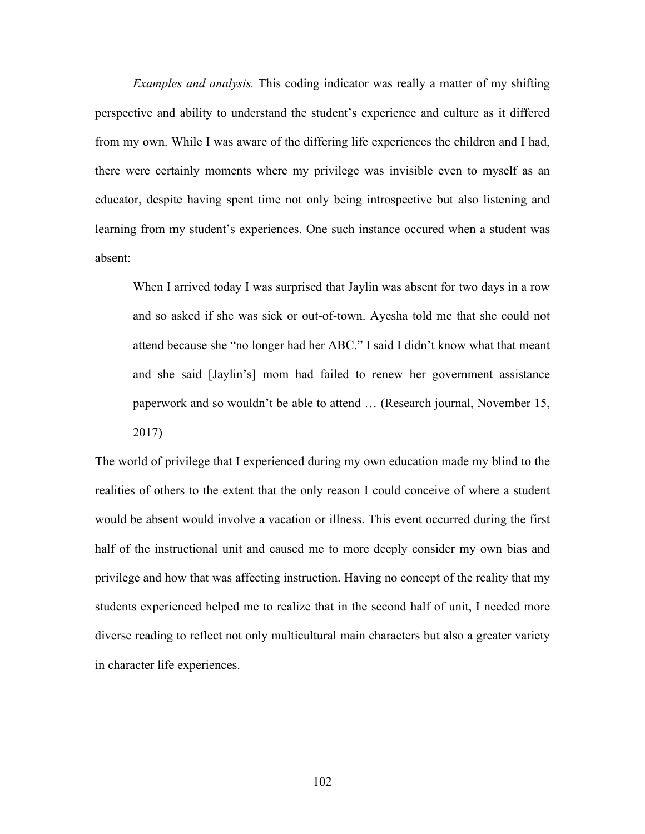*Examples and analysis.* This coding indicator was really a matter of my shifting perspective and ability to understand the student's experience and culture as it differed from my own. While I was aware of the differing life experiences the children and I had, there were certainly moments where my privilege was invisible even to myself as an educator, despite having spent time not only being introspective but also listening and learning from my student's experiences. One such instance occured when a student was absent:

When I arrived today I was surprised that Jaylin was absent for two days in a row and so asked if she was sick or out-of-town. Ayesha told me that she could not attend because she "no longer had her ABC." I said I didn't know what that meant and she said [Jaylin's] mom had failed to renew her government assistance paperwork and so wouldn't be able to attend … (Research journal, November 15, 2017)

The world of privilege that I experienced during my own education made my blind to the realities of others to the extent that the only reason I could conceive of where a student would be absent would involve a vacation or illness. This event occurred during the first half of the instructional unit and caused me to more deeply consider my own bias and privilege and how that was affecting instruction. Having no concept of the reality that my students experienced helped me to realize that in the second half of unit, I needed more diverse reading to reflect not only multicultural main characters but also a greater variety in character life experiences.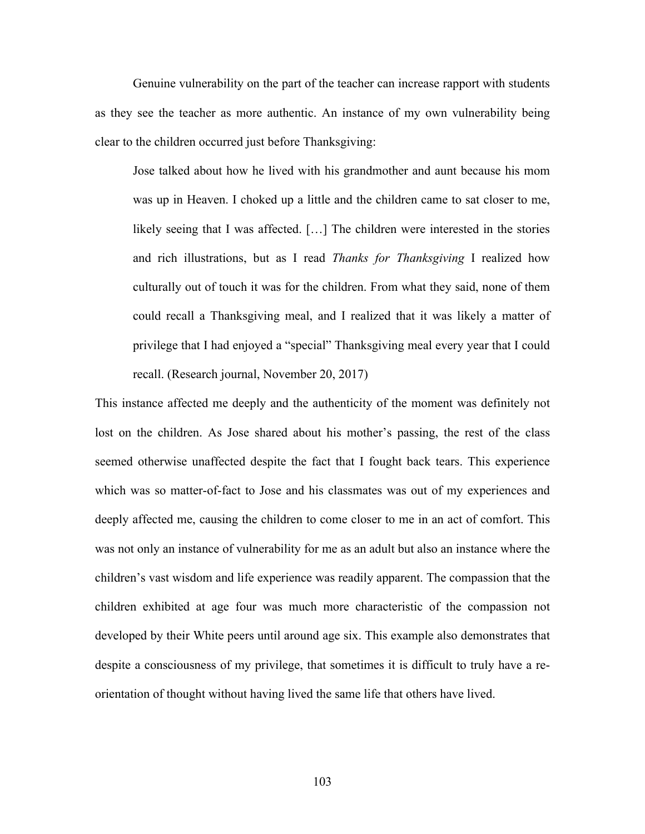Genuine vulnerability on the part of the teacher can increase rapport with students as they see the teacher as more authentic. An instance of my own vulnerability being clear to the children occurred just before Thanksgiving:

Jose talked about how he lived with his grandmother and aunt because his mom was up in Heaven. I choked up a little and the children came to sat closer to me, likely seeing that I was affected. […] The children were interested in the stories and rich illustrations, but as I read *Thanks for Thanksgiving* I realized how culturally out of touch it was for the children. From what they said, none of them could recall a Thanksgiving meal, and I realized that it was likely a matter of privilege that I had enjoyed a "special" Thanksgiving meal every year that I could recall. (Research journal, November 20, 2017)

This instance affected me deeply and the authenticity of the moment was definitely not lost on the children. As Jose shared about his mother's passing, the rest of the class seemed otherwise unaffected despite the fact that I fought back tears. This experience which was so matter-of-fact to Jose and his classmates was out of my experiences and deeply affected me, causing the children to come closer to me in an act of comfort. This was not only an instance of vulnerability for me as an adult but also an instance where the children's vast wisdom and life experience was readily apparent. The compassion that the children exhibited at age four was much more characteristic of the compassion not developed by their White peers until around age six. This example also demonstrates that despite a consciousness of my privilege, that sometimes it is difficult to truly have a reorientation of thought without having lived the same life that others have lived.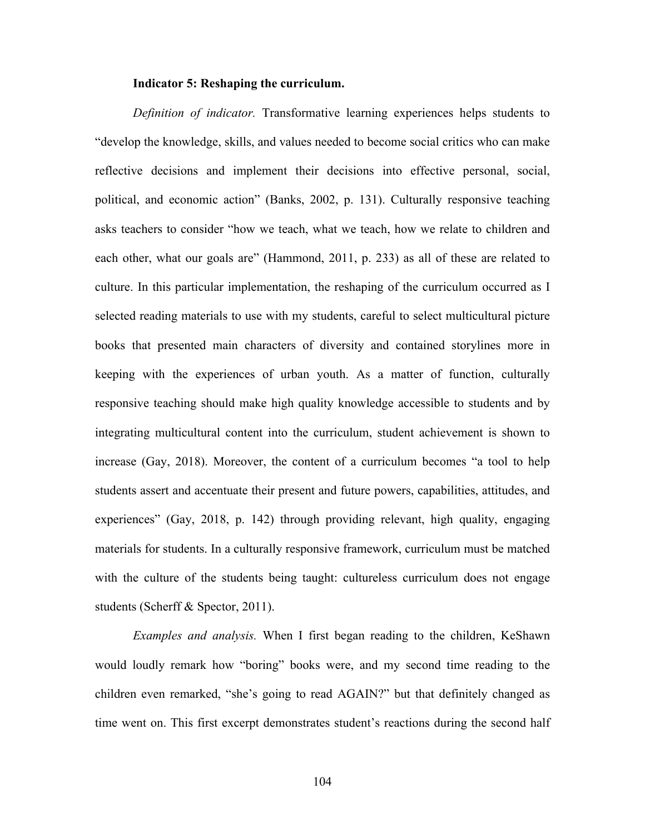#### **Indicator 5: Reshaping the curriculum.**

*Definition of indicator.* Transformative learning experiences helps students to "develop the knowledge, skills, and values needed to become social critics who can make reflective decisions and implement their decisions into effective personal, social, political, and economic action" (Banks, 2002, p. 131). Culturally responsive teaching asks teachers to consider "how we teach, what we teach, how we relate to children and each other, what our goals are" (Hammond, 2011, p. 233) as all of these are related to culture. In this particular implementation, the reshaping of the curriculum occurred as I selected reading materials to use with my students, careful to select multicultural picture books that presented main characters of diversity and contained storylines more in keeping with the experiences of urban youth. As a matter of function, culturally responsive teaching should make high quality knowledge accessible to students and by integrating multicultural content into the curriculum, student achievement is shown to increase (Gay, 2018). Moreover, the content of a curriculum becomes "a tool to help students assert and accentuate their present and future powers, capabilities, attitudes, and experiences" (Gay, 2018, p. 142) through providing relevant, high quality, engaging materials for students. In a culturally responsive framework, curriculum must be matched with the culture of the students being taught: cultureless curriculum does not engage students (Scherff & Spector, 2011).

*Examples and analysis.* When I first began reading to the children, KeShawn would loudly remark how "boring" books were, and my second time reading to the children even remarked, "she's going to read AGAIN?" but that definitely changed as time went on. This first excerpt demonstrates student's reactions during the second half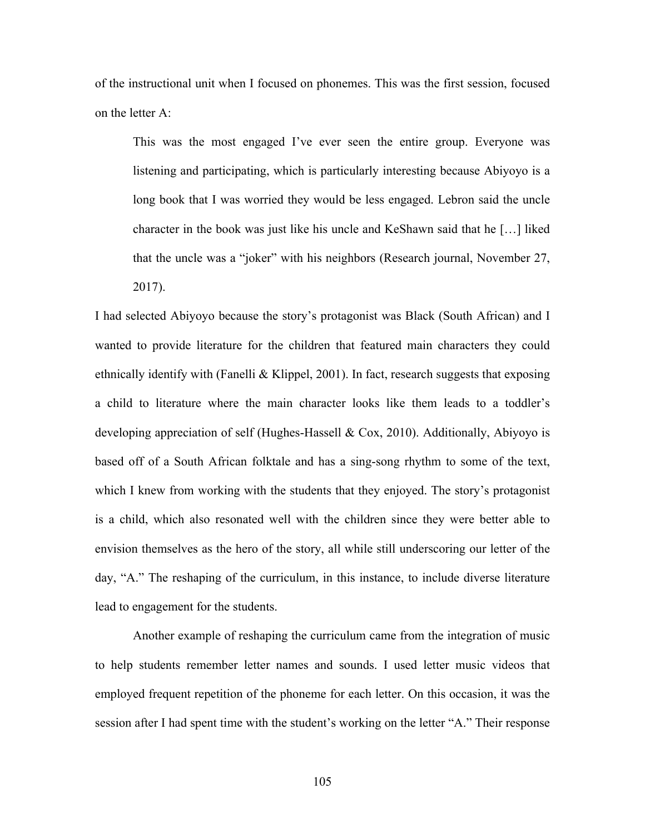of the instructional unit when I focused on phonemes. This was the first session, focused on the letter A:

This was the most engaged I've ever seen the entire group. Everyone was listening and participating, which is particularly interesting because Abiyoyo is a long book that I was worried they would be less engaged. Lebron said the uncle character in the book was just like his uncle and KeShawn said that he […] liked that the uncle was a "joker" with his neighbors (Research journal, November 27, 2017).

I had selected Abiyoyo because the story's protagonist was Black (South African) and I wanted to provide literature for the children that featured main characters they could ethnically identify with (Fanelli & Klippel, 2001). In fact, research suggests that exposing a child to literature where the main character looks like them leads to a toddler's developing appreciation of self (Hughes-Hassell & Cox, 2010). Additionally, Abiyoyo is based off of a South African folktale and has a sing-song rhythm to some of the text, which I knew from working with the students that they enjoyed. The story's protagonist is a child, which also resonated well with the children since they were better able to envision themselves as the hero of the story, all while still underscoring our letter of the day, "A." The reshaping of the curriculum, in this instance, to include diverse literature lead to engagement for the students.

Another example of reshaping the curriculum came from the integration of music to help students remember letter names and sounds. I used letter music videos that employed frequent repetition of the phoneme for each letter. On this occasion, it was the session after I had spent time with the student's working on the letter "A." Their response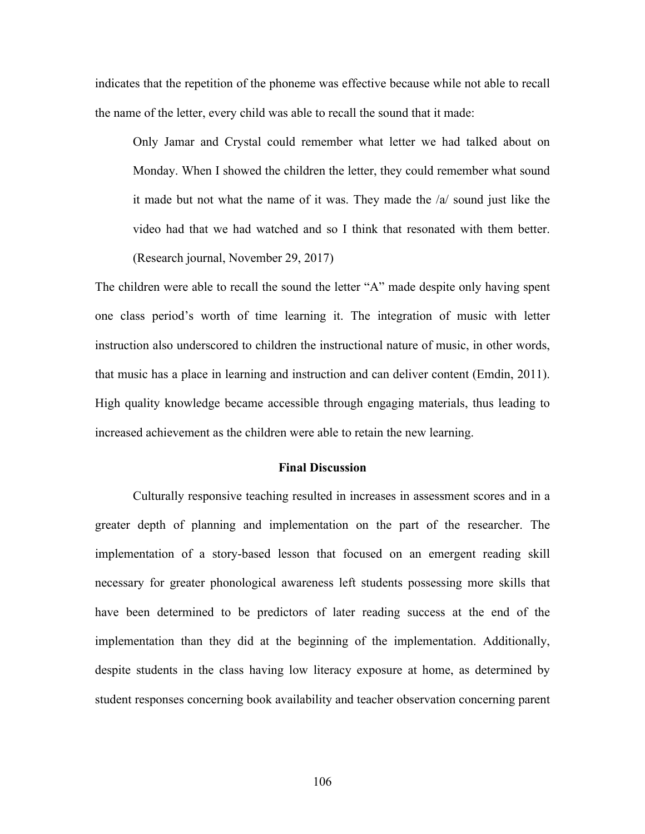indicates that the repetition of the phoneme was effective because while not able to recall the name of the letter, every child was able to recall the sound that it made:

Only Jamar and Crystal could remember what letter we had talked about on Monday. When I showed the children the letter, they could remember what sound it made but not what the name of it was. They made the /a/ sound just like the video had that we had watched and so I think that resonated with them better. (Research journal, November 29, 2017)

The children were able to recall the sound the letter "A" made despite only having spent one class period's worth of time learning it. The integration of music with letter instruction also underscored to children the instructional nature of music, in other words, that music has a place in learning and instruction and can deliver content (Emdin, 2011). High quality knowledge became accessible through engaging materials, thus leading to increased achievement as the children were able to retain the new learning.

#### **Final Discussion**

Culturally responsive teaching resulted in increases in assessment scores and in a greater depth of planning and implementation on the part of the researcher. The implementation of a story-based lesson that focused on an emergent reading skill necessary for greater phonological awareness left students possessing more skills that have been determined to be predictors of later reading success at the end of the implementation than they did at the beginning of the implementation. Additionally, despite students in the class having low literacy exposure at home, as determined by student responses concerning book availability and teacher observation concerning parent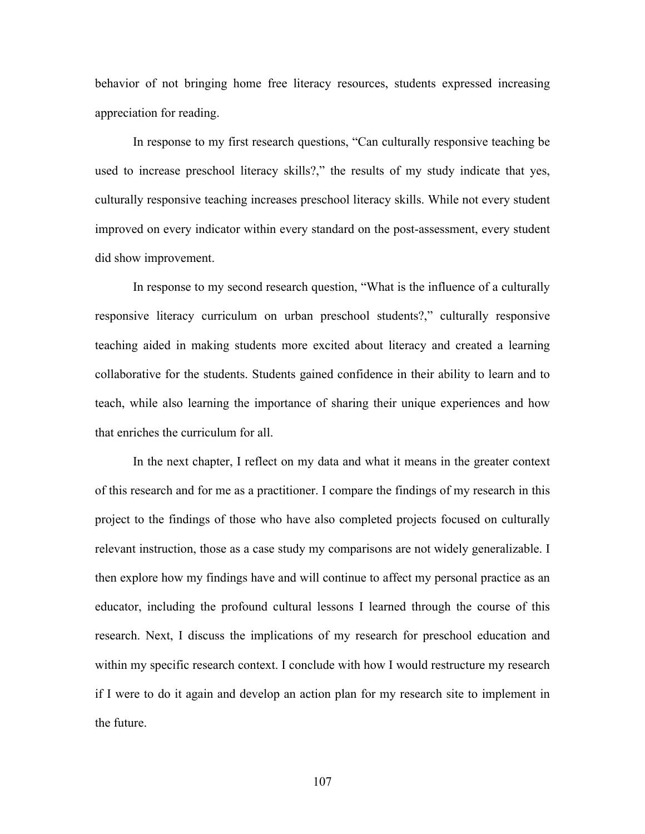behavior of not bringing home free literacy resources, students expressed increasing appreciation for reading.

In response to my first research questions, "Can culturally responsive teaching be used to increase preschool literacy skills?," the results of my study indicate that yes, culturally responsive teaching increases preschool literacy skills. While not every student improved on every indicator within every standard on the post-assessment, every student did show improvement.

In response to my second research question, "What is the influence of a culturally responsive literacy curriculum on urban preschool students?," culturally responsive teaching aided in making students more excited about literacy and created a learning collaborative for the students. Students gained confidence in their ability to learn and to teach, while also learning the importance of sharing their unique experiences and how that enriches the curriculum for all.

In the next chapter, I reflect on my data and what it means in the greater context of this research and for me as a practitioner. I compare the findings of my research in this project to the findings of those who have also completed projects focused on culturally relevant instruction, those as a case study my comparisons are not widely generalizable. I then explore how my findings have and will continue to affect my personal practice as an educator, including the profound cultural lessons I learned through the course of this research. Next, I discuss the implications of my research for preschool education and within my specific research context. I conclude with how I would restructure my research if I were to do it again and develop an action plan for my research site to implement in the future.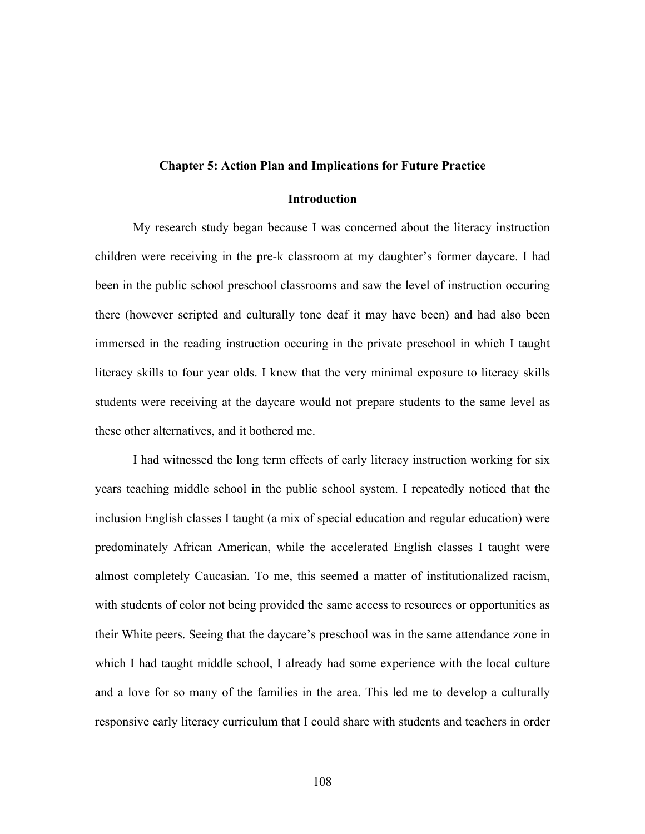#### **Chapter 5: Action Plan and Implications for Future Practice**

# **Introduction**

My research study began because I was concerned about the literacy instruction children were receiving in the pre-k classroom at my daughter's former daycare. I had been in the public school preschool classrooms and saw the level of instruction occuring there (however scripted and culturally tone deaf it may have been) and had also been immersed in the reading instruction occuring in the private preschool in which I taught literacy skills to four year olds. I knew that the very minimal exposure to literacy skills students were receiving at the daycare would not prepare students to the same level as these other alternatives, and it bothered me.

I had witnessed the long term effects of early literacy instruction working for six years teaching middle school in the public school system. I repeatedly noticed that the inclusion English classes I taught (a mix of special education and regular education) were predominately African American, while the accelerated English classes I taught were almost completely Caucasian. To me, this seemed a matter of institutionalized racism, with students of color not being provided the same access to resources or opportunities as their White peers. Seeing that the daycare's preschool was in the same attendance zone in which I had taught middle school, I already had some experience with the local culture and a love for so many of the families in the area. This led me to develop a culturally responsive early literacy curriculum that I could share with students and teachers in order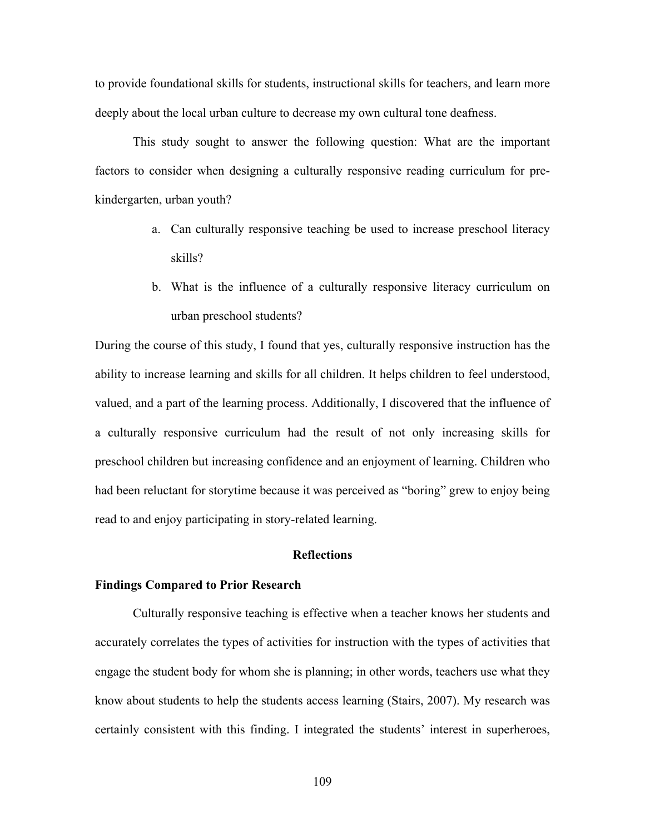to provide foundational skills for students, instructional skills for teachers, and learn more deeply about the local urban culture to decrease my own cultural tone deafness.

This study sought to answer the following question: What are the important factors to consider when designing a culturally responsive reading curriculum for prekindergarten, urban youth?

- a. Can culturally responsive teaching be used to increase preschool literacy skills?
- b. What is the influence of a culturally responsive literacy curriculum on urban preschool students?

During the course of this study, I found that yes, culturally responsive instruction has the ability to increase learning and skills for all children. It helps children to feel understood, valued, and a part of the learning process. Additionally, I discovered that the influence of a culturally responsive curriculum had the result of not only increasing skills for preschool children but increasing confidence and an enjoyment of learning. Children who had been reluctant for storytime because it was perceived as "boring" grew to enjoy being read to and enjoy participating in story-related learning.

# **Reflections**

# **Findings Compared to Prior Research**

Culturally responsive teaching is effective when a teacher knows her students and accurately correlates the types of activities for instruction with the types of activities that engage the student body for whom she is planning; in other words, teachers use what they know about students to help the students access learning (Stairs, 2007). My research was certainly consistent with this finding. I integrated the students' interest in superheroes,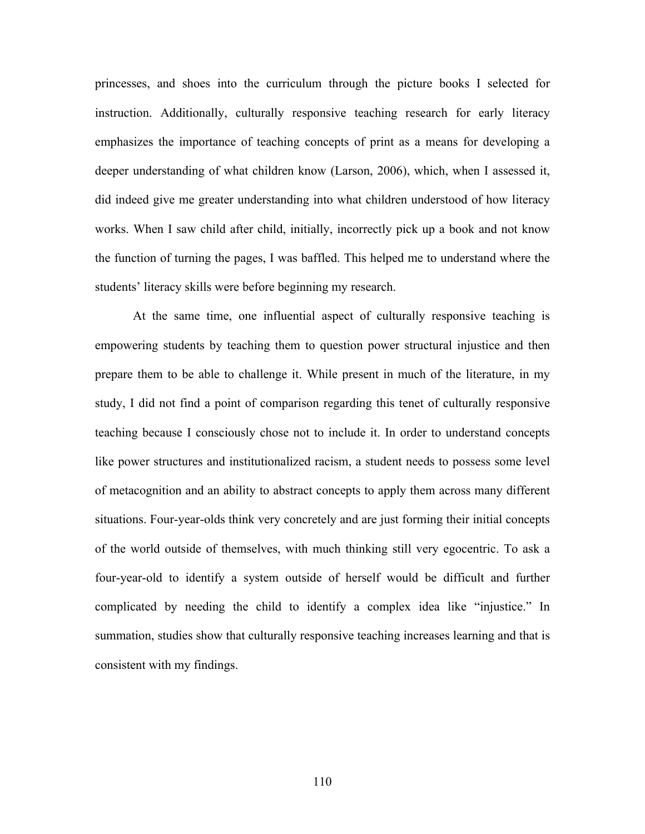princesses, and shoes into the curriculum through the picture books I selected for instruction. Additionally, culturally responsive teaching research for early literacy emphasizes the importance of teaching concepts of print as a means for developing a deeper understanding of what children know (Larson, 2006), which, when I assessed it, did indeed give me greater understanding into what children understood of how literacy works. When I saw child after child, initially, incorrectly pick up a book and not know the function of turning the pages, I was baffled. This helped me to understand where the students' literacy skills were before beginning my research.

At the same time, one influential aspect of culturally responsive teaching is empowering students by teaching them to question power structural injustice and then prepare them to be able to challenge it. While present in much of the literature, in my study, I did not find a point of comparison regarding this tenet of culturally responsive teaching because I consciously chose not to include it. In order to understand concepts like power structures and institutionalized racism, a student needs to possess some level of metacognition and an ability to abstract concepts to apply them across many different situations. Four-year-olds think very concretely and are just forming their initial concepts of the world outside of themselves, with much thinking still very egocentric. To ask a four-year-old to identify a system outside of herself would be difficult and further complicated by needing the child to identify a complex idea like "injustice." In summation, studies show that culturally responsive teaching increases learning and that is consistent with my findings.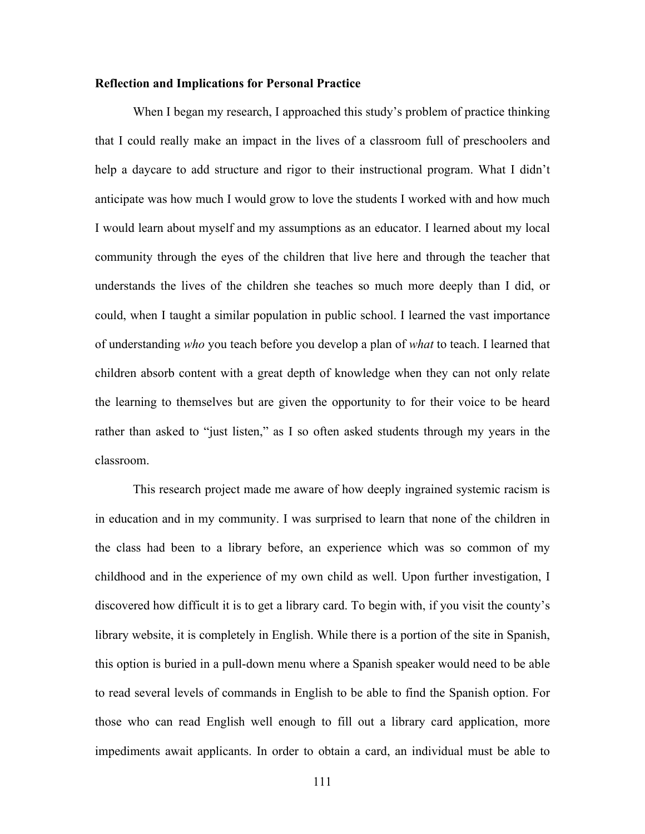# **Reflection and Implications for Personal Practice**

When I began my research, I approached this study's problem of practice thinking that I could really make an impact in the lives of a classroom full of preschoolers and help a daycare to add structure and rigor to their instructional program. What I didn't anticipate was how much I would grow to love the students I worked with and how much I would learn about myself and my assumptions as an educator. I learned about my local community through the eyes of the children that live here and through the teacher that understands the lives of the children she teaches so much more deeply than I did, or could, when I taught a similar population in public school. I learned the vast importance of understanding *who* you teach before you develop a plan of *what* to teach. I learned that children absorb content with a great depth of knowledge when they can not only relate the learning to themselves but are given the opportunity to for their voice to be heard rather than asked to "just listen," as I so often asked students through my years in the classroom.

This research project made me aware of how deeply ingrained systemic racism is in education and in my community. I was surprised to learn that none of the children in the class had been to a library before, an experience which was so common of my childhood and in the experience of my own child as well. Upon further investigation, I discovered how difficult it is to get a library card. To begin with, if you visit the county's library website, it is completely in English. While there is a portion of the site in Spanish, this option is buried in a pull-down menu where a Spanish speaker would need to be able to read several levels of commands in English to be able to find the Spanish option. For those who can read English well enough to fill out a library card application, more impediments await applicants. In order to obtain a card, an individual must be able to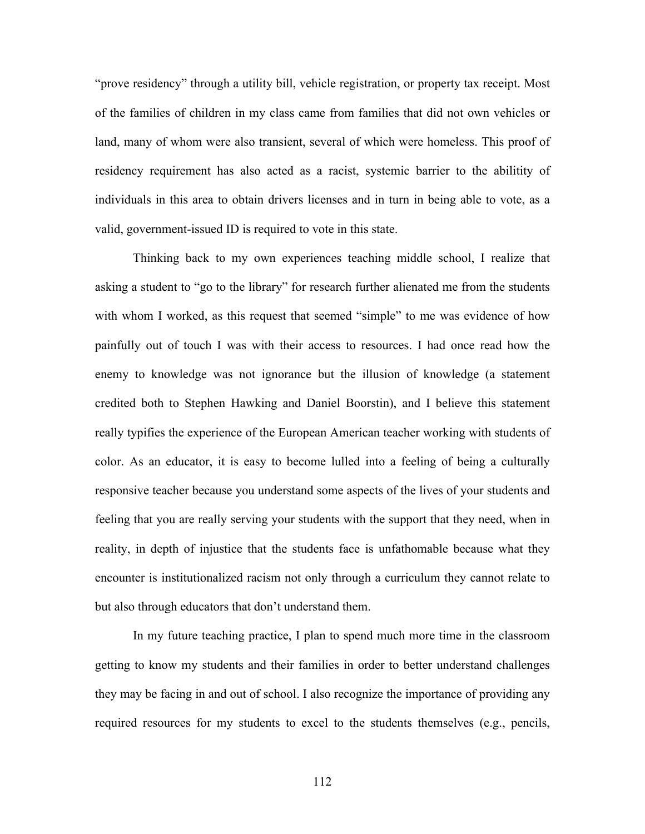"prove residency" through a utility bill, vehicle registration, or property tax receipt. Most of the families of children in my class came from families that did not own vehicles or land, many of whom were also transient, several of which were homeless. This proof of residency requirement has also acted as a racist, systemic barrier to the abilitity of individuals in this area to obtain drivers licenses and in turn in being able to vote, as a valid, government-issued ID is required to vote in this state.

Thinking back to my own experiences teaching middle school, I realize that asking a student to "go to the library" for research further alienated me from the students with whom I worked, as this request that seemed "simple" to me was evidence of how painfully out of touch I was with their access to resources. I had once read how the enemy to knowledge was not ignorance but the illusion of knowledge (a statement credited both to Stephen Hawking and Daniel Boorstin), and I believe this statement really typifies the experience of the European American teacher working with students of color. As an educator, it is easy to become lulled into a feeling of being a culturally responsive teacher because you understand some aspects of the lives of your students and feeling that you are really serving your students with the support that they need, when in reality, in depth of injustice that the students face is unfathomable because what they encounter is institutionalized racism not only through a curriculum they cannot relate to but also through educators that don't understand them.

In my future teaching practice, I plan to spend much more time in the classroom getting to know my students and their families in order to better understand challenges they may be facing in and out of school. I also recognize the importance of providing any required resources for my students to excel to the students themselves (e.g., pencils,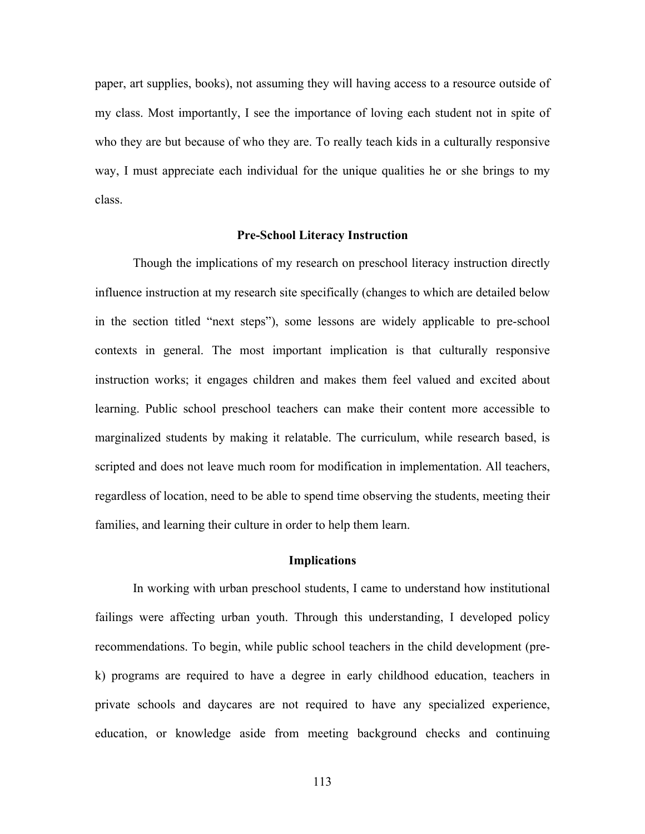paper, art supplies, books), not assuming they will having access to a resource outside of my class. Most importantly, I see the importance of loving each student not in spite of who they are but because of who they are. To really teach kids in a culturally responsive way, I must appreciate each individual for the unique qualities he or she brings to my class.

#### **Pre-School Literacy Instruction**

Though the implications of my research on preschool literacy instruction directly influence instruction at my research site specifically (changes to which are detailed below in the section titled "next steps"), some lessons are widely applicable to pre-school contexts in general. The most important implication is that culturally responsive instruction works; it engages children and makes them feel valued and excited about learning. Public school preschool teachers can make their content more accessible to marginalized students by making it relatable. The curriculum, while research based, is scripted and does not leave much room for modification in implementation. All teachers, regardless of location, need to be able to spend time observing the students, meeting their families, and learning their culture in order to help them learn.

## **Implications**

In working with urban preschool students, I came to understand how institutional failings were affecting urban youth. Through this understanding, I developed policy recommendations. To begin, while public school teachers in the child development (prek) programs are required to have a degree in early childhood education, teachers in private schools and daycares are not required to have any specialized experience, education, or knowledge aside from meeting background checks and continuing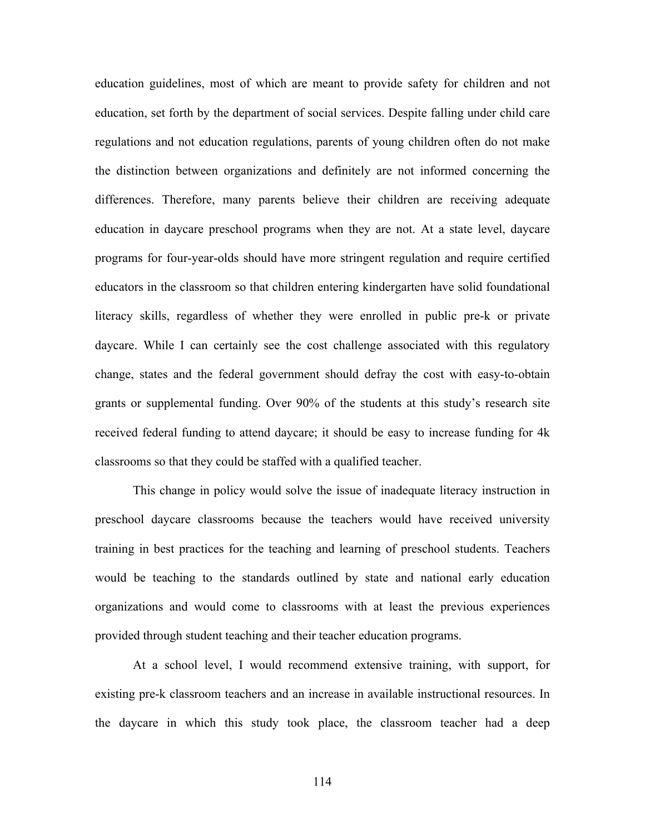education guidelines, most of which are meant to provide safety for children and not education, set forth by the department of social services. Despite falling under child care regulations and not education regulations, parents of young children often do not make the distinction between organizations and definitely are not informed concerning the differences. Therefore, many parents believe their children are receiving adequate education in daycare preschool programs when they are not. At a state level, daycare programs for four-year-olds should have more stringent regulation and require certified educators in the classroom so that children entering kindergarten have solid foundational literacy skills, regardless of whether they were enrolled in public pre-k or private daycare. While I can certainly see the cost challenge associated with this regulatory change, states and the federal government should defray the cost with easy-to-obtain grants or supplemental funding. Over 90% of the students at this study's research site received federal funding to attend daycare; it should be easy to increase funding for 4k classrooms so that they could be staffed with a qualified teacher.

This change in policy would solve the issue of inadequate literacy instruction in preschool daycare classrooms because the teachers would have received university training in best practices for the teaching and learning of preschool students. Teachers would be teaching to the standards outlined by state and national early education organizations and would come to classrooms with at least the previous experiences provided through student teaching and their teacher education programs.

At a school level, I would recommend extensive training, with support, for existing pre-k classroom teachers and an increase in available instructional resources. In the daycare in which this study took place, the classroom teacher had a deep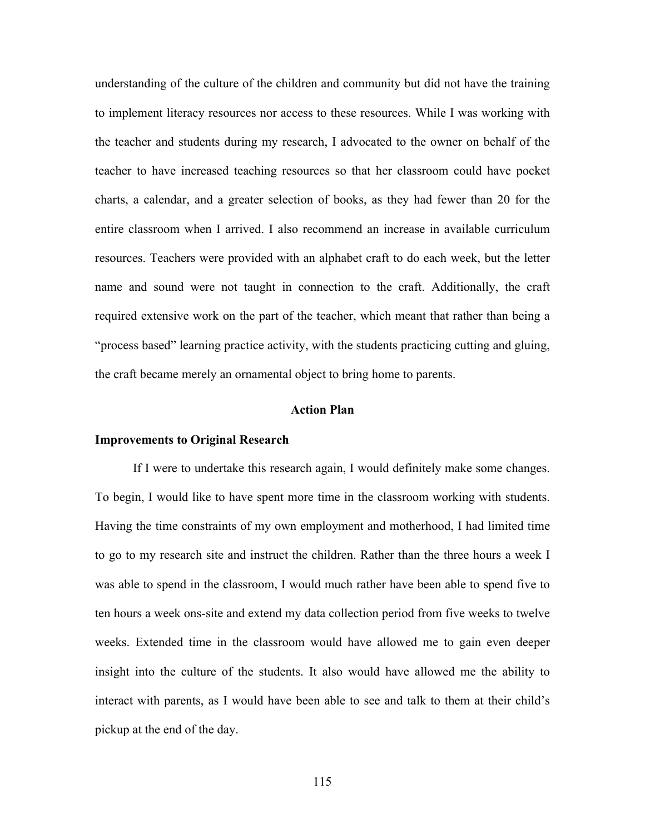understanding of the culture of the children and community but did not have the training to implement literacy resources nor access to these resources. While I was working with the teacher and students during my research, I advocated to the owner on behalf of the teacher to have increased teaching resources so that her classroom could have pocket charts, a calendar, and a greater selection of books, as they had fewer than 20 for the entire classroom when I arrived. I also recommend an increase in available curriculum resources. Teachers were provided with an alphabet craft to do each week, but the letter name and sound were not taught in connection to the craft. Additionally, the craft required extensive work on the part of the teacher, which meant that rather than being a "process based" learning practice activity, with the students practicing cutting and gluing, the craft became merely an ornamental object to bring home to parents.

#### **Action Plan**

#### **Improvements to Original Research**

If I were to undertake this research again, I would definitely make some changes. To begin, I would like to have spent more time in the classroom working with students. Having the time constraints of my own employment and motherhood, I had limited time to go to my research site and instruct the children. Rather than the three hours a week I was able to spend in the classroom, I would much rather have been able to spend five to ten hours a week ons-site and extend my data collection period from five weeks to twelve weeks. Extended time in the classroom would have allowed me to gain even deeper insight into the culture of the students. It also would have allowed me the ability to interact with parents, as I would have been able to see and talk to them at their child's pickup at the end of the day.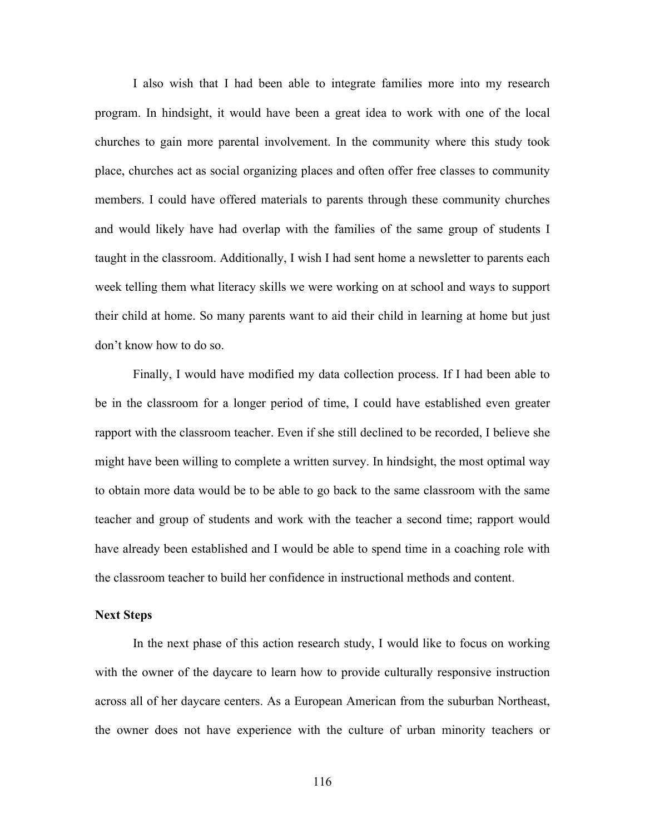I also wish that I had been able to integrate families more into my research program. In hindsight, it would have been a great idea to work with one of the local churches to gain more parental involvement. In the community where this study took place, churches act as social organizing places and often offer free classes to community members. I could have offered materials to parents through these community churches and would likely have had overlap with the families of the same group of students I taught in the classroom. Additionally, I wish I had sent home a newsletter to parents each week telling them what literacy skills we were working on at school and ways to support their child at home. So many parents want to aid their child in learning at home but just don't know how to do so.

Finally, I would have modified my data collection process. If I had been able to be in the classroom for a longer period of time, I could have established even greater rapport with the classroom teacher. Even if she still declined to be recorded, I believe she might have been willing to complete a written survey. In hindsight, the most optimal way to obtain more data would be to be able to go back to the same classroom with the same teacher and group of students and work with the teacher a second time; rapport would have already been established and I would be able to spend time in a coaching role with the classroom teacher to build her confidence in instructional methods and content.

## **Next Steps**

In the next phase of this action research study, I would like to focus on working with the owner of the daycare to learn how to provide culturally responsive instruction across all of her daycare centers. As a European American from the suburban Northeast, the owner does not have experience with the culture of urban minority teachers or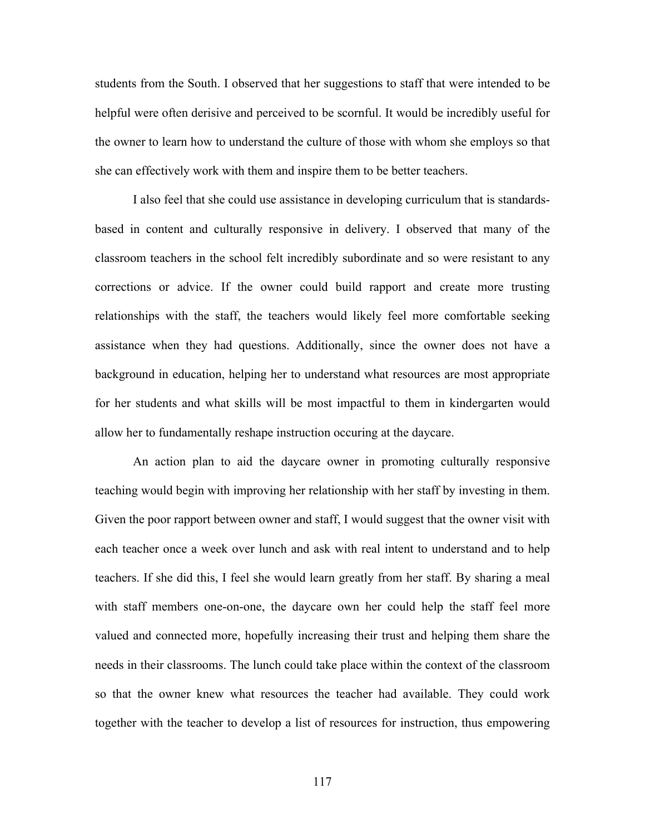students from the South. I observed that her suggestions to staff that were intended to be helpful were often derisive and perceived to be scornful. It would be incredibly useful for the owner to learn how to understand the culture of those with whom she employs so that she can effectively work with them and inspire them to be better teachers.

I also feel that she could use assistance in developing curriculum that is standardsbased in content and culturally responsive in delivery. I observed that many of the classroom teachers in the school felt incredibly subordinate and so were resistant to any corrections or advice. If the owner could build rapport and create more trusting relationships with the staff, the teachers would likely feel more comfortable seeking assistance when they had questions. Additionally, since the owner does not have a background in education, helping her to understand what resources are most appropriate for her students and what skills will be most impactful to them in kindergarten would allow her to fundamentally reshape instruction occuring at the daycare.

An action plan to aid the daycare owner in promoting culturally responsive teaching would begin with improving her relationship with her staff by investing in them. Given the poor rapport between owner and staff, I would suggest that the owner visit with each teacher once a week over lunch and ask with real intent to understand and to help teachers. If she did this, I feel she would learn greatly from her staff. By sharing a meal with staff members one-on-one, the daycare own her could help the staff feel more valued and connected more, hopefully increasing their trust and helping them share the needs in their classrooms. The lunch could take place within the context of the classroom so that the owner knew what resources the teacher had available. They could work together with the teacher to develop a list of resources for instruction, thus empowering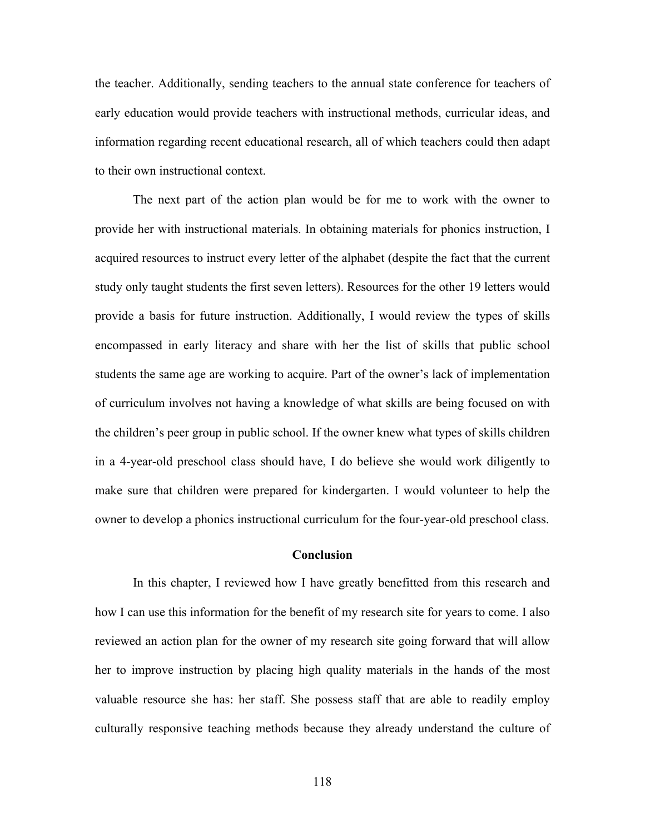the teacher. Additionally, sending teachers to the annual state conference for teachers of early education would provide teachers with instructional methods, curricular ideas, and information regarding recent educational research, all of which teachers could then adapt to their own instructional context.

The next part of the action plan would be for me to work with the owner to provide her with instructional materials. In obtaining materials for phonics instruction, I acquired resources to instruct every letter of the alphabet (despite the fact that the current study only taught students the first seven letters). Resources for the other 19 letters would provide a basis for future instruction. Additionally, I would review the types of skills encompassed in early literacy and share with her the list of skills that public school students the same age are working to acquire. Part of the owner's lack of implementation of curriculum involves not having a knowledge of what skills are being focused on with the children's peer group in public school. If the owner knew what types of skills children in a 4-year-old preschool class should have, I do believe she would work diligently to make sure that children were prepared for kindergarten. I would volunteer to help the owner to develop a phonics instructional curriculum for the four-year-old preschool class.

#### **Conclusion**

In this chapter, I reviewed how I have greatly benefitted from this research and how I can use this information for the benefit of my research site for years to come. I also reviewed an action plan for the owner of my research site going forward that will allow her to improve instruction by placing high quality materials in the hands of the most valuable resource she has: her staff. She possess staff that are able to readily employ culturally responsive teaching methods because they already understand the culture of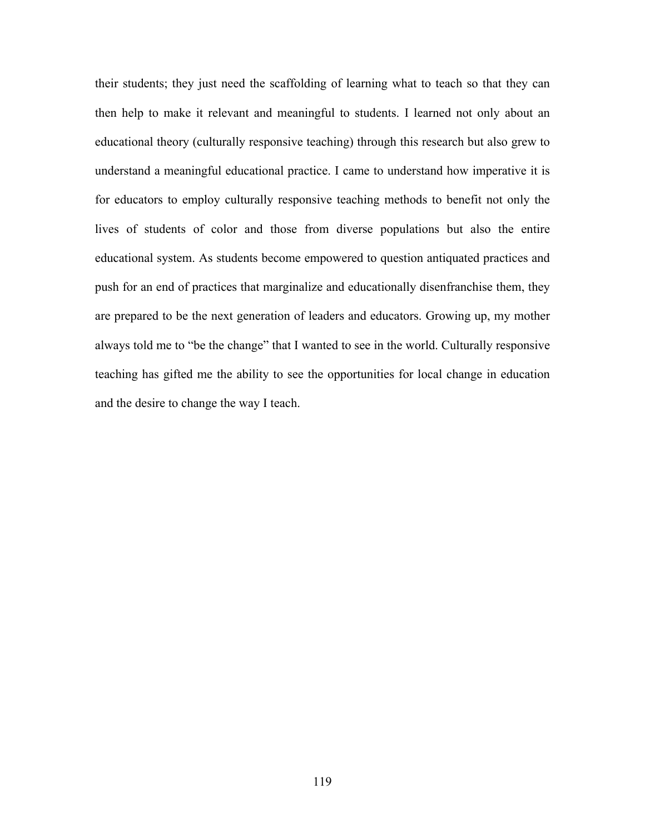their students; they just need the scaffolding of learning what to teach so that they can then help to make it relevant and meaningful to students. I learned not only about an educational theory (culturally responsive teaching) through this research but also grew to understand a meaningful educational practice. I came to understand how imperative it is for educators to employ culturally responsive teaching methods to benefit not only the lives of students of color and those from diverse populations but also the entire educational system. As students become empowered to question antiquated practices and push for an end of practices that marginalize and educationally disenfranchise them, they are prepared to be the next generation of leaders and educators. Growing up, my mother always told me to "be the change" that I wanted to see in the world. Culturally responsive teaching has gifted me the ability to see the opportunities for local change in education and the desire to change the way I teach.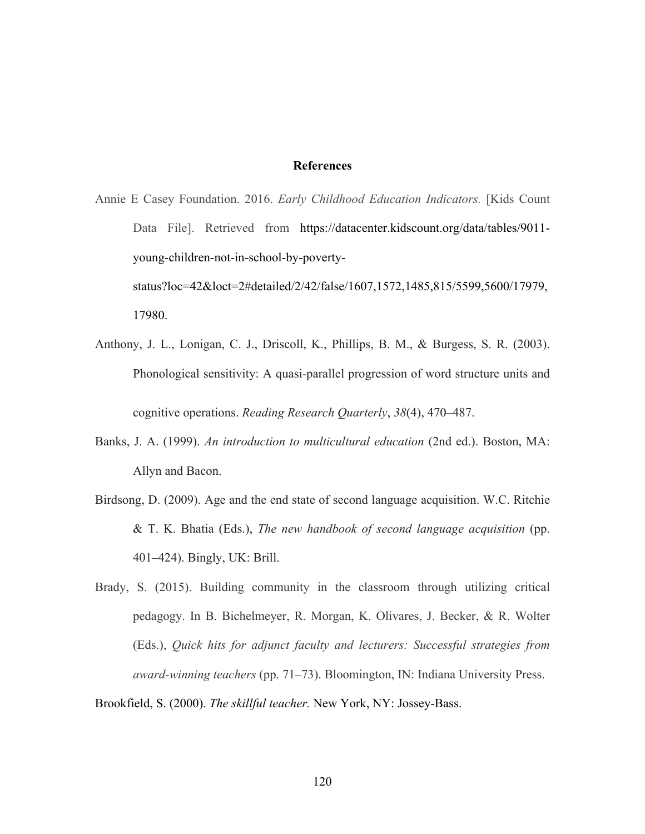# **References**

Annie E Casey Foundation. 2016. *Early Childhood Education Indicators.* [Kids Count Data File]. Retrieved from https://datacenter.kidscount.org/data/tables/9011young-children-not-in-school-by-povertystatus?loc=42&loct=2#detailed/2/42/false/1607,1572,1485,815/5599,5600/17979, 17980.

- Anthony, J. L., Lonigan, C. J., Driscoll, K., Phillips, B. M., & Burgess, S. R. (2003). Phonological sensitivity: A quasi‐parallel progression of word structure units and cognitive operations. *Reading Research Quarterly*, *38*(4), 470–487.
- Banks, J. A. (1999). *An introduction to multicultural education* (2nd ed.). Boston, MA: Allyn and Bacon.
- Birdsong, D. (2009). Age and the end state of second language acquisition. W.C. Ritchie & T. K. Bhatia (Eds.), *The new handbook of second language acquisition* (pp. 401–424). Bingly, UK: Brill.
- Brady, S. (2015). Building community in the classroom through utilizing critical pedagogy. In B. Bichelmeyer, R. Morgan, K. Olivares, J. Becker, & R. Wolter (Eds.), *Quick hits for adjunct faculty and lecturers: Successful strategies from award-winning teachers* (pp. 71–73). Bloomington, IN: Indiana University Press.

Brookfield, S. (2000). *The skillful teacher.* New York, NY: Jossey-Bass.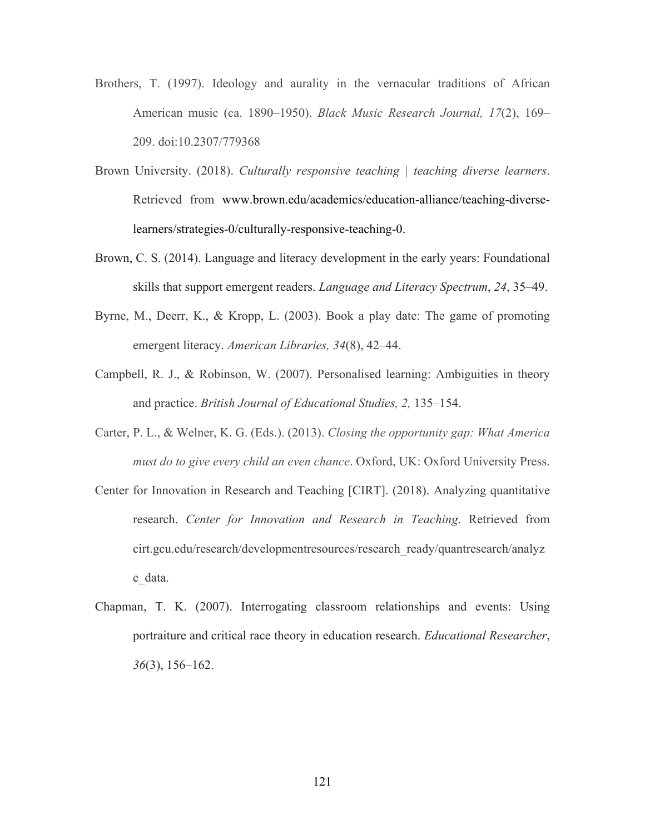- Brothers, T. (1997). Ideology and aurality in the vernacular traditions of African American music (ca. 1890–1950). *Black Music Research Journal, 17*(2), 169– 209. doi:10.2307/779368
- Brown University. (2018). *Culturally responsive teaching | teaching diverse learners*. Retrieved from www.brown.edu/academics/education-alliance/teaching-diverselearners/strategies-0/culturally-responsive-teaching-0.
- Brown, C. S. (2014). Language and literacy development in the early years: Foundational skills that support emergent readers. *Language and Literacy Spectrum*, *24*, 35–49.
- Byrne, M., Deerr, K., & Kropp, L. (2003). Book a play date: The game of promoting emergent literacy. *American Libraries, 34*(8), 42–44.
- Campbell, R. J., & Robinson, W. (2007). Personalised learning: Ambiguities in theory and practice. *British Journal of Educational Studies, 2,* 135–154.
- Carter, P. L., & Welner, K. G. (Eds.). (2013). *Closing the opportunity gap: What America must do to give every child an even chance*. Oxford, UK: Oxford University Press.
- Center for Innovation in Research and Teaching [CIRT]. (2018). Analyzing quantitative research. *Center for Innovation and Research in Teaching*. Retrieved from cirt.gcu.edu/research/developmentresources/research\_ready/quantresearch/analyz e\_data.
- Chapman, T. K. (2007). Interrogating classroom relationships and events: Using portraiture and critical race theory in education research. *Educational Researcher*, *36*(3), 156–162.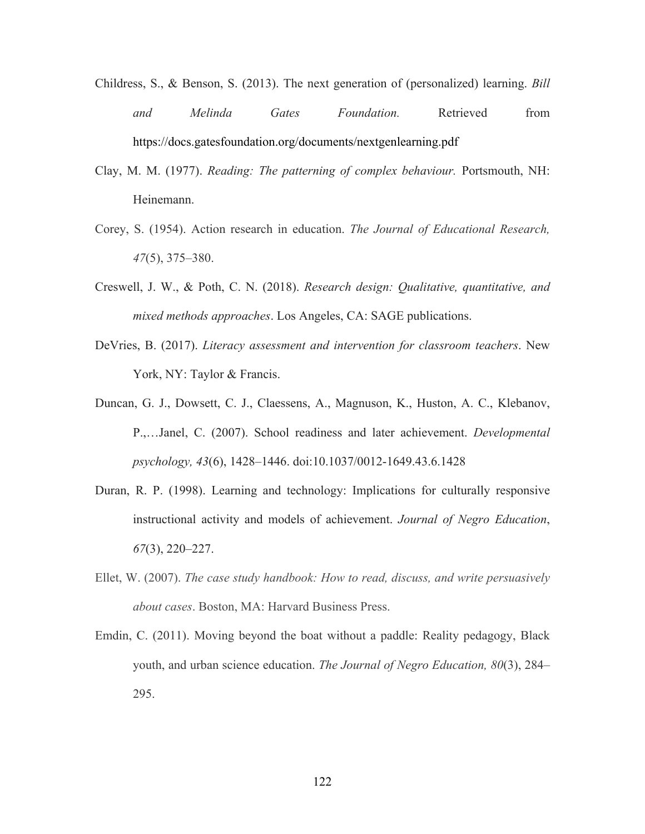- Childress, S., & Benson, S. (2013). The next generation of (personalized) learning. *Bill and Melinda Gates Foundation.* Retrieved from https://docs.gatesfoundation.org/documents/nextgenlearning.pdf
- Clay, M. M. (1977). *Reading: The patterning of complex behaviour.* Portsmouth, NH: Heinemann.
- Corey, S. (1954). Action research in education. *The Journal of Educational Research, 47*(5), 375–380.
- Creswell, J. W., & Poth, C. N. (2018). *Research design: Qualitative, quantitative, and mixed methods approaches*. Los Angeles, CA: SAGE publications.
- DeVries, B. (2017). *Literacy assessment and intervention for classroom teachers*. New York, NY: Taylor & Francis.
- Duncan, G. J., Dowsett, C. J., Claessens, A., Magnuson, K., Huston, A. C., Klebanov, P.,…Janel, C. (2007). School readiness and later achievement. *Developmental psychology, 43*(6), 1428–1446. doi:10.1037/0012-1649.43.6.1428
- Duran, R. P. (1998). Learning and technology: Implications for culturally responsive instructional activity and models of achievement. *Journal of Negro Education*, *67*(3), 220–227.
- Ellet, W. (2007). *The case study handbook: How to read, discuss, and write persuasively about cases*. Boston, MA: Harvard Business Press.
- Emdin, C. (2011). Moving beyond the boat without a paddle: Reality pedagogy, Black youth, and urban science education. *The Journal of Negro Education, 80*(3), 284– 295.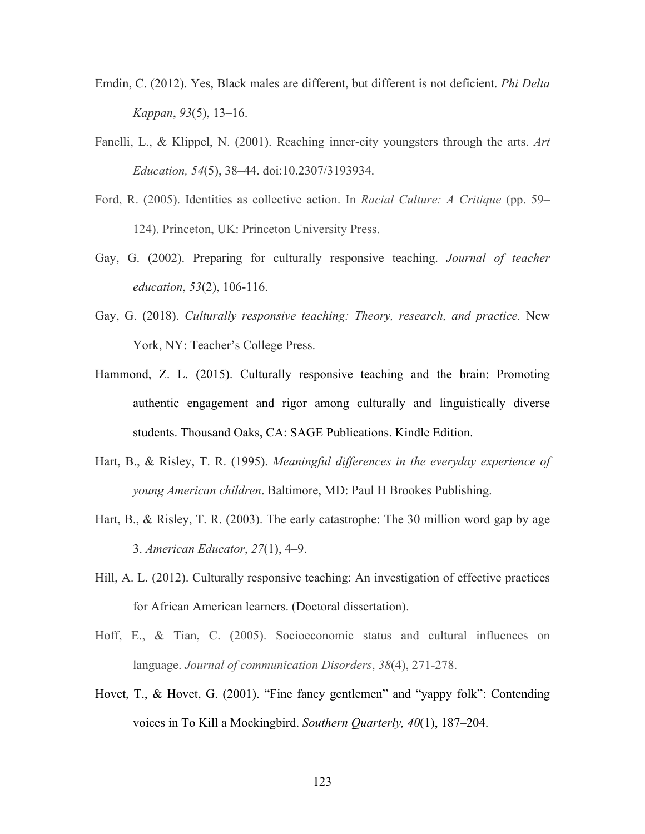- Emdin, C. (2012). Yes, Black males are different, but different is not deficient. *Phi Delta Kappan*, *93*(5), 13–16.
- Fanelli, L., & Klippel, N. (2001). Reaching inner-city youngsters through the arts. *Art Education, 54*(5), 38–44. doi:10.2307/3193934.
- Ford, R. (2005). Identities as collective action. In *Racial Culture: A Critique* (pp. 59– 124). Princeton, UK: Princeton University Press.
- Gay, G. (2002). Preparing for culturally responsive teaching. *Journal of teacher education*, *53*(2), 106-116.
- Gay, G. (2018). *Culturally responsive teaching: Theory, research, and practice.* New York, NY: Teacher's College Press.
- Hammond, Z. L. (2015). Culturally responsive teaching and the brain: Promoting authentic engagement and rigor among culturally and linguistically diverse students. Thousand Oaks, CA: SAGE Publications. Kindle Edition.
- Hart, B., & Risley, T. R. (1995). *Meaningful differences in the everyday experience of young American children*. Baltimore, MD: Paul H Brookes Publishing.
- Hart, B., & Risley, T. R. (2003). The early catastrophe: The 30 million word gap by age 3. *American Educator*, *27*(1), 4–9.
- Hill, A. L. (2012). Culturally responsive teaching: An investigation of effective practices for African American learners. (Doctoral dissertation).
- Hoff, E., & Tian, C. (2005). Socioeconomic status and cultural influences on language. *Journal of communication Disorders*, *38*(4), 271-278.
- Hovet, T., & Hovet, G. (2001). "Fine fancy gentlemen" and "yappy folk": Contending voices in To Kill a Mockingbird. *Southern Quarterly, 40*(1), 187–204.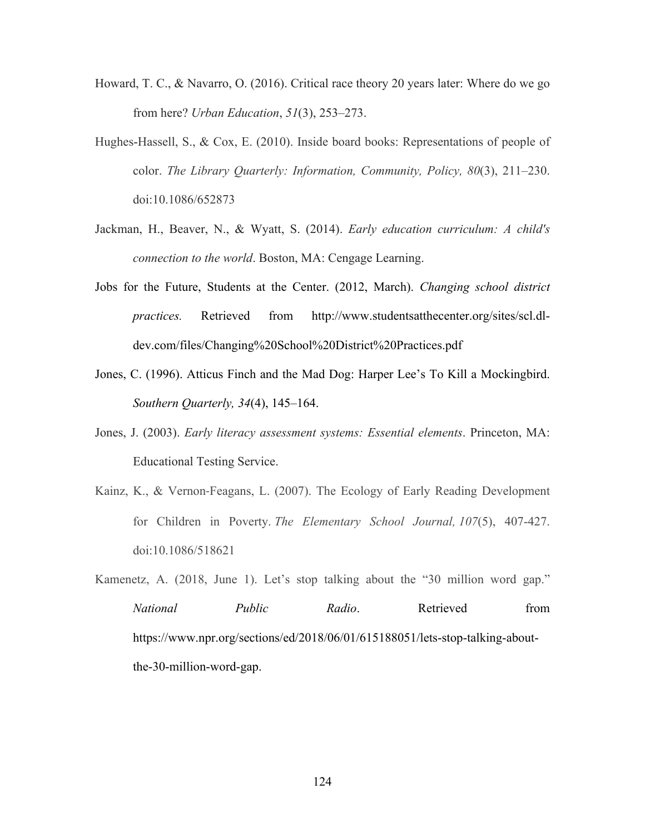- Howard, T. C., & Navarro, O. (2016). Critical race theory 20 years later: Where do we go from here? *Urban Education*, *51*(3), 253–273.
- Hughes-Hassell, S., & Cox, E. (2010). Inside board books: Representations of people of color. *The Library Quarterly: Information, Community, Policy, 80*(3), 211–230. doi:10.1086/652873
- Jackman, H., Beaver, N., & Wyatt, S. (2014). *Early education curriculum: A child's connection to the world*. Boston, MA: Cengage Learning.
- Jobs for the Future, Students at the Center. (2012, March). *Changing school district practices.* Retrieved from http://www.studentsatthecenter.org/sites/scl.dldev.com/files/Changing%20School%20District%20Practices.pdf
- Jones, C. (1996). Atticus Finch and the Mad Dog: Harper Lee's To Kill a Mockingbird. *Southern Quarterly, 34*(4), 145–164.
- Jones, J. (2003). *Early literacy assessment systems: Essential elements*. Princeton, MA: Educational Testing Service.
- Kainz, K., & Vernon-Feagans, L. (2007). The Ecology of Early Reading Development for Children in Poverty. *The Elementary School Journal, 107*(5), 407-427. doi:10.1086/518621
- Kamenetz, A. (2018, June 1). Let's stop talking about the "30 million word gap." *National Public Radio*. Retrieved from https://www.npr.org/sections/ed/2018/06/01/615188051/lets-stop-talking-aboutthe-30-million-word-gap.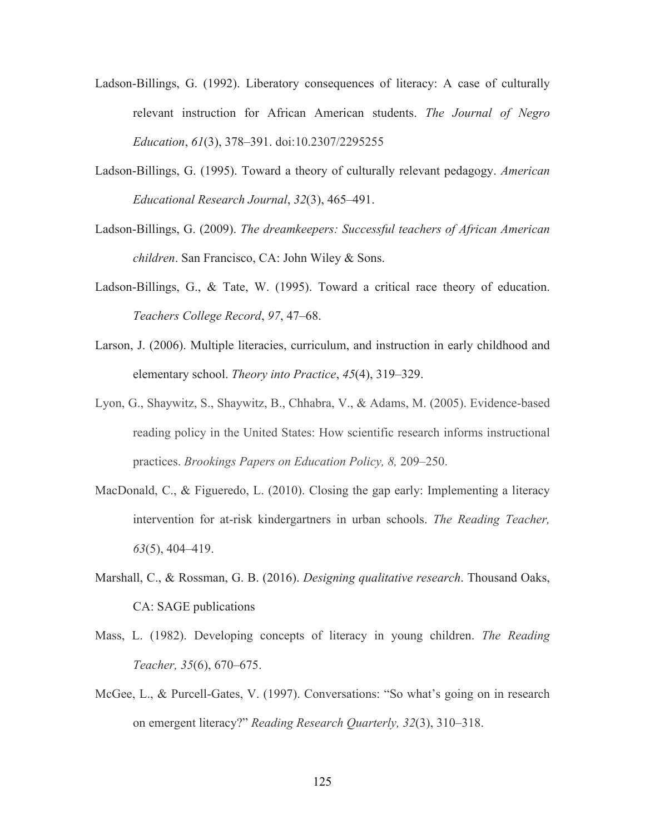- Ladson-Billings, G. (1992). Liberatory consequences of literacy: A case of culturally relevant instruction for African American students. *The Journal of Negro Education*, *61*(3), 378–391. doi:10.2307/2295255
- Ladson-Billings, G. (1995). Toward a theory of culturally relevant pedagogy. *American Educational Research Journal*, *32*(3), 465–491.
- Ladson-Billings, G. (2009). *The dreamkeepers: Successful teachers of African American children*. San Francisco, CA: John Wiley & Sons.
- Ladson-Billings, G., & Tate, W. (1995). Toward a critical race theory of education. *Teachers College Record*, *97*, 47–68.
- Larson, J. (2006). Multiple literacies, curriculum, and instruction in early childhood and elementary school. *Theory into Practice*, *45*(4), 319–329.
- Lyon, G., Shaywitz, S., Shaywitz, B., Chhabra, V., & Adams, M. (2005). Evidence-based reading policy in the United States: How scientific research informs instructional practices. *Brookings Papers on Education Policy, 8,* 209–250.
- MacDonald, C., & Figueredo, L. (2010). Closing the gap early: Implementing a literacy intervention for at-risk kindergartners in urban schools. *The Reading Teacher, 63*(5), 404–419.
- Marshall, C., & Rossman, G. B. (2016). *Designing qualitative research*. Thousand Oaks, CA: SAGE publications
- Mass, L. (1982). Developing concepts of literacy in young children. *The Reading Teacher, 35*(6), 670–675.
- McGee, L., & Purcell-Gates, V. (1997). Conversations: "So what's going on in research on emergent literacy?" *Reading Research Quarterly, 32*(3), 310–318.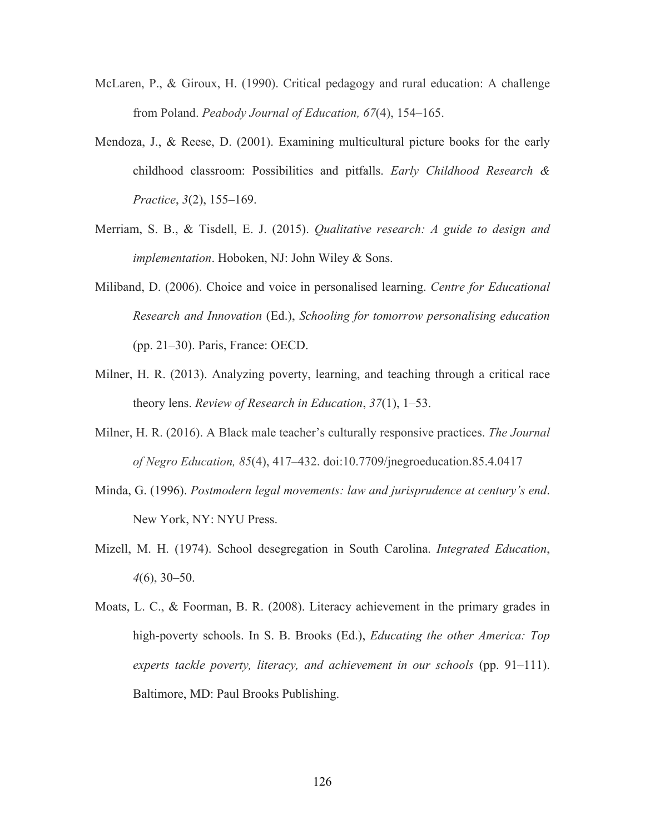- McLaren, P., & Giroux, H. (1990). Critical pedagogy and rural education: A challenge from Poland. *Peabody Journal of Education, 67*(4), 154–165.
- Mendoza, J., & Reese, D. (2001). Examining multicultural picture books for the early childhood classroom: Possibilities and pitfalls. *Early Childhood Research & Practice*, *3*(2), 155–169.
- Merriam, S. B., & Tisdell, E. J. (2015). *Qualitative research: A guide to design and implementation*. Hoboken, NJ: John Wiley & Sons.
- Miliband, D. (2006). Choice and voice in personalised learning. *Centre for Educational Research and Innovation* (Ed.), *Schooling for tomorrow personalising education*  (pp. 21–30). Paris, France: OECD.
- Milner, H. R. (2013). Analyzing poverty, learning, and teaching through a critical race theory lens. *Review of Research in Education*, *37*(1), 1–53.
- Milner, H. R. (2016). A Black male teacher's culturally responsive practices. *The Journal of Negro Education, 85*(4), 417–432. doi:10.7709/jnegroeducation.85.4.0417
- Minda, G. (1996). *Postmodern legal movements: law and jurisprudence at century's end*. New York, NY: NYU Press.
- Mizell, M. H. (1974). School desegregation in South Carolina. *Integrated Education*, *4*(6), 30–50.
- Moats, L. C., & Foorman, B. R. (2008). Literacy achievement in the primary grades in high-poverty schools. In S. B. Brooks (Ed.), *Educating the other America: Top experts tackle poverty, literacy, and achievement in our schools* (pp. 91–111). Baltimore, MD: Paul Brooks Publishing.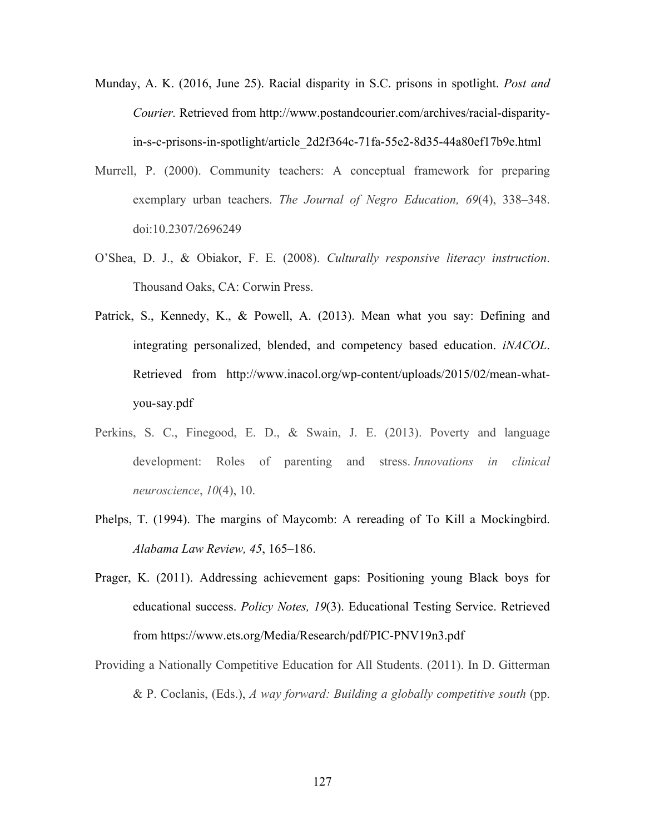- Munday, A. K. (2016, June 25). Racial disparity in S.C. prisons in spotlight. *Post and Courier.* Retrieved from http://www.postandcourier.com/archives/racial-disparityin-s-c-prisons-in-spotlight/article\_2d2f364c-71fa-55e2-8d35-44a80ef17b9e.html
- Murrell, P. (2000). Community teachers: A conceptual framework for preparing exemplary urban teachers. *The Journal of Negro Education, 69*(4), 338–348. doi:10.2307/2696249
- O'Shea, D. J., & Obiakor, F. E. (2008). *Culturally responsive literacy instruction*. Thousand Oaks, CA: Corwin Press.
- Patrick, S., Kennedy, K., & Powell, A. (2013). Mean what you say: Defining and integrating personalized, blended, and competency based education. *iNACOL*. Retrieved from http://www.inacol.org/wp-content/uploads/2015/02/mean-whatyou-say.pdf
- Perkins, S. C., Finegood, E. D., & Swain, J. E. (2013). Poverty and language development: Roles of parenting and stress. *Innovations in clinical neuroscience*, *10*(4), 10.
- Phelps, T. (1994). The margins of Maycomb: A rereading of To Kill a Mockingbird. *Alabama Law Review, 45*, 165–186.
- Prager, K. (2011). Addressing achievement gaps: Positioning young Black boys for educational success. *Policy Notes, 19*(3). Educational Testing Service. Retrieved from https://www.ets.org/Media/Research/pdf/PIC-PNV19n3.pdf
- Providing a Nationally Competitive Education for All Students. (2011). In D. Gitterman & P. Coclanis, (Eds.), *A way forward: Building a globally competitive south* (pp.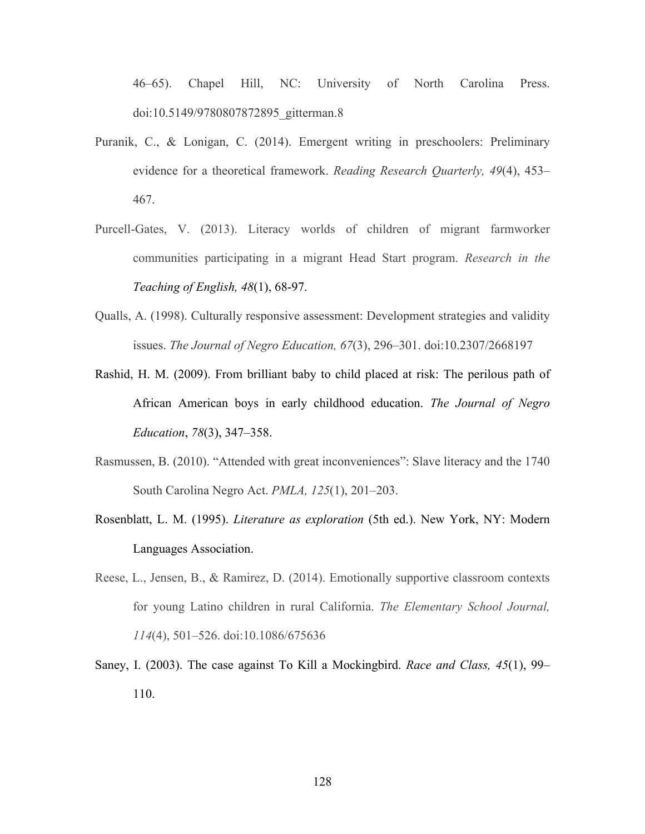46–65). Chapel Hill, NC: University of North Carolina Press. doi:10.5149/9780807872895\_gitterman.8

- Puranik, C., & Lonigan, C. (2014). Emergent writing in preschoolers: Preliminary evidence for a theoretical framework. *Reading Research Quarterly, 49*(4), 453– 467.
- Purcell-Gates, V. (2013). Literacy worlds of children of migrant farmworker communities participating in a migrant Head Start program. *Research in the Teaching of English, 48*(1), 68-97.
- Qualls, A. (1998). Culturally responsive assessment: Development strategies and validity issues. *The Journal of Negro Education, 67*(3), 296–301. doi:10.2307/2668197
- Rashid, H. M. (2009). From brilliant baby to child placed at risk: The perilous path of African American boys in early childhood education. *The Journal of Negro Education*, *78*(3), 347–358.
- Rasmussen, B. (2010). "Attended with great inconveniences": Slave literacy and the 1740 South Carolina Negro Act. *PMLA, 125*(1), 201–203.
- Rosenblatt, L. M. (1995). *Literature as exploration* (5th ed.). New York, NY: Modern Languages Association.
- Reese, L., Jensen, B., & Ramirez, D. (2014). Emotionally supportive classroom contexts for young Latino children in rural California. *The Elementary School Journal, 114*(4), 501–526. doi:10.1086/675636
- Saney, I. (2003). The case against To Kill a Mockingbird. *Race and Class, 45*(1), 99– 110.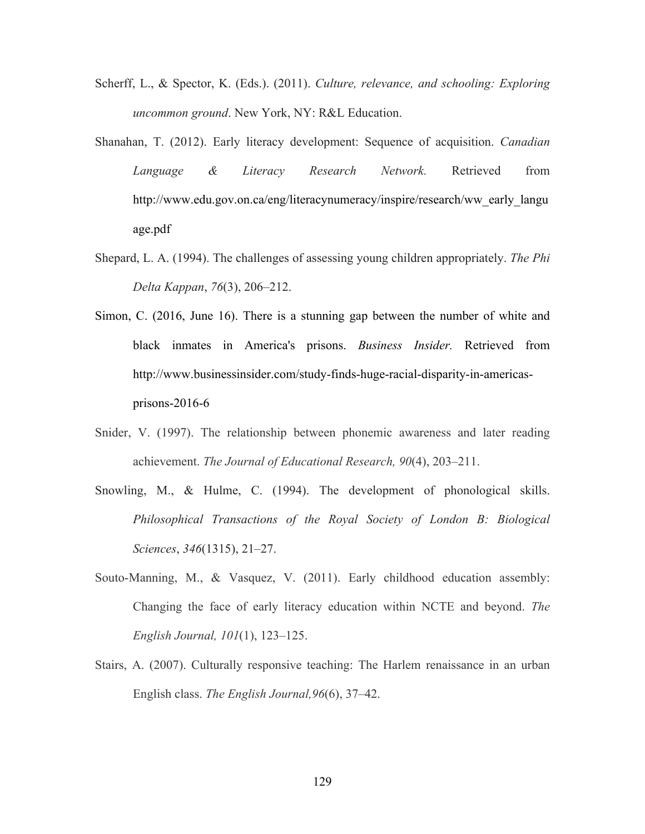- Scherff, L., & Spector, K. (Eds.). (2011). *Culture, relevance, and schooling: Exploring uncommon ground*. New York, NY: R&L Education.
- Shanahan, T. (2012). Early literacy development: Sequence of acquisition. *Canadian Language & Literacy Research Network.* Retrieved from http://www.edu.gov.on.ca/eng/literacynumeracy/inspire/research/ww\_early\_langu age.pdf
- Shepard, L. A. (1994). The challenges of assessing young children appropriately. *The Phi Delta Kappan*, *76*(3), 206–212.
- Simon, C. (2016, June 16). There is a stunning gap between the number of white and black inmates in America's prisons. *Business Insider.* Retrieved from http://www.businessinsider.com/study-finds-huge-racial-disparity-in-americasprisons-2016-6
- Snider, V. (1997). The relationship between phonemic awareness and later reading achievement. *The Journal of Educational Research, 90*(4), 203–211.
- Snowling, M., & Hulme, C. (1994). The development of phonological skills. *Philosophical Transactions of the Royal Society of London B: Biological Sciences*, *346*(1315), 21–27.
- Souto-Manning, M., & Vasquez, V. (2011). Early childhood education assembly: Changing the face of early literacy education within NCTE and beyond. *The English Journal, 101*(1), 123–125.
- Stairs, A. (2007). Culturally responsive teaching: The Harlem renaissance in an urban English class. *The English Journal,96*(6), 37–42.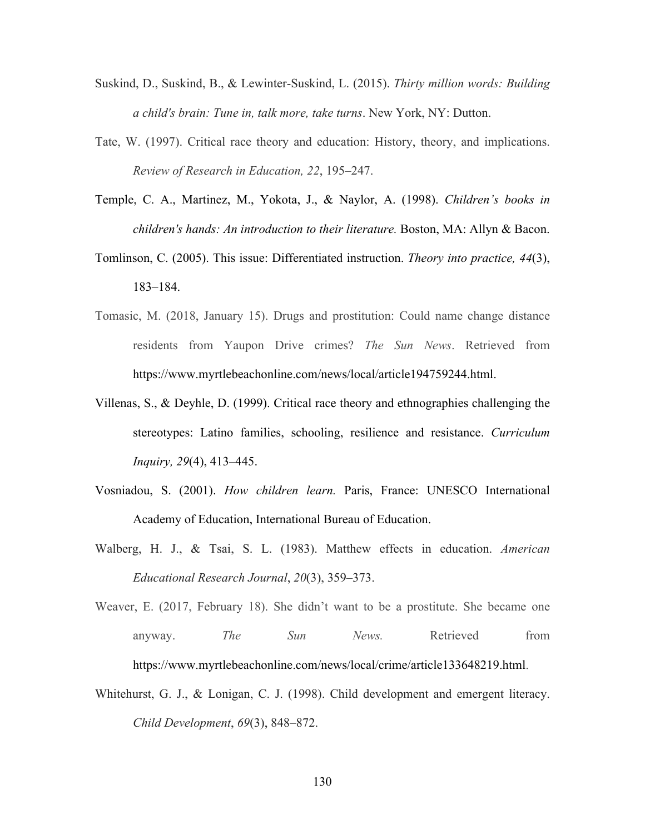- Suskind, D., Suskind, B., & Lewinter-Suskind, L. (2015). *Thirty million words: Building a child's brain: Tune in, talk more, take turns*. New York, NY: Dutton.
- Tate, W. (1997). Critical race theory and education: History, theory, and implications. *Review of Research in Education, 22*, 195–247.
- Temple, C. A., Martinez, M., Yokota, J., & Naylor, A. (1998). *Children's books in children's hands: An introduction to their literature.* Boston, MA: Allyn & Bacon.
- Tomlinson, C. (2005). This issue: Differentiated instruction. *Theory into practice, 44*(3), 183–184.
- Tomasic, M. (2018, January 15). Drugs and prostitution: Could name change distance residents from Yaupon Drive crimes? *The Sun News*. Retrieved from https://www.myrtlebeachonline.com/news/local/article194759244.html.
- Villenas, S., & Deyhle, D. (1999). Critical race theory and ethnographies challenging the stereotypes: Latino families, schooling, resilience and resistance. *Curriculum Inquiry, 29*(4), 413–445.
- Vosniadou, S. (2001). *How children learn.* Paris, France: UNESCO International Academy of Education, International Bureau of Education.
- Walberg, H. J., & Tsai, S. L. (1983). Matthew effects in education. *American Educational Research Journal*, *20*(3), 359–373.
- Weaver, E. (2017, February 18). She didn't want to be a prostitute. She became one anyway. *The Sun News*. Retrieved from https://www.myrtlebeachonline.com/news/local/crime/article133648219.html.
- Whitehurst, G. J., & Lonigan, C. J. (1998). Child development and emergent literacy. *Child Development*, *69*(3), 848–872.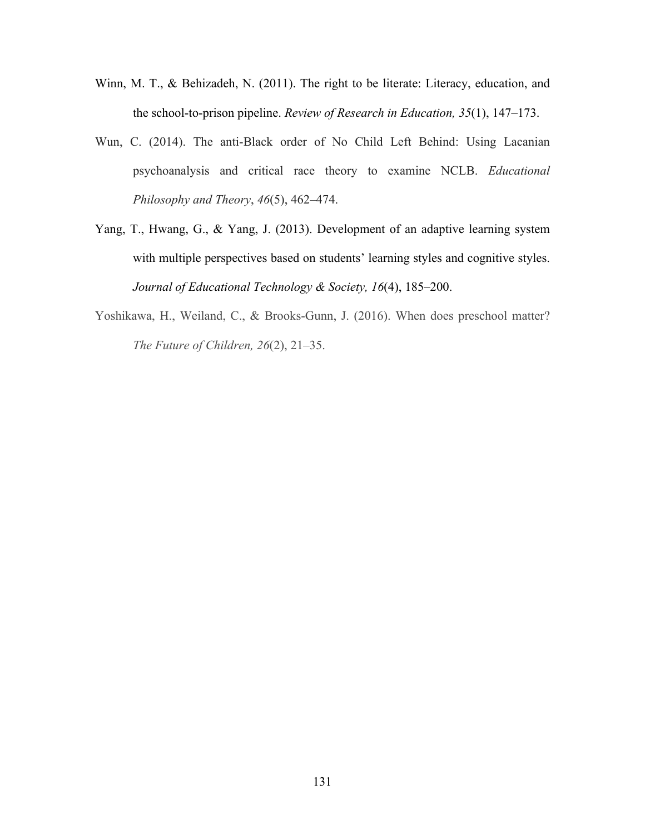- Winn, M. T., & Behizadeh, N. (2011). The right to be literate: Literacy, education, and the school-to-prison pipeline. *Review of Research in Education, 35*(1), 147–173.
- Wun, C. (2014). The anti-Black order of No Child Left Behind: Using Lacanian psychoanalysis and critical race theory to examine NCLB. *Educational Philosophy and Theory*, *46*(5), 462–474.
- Yang, T., Hwang, G., & Yang, J. (2013). Development of an adaptive learning system with multiple perspectives based on students' learning styles and cognitive styles. *Journal of Educational Technology & Society, 16*(4), 185–200.
- Yoshikawa, H., Weiland, C., & Brooks-Gunn, J. (2016). When does preschool matter? *The Future of Children, 26*(2), 21–35.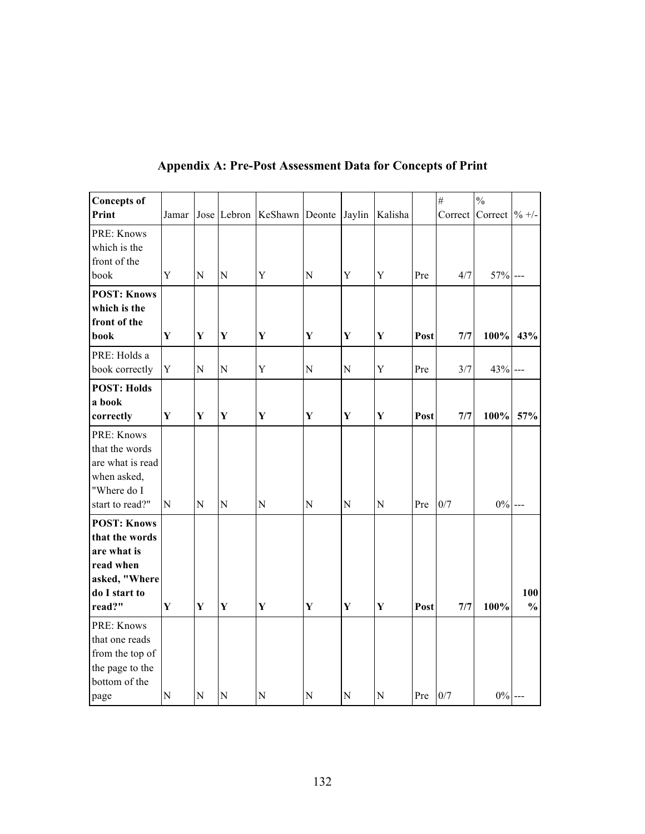| <b>Concepts of</b>                                                                                           |              |             |                |                            |                |                |             |      | $\#$    | $\frac{0}{0}$             |                      |
|--------------------------------------------------------------------------------------------------------------|--------------|-------------|----------------|----------------------------|----------------|----------------|-------------|------|---------|---------------------------|----------------------|
| Print                                                                                                        | Jamar        |             |                | Jose Lebron KeShawn Deonte |                | Jaylin         | Kalisha     |      | Correct | Correct $\frac{9}{6}$ +/- |                      |
| PRE: Knows<br>which is the<br>front of the<br>book                                                           | Y            | $\mathbf N$ | ${\bf N}$      | Y                          | ${\bf N}$      | $\mathbf Y$    | $\mathbf Y$ | Pre  | 4/7     | $57\%$ ---                |                      |
| <b>POST: Knows</b><br>which is the<br>front of the<br>book                                                   | Y            | $\mathbf Y$ | $\mathbf Y$    | Y                          | Y              | $\mathbf Y$    | $\mathbf Y$ | Post | 7/7     | 100%                      | 43%                  |
| PRE: Holds a<br>book correctly                                                                               | $\mathbf Y$  | ${\bf N}$   | $\overline{N}$ | Y                          | $\overline{N}$ | $\overline{N}$ | Y           | Pre  | 3/7     | $43% -$                   |                      |
| <b>POST: Holds</b><br>a book<br>correctly                                                                    | $\mathbf{Y}$ | $\mathbf Y$ | $\mathbf Y$    | $\mathbf Y$                | $\mathbf Y$    | $\mathbf Y$    | $\mathbf Y$ | Post | 7/7     | 100% 57%                  |                      |
| PRE: Knows<br>that the words<br>are what is read<br>when asked,<br>"Where do I<br>start to read?"            | N            | ${\bf N}$   | $\overline{N}$ | $\mathbf N$                | ${\bf N}$      | ${\bf N}$      | ${\bf N}$   | Pre  | 0/7     | $0\%$ ---                 |                      |
| <b>POST: Knows</b><br>that the words<br>are what is<br>read when<br>asked, "Where<br>do I start to<br>read?" | $\mathbf{Y}$ | $\mathbf Y$ | $\mathbf Y$    | $\mathbf Y$                | Y              | Y              | $\mathbf Y$ | Post | 7/7     | 100%                      | 100<br>$\frac{0}{0}$ |
| PRE: Knows<br>that one reads<br>from the top of<br>the page to the<br>bottom of the<br>page                  | ${\bf N}$    | N           | $\overline{N}$ | $\mathbf N$                | ${\bf N}$      | ${\bf N}$      | ${\bf N}$   | Pre  | 0/7     | $0\%$ ---                 |                      |

# **Appendix A: Pre-Post Assessment Data for Concepts of Print**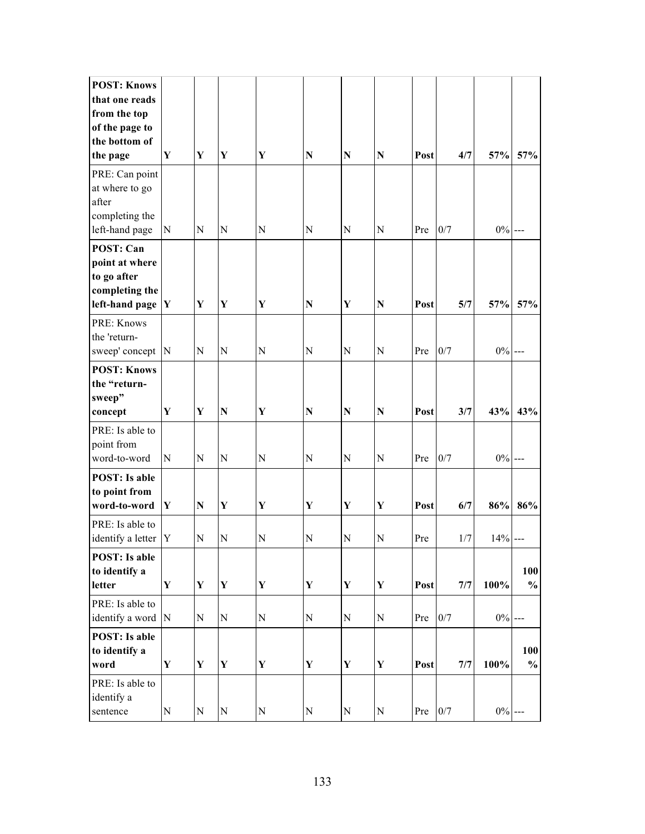| <b>POST: Knows</b>            |             |              |                    |             |             |             |             |      |       |           |               |
|-------------------------------|-------------|--------------|--------------------|-------------|-------------|-------------|-------------|------|-------|-----------|---------------|
| that one reads                |             |              |                    |             |             |             |             |      |       |           |               |
| from the top                  |             |              |                    |             |             |             |             |      |       |           |               |
| of the page to                |             |              |                    |             |             |             |             |      |       |           |               |
| the bottom of                 |             |              |                    |             |             |             |             |      |       |           |               |
| the page                      | Y           | Y            | Y                  | Y           | ${\bf N}$   | $\mathbf N$ | $\mathbf N$ | Post | 4/7   | 57%       | 57%           |
| PRE: Can point                |             |              |                    |             |             |             |             |      |       |           |               |
| at where to go                |             |              |                    |             |             |             |             |      |       |           |               |
| after                         |             |              |                    |             |             |             |             |      |       |           |               |
| completing the                |             |              |                    |             |             |             |             |      |       |           |               |
| left-hand page                | ${\bf N}$   | N            | N                  | N           | N           | N           | N           | Pre  | 0/7   | $0\%$ --- |               |
| <b>POST: Can</b>              |             |              |                    |             |             |             |             |      |       |           |               |
| point at where                |             |              |                    |             |             |             |             |      |       |           |               |
| to go after                   |             |              |                    |             |             |             |             |      |       |           |               |
| completing the                |             |              |                    |             |             |             |             |      |       |           |               |
| left-hand page                | $\mathbf Y$ | Y            | Y                  | Y           | N           | Y           | $\mathbf N$ | Post | 5/7   | 57%       | 57%           |
| PRE: Knows                    |             |              |                    |             |             |             |             |      |       |           |               |
| the 'return-                  |             |              |                    |             |             |             |             |      |       |           |               |
| sweep' concept                | N           | N            | $\mathbf N$        | ${\bf N}$   | N           | N           | $\mathbf N$ | Pre  | 0/7   | $0\%$ --- |               |
| <b>POST: Knows</b>            |             |              |                    |             |             |             |             |      |       |           |               |
| the "return-                  |             |              |                    |             |             |             |             |      |       |           |               |
| sweep"                        |             |              |                    |             |             |             |             |      |       |           |               |
| concept                       | Y           | $\mathbf Y$  | $\overline{\bf N}$ | Y           | N           | ${\bf N}$   | $\mathbf N$ | Post | 3/7   | 43%       | 43%           |
| PRE: Is able to               |             |              |                    |             |             |             |             |      |       |           |               |
| point from                    |             |              |                    |             |             |             |             |      |       |           |               |
| word-to-word                  | N           | N            | $\mathbf N$        | N           | N           | N           | $\mathbf N$ | Pre  | 0/7   | $0\%$ --- |               |
| <b>POST:</b> Is able          |             |              |                    |             |             |             |             |      |       |           |               |
| to point from                 |             |              |                    |             |             |             |             |      |       |           |               |
| word-to-word                  | Y           | $\mathbf N$  | Y                  | Y           | Y           | Y           | Y           | Post | 6/7   | 86%       | 86%           |
| PRE: Is able to               |             |              |                    |             |             |             |             |      |       |           |               |
| identify a letter             | Y           | N            | N                  | N           | N           | ${\bf N}$   | $\mathbf N$ | Pre  | 1/7   | 14%       |               |
| <b>POST:</b> Is able          |             |              |                    |             |             |             |             |      |       |           |               |
| to identify a                 |             |              |                    |             |             |             |             |      |       |           | 100           |
| letter                        | $\mathbf Y$ | $\mathbf{Y}$ | $\mathbf Y$        | $\mathbf Y$ | $\mathbf Y$ | $\mathbf Y$ | $\mathbf Y$ | Post | 7/7   | 100%      | $\frac{0}{0}$ |
| PRE: Is able to               |             |              |                    |             |             |             |             |      |       |           |               |
| identify a word               | $\mathbf N$ | N            | $\overline{N}$     | $\mathbf N$ | N           | ${\bf N}$   | ${\bf N}$   | Pre  | 0/7   | $0\%$ --- |               |
| <b>POST:</b> Is able          |             |              |                    |             |             |             |             |      |       |           |               |
| to identify a                 |             |              |                    |             |             |             |             |      |       |           | 100           |
| word                          | $\mathbf Y$ | $\mathbf Y$  | $\mathbf Y$        | $\mathbf Y$ | $\mathbf Y$ | $\mathbf Y$ | $\mathbf Y$ | Post | 7/7   | 100%      | $\frac{0}{0}$ |
|                               |             |              |                    |             |             |             |             |      |       |           |               |
| PRE: Is able to<br>identify a |             |              |                    |             |             |             |             |      |       |           |               |
| sentence                      | ${\bf N}$   | N            | ${\bf N}$          | ${\bf N}$   | ${\bf N}$   | ${\bf N}$   | ${\bf N}$   | Pre  | $0/7$ | $0\%$ --- |               |
|                               |             |              |                    |             |             |             |             |      |       |           |               |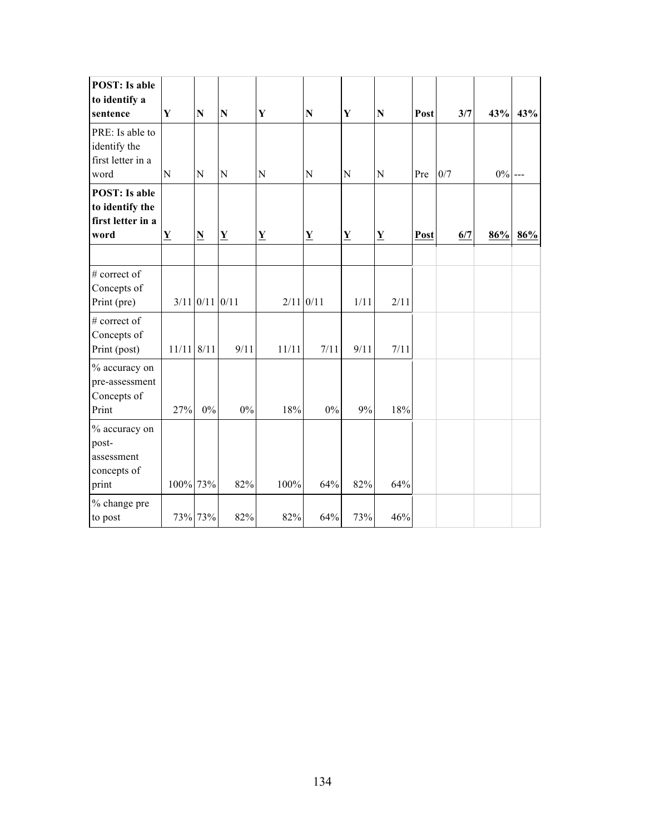| <b>POST:</b> Is able<br>to identify a<br>sentence                    | $\mathbf Y$  | $\mathbb N$              | $\mathbf N$              | Y                        | ${\bf N}$                | $\mathbf Y$              | ${\bf N}$                | Post | 3/7 | 43%       | 43% |
|----------------------------------------------------------------------|--------------|--------------------------|--------------------------|--------------------------|--------------------------|--------------------------|--------------------------|------|-----|-----------|-----|
| PRE: Is able to<br>identify the<br>first letter in a<br>word         | N            | N                        | N                        | N                        | ${\bf N}$                | N                        | ${\bf N}$                | Pre  | 0/7 | $0\%$ --- |     |
| <b>POST:</b> Is able<br>to identify the<br>first letter in a<br>word | $\mathbf Y$  | $\underline{\mathbf{N}}$ | $\underline{\mathbf{Y}}$ | $\underline{\mathbf{Y}}$ | $\underline{\mathbf{Y}}$ | $\underline{\mathbf{Y}}$ | $\underline{\mathbf{Y}}$ | Post | 6/7 | 86%       | 86% |
| # correct of<br>Concepts of<br>Print (pre)                           |              | $3/11$ 0/11 0/11         |                          |                          | $2/11$ 0/11              | 1/11                     | 2/11                     |      |     |           |     |
| # correct of<br>Concepts of<br>Print (post)                          | $11/11$ 8/11 |                          | 9/11                     | 11/11                    | 7/11                     | 9/11                     | 7/11                     |      |     |           |     |
| % accuracy on<br>pre-assessment<br>Concepts of<br>Print              | 27%          | $0\%$                    | $0\%$                    | 18%                      | $0\%$                    | 9%                       | 18%                      |      |     |           |     |
| % accuracy on<br>post-<br>assessment<br>concepts of<br>print         | 100% 73%     |                          | 82%                      | 100%                     | 64%                      | 82%                      | 64%                      |      |     |           |     |
| % change pre<br>to post                                              |              | 73% 73%                  | 82%                      | 82%                      | 64%                      | 73%                      | 46%                      |      |     |           |     |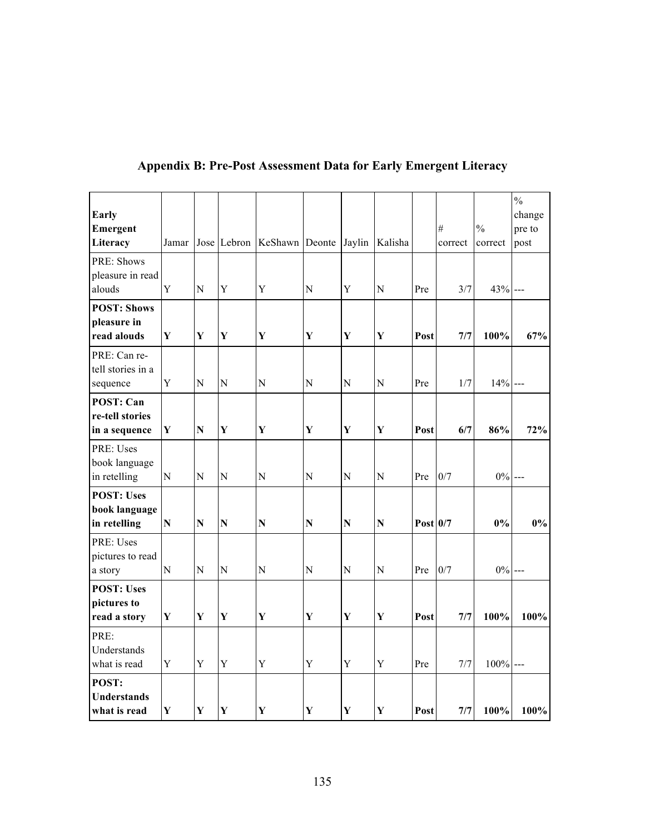| Early<br>Emergent<br>Literacy                        | Jamar          |              | Jose Lebron    | KeShawn Deonte Jaylin |              |             | Kalisha     |            | $\#$<br>correct | $\frac{0}{0}$<br>correct | $\frac{0}{0}$<br>change<br>pre to<br>post |
|------------------------------------------------------|----------------|--------------|----------------|-----------------------|--------------|-------------|-------------|------------|-----------------|--------------------------|-------------------------------------------|
| PRE: Shows<br>pleasure in read<br>alouds             | Y              | $\mathbf N$  | Y              | Y                     | ${\bf N}$    | Y           | ${\bf N}$   | Pre        | 3/7             | 43% ---                  |                                           |
| <b>POST: Shows</b><br>pleasure in<br>read alouds     | Y              | $\mathbf{Y}$ | $\mathbf Y$    | $\mathbf Y$           | $\mathbf{Y}$ | $\mathbf Y$ | Y           | Post       | 7/7             | 100%                     | 67%                                       |
| PRE: Can re-<br>tell stories in a<br>sequence        | $\mathbf Y$    | ${\bf N}$    | ${\bf N}$      | $\overline{N}$        | ${\bf N}$    | ${\bf N}$   | ${\bf N}$   | Pre        | 1/7             | $14% -$                  |                                           |
| <b>POST: Can</b><br>re-tell stories<br>in a sequence | $\mathbf Y$    | ${\bf N}$    | $\mathbf Y$    | $\mathbf Y$           | $\mathbf Y$  | $\mathbf Y$ | $\mathbf Y$ | Post       | 6/7             | 86%                      | 72%                                       |
| PRE: Uses<br>book language<br>in retelling           | N              | $\mathbf N$  | ${\bf N}$      | $\overline{N}$        | N            | $\mathbf N$ | N           | Pre        | 0/7             | $0\%$ ---                |                                           |
| <b>POST: Uses</b><br>book language<br>in retelling   | $\mathbf N$    | ${\bf N}$    | ${\bf N}$      | ${\bf N}$             | ${\bf N}$    | ${\bf N}$   | ${\bf N}$   | Post $0/7$ |                 | $0\%$                    | 0%                                        |
| PRE: Uses<br>pictures to read<br>a story             | $\overline{N}$ | $\mathbf N$  | $\overline{N}$ | $\overline{N}$        | ${\bf N}$    | $\mathbf N$ | ${\bf N}$   | Pre        | 0/7             | $0\%$ ---                |                                           |
| <b>POST: Uses</b><br>pictures to<br>read a story     | Y              | Y            | $\mathbf{Y}$   | $\mathbf Y$           | Y            | $\mathbf Y$ | $\mathbf Y$ | Post       | 7/7             | 100%                     | 100%                                      |
| PRE:<br>Understands<br>what is read                  | $\mathbf Y$    | Y            | Y              | Y                     | Y            | Y           | Y           | Pre        | 7/7             | $100\%$ ---              |                                           |
| POST:<br><b>Understands</b><br>what is read          | Y              | Y            | $\mathbf{Y}$   | $\mathbf Y$           | Y            | Y           | Y           | Post       | 7/7             | 100%                     | 100%                                      |

## **Appendix B: Pre-Post Assessment Data for Early Emergent Literacy**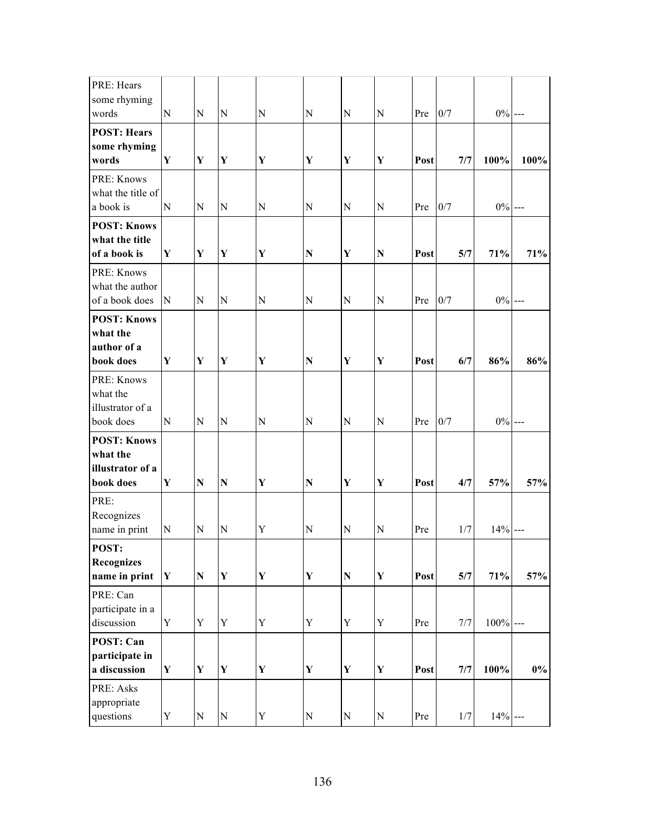| PRE: Hears<br>some rhyming<br>words                             | N           | N            | $\mathbf N$ | $\mathbf N$ | ${\bf N}$   | N           | $\mathbf N$ |      | 0/7 | $0\%$ ---   |       |
|-----------------------------------------------------------------|-------------|--------------|-------------|-------------|-------------|-------------|-------------|------|-----|-------------|-------|
| <b>POST: Hears</b><br>some rhyming                              |             |              |             |             |             |             |             | Pre  |     |             |       |
| words                                                           | Y           | Y            | Y           | Y           | $\mathbf Y$ | Y           | Y           | Post | 7/7 | 100%        | 100%  |
| PRE: Knows<br>what the title of<br>a book is                    | N           | ${\bf N}$    | ${\bf N}$   | ${\bf N}$   | ${\bf N}$   | ${\bf N}$   | $\mathbf N$ | Pre  | 0/7 | $0\%$ ---   |       |
| <b>POST: Knows</b><br>what the title<br>of a book is            | Y           | $\mathbf{Y}$ | $\mathbf Y$ | $\mathbf Y$ | ${\bf N}$   | $\mathbf Y$ | ${\bf N}$   | Post | 5/7 | 71%         | 71%   |
| PRE: Knows<br>what the author<br>of a book does                 | N           | ${\bf N}$    | ${\bf N}$   | $\mathbf N$ | ${\bf N}$   | $\mathbf N$ | $\mathbf N$ | Pre  | 0/7 | $0\%$ ---   |       |
| <b>POST: Knows</b><br>what the<br>author of a<br>book does      | Y           | $\mathbf Y$  | $\mathbf Y$ | Y           | ${\bf N}$   | $\mathbf Y$ | $\mathbf Y$ | Post | 6/7 | 86%         | 86%   |
| PRE: Knows<br>what the<br>illustrator of a<br>book does         | $\mathbf N$ | $\mathbf N$  | N           | ${\bf N}$   | N           | $\mathbf N$ | $\mathbf N$ | Pre  | 0/7 | $0\%$       |       |
| <b>POST: Knows</b><br>what the<br>illustrator of a<br>book does | Y           | ${\bf N}$    | $\mathbf N$ | Y           | ${\bf N}$   | $\mathbf Y$ | $\mathbf Y$ | Post | 4/7 | 57%         | 57%   |
| PRE:<br>Recognizes<br>name in print                             | ${\bf N}$   | ${\bf N}$    | N           | Y           | ${\bf N}$   | N           | $\mathbf N$ | Pre  | 1/7 | 14%         |       |
| POST:<br><b>Recognizes</b><br>name in print                     | Y           | ${\bf N}$    | $\mathbf Y$ | $\mathbf Y$ | $\mathbf Y$ | ${\bf N}$   | $\mathbf Y$ | Post | 5/7 | 71%         | 57%   |
| PRE: Can<br>participate in a<br>discussion                      | $\mathbf Y$ | $\mathbf Y$  | $\mathbf Y$ | $\mathbf Y$ | $\mathbf Y$ | $\mathbf Y$ | $\mathbf Y$ | Pre  | 7/7 | $100\%$ --- |       |
| POST: Can<br>participate in<br>a discussion                     | $\mathbf Y$ | $\mathbf{Y}$ | $\mathbf Y$ | $\mathbf Y$ | $\mathbf Y$ | $\mathbf Y$ | $\mathbf Y$ | Post | 7/7 | 100%        | $0\%$ |
| PRE: Asks<br>appropriate<br>questions                           | $\mathbf Y$ | ${\bf N}$    | ${\bf N}$   | $\mathbf Y$ | ${\bf N}$   | ${\bf N}$   | ${\bf N}$   | Pre  | 1/7 | $14% -$     |       |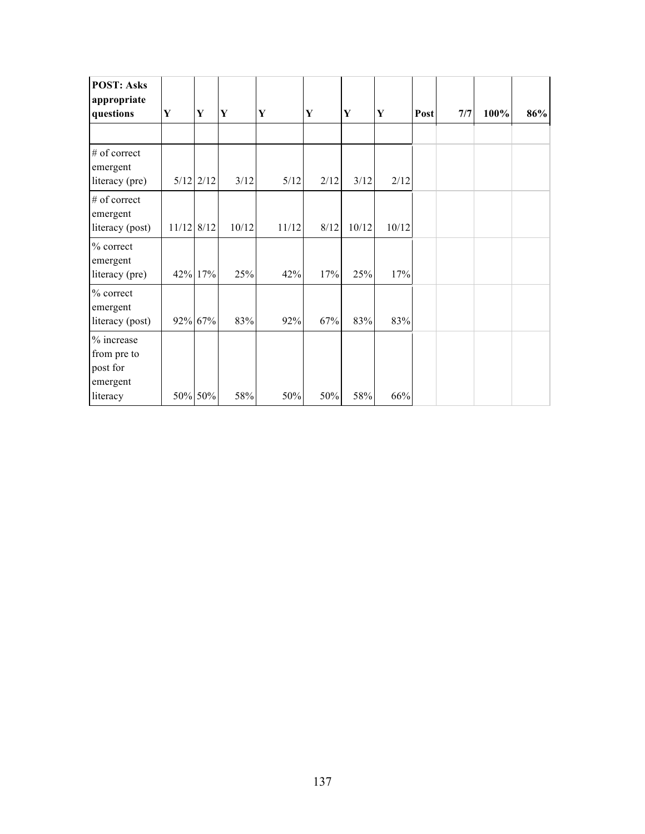| <b>POST: Asks</b><br>appropriate                  |            |             |       |       |      |       |             |      |     |      |     |
|---------------------------------------------------|------------|-------------|-------|-------|------|-------|-------------|------|-----|------|-----|
| questions                                         | Y          | Y           | Y     | Y     | Y    | Y     | $\mathbf Y$ | Post | 7/7 | 100% | 86% |
|                                                   |            |             |       |       |      |       |             |      |     |      |     |
| # of correct<br>emergent                          |            |             |       |       |      |       |             |      |     |      |     |
| literacy (pre)                                    |            | $5/12$ 2/12 | 3/12  | 5/12  | 2/12 | 3/12  | 2/12        |      |     |      |     |
| # of correct<br>emergent                          |            |             |       |       |      |       |             |      |     |      |     |
| literacy (post)                                   | 11/12 8/12 |             | 10/12 | 11/12 | 8/12 | 10/12 | 10/12       |      |     |      |     |
| % correct<br>emergent                             |            |             |       |       |      |       |             |      |     |      |     |
| literacy (pre)                                    |            | 42% 17%     | 25%   | 42%   | 17%  | 25%   | 17%         |      |     |      |     |
| % correct<br>emergent                             |            |             |       |       |      |       |             |      |     |      |     |
| literacy (post)                                   |            | 92% 67%     | 83%   | 92%   | 67%  | 83%   | 83%         |      |     |      |     |
| % increase<br>from pre to<br>post for<br>emergent |            |             |       |       |      |       |             |      |     |      |     |
| literacy                                          |            | 50% 50%     | 58%   | 50%   | 50%  | 58%   | 66%         |      |     |      |     |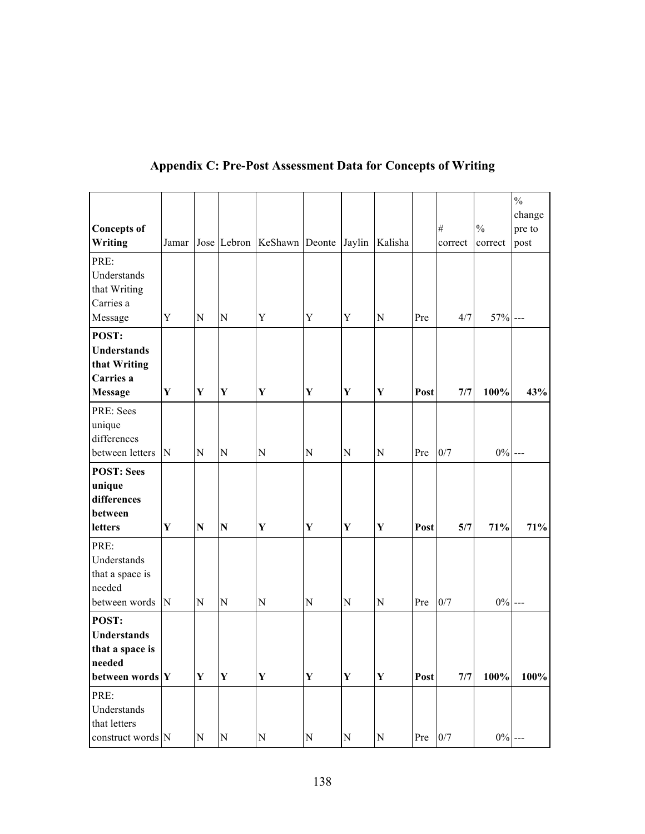| <b>Concepts of</b><br>Writing                                               | Jamar       |              |                    | Jose Lebron KeShawn Deonte Jaylin |             |             | Kalisha     |      | $\#$<br>correct | $\frac{0}{0}$<br>correct | $\frac{0}{0}$<br>change<br>pre to<br>post |
|-----------------------------------------------------------------------------|-------------|--------------|--------------------|-----------------------------------|-------------|-------------|-------------|------|-----------------|--------------------------|-------------------------------------------|
| PRE:<br>Understands<br>that Writing<br>Carries a                            |             |              |                    |                                   |             |             |             |      |                 |                          |                                           |
| Message                                                                     | Y           | N            | ${\bf N}$          | $\mathbf Y$                       | Y           | Y           | N           | Pre  | 4/7             | $57%$ ---                |                                           |
| POST:<br><b>Understands</b><br>that Writing<br>Carries a<br><b>Message</b>  | $\mathbf Y$ | $\mathbf{Y}$ | $\mathbf Y$        | $\mathbf Y$                       | $\mathbf Y$ | $\mathbf Y$ | $\mathbf Y$ | Post | 7/7             | 100%                     | 43%                                       |
| PRE: Sees<br>unique<br>differences<br>between letters                       | N           | N            | ${\bf N}$          | ${\bf N}$                         | ${\bf N}$   | ${\bf N}$   | ${\bf N}$   | Pre  | 0/7             | $0\%$ ---                |                                           |
| <b>POST: Sees</b><br>unique<br>differences<br>between<br>letters            | ${\bf Y}$   | N            | $\overline{\bf N}$ | $\mathbf Y$                       | $\mathbf Y$ | $\mathbf Y$ | $\mathbf Y$ | Post | 5/7             | 71%                      | 71%                                       |
| PRE:<br>Understands<br>that a space is<br>needed<br>between words           | N           | N            | ${\bf N}$          | ${\bf N}$                         | ${\bf N}$   | ${\bf N}$   | ${\bf N}$   | Pre  | 0/7             | $0\%$ ---                |                                           |
| POST:<br><b>Understands</b><br>that a space is<br>needed<br>between words Y |             | $\mathbf Y$  | $\mathbf Y$        | $\mathbf Y$                       | $\mathbf Y$ | $\mathbf Y$ | $\mathbf Y$ | Post | 7/7             | 100%                     | 100%                                      |
| PRE:<br>Understands<br>that letters<br>construct words N                    |             | ${\bf N}$    | ${\bf N}$          | ${\bf N}$                         | ${\bf N}$   | ${\bf N}$   | ${\bf N}$   | Pre  | 0/7             | $0\%$ ---                |                                           |

## **Appendix C: Pre-Post Assessment Data for Concepts of Writing**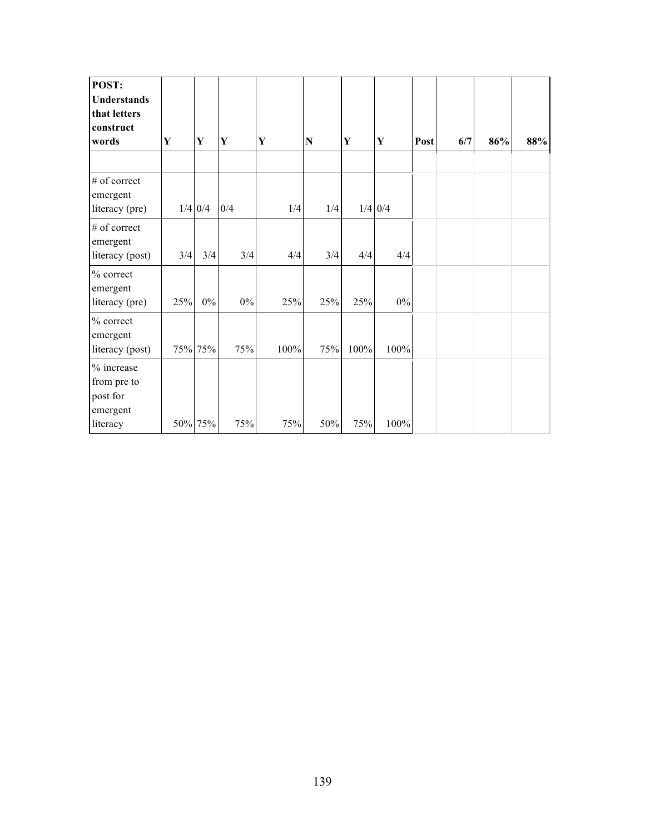| POST:<br><b>Understands</b><br>that letters<br>construct<br>words | Y   | Y         | Y     | Y    | N   | $\mathbf Y$ | ${\bf Y}$ | Post | 6/7 | 86% | 88% |
|-------------------------------------------------------------------|-----|-----------|-------|------|-----|-------------|-----------|------|-----|-----|-----|
| # of correct<br>emergent<br>literacy (pre)                        |     | $1/4$ 0/4 | 0/4   | 1/4  | 1/4 |             | $1/4$ 0/4 |      |     |     |     |
| # of correct<br>emergent<br>literacy (post)                       | 3/4 | 3/4       | 3/4   | 4/4  | 3/4 | 4/4         | 4/4       |      |     |     |     |
| $%$ correct<br>emergent<br>literacy (pre)                         | 25% | $0\%$     | $0\%$ | 25%  | 25% | 25%         | $0\%$     |      |     |     |     |
| $%$ correct<br>emergent<br>literacy (post)                        |     | 75% 75%   | 75%   | 100% | 75% | 100%        | 100%      |      |     |     |     |
| % increase<br>from pre to<br>post for<br>emergent<br>literacy     |     | 50% 75%   | 75%   | 75%  | 50% | 75%         | 100%      |      |     |     |     |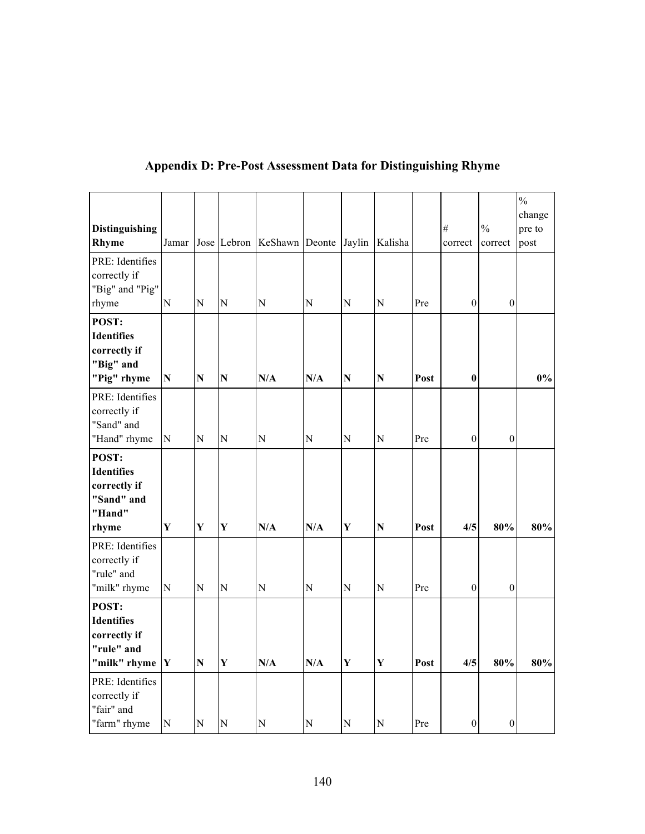|                                                                             |             |                    |                |                                           |                |                |                    |      |                  |                  | $\frac{0}{0}$    |
|-----------------------------------------------------------------------------|-------------|--------------------|----------------|-------------------------------------------|----------------|----------------|--------------------|------|------------------|------------------|------------------|
| <b>Distinguishing</b>                                                       |             |                    |                |                                           |                |                |                    |      | $^{\#}$          | $\frac{0}{0}$    | change<br>pre to |
| Rhyme                                                                       | Jamar       |                    |                | Jose Lebron KeShawn Deonte Jaylin Kalisha |                |                |                    |      | correct          | correct          | post             |
| PRE: Identifies<br>correctly if                                             |             |                    |                |                                           |                |                |                    |      |                  |                  |                  |
| "Big" and "Pig"<br>rhyme                                                    | $\mathbf N$ | $\overline{N}$     | N              | ${\bf N}$                                 | N              | $\mathbf N$    | $\mathbf N$        | Pre  | $\boldsymbol{0}$ | $\boldsymbol{0}$ |                  |
| POST:<br><b>Identifies</b><br>correctly if<br>"Big" and                     |             |                    |                |                                           |                |                |                    |      |                  |                  |                  |
| "Pig" rhyme                                                                 | ${\bf N}$   | $\overline{\bf N}$ | $\mathbf N$    | N/A                                       | N/A            | ${\bf N}$      | ${\bf N}$          | Post | $\bf{0}$         |                  | 0%               |
| PRE: Identifies<br>correctly if<br>"Sand" and                               |             |                    |                |                                           |                |                |                    |      |                  |                  |                  |
| "Hand" rhyme                                                                | ${\bf N}$   | $\overline{N}$     | N              | $\overline{N}$                            | N              | $\overline{N}$ | ${\bf N}$          | Pre  | $\boldsymbol{0}$ | $\boldsymbol{0}$ |                  |
| POST:<br><b>Identifies</b><br>correctly if<br>"Sand" and<br>"Hand"<br>rhyme | Y           | Y                  | Y              | N/A                                       | N/A            | Y              | $\overline{\bf N}$ | Post | 4/5              | 80%              | 80%              |
| PRE: Identifies<br>correctly if<br>"rule" and                               |             |                    |                |                                           |                |                |                    |      |                  |                  |                  |
| "milk" rhyme                                                                | ${\bf N}$   | $\overline{N}$     | $\overline{N}$ | N                                         | $\overline{N}$ | $\overline{N}$ | $\mathbf N$        | Pre  | $\boldsymbol{0}$ | $\boldsymbol{0}$ |                  |
| POST:<br><b>Identifies</b><br>correctly if<br>"rule" and<br>"milk" rhyme    | $\mathbf Y$ | $\overline{\bf N}$ | $\mathbf{Y}$   | N/A                                       | N/A            | $\mathbf Y$    | $\mathbf Y$        | Post | 4/5              | 80%              | 80%              |
| PRE: Identifies<br>correctly if<br>"fair" and                               |             |                    |                |                                           |                |                |                    |      |                  |                  |                  |
| "farm" rhyme                                                                | ${\bf N}$   | $\overline{N}$     | N              | ${\bf N}$                                 | N              | ${\bf N}$      | $\mathbf N$        | Pre  | $\boldsymbol{0}$ | $\boldsymbol{0}$ |                  |

### **Appendix D: Pre-Post Assessment Data for Distinguishing Rhyme**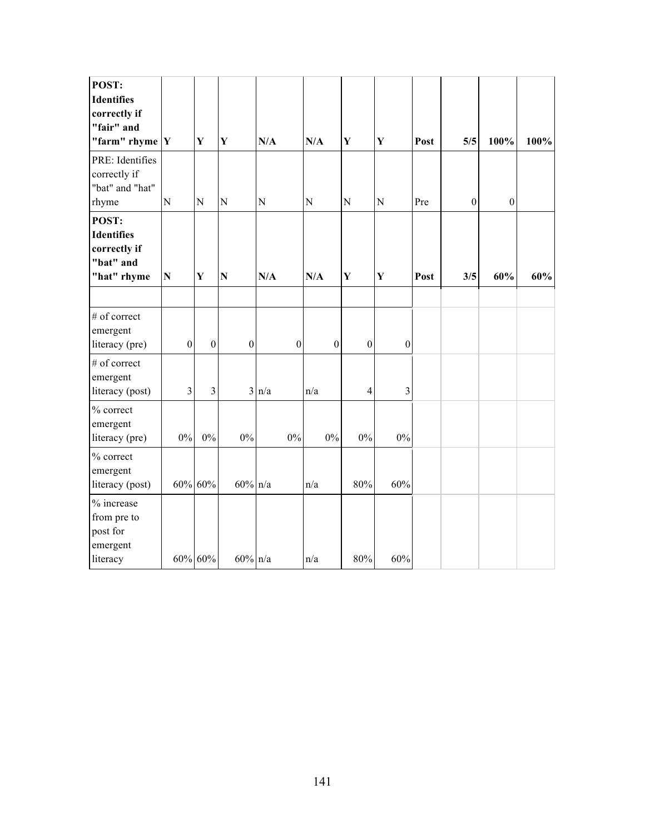| POST:<br><b>Identifies</b><br>correctly if<br>"fair" and<br>"farm" rhyme $ Y $ |                         | Y              | $\mathbf{Y}$     | N/A              | N/A              | Y                | $\mathbf{Y}$     | Post | 5/5              | 100%             | 100% |
|--------------------------------------------------------------------------------|-------------------------|----------------|------------------|------------------|------------------|------------------|------------------|------|------------------|------------------|------|
| PRE: Identifies<br>correctly if<br>"bat" and "hat"<br>rhyme                    | N                       | ${\bf N}$      | ${\bf N}$        | ${\bf N}$        | $\mathbf N$      | ${\bf N}$        | ${\bf N}$        | Pre  | $\boldsymbol{0}$ | $\boldsymbol{0}$ |      |
| POST:<br><b>Identifies</b><br>correctly if<br>"bat" and<br>"hat" rhyme         | $\mathbf N$             | Y              | $\mathbf N$      | N/A              | N/A              | Y                | Y                | Post | 3/5              | 60%              | 60%  |
| # of correct<br>emergent<br>literacy (pre)                                     | $\boldsymbol{0}$        | $\mathbf{0}$   | $\boldsymbol{0}$ | $\boldsymbol{0}$ | $\boldsymbol{0}$ | $\boldsymbol{0}$ | $\boldsymbol{0}$ |      |                  |                  |      |
| # of correct<br>emergent<br>literacy (post)                                    | $\overline{\mathbf{3}}$ | $\overline{3}$ |                  | $3 \ln/a$        | n/a              | $\overline{4}$   | 3                |      |                  |                  |      |
| % correct<br>emergent<br>literacy (pre)                                        | $0\%$                   | $0\%$          | $0\%$            | $0\%$            | $0\%$            | $0\%$            | $0\%$            |      |                  |                  |      |
| % correct<br>emergent<br>literacy (post)                                       |                         | 60% 60%        | $60\%$ n/a       |                  | n/a              | 80%              | 60%              |      |                  |                  |      |
| % increase<br>from pre to<br>post for<br>emergent<br>literacy                  |                         | 60% 60%        | $60\%$ n/a       |                  | n/a              | 80%              | 60%              |      |                  |                  |      |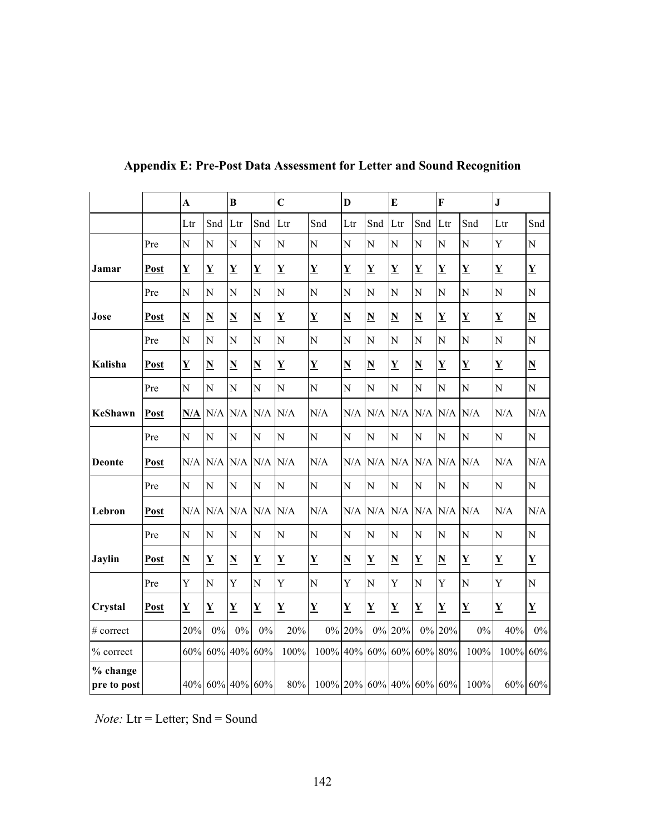|                           |      | $\overline{\mathbf{A}}$  |                          | $\bf{B}$                 |                          | $\mathbf C$              |                          | D                        |                          | E                        |                          | F                                   |                          | ${\bf J}$                |                          |
|---------------------------|------|--------------------------|--------------------------|--------------------------|--------------------------|--------------------------|--------------------------|--------------------------|--------------------------|--------------------------|--------------------------|-------------------------------------|--------------------------|--------------------------|--------------------------|
|                           |      | Ltr                      | Snd                      | Ltr                      | Snd                      | Ltr                      | Snd                      | Ltr                      | Snd                      | Ltr                      | Snd                      | Ltr                                 | Snd                      | Ltr                      | Snd                      |
|                           | Pre  | $\overline{N}$           | $\overline{\rm N}$       | $\overline{N}$           | N                        | $\overline{N}$           | $\overline{N}$           | N                        | N                        | N                        | $\overline{N}$           | N                                   | $\overline{N}$           | Y                        | $\overline{N}$           |
| Jamar                     | Post | $\overline{\mathbf{Y}}$  | $\underline{\mathbf{Y}}$ | $\underline{\mathbf{Y}}$ | $\underline{\mathbf{Y}}$ | $\underline{\mathbf{Y}}$ | $\mathbf Y$              | $\underline{\mathbf{Y}}$ | $\underline{\mathbf{Y}}$ | Y                        | $\underline{\mathbf{Y}}$ | $\overline{\mathbf{Y}}$             | $\underline{\mathbf{Y}}$ | $\overline{\mathbf{Y}}$  | $\underline{\mathbf{Y}}$ |
|                           | Pre  | $\mathbf N$              | N                        | N                        | N                        | N                        | $\mathbf N$              | N                        | N                        | N                        | N                        | N                                   | N                        | ${\bf N}$                | $\mathbf N$              |
| Jose                      | Post | $\underline{\mathbf{N}}$ | $\underline{\mathbf{N}}$ | $\underline{\mathbf{N}}$ | $\underline{\mathbf{N}}$ | $\underline{\mathbf{Y}}$ | $\underline{\mathbf{Y}}$ | $\underline{\mathbf{N}}$ | $\underline{\mathbf{N}}$ | $\underline{\mathbf{N}}$ | $\underline{\mathbf{N}}$ | $\overline{\mathbf{Y}}$             | $\underline{\mathbf{Y}}$ | $\overline{\mathbf{Y}}$  | $\underline{\mathbf{N}}$ |
|                           | Pre  | $\mathbf N$              | N                        | N                        | N                        | $\overline{N}$           | $\mathbf N$              | $\mathbf N$              | N                        | N                        | N                        | N                                   | N                        | N                        | N                        |
| Kalisha                   | Post | $\underline{\mathbf{Y}}$ | $\underline{\mathbf{N}}$ | $\underline{\mathbf{N}}$ | $\underline{\mathbf{N}}$ | Y                        | Y                        | $\underline{\mathbf{N}}$ | $\underline{\mathbf{N}}$ | Y                        | ${\bf N}$                | $\underline{\mathbf{Y}}$            | Y                        | $\underline{\mathbf{Y}}$ | $\underline{\mathbf{N}}$ |
|                           | Pre  | N                        | $\overline{N}$           | N                        | N                        | $\overline{N}$           | $\overline{N}$           | N                        | N                        | N                        | N                        | $\overline{N}$                      | $\overline{N}$           | $\mathbf N$              | $\overline{N}$           |
| <b>KeShawn</b>            | Post | N/A                      |                          | $N/A$ $N/A$ $N/A$        |                          | N/A                      | N/A                      | N/A                      | N/A                      | $N/A$ $N/A$              |                          | N/A                                 | N/A                      | N/A                      | N/A                      |
|                           | Pre  | $\overline{N}$           | N                        | $\overline{N}$           | N                        | N                        | $\overline{N}$           | N                        | N                        | N                        | N                        | N                                   | $\overline{N}$           | $\overline{N}$           | N                        |
| <b>Deonte</b>             | Post | N/A                      | N/A                      | N/A                      | N/A                      | N/A                      | N/A                      | N/A                      | N/A                      | N/A                      | N/A                      | N/A                                 | N/A                      | N/A                      | N/A                      |
|                           | Pre  | $\mathbf N$              | $\overline{N}$           | $\overline{N}$           | N                        | $\overline{N}$           | $\overline{N}$           | $\overline{N}$           | N                        | N                        | $\overline{N}$           | N                                   | N                        | $\mathbf N$              | ${\bf N}$                |
| Lebron                    | Post |                          |                          | $N/A$ $N/A$ $N/A$ $N/A$  |                          | N/A                      | N/A                      |                          |                          |                          |                          | $N/A$ $N/A$ $N/A$ $N/A$ $N/A$ $N/A$ |                          | N/A                      | N/A                      |
|                           | Pre  | N                        | N                        | N                        | N                        | N                        | $\mathbf N$              | N                        | N                        | N                        | N                        | N                                   | N                        | ${\bf N}$                | N                        |
| <b>Jaylin</b>             | Post | $\underline{\mathbf{N}}$ | $\overline{\mathbf{Y}}$  | $\underline{\mathbf{N}}$ | $\overline{\mathbf{Y}}$  | $\underline{\mathbf{Y}}$ | $\underline{Y}$          | $\underline{\mathbf{N}}$ | $\overline{\mathbf{Y}}$  | $\underline{\mathbf{N}}$ | $\underline{\mathbf{Y}}$ | $\underline{\mathbf{N}}$            | $\underline{\mathbf{Y}}$ | $\underline{\mathbf{Y}}$ | $\underline{\mathbf{Y}}$ |
|                           | Pre  | Y                        | N                        | Y                        | N                        | Y                        | N                        | Y                        | N                        | Y                        | N                        | Y                                   | N                        | Y                        | N                        |
| Crystal                   | Post | $\underline{\mathbf{Y}}$ | $\underline{\mathbf{Y}}$ | $\underline{\mathbf{Y}}$ | $\overline{\mathbf{Y}}$  | $\underline{\mathbf{Y}}$ | $\underline{\mathbf{Y}}$ | $\overline{\mathbf{Y}}$  | $\overline{\mathbf{Y}}$  | $\underline{\mathbf{Y}}$ | $\underline{\mathbf{Y}}$ | $\overline{\mathbf{Y}}$             | $\underline{\mathbf{Y}}$ | $\mathbf Y$              | $\underline{\mathbf{Y}}$ |
| # correct                 |      | 20%                      | $0\%$                    | $0\%$                    | $0\%$                    | 20%                      |                          | 0% 20%                   |                          | 0% 20%                   |                          | 0% 20%                              | $0\%$                    | 40%                      | $0\%$                    |
| % correct                 |      | 60%                      | 60%                      | 40%                      | 60%                      | 100%                     | 100% 40% 60% 60%         |                          |                          |                          |                          | 60% 80%                             | 100%                     | 100%                     | 60%                      |
| $%$ change<br>pre to post |      |                          |                          | 40% 60% 40% 60%          |                          | 80%                      | 100% 20% 60% 40% 60% 60% |                          |                          |                          |                          |                                     | 100%                     | 60% 60%                  |                          |

**Appendix E: Pre-Post Data Assessment for Letter and Sound Recognition**

*Note:* Ltr = Letter; Snd = Sound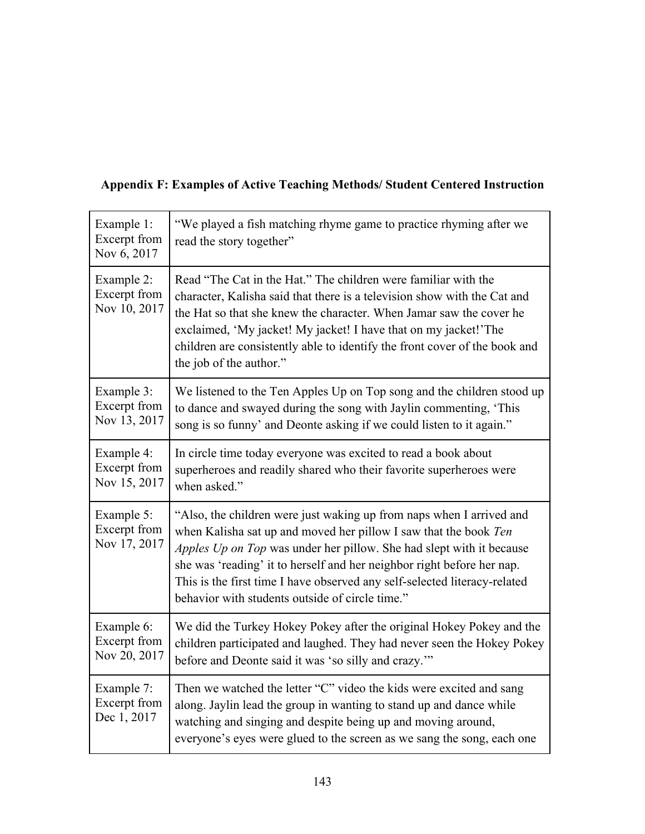| Example 1:<br>Excerpt from<br>Nov 6, 2017  | "We played a fish matching rhyme game to practice rhyming after we<br>read the story together"                                                                                                                                                                                                                                                                                                                             |
|--------------------------------------------|----------------------------------------------------------------------------------------------------------------------------------------------------------------------------------------------------------------------------------------------------------------------------------------------------------------------------------------------------------------------------------------------------------------------------|
| Example 2:<br>Excerpt from<br>Nov 10, 2017 | Read "The Cat in the Hat." The children were familiar with the<br>character, Kalisha said that there is a television show with the Cat and<br>the Hat so that she knew the character. When Jamar saw the cover he<br>exclaimed, 'My jacket! My jacket! I have that on my jacket!'The<br>children are consistently able to identify the front cover of the book and<br>the job of the author."                              |
| Example 3:<br>Excerpt from<br>Nov 13, 2017 | We listened to the Ten Apples Up on Top song and the children stood up<br>to dance and swayed during the song with Jaylin commenting, 'This<br>song is so funny' and Deonte asking if we could listen to it again."                                                                                                                                                                                                        |
| Example 4:<br>Excerpt from<br>Nov 15, 2017 | In circle time today everyone was excited to read a book about<br>superheroes and readily shared who their favorite superheroes were<br>when asked."                                                                                                                                                                                                                                                                       |
| Example 5:<br>Excerpt from<br>Nov 17, 2017 | "Also, the children were just waking up from naps when I arrived and<br>when Kalisha sat up and moved her pillow I saw that the book Ten<br>Apples Up on Top was under her pillow. She had slept with it because<br>she was 'reading' it to herself and her neighbor right before her nap.<br>This is the first time I have observed any self-selected literacy-related<br>behavior with students outside of circle time." |
| Example 6:<br>Excerpt from<br>Nov 20, 2017 | We did the Turkey Hokey Pokey after the original Hokey Pokey and the<br>children participated and laughed. They had never seen the Hokey Pokey<br>before and Deonte said it was 'so silly and crazy."                                                                                                                                                                                                                      |
| Example 7:<br>Excerpt from<br>Dec 1, 2017  | Then we watched the letter "C" video the kids were excited and sang<br>along. Jaylin lead the group in wanting to stand up and dance while<br>watching and singing and despite being up and moving around,<br>everyone's eyes were glued to the screen as we sang the song, each one                                                                                                                                       |

### **Appendix F: Examples of Active Teaching Methods/ Student Centered Instruction**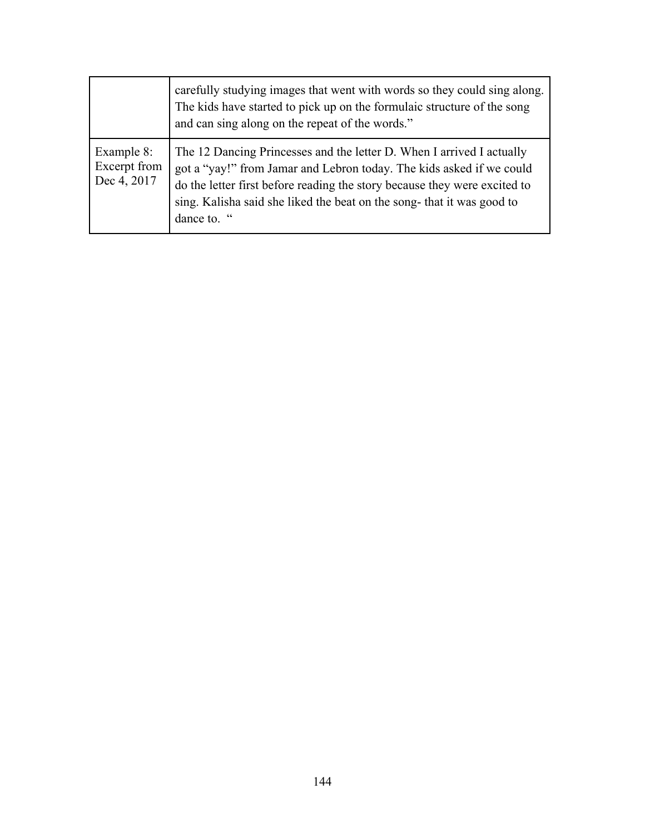|                                           | carefully studying images that went with words so they could sing along.<br>The kids have started to pick up on the formulaic structure of the song<br>and can sing along on the repeat of the words."                                                                                                             |
|-------------------------------------------|--------------------------------------------------------------------------------------------------------------------------------------------------------------------------------------------------------------------------------------------------------------------------------------------------------------------|
| Example 8:<br>Excerpt from<br>Dec 4, 2017 | The 12 Dancing Princesses and the letter D. When I arrived I actually<br>got a "yay!" from Jamar and Lebron today. The kids asked if we could<br>do the letter first before reading the story because they were excited to<br>sing. Kalisha said she liked the beat on the song-that it was good to<br>dance to. " |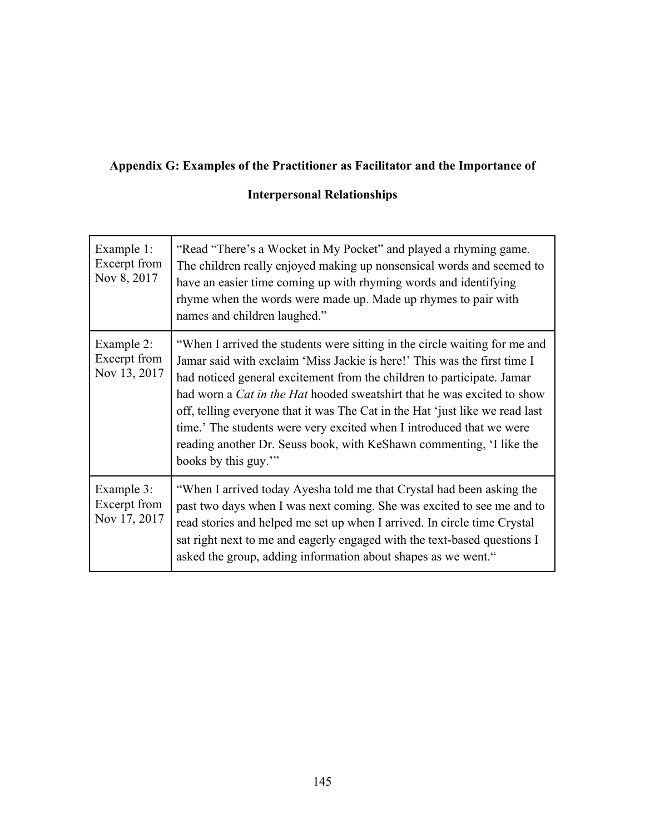## **Appendix G: Examples of the Practitioner as Facilitator and the Importance of**

### **Interpersonal Relationships**

| Example 1:<br>Excerpt from<br>Nov 8, 2017  | "Read "There's a Wocket in My Pocket" and played a rhyming game.<br>The children really enjoyed making up nonsensical words and seemed to<br>have an easier time coming up with rhyming words and identifying<br>rhyme when the words were made up. Made up rhymes to pair with<br>names and children laughed."                                                                                                                                                                                                                                                           |
|--------------------------------------------|---------------------------------------------------------------------------------------------------------------------------------------------------------------------------------------------------------------------------------------------------------------------------------------------------------------------------------------------------------------------------------------------------------------------------------------------------------------------------------------------------------------------------------------------------------------------------|
| Example 2:<br>Excerpt from<br>Nov 13, 2017 | "When I arrived the students were sitting in the circle waiting for me and<br>Jamar said with exclaim 'Miss Jackie is here!' This was the first time I<br>had noticed general excitement from the children to participate. Jamar<br>had worn a <i>Cat in the Hat</i> hooded sweatshirt that he was excited to show<br>off, telling everyone that it was The Cat in the Hat 'just like we read last<br>time.' The students were very excited when I introduced that we were<br>reading another Dr. Seuss book, with KeShawn commenting, 'I like the<br>books by this guy." |
| Example 3:<br>Excerpt from<br>Nov 17, 2017 | "When I arrived today Ayesha told me that Crystal had been asking the<br>past two days when I was next coming. She was excited to see me and to<br>read stories and helped me set up when I arrived. In circle time Crystal<br>sat right next to me and eagerly engaged with the text-based questions I<br>asked the group, adding information about shapes as we went."                                                                                                                                                                                                  |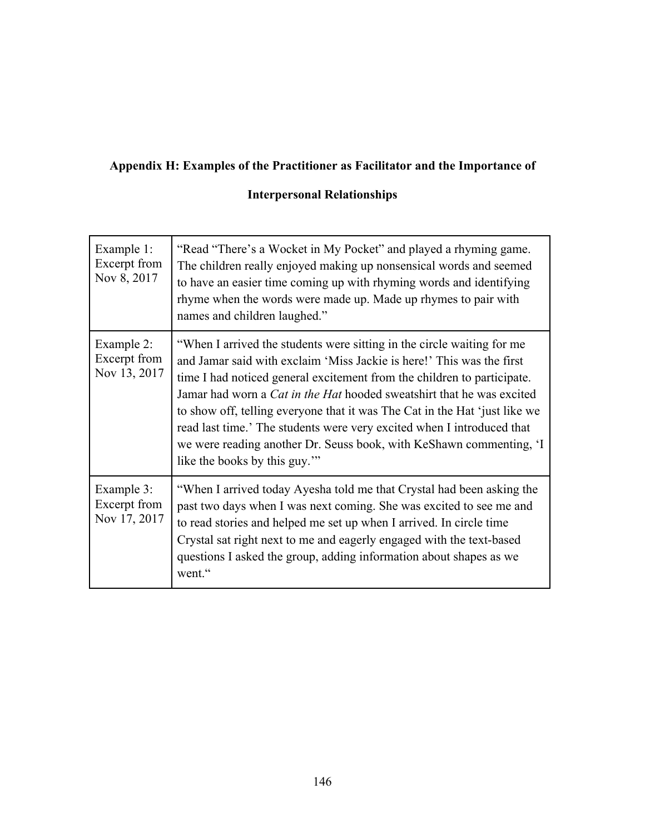## **Appendix H: Examples of the Practitioner as Facilitator and the Importance of**

### **Interpersonal Relationships**

| Example 1:<br>Excerpt from<br>Nov 8, 2017  | "Read "There's a Wocket in My Pocket" and played a rhyming game.<br>The children really enjoyed making up nonsensical words and seemed<br>to have an easier time coming up with rhyming words and identifying<br>rhyme when the words were made up. Made up rhymes to pair with<br>names and children laughed."                                                                                                                                                                                                                                                           |
|--------------------------------------------|---------------------------------------------------------------------------------------------------------------------------------------------------------------------------------------------------------------------------------------------------------------------------------------------------------------------------------------------------------------------------------------------------------------------------------------------------------------------------------------------------------------------------------------------------------------------------|
| Example 2:<br>Excerpt from<br>Nov 13, 2017 | "When I arrived the students were sitting in the circle waiting for me<br>and Jamar said with exclaim 'Miss Jackie is here!' This was the first<br>time I had noticed general excitement from the children to participate.<br>Jamar had worn a <i>Cat in the Hat</i> hooded sweatshirt that he was excited<br>to show off, telling everyone that it was The Cat in the Hat 'just like we<br>read last time.' The students were very excited when I introduced that<br>we were reading another Dr. Seuss book, with KeShawn commenting, 'I<br>like the books by this guy." |
| Example 3:<br>Excerpt from<br>Nov 17, 2017 | "When I arrived today Ayesha told me that Crystal had been asking the<br>past two days when I was next coming. She was excited to see me and<br>to read stories and helped me set up when I arrived. In circle time<br>Crystal sat right next to me and eagerly engaged with the text-based<br>questions I asked the group, adding information about shapes as we<br>went."                                                                                                                                                                                               |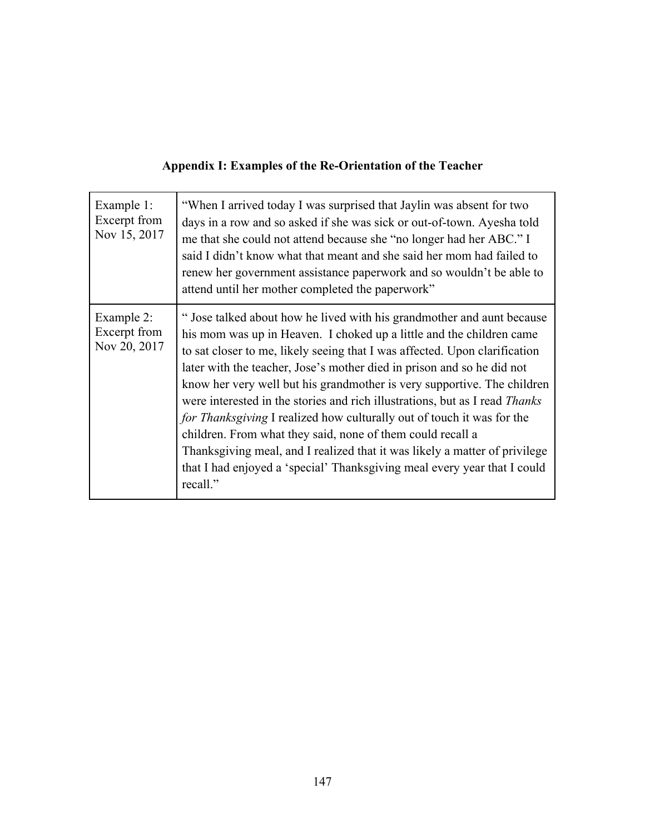## **Appendix I: Examples of the Re-Orientation of the Teacher**

| Example 1:<br>Excerpt from<br>Nov 15, 2017 | "When I arrived today I was surprised that Jaylin was absent for two<br>days in a row and so asked if she was sick or out-of-town. Ayesha told<br>me that she could not attend because she "no longer had her ABC." I<br>said I didn't know what that meant and she said her mom had failed to<br>renew her government assistance paperwork and so wouldn't be able to<br>attend until her mother completed the paperwork"                                                                                                                                                                                                                                                                                                                                                            |
|--------------------------------------------|---------------------------------------------------------------------------------------------------------------------------------------------------------------------------------------------------------------------------------------------------------------------------------------------------------------------------------------------------------------------------------------------------------------------------------------------------------------------------------------------------------------------------------------------------------------------------------------------------------------------------------------------------------------------------------------------------------------------------------------------------------------------------------------|
| Example 2:<br>Excerpt from<br>Nov 20, 2017 | " Jose talked about how he lived with his grandmother and aunt because<br>his mom was up in Heaven. I choked up a little and the children came<br>to sat closer to me, likely seeing that I was affected. Upon clarification<br>later with the teacher, Jose's mother died in prison and so he did not<br>know her very well but his grandmother is very supportive. The children<br>were interested in the stories and rich illustrations, but as I read <i>Thanks</i><br>for Thanksgiving I realized how culturally out of touch it was for the<br>children. From what they said, none of them could recall a<br>Thanksgiving meal, and I realized that it was likely a matter of privilege<br>that I had enjoyed a 'special' Thanksgiving meal every year that I could<br>recall." |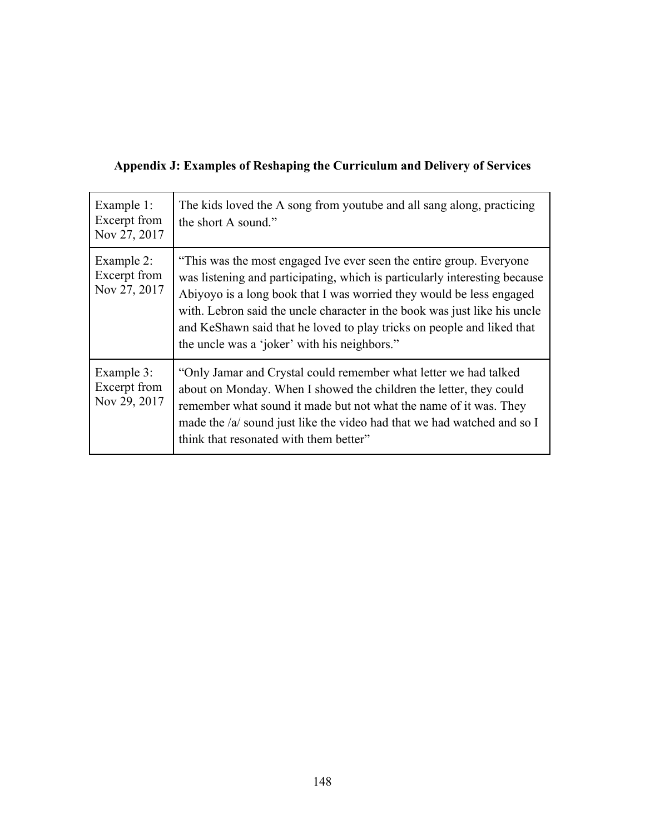|  | Appendix J: Examples of Reshaping the Curriculum and Delivery of Services |  |
|--|---------------------------------------------------------------------------|--|
|  |                                                                           |  |

| Example 1:<br>Excerpt from<br>Nov 27, 2017 | The kids loved the A song from youtube and all sang along, practicing<br>the short A sound."                                                                                                                                                                                                                                                                                                                                     |
|--------------------------------------------|----------------------------------------------------------------------------------------------------------------------------------------------------------------------------------------------------------------------------------------------------------------------------------------------------------------------------------------------------------------------------------------------------------------------------------|
| Example 2:<br>Excerpt from<br>Nov 27, 2017 | "This was the most engaged Ive ever seen the entire group. Everyone<br>was listening and participating, which is particularly interesting because<br>Abiyoyo is a long book that I was worried they would be less engaged<br>with. Lebron said the uncle character in the book was just like his uncle<br>and KeShawn said that he loved to play tricks on people and liked that<br>the uncle was a 'joker' with his neighbors." |
| Example 3:<br>Excerpt from<br>Nov 29, 2017 | "Only Jamar and Crystal could remember what letter we had talked<br>about on Monday. When I showed the children the letter, they could<br>remember what sound it made but not what the name of it was. They<br>made the /a/ sound just like the video had that we had watched and so I<br>think that resonated with them better"                                                                                                 |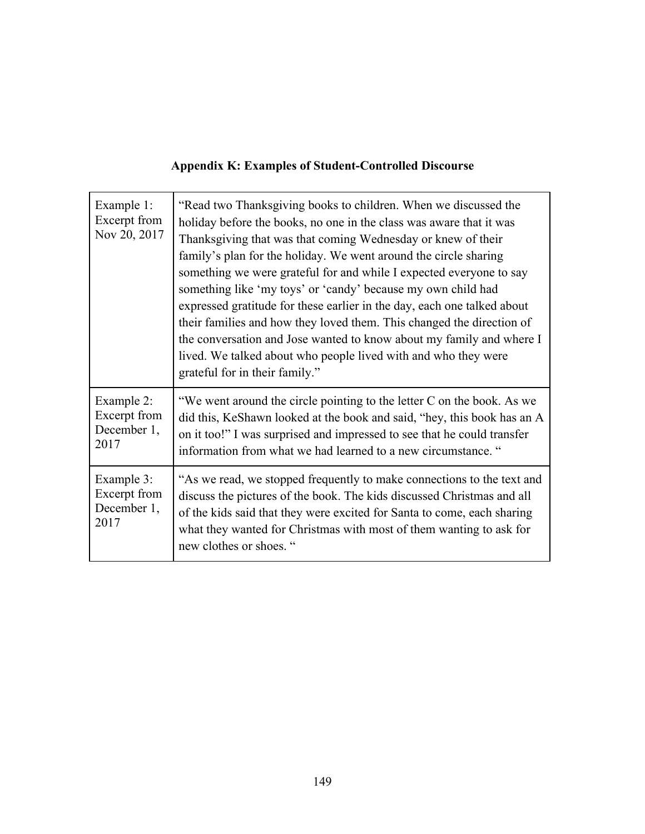|  |  | <b>Appendix K: Examples of Student-Controlled Discourse</b> |  |
|--|--|-------------------------------------------------------------|--|
|  |  |                                                             |  |

| Example 1:<br>Excerpt from<br>Nov 20, 2017        | "Read two Thanksgiving books to children. When we discussed the<br>holiday before the books, no one in the class was aware that it was<br>Thanksgiving that was that coming Wednesday or knew of their<br>family's plan for the holiday. We went around the circle sharing<br>something we were grateful for and while I expected everyone to say<br>something like 'my toys' or 'candy' because my own child had<br>expressed gratitude for these earlier in the day, each one talked about<br>their families and how they loved them. This changed the direction of<br>the conversation and Jose wanted to know about my family and where I<br>lived. We talked about who people lived with and who they were<br>grateful for in their family." |
|---------------------------------------------------|---------------------------------------------------------------------------------------------------------------------------------------------------------------------------------------------------------------------------------------------------------------------------------------------------------------------------------------------------------------------------------------------------------------------------------------------------------------------------------------------------------------------------------------------------------------------------------------------------------------------------------------------------------------------------------------------------------------------------------------------------|
| Example 2:<br>Excerpt from<br>December 1,<br>2017 | "We went around the circle pointing to the letter C on the book. As we<br>did this, KeShawn looked at the book and said, "hey, this book has an A<br>on it too!" I was surprised and impressed to see that he could transfer<br>information from what we had learned to a new circumstance. "                                                                                                                                                                                                                                                                                                                                                                                                                                                     |
| Example 3:<br>Excerpt from<br>December 1,<br>2017 | "As we read, we stopped frequently to make connections to the text and<br>discuss the pictures of the book. The kids discussed Christmas and all<br>of the kids said that they were excited for Santa to come, each sharing<br>what they wanted for Christmas with most of them wanting to ask for<br>new clothes or shoes. "                                                                                                                                                                                                                                                                                                                                                                                                                     |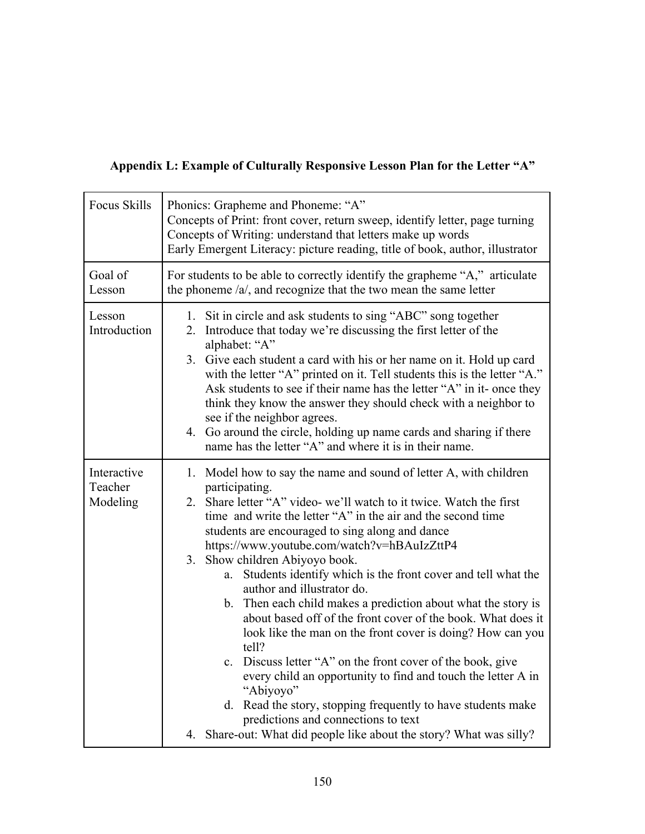# **Appendix L: Example of Culturally Responsive Lesson Plan for the Letter "A"**

| <b>Focus Skills</b>                | Phonics: Grapheme and Phoneme: "A"<br>Concepts of Print: front cover, return sweep, identify letter, page turning<br>Concepts of Writing: understand that letters make up words<br>Early Emergent Literacy: picture reading, title of book, author, illustrator                                                                                                                                                                                                                                                                                                                                                                                                                                                                                                                                                                                                                                                                                                                                        |  |  |  |  |
|------------------------------------|--------------------------------------------------------------------------------------------------------------------------------------------------------------------------------------------------------------------------------------------------------------------------------------------------------------------------------------------------------------------------------------------------------------------------------------------------------------------------------------------------------------------------------------------------------------------------------------------------------------------------------------------------------------------------------------------------------------------------------------------------------------------------------------------------------------------------------------------------------------------------------------------------------------------------------------------------------------------------------------------------------|--|--|--|--|
| Goal of<br>Lesson                  | For students to be able to correctly identify the grapheme "A," articulate<br>the phoneme $/a$ , and recognize that the two mean the same letter                                                                                                                                                                                                                                                                                                                                                                                                                                                                                                                                                                                                                                                                                                                                                                                                                                                       |  |  |  |  |
| Lesson<br>Introduction             | 1. Sit in circle and ask students to sing "ABC" song together<br>Introduce that today we're discussing the first letter of the<br>2.<br>alphabet: "A"<br>3. Give each student a card with his or her name on it. Hold up card<br>with the letter "A" printed on it. Tell students this is the letter "A."<br>Ask students to see if their name has the letter "A" in it- once they<br>think they know the answer they should check with a neighbor to<br>see if the neighbor agrees.<br>4. Go around the circle, holding up name cards and sharing if there<br>name has the letter "A" and where it is in their name.                                                                                                                                                                                                                                                                                                                                                                                  |  |  |  |  |
| Interactive<br>Teacher<br>Modeling | 1. Model how to say the name and sound of letter A, with children<br>participating.<br>Share letter "A" video- we'll watch to it twice. Watch the first<br>2.<br>time and write the letter "A" in the air and the second time<br>students are encouraged to sing along and dance<br>https://www.youtube.com/watch?v=hBAuIzZttP4<br>3. Show children Abiyoyo book.<br>Students identify which is the front cover and tell what the<br>a.<br>author and illustrator do.<br>b. Then each child makes a prediction about what the story is<br>about based off of the front cover of the book. What does it<br>look like the man on the front cover is doing? How can you<br>tell?<br>c. Discuss letter "A" on the front cover of the book, give<br>every child an opportunity to find and touch the letter A in<br>"Abiyoyo"<br>d. Read the story, stopping frequently to have students make<br>predictions and connections to text<br>4. Share-out: What did people like about the story? What was silly? |  |  |  |  |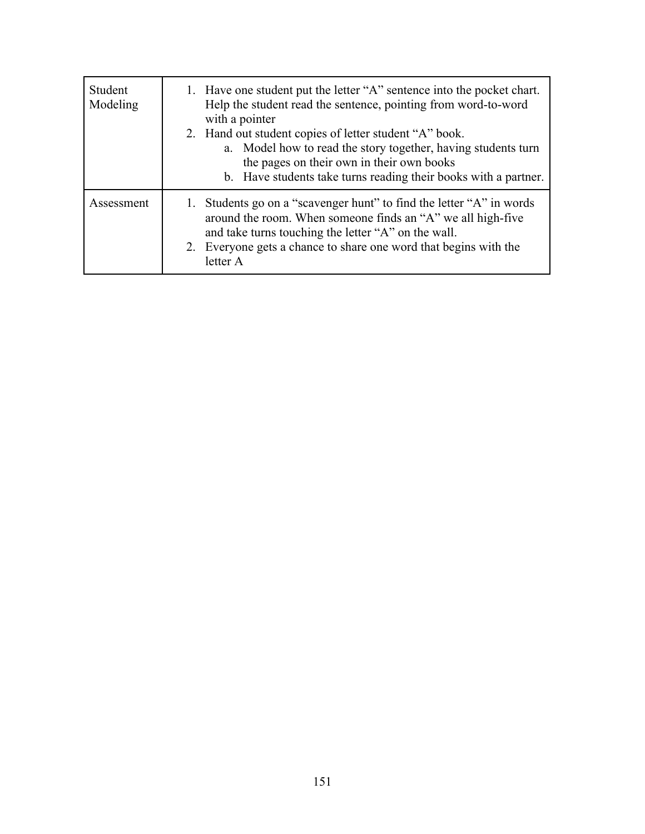| Student<br>Modeling | 1. Have one student put the letter "A" sentence into the pocket chart.<br>Help the student read the sentence, pointing from word-to-word<br>with a pointer<br>2. Hand out student copies of letter student "A" book.<br>a. Model how to read the story together, having students turn<br>the pages on their own in their own books<br>b. Have students take turns reading their books with a partner. |
|---------------------|-------------------------------------------------------------------------------------------------------------------------------------------------------------------------------------------------------------------------------------------------------------------------------------------------------------------------------------------------------------------------------------------------------|
| Assessment          | 1. Students go on a "scavenger hunt" to find the letter "A" in words<br>around the room. When someone finds an "A" we all high-five<br>and take turns touching the letter "A" on the wall.<br>2. Everyone gets a chance to share one word that begins with the<br>letter A                                                                                                                            |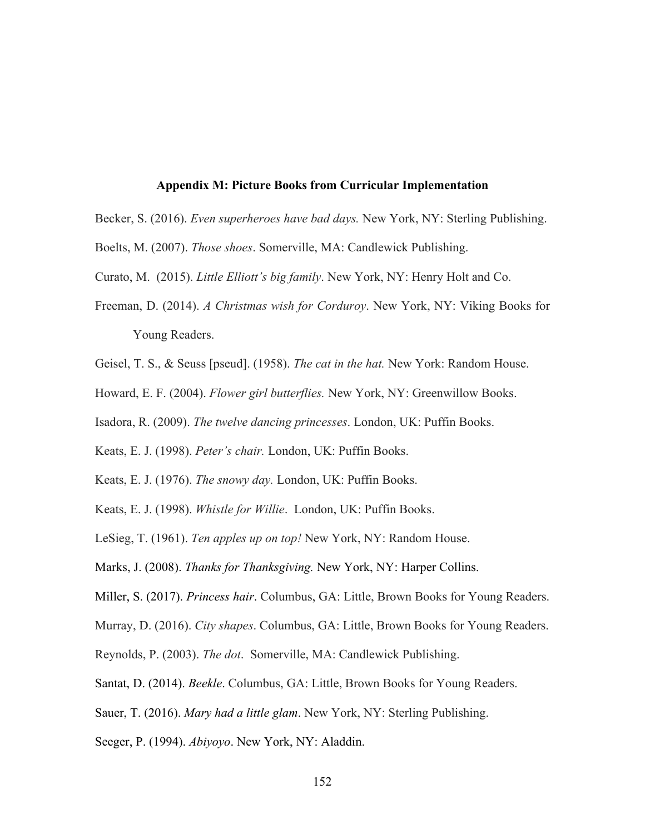#### **Appendix M: Picture Books from Curricular Implementation**

- Becker, S. (2016). *Even superheroes have bad days.* New York, NY: Sterling Publishing.
- Boelts, M. (2007). *Those shoes*. Somerville, MA: Candlewick Publishing.
- Curato, M. (2015). *Little Elliott's big family*. New York, NY: Henry Holt and Co.
- Freeman, D. (2014). *A Christmas wish for Corduroy*. New York, NY: Viking Books for Young Readers.
- Geisel, T. S., & Seuss [pseud]. (1958). *The cat in the hat.* New York: Random House.
- Howard, E. F. (2004). *Flower girl butterflies.* New York, NY: Greenwillow Books.
- Isadora, R. (2009). *The twelve dancing princesses*. London, UK: Puffin Books.
- Keats, E. J. (1998). *Peter's chair.* London, UK: Puffin Books.
- Keats, E. J. (1976). *The snowy day.* London, UK: Puffin Books.
- Keats, E. J. (1998). *Whistle for Willie*. London, UK: Puffin Books.
- LeSieg, T. (1961). *Ten apples up on top!* New York, NY: Random House.
- Marks, J. (2008). *Thanks for Thanksgiving.* New York, NY: Harper Collins.
- Miller, S. (2017). *Princess hair*. Columbus, GA: Little, Brown Books for Young Readers.
- Murray, D. (2016). *City shapes*. Columbus, GA: Little, Brown Books for Young Readers.
- Reynolds, P. (2003). *The dot*. Somerville, MA: Candlewick Publishing.
- Santat, D. (2014). *Beekle*. Columbus, GA: Little, Brown Books for Young Readers.
- Sauer, T. (2016). *Mary had a little glam*. New York, NY: Sterling Publishing.
- Seeger, P. (1994). *Abiyoyo*. New York, NY: Aladdin.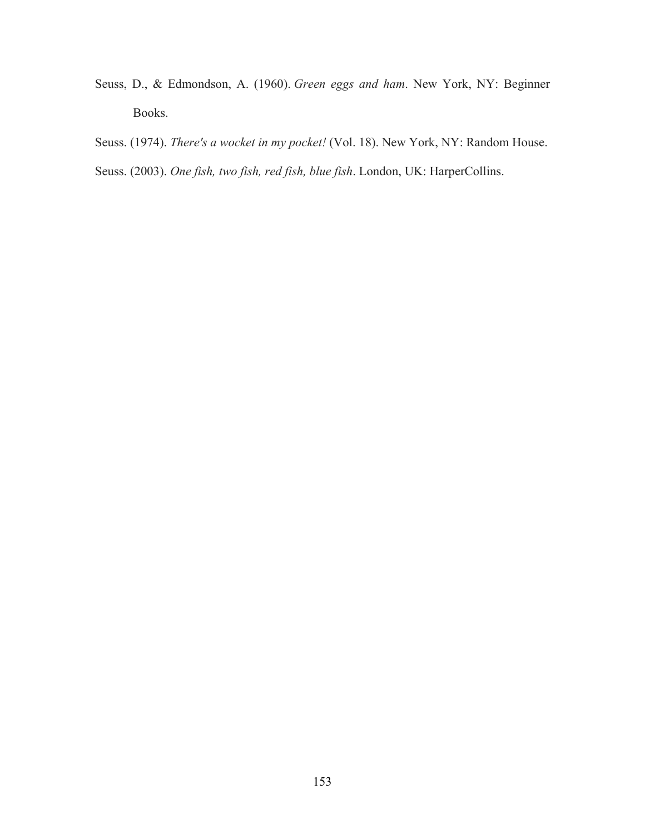- Seuss, D., & Edmondson, A. (1960). *Green eggs and ham*. New York, NY: Beginner Books.
- Seuss. (1974). *There's a wocket in my pocket!* (Vol. 18). New York, NY: Random House.
- Seuss. (2003). *One fish, two fish, red fish, blue fish*. London, UK: HarperCollins.